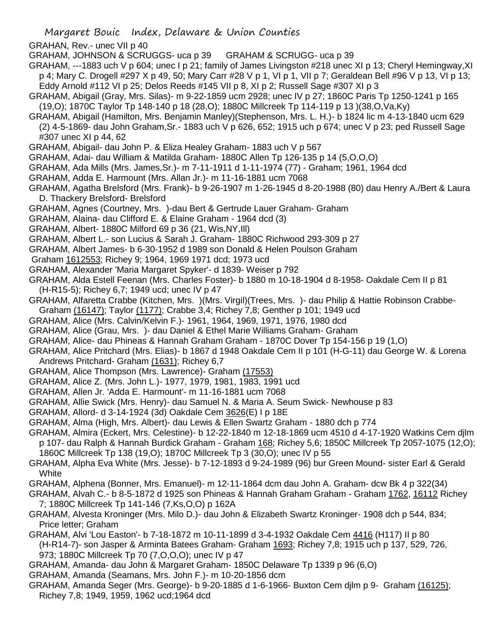Margaret Bouic Index, Delaware & Union Counties

GRAHAN, Rev.- unec VII p 40

GRAHAM, JOHNSON & SCRUGGS- uca p 39 GRAHAM & SCRUGG- uca p 39

GRAHAM, ---1883 uch V p 604; unec I p 21; family of James Livingston #218 unec XI p 13; Cheryl Hemingway,XI p 4; Mary C. Drogell #297 X p 49, 50; Mary Carr #28 V p 1, VI p 1, VII p 7; Geraldean Bell #96 V p 13, VI p 13; Eddy Arnold #112 VI p 25; Delos Reeds #145 VII p 8, XI p 2; Russell Sage #307 XI p 3

- GRAHAM, Abigail (Gray, Mrs. Silas)- m 9-22-1859 ucm 2928; unec IV p 27; 1860C Paris Tp 1250-1241 p 165 (19,O); 1870C Taylor Tp 148-140 p 18 (28,O); 1880C Millcreek Tp 114-119 p 13 )(38,O,Va,Ky)
- GRAHAM, Abigail (Hamilton, Mrs. Benjamin Manley)(Stephenson, Mrs. L. H.)- b 1824 lic m 4-13-1840 ucm 629 (2) 4-5-1869- dau John Graham,Sr.- 1883 uch V p 626, 652; 1915 uch p 674; unec V p 23; ped Russell Sage #307 unec XI p 44, 62
- GRAHAM, Abigail- dau John P. & Eliza Healey Graham- 1883 uch V p 567
- GRAHAM, Adai- dau William & Matilda Graham- 1880C Allen Tp 126-135 p 14 (5,O,O,O)
- GRAHAM, Ada Mills (Mrs. James,Sr.)- m 7-11-1911 d 1-11-1974 (77) Graham; 1961, 1964 dcd
- GRAHAM, Adda E. Harmount (Mrs. Allan Jr.)- m 11-16-1881 ucm 7068
- GRAHAM, Agatha Brelsford (Mrs. Frank)- b 9-26-1907 m 1-26-1945 d 8-20-1988 (80) dau Henry A./Bert & Laura D. Thackery Brelsford- Brelsford
- GRAHAM, Agnes (Courtney, Mrs. )-dau Bert & Gertrude Lauer Graham- Graham
- GRAHAM, Alaina- dau Clifford E. & Elaine Graham 1964 dcd (3)
- GRAHAM, Albert- 1880C Milford 69 p 36 (21, Wis,NY,Ill)
- GRAHAM, Albert L.- son Lucius & Sarah J. Graham- 1880C Richwood 293-309 p 27
- GRAHAM, Albert James- b 6-30-1952 d 1989 son Donald & Helen Poulson Graham
- Graham 1612553; Richey 9; 1964, 1969 1971 dcd; 1973 ucd
- GRAHAM, Alexander 'Maria Margaret Spyker'- d 1839- Weiser p 792
- GRAHAM, Alda Estell Feenan (Mrs. Charles Foster)- b 1880 m 10-18-1904 d 8-1958- Oakdale Cem II p 81 (H-R15-5); Richey 6,7; 1949 ucd; unec IV p 47
- GRAHAM, Alfaretta Crabbe (Kitchen, Mrs. )(Mrs. Virgil)(Trees, Mrs. )- dau Philip & Hattie Robinson Crabbe-Graham (16147); Taylor (1177); Crabbe 3,4; Richey 7,8; Genther p 101; 1949 ucd
- GRAHAM, Alice (Mrs. Calvin/Kelvin F.)- 1961, 1964, 1969, 1971, 1976, 1980 dcd
- GRAHAM, Alice (Grau, Mrs. )- dau Daniel & Ethel Marie Williams Graham- Graham
- GRAHAM, Alice- dau Phineas & Hannah Graham Graham 1870C Dover Tp 154-156 p 19 (1,O)
- GRAHAM, Alice Pritchard (Mrs. Elias)- b 1867 d 1948 Oakdale Cem II p 101 (H-G-11) dau George W. & Lorena Andrews Pritchard- Graham (1631); Richey 6,7
- GRAHAM, Alice Thompson (Mrs. Lawrence)- Graham (17553)
- GRAHAM, Alice Z. (Mrs. John L.)- 1977, 1979, 1981, 1983, 1991 ucd
- GRAHAM, Allen Jr. 'Adda E. Harmount'- m 11-16-1881 ucm 7068
- GRAHAM, Allie Swick (Mrs. Henry)- dau Samuel N. & Maria A. Seum Swick- Newhouse p 83
- GRAHAM, Allord- d 3-14-1924 (3d) Oakdale Cem 3626(E) I p 18E
- GRAHAM, Alma (High, Mrs. Albert)- dau Lewis & Ellen Swartz Graham 1880 dch p 774
- GRAHAM, Almira (Eckert, Mrs. Celestine)- b 12-22-1840 m 12-18-1869 ucm 4510 d 4-17-1920 Watkins Cem djlm p 107- dau Ralph & Hannah Burdick Graham - Graham 168; Richey 5,6; 1850C Millcreek Tp 2057-1075 (12,O); 1860C Millcreek Tp 138 (19,O); 1870C Millcreek Tp 3 (30,O); unec IV p 55
- GRAHAM, Alpha Eva White (Mrs. Jesse)- b 7-12-1893 d 9-24-1989 (96) bur Green Mound- sister Earl & Gerald **White**
- GRAHAM, Alphena (Bonner, Mrs. Emanuel)- m 12-11-1864 dcm dau John A. Graham- dcw Bk 4 p 322(34)
- GRAHAM, Alvah C.- b 8-5-1872 d 1925 son Phineas & Hannah Graham Graham Graham 1762, 16112 Richey 7; 1880C Millcreek Tp 141-146 (7,Ks,O,O) p 162A
- GRAHAM, Alvesta Kroninger (Mrs. Milo D.)- dau John & Elizabeth Swartz Kroninger- 1908 dch p 544, 834; Price letter; Graham
- GRAHAM, Alvi 'Lou Easton'- b 7-18-1872 m 10-11-1899 d 3-4-1932 Oakdale Cem 4416 (H117) II p 80 (H-R14-7)- son Jasper & Arminta Batees Graham- Graham 1693; Richey 7,8; 1915 uch p 137, 529, 726, 973; 1880C Millcreek Tp 70 (7,O,O,O); unec IV p 47
- GRAHAM, Amanda- dau John & Margaret Graham- 1850C Delaware Tp 1339 p 96 (6,O)
- GRAHAM, Amanda (Seamans, Mrs. John F.)- m 10-20-1856 dcm
- GRAHAM, Amanda Seger (Mrs. George)- b 9-20-1885 d 1-6-1966- Buxton Cem djlm p 9- Graham (16125); Richey 7,8; 1949, 1959, 1962 ucd;1964 dcd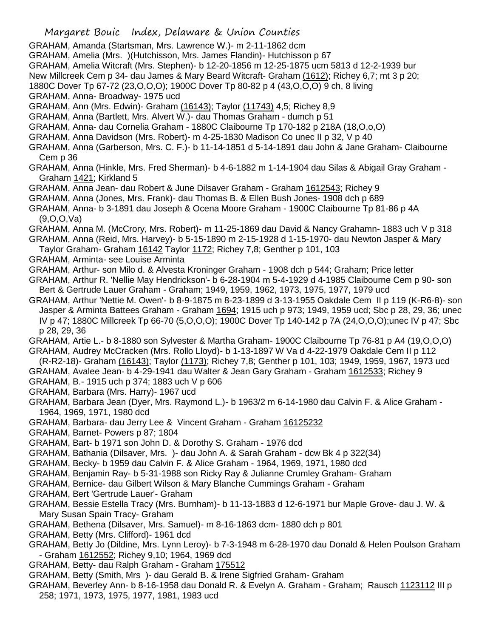Margaret Bouic Index, Delaware & Union Counties GRAHAM, Amanda (Startsman, Mrs. Lawrence W.)- m 2-11-1862 dcm GRAHAM, Amelia (Mrs. )(Hutchisson, Mrs. James Flandin)- Hutchisson p 67 GRAHAM, Amelia Witcraft (Mrs. Stephen)- b 12-20-1856 m 12-25-1875 ucm 5813 d 12-2-1939 bur New Millcreek Cem p 34- dau James & Mary Beard Witcraft- Graham (1612); Richey 6,7; mt 3 p 20; 1880C Dover Tp 67-72 (23,O,O,O); 1900C Dover Tp 80-82 p 4 (43,O,O,O) 9 ch, 8 living GRAHAM, Anna- Broadway- 1975 ucd GRAHAM, Ann (Mrs. Edwin)- Graham (16143); Taylor (11743) 4,5; Richey 8,9 GRAHAM, Anna (Bartlett, Mrs. Alvert W.)- dau Thomas Graham - dumch p 51 GRAHAM, Anna- dau Cornelia Graham - 1880C Claibourne Tp 170-182 p 218A (18,O,o,O) GRAHAM, Anna Davidson (Mrs. Robert)- m 4-25-1830 Madison Co unec II p 32, V p 40 GRAHAM, Anna (Garberson, Mrs. C. F.)- b 11-14-1851 d 5-14-1891 dau John & Jane Graham- Claibourne Cem p 36 GRAHAM, Anna (Hinkle, Mrs. Fred Sherman)- b 4-6-1882 m 1-14-1904 dau Silas & Abigail Gray Graham - Graham 1421; Kirkland 5 GRAHAM, Anna Jean- dau Robert & June Dilsaver Graham - Graham 1612543; Richey 9 GRAHAM, Anna (Jones, Mrs. Frank)- dau Thomas B. & Ellen Bush Jones- 1908 dch p 689 GRAHAM, Anna- b 3-1891 dau Joseph & Ocena Moore Graham - 1900C Claibourne Tp 81-86 p 4A (9,O,O,Va) GRAHAM, Anna M. (McCrory, Mrs. Robert)- m 11-25-1869 dau David & Nancy Grahamn- 1883 uch V p 318 GRAHAM, Anna (Reid, Mrs. Harvey)- b 5-15-1890 m 2-15-1928 d 1-15-1970- dau Newton Jasper & Mary Taylor Graham- Graham 16142 Taylor 1172; Richey 7,8; Genther p 101, 103 GRAHAM, Arminta- see Louise Arminta GRAHAM, Arthur- son Milo d. & Alvesta Kroninger Graham - 1908 dch p 544; Graham; Price letter GRAHAM, Arthur R. 'Nellie May Hendrickson'- b 6-28-1904 m 5-4-1929 d 4-1985 Claibourne Cem p 90- son Bert & Gertrude Lauer Graham - Graham; 1949, 1959, 1962, 1973, 1975, 1977, 1979 ucd GRAHAM, Arthur 'Nettie M. Owen'- b 8-9-1875 m 8-23-1899 d 3-13-1955 Oakdale Cem II p 119 (K-R6-8)- son Jasper & Arminta Battees Graham - Graham 1694; 1915 uch p 973; 1949, 1959 ucd; Sbc p 28, 29, 36; unec IV p 47; 1880C Millcreek Tp 66-70 (5,O,O,O); 1900C Dover Tp 140-142 p 7A (24,O,O,O);unec IV p 47; Sbc p 28, 29, 36 GRAHAM, Artie L.- b 8-1880 son Sylvester & Martha Graham- 1900C Claibourne Tp 76-81 p A4 (19,O,O,O) GRAHAM, Audrey McCracken (Mrs. Rollo Lloyd)- b 1-13-1897 W Va d 4-22-1979 Oakdale Cem II p 112 (R-R2-18)- Graham (16143); Taylor (1173); Richey 7,8; Genther p 101, 103; 1949, 1959, 1967, 1973 ucd GRAHAM, Avalee Jean- b 4-29-1941 dau Walter & Jean Gary Graham - Graham 1612533; Richey 9 GRAHAM, B.- 1915 uch p 374; 1883 uch V p 606 GRAHAM, Barbara (Mrs. Harry)- 1967 ucd GRAHAM, Barbara Jean (Dyer, Mrs. Raymond L.)- b 1963/2 m 6-14-1980 dau Calvin F. & Alice Graham - 1964, 1969, 1971, 1980 dcd GRAHAM, Barbara- dau Jerry Lee & Vincent Graham - Graham 16125232 GRAHAM, Barnet- Powers p 87; 1804 GRAHAM, Bart- b 1971 son John D. & Dorothy S. Graham - 1976 dcd GRAHAM, Bathania (Dilsaver, Mrs. )- dau John A. & Sarah Graham - dcw Bk 4 p 322(34) GRAHAM, Becky- b 1959 dau Calvin F. & Alice Graham - 1964, 1969, 1971, 1980 dcd GRAHAM, Benjamin Ray- b 5-31-1988 son Ricky Ray & Julianne Crumley Graham- Graham

- GRAHAM, Bernice- dau Gilbert Wilson & Mary Blanche Cummings Graham Graham
- GRAHAM, Bert 'Gertrude Lauer'- Graham
- GRAHAM, Bessie Estella Tracy (Mrs. Burnham)- b 11-13-1883 d 12-6-1971 bur Maple Grove- dau J. W. & Mary Susan Spain Tracy- Graham
- GRAHAM, Bethena (Dilsaver, Mrs. Samuel)- m 8-16-1863 dcm- 1880 dch p 801
- GRAHAM, Betty (Mrs. Clifford)- 1961 dcd
- GRAHAM, Betty Jo (Dildine, Mrs. Lynn Leroy)- b 7-3-1948 m 6-28-1970 dau Donald & Helen Poulson Graham - Graham 1612552; Richey 9,10; 1964, 1969 dcd
- GRAHAM, Betty- dau Ralph Graham Graham 175512
- GRAHAM, Betty (Smith, Mrs )- dau Gerald B. & Irene Sigfried Graham- Graham
- GRAHAM, Beverley Ann- b 8-16-1958 dau Donald R. & Evelyn A. Graham Graham; Rausch 1123112 III p 258; 1971, 1973, 1975, 1977, 1981, 1983 ucd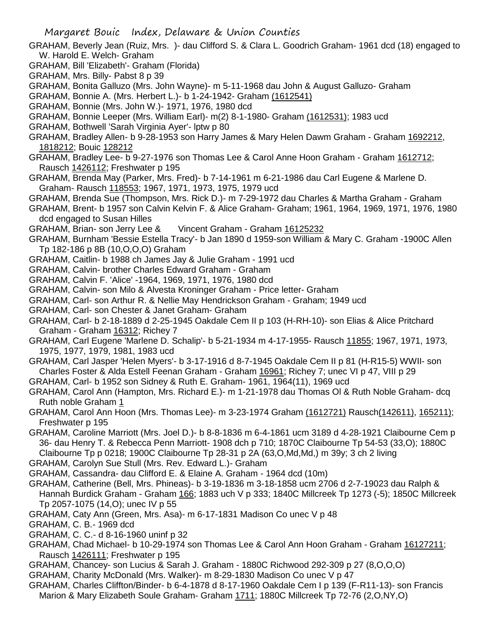- GRAHAM, Beverly Jean (Ruiz, Mrs. )- dau Clifford S. & Clara L. Goodrich Graham- 1961 dcd (18) engaged to W. Harold E. Welch- Graham
- GRAHAM, Bill 'Elizabeth'- Graham (Florida)
- GRAHAM, Mrs. Billy- Pabst 8 p 39
- GRAHAM, Bonita Galluzo (Mrs. John Wayne)- m 5-11-1968 dau John & August Galluzo- Graham
- GRAHAM, Bonnie A. (Mrs. Herbert L.)- b 1-24-1942- Graham (1612541)
- GRAHAM, Bonnie (Mrs. John W.)- 1971, 1976, 1980 dcd
- GRAHAM, Bonnie Leeper (Mrs. William Earl)- m(2) 8-1-1980- Graham (1612531); 1983 ucd
- GRAHAM, Bothwell 'Sarah Virginia Ayer'- lptw p 80
- GRAHAM, Bradley Allen- b 9-28-1953 son Harry James & Mary Helen Dawm Graham Graham 1692212, 1818212; Bouic 128212
- GRAHAM, Bradley Lee- b 9-27-1976 son Thomas Lee & Carol Anne Hoon Graham Graham 1612712; Rausch 1426112; Freshwater p 195
- GRAHAM, Brenda May (Parker, Mrs. Fred)- b 7-14-1961 m 6-21-1986 dau Carl Eugene & Marlene D. Graham- Rausch 118553; 1967, 1971, 1973, 1975, 1979 ucd
- GRAHAM, Brenda Sue (Thompson, Mrs. Rick D.)- m 7-29-1972 dau Charles & Martha Graham Graham
- GRAHAM, Brent- b 1957 son Calvin Kelvin F. & Alice Graham- Graham; 1961, 1964, 1969, 1971, 1976, 1980 dcd engaged to Susan Hilles
- GRAHAM, Brian- son Jerry Lee & Vincent Graham Graham 16125232
- GRAHAM, Burnham 'Bessie Estella Tracy'- b Jan 1890 d 1959-son William & Mary C. Graham -1900C Allen Tp 182-186 p 8B (10,O,O,O) Graham
- GRAHAM, Caitlin- b 1988 ch James Jay & Julie Graham 1991 ucd
- GRAHAM, Calvin- brother Charles Edward Graham Graham
- GRAHAM, Calvin F. 'Alice' -1964, 1969, 1971, 1976, 1980 dcd
- GRAHAM, Calvin- son Milo & Alvesta Kroninger Graham Price letter- Graham
- GRAHAM, Carl- son Arthur R. & Nellie May Hendrickson Graham Graham; 1949 ucd
- GRAHAM, Carl- son Chester & Janet Graham- Graham
- GRAHAM, Carl- b 2-18-1889 d 2-25-1945 Oakdale Cem II p 103 (H-RH-10)- son Elias & Alice Pritchard Graham - Graham 16312; Richey 7
- GRAHAM, Carl Eugene 'Marlene D. Schalip'- b 5-21-1934 m 4-17-1955- Rausch 11855; 1967, 1971, 1973, 1975, 1977, 1979, 1981, 1983 ucd
- GRAHAM, Carl Jasper 'Helen Myers'- b 3-17-1916 d 8-7-1945 Oakdale Cem II p 81 (H-R15-5) WWII- son Charles Foster & Alda Estell Feenan Graham - Graham 16961; Richey 7; unec VI p 47, VIII p 29
- GRAHAM, Carl- b 1952 son Sidney & Ruth E. Graham- 1961, 1964(11), 1969 ucd
- GRAHAM, Carol Ann (Hampton, Mrs. Richard E.)- m 1-21-1978 dau Thomas Ol & Ruth Noble Graham- dcq Ruth noble Graham 1
- GRAHAM, Carol Ann Hoon (Mrs. Thomas Lee)- m 3-23-1974 Graham (1612721) Rausch(142611), 165211); Freshwater p 195
- GRAHAM, Caroline Marriott (Mrs. Joel D.)- b 8-8-1836 m 6-4-1861 ucm 3189 d 4-28-1921 Claibourne Cem p 36- dau Henry T. & Rebecca Penn Marriott- 1908 dch p 710; 1870C Claibourne Tp 54-53 (33,O); 1880C Claibourne Tp p 0218; 1900C Claibourne Tp 28-31 p 2A (63,O,Md,Md,) m 39y; 3 ch 2 living
- GRAHAM, Carolyn Sue Stull (Mrs. Rev. Edward L.)- Graham
- GRAHAM, Cassandra- dau Clifford E. & Elaine A. Graham 1964 dcd (10m)
- GRAHAM, Catherine (Bell, Mrs. Phineas)- b 3-19-1836 m 3-18-1858 ucm 2706 d 2-7-19023 dau Ralph & Hannah Burdick Graham - Graham 166; 1883 uch V p 333; 1840C Millcreek Tp 1273 (-5); 1850C Millcreek Tp 2057-1075 (14,O); unec IV p 55
- GRAHAM, Caty Ann (Green, Mrs. Asa)- m 6-17-1831 Madison Co unec V p 48
- GRAHAM, C. B.- 1969 dcd
- GRAHAM, C. C.- d 8-16-1960 uninf p 32
- GRAHAM, Chad Michael- b 10-29-1974 son Thomas Lee & Carol Ann Hoon Graham Graham 16127211; Rausch 1426111; Freshwater p 195
- GRAHAM, Chancey- son Lucius & Sarah J. Graham 1880C Richwood 292-309 p 27 (8,O,O,O)
- GRAHAM, Charity McDonald (Mrs. Walker)- m 8-29-1830 Madison Co unec V p 47
- GRAHAM, Charles Cliffton/Binder- b 6-4-1878 d 8-17-1960 Oakdale Cem I p 139 (F-R11-13)- son Francis Marion & Mary Elizabeth Soule Graham- Graham 1711; 1880C Millcreek Tp 72-76 (2,O,NY,O)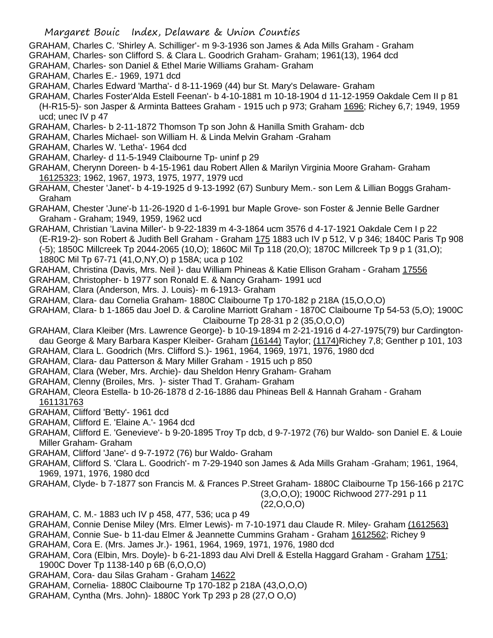- GRAHAM, Charles C. 'Shirley A. Schilliger'- m 9-3-1936 son James & Ada Mills Graham Graham
- GRAHAM, Charles- son Clifford S. & Clara L. Goodrich Graham- Graham; 1961(13), 1964 dcd
- GRAHAM, Charles- son Daniel & Ethel Marie Williams Graham- Graham
- GRAHAM, Charles E.- 1969, 1971 dcd
- GRAHAM, Charles Edward 'Martha'- d 8-11-1969 (44) bur St. Mary's Delaware- Graham
- GRAHAM, Charles Foster'Alda Estell Feenan'- b 4-10-1881 m 10-18-1904 d 11-12-1959 Oakdale Cem II p 81 (H-R15-5)- son Jasper & Arminta Battees Graham - 1915 uch p 973; Graham 1696; Richey 6,7; 1949, 1959

ucd; unec IV p 47

- GRAHAM, Charles- b 2-11-1872 Thomson Tp son John & Hanilla Smith Graham- dcb
- GRAHAM, Charles Michael- son William H. & Linda Melvin Graham -Graham
- GRAHAM, Charles W. 'Letha'- 1964 dcd
- GRAHAM, Charley- d 11-5-1949 Claibourne Tp- uninf p 29
- GRAHAM, Cherynn Doreen- b 4-15-1961 dau Robert Allen & Marilyn Virginia Moore Graham- Graham 16125323; 1962, 1967, 1973, 1975, 1977, 1979 ucd
- GRAHAM, Chester 'Janet'- b 4-19-1925 d 9-13-1992 (67) Sunbury Mem.- son Lem & Lillian Boggs Graham-Graham
- GRAHAM, Chester 'June'-b 11-26-1920 d 1-6-1991 bur Maple Grove- son Foster & Jennie Belle Gardner Graham - Graham; 1949, 1959, 1962 ucd
- GRAHAM, Christian 'Lavina Miller'- b 9-22-1839 m 4-3-1864 ucm 3576 d 4-17-1921 Oakdale Cem I p 22 (E-R19-2)- son Robert & Judith Bell Graham - Graham 175 1883 uch IV p 512, V p 346; 1840C Paris Tp 908 (-5); 1850C Millcreek Tp 2044-2065 (10,O); 1860C Mil Tp 118 (20,O); 1870C Millcreek Tp 9 p 1 (31,O); 1880C Mil Tp 67-71 (41,O,NY,O) p 158A; uca p 102
- GRAHAM, Christina (Davis, Mrs. Neil )- dau William Phineas & Katie Ellison Graham Graham 17556
- GRAHAM, Christopher- b 1977 son Ronald E. & Nancy Graham- 1991 ucd
- GRAHAM, Clara (Anderson, Mrs. J. Louis)- m 6-1913- Graham
- GRAHAM, Clara- dau Cornelia Graham- 1880C Claibourne Tp 170-182 p 218A (15,O,O,O)
- GRAHAM, Clara- b 1-1865 dau Joel D. & Caroline Marriott Graham 1870C Claibourne Tp 54-53 (5,O); 1900C Claibourne Tp 28-31 p 2 (35,O,O,O)
- GRAHAM, Clara Kleiber (Mrs. Lawrence George)- b 10-19-1894 m 2-21-1916 d 4-27-1975(79) bur Cardingtondau George & Mary Barbara Kasper Kleiber- Graham (16144) Taylor; (1174) Richey 7,8; Genther p 101, 103
- GRAHAM, Clara L. Goodrich (Mrs. Clifford S.)- 1961, 1964, 1969, 1971, 1976, 1980 dcd
- GRAHAM, Clara- dau Patterson & Mary Miller Graham 1915 uch p 850
- GRAHAM, Clara (Weber, Mrs. Archie)- dau Sheldon Henry Graham- Graham
- GRAHAM, Clenny (Broiles, Mrs. )- sister Thad T. Graham- Graham
- GRAHAM, Cleora Estella- b 10-26-1878 d 2-16-1886 dau Phineas Bell & Hannah Graham Graham 161131763
- GRAHAM, Clifford 'Betty'- 1961 dcd
- GRAHAM, Clifford E. 'Elaine A.'- 1964 dcd
- GRAHAM, Clifford E. 'Genevieve'- b 9-20-1895 Troy Tp dcb, d 9-7-1972 (76) bur Waldo- son Daniel E. & Louie Miller Graham- Graham
- GRAHAM, Clifford 'Jane'- d 9-7-1972 (76) bur Waldo- Graham
- GRAHAM, Clifford S. 'Clara L. Goodrich'- m 7-29-1940 son James & Ada Mills Graham -Graham; 1961, 1964, 1969, 1971, 1976, 1980 dcd
- GRAHAM, Clyde- b 7-1877 son Francis M. & Frances P.Street Graham- 1880C Claibourne Tp 156-166 p 217C

(3,O,O,O); 1900C Richwood 277-291 p 11

## (22,O,O,O)

- GRAHAM, C. M.- 1883 uch IV p 458, 477, 536; uca p 49
- GRAHAM, Connie Denise Miley (Mrs. Elmer Lewis)- m 7-10-1971 dau Claude R. Miley- Graham (1612563)
- GRAHAM, Connie Sue- b 11-dau Elmer & Jeannette Cummins Graham Graham 1612562; Richey 9
- GRAHAM, Cora E. (Mrs. James Jr.)- 1961, 1964, 1969, 1971, 1976, 1980 dcd
- GRAHAM, Cora (Elbin, Mrs. Doyle)- b 6-21-1893 dau Alvi Drell & Estella Haggard Graham Graham 1751; 1900C Dover Tp 1138-140 p 6B (6,O,O,O)
- GRAHAM, Cora- dau Silas Graham Graham 14622
- GRAHAM, Cornelia- 1880C Claibourne Tp 170-182 p 218A (43,O,O,O)
- GRAHAM, Cyntha (Mrs. John)- 1880C York Tp 293 p 28 (27,O O,O)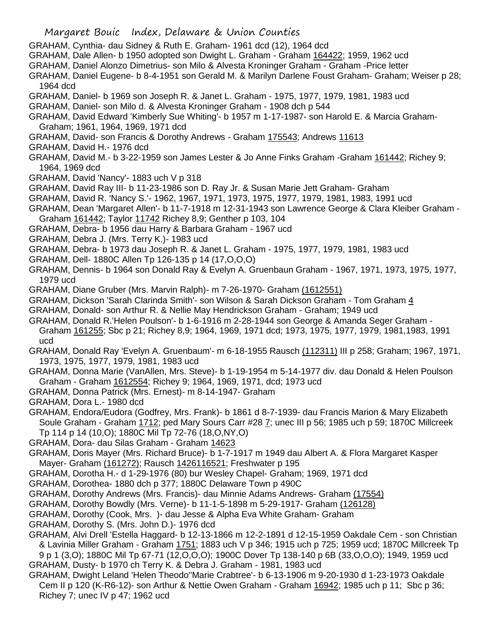- GRAHAM, Cynthia- dau Sidney & Ruth E. Graham- 1961 dcd (12), 1964 dcd
- GRAHAM, Dale Allen- b 1950 adopted son Dwight L. Graham Graham 164422; 1959, 1962 ucd
- GRAHAM, Daniel Alonzo Dimetrius- son Milo & Alvesta Kroninger Graham Graham -Price letter
- GRAHAM, Daniel Eugene- b 8-4-1951 son Gerald M. & Marilyn Darlene Foust Graham- Graham; Weiser p 28; 1964 dcd
- GRAHAM, Daniel- b 1969 son Joseph R. & Janet L. Graham 1975, 1977, 1979, 1981, 1983 ucd
- GRAHAM, Daniel- son Milo d. & Alvesta Kroninger Graham 1908 dch p 544
- GRAHAM, David Edward 'Kimberly Sue Whiting'- b 1957 m 1-17-1987- son Harold E. & Marcia Graham-Graham; 1961, 1964, 1969, 1971 dcd
- GRAHAM, David- son Francis & Dorothy Andrews Graham 175543; Andrews 11613
- GRAHAM, David H.- 1976 dcd
- GRAHAM, David M.- b 3-22-1959 son James Lester & Jo Anne Finks Graham -Graham 161442; Richey 9; 1964, 1969 dcd
- GRAHAM, David 'Nancy'- 1883 uch V p 318
- GRAHAM, David Ray III- b 11-23-1986 son D. Ray Jr. & Susan Marie Jett Graham- Graham
- GRAHAM, David R. 'Nancy S.'- 1962, 1967, 1971, 1973, 1975, 1977, 1979, 1981, 1983, 1991 ucd
- GRAHAM, Dean 'Margaret Allen'- b 11-7-1918 m 12-31-1943 son Lawrence George & Clara Kleiber Graham Graham 161442; Taylor 11742 Richey 8,9; Genther p 103, 104
- GRAHAM, Debra- b 1956 dau Harry & Barbara Graham 1967 ucd
- GRAHAM, Debra J. (Mrs. Terry K.)- 1983 ucd
- GRAHAM, Debra- b 1973 dau Joseph R. & Janet L. Graham 1975, 1977, 1979, 1981, 1983 ucd
- GRAHAM, Dell- 1880C Allen Tp 126-135 p 14 (17,O,O,O)
- GRAHAM, Dennis- b 1964 son Donald Ray & Evelyn A. Gruenbaun Graham 1967, 1971, 1973, 1975, 1977, 1979 ucd
- GRAHAM, Diane Gruber (Mrs. Marvin Ralph)- m 7-26-1970- Graham (1612551)
- GRAHAM, Dickson 'Sarah Clarinda Smith'- son Wilson & Sarah Dickson Graham Tom Graham 4
- GRAHAM, Donald- son Arthur R. & Nellie May Hendrickson Graham Graham; 1949 ucd
- GRAHAM, Donald R.'Helen Poulson'- b 1-6-1916 m 2-28-1944 son George & Amanda Seger Graham Graham 161255; Sbc p 21; Richey 8,9; 1964, 1969, 1971 dcd; 1973, 1975, 1977, 1979, 1981,1983, 1991 ucd
- GRAHAM, Donald Ray 'Evelyn A. Gruenbaum'- m 6-18-1955 Rausch (112311) III p 258; Graham; 1967, 1971, 1973, 1975, 1977, 1979, 1981, 1983 ucd
- GRAHAM, Donna Marie (VanAllen, Mrs. Steve)- b 1-19-1954 m 5-14-1977 div. dau Donald & Helen Poulson Graham - Graham 1612554; Richey 9; 1964, 1969, 1971, dcd; 1973 ucd
- GRAHAM, Donna Patrick (Mrs. Ernest)- m 8-14-1947- Graham
- GRAHAM, Dora L.- 1980 dcd
- GRAHAM, Endora/Eudora (Godfrey, Mrs. Frank)- b 1861 d 8-7-1939- dau Francis Marion & Mary Elizabeth Soule Graham - Graham 1712; ped Mary Sours Carr #28 7; unec III p 56; 1985 uch p 59; 1870C Millcreek Tp 114 p 14 (10,O); 1880C Mil Tp 72-76 (18,O,NY,O)
- GRAHAM, Dora- dau Silas Graham Graham 14623
- GRAHAM, Doris Mayer (Mrs. Richard Bruce)- b 1-7-1917 m 1949 dau Albert A. & Flora Margaret Kasper Mayer- Graham (161272); Rausch 1426116521; Freshwater p 195
- GRAHAM, Dorotha H.- d 1-29-1976 (80) bur Wesley Chapel- Graham; 1969, 1971 dcd
- GRAHAM, Dorothea- 1880 dch p 377; 1880C Delaware Town p 490C
- GRAHAM, Dorothy Andrews (Mrs. Francis)- dau Minnie Adams Andrews- Graham (17554)
- GRAHAM, Dorothy Bowdly (Mrs. Verne)- b 11-1-5-1898 m 5-29-1917- Graham (126128)
- GRAHAM, Dorothy (Cook, Mrs. )- dau Jesse & Alpha Eva White Graham- Graham
- GRAHAM, Dorothy S. (Mrs. John D.)- 1976 dcd
- GRAHAM, Alvi Drell 'Estella Haggard- b 12-13-1866 m 12-2-1891 d 12-15-1959 Oakdale Cem son Christian & Lavinia Miller Graham - Graham 1751; 1883 uch V p 346; 1915 uch p 725; 1959 ucd; 1870C Millcreek Tp 9 p 1 (3,O); 1880C Mil Tp 67-71 (12,O,O,O); 1900C Dover Tp 138-140 p 6B (33,O,O,O); 1949, 1959 ucd GRAHAM, Dusty- b 1970 ch Terry K. & Debra J. Graham - 1981, 1983 ucd
- GRAHAM, Dwight Leland 'Helen Theodo''Marie Crabtree'- b 6-13-1906 m 9-20-1930 d 1-23-1973 Oakdale Cem II p 120 (K-R6-12)- son Arthur & Nettie Owen Graham - Graham 16942; 1985 uch p 11; Sbc p 36; Richey 7; unec IV p 47; 1962 ucd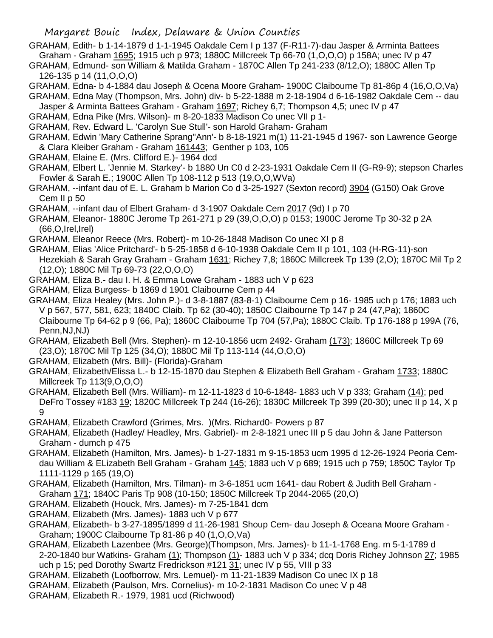## Margaret Bouic Index, Delaware & Union Counties

- GRAHAM, Edith- b 1-14-1879 d 1-1-1945 Oakdale Cem I p 137 (F-R11-7)-dau Jasper & Arminta Battees Graham - Graham 1695; 1915 uch p 973; 1880C Millcreek Tp 66-70 (1,O,O,O) p 158A; unec IV p 47
- GRAHAM, Edmund- son William & Matilda Graham 1870C Allen Tp 241-233 (8/12,O); 1880C Allen Tp 126-135 p 14 (11,O,O,O)
- GRAHAM, Edna- b 4-1884 dau Joseph & Ocena Moore Graham- 1900C Claibourne Tp 81-86p 4 (16,O,O,Va)
- GRAHAM, Edna May (Thompson, Mrs. John) div- b 5-22-1888 m 2-18-1904 d 6-16-1982 Oakdale Cem -- dau Jasper & Arminta Battees Graham - Graham 1697; Richey 6,7; Thompson 4,5; unec IV p 47
- GRAHAM, Edna Pike (Mrs. Wilson)- m 8-20-1833 Madison Co unec VII p 1-
- GRAHAM, Rev. Edward L. 'Carolyn Sue Stull'- son Harold Graham- Graham
- GRAHAM, Edwin 'Mary Catherine Sprang''Ann'- b 8-18-1921 m(1) 11-21-1945 d 1967- son Lawrence George & Clara Kleiber Graham - Graham 161443; Genther p 103, 105
- GRAHAM, Elaine E. (Mrs. Clifford E.)- 1964 dcd
- GRAHAM, Elbert L. 'Jennie M. Starkey'- b 1880 Un C0 d 2-23-1931 Oakdale Cem II (G-R9-9); stepson Charles Fowler & Sarah E.; 1900C Allen Tp 108-112 p 513 (19,O,O,WVa)
- GRAHAM, --infant dau of E. L. Graham b Marion Co d 3-25-1927 (Sexton record) 3904 (G150) Oak Grove Cem II p 50
- GRAHAM, --infant dau of Elbert Graham- d 3-1907 Oakdale Cem 2017 (9d) I p 70
- GRAHAM, Eleanor- 1880C Jerome Tp 261-271 p 29 (39,O,O,O) p 0153; 1900C Jerome Tp 30-32 p 2A (66,O,Irel,Irel)
- GRAHAM, Eleanor Reece (Mrs. Robert)- m 10-26-1848 Madison Co unec XI p 8
- GRAHAM, Elias 'Alice Pritchard'- b 5-25-1858 d 6-10-1938 Oakdale Cem II p 101, 103 (H-RG-11)-son Hezekiah & Sarah Gray Graham - Graham 1631; Richey 7,8; 1860C Millcreek Tp 139 (2,O); 1870C Mil Tp 2 (12,O); 1880C Mil Tp 69-73 (22,O,O,O)
- GRAHAM, Eliza B.- dau I. H. & Emma Lowe Graham 1883 uch V p 623
- GRAHAM, Eliza Burgess- b 1869 d 1901 Claibourne Cem p 44
- GRAHAM, Eliza Healey (Mrs. John P.)- d 3-8-1887 (83-8-1) Claibourne Cem p 16- 1985 uch p 176; 1883 uch V p 567, 577, 581, 623; 1840C Claib. Tp 62 (30-40); 1850C Claibourne Tp 147 p 24 (47,Pa); 1860C Claibourne Tp 64-62 p 9 (66, Pa); 1860C Claibourne Tp 704 (57,Pa); 1880C Claib. Tp 176-188 p 199A (76, Penn,NJ,NJ)
- GRAHAM, Elizabeth Bell (Mrs. Stephen)- m 12-10-1856 ucm 2492- Graham (173); 1860C Millcreek Tp 69 (23,O); 1870C Mil Tp 125 (34,O); 1880C Mil Tp 113-114 (44,O,O,O)
- GRAHAM, Elizabeth (Mrs. Bill)- (Florida)-Graham
- GRAHAM, Elizabeth/Elissa L.- b 12-15-1870 dau Stephen & Elizabeth Bell Graham Graham 1733; 1880C Millcreek Tp 113(9,O,O,O)
- GRAHAM, Elizabeth Bell (Mrs. William)- m 12-11-1823 d 10-6-1848- 1883 uch V p 333; Graham (14); ped DeFro Tossey #183 19; 1820C Millcreek Tp 244 (16-26); 1830C Millcreek Tp 399 (20-30); unec II p 14, X p 9
- GRAHAM, Elizabeth Crawford (Grimes, Mrs. )(Mrs. Richard0- Powers p 87
- GRAHAM, Elizabeth (Hadley/ Headley, Mrs. Gabriel)- m 2-8-1821 unec III p 5 dau John & Jane Patterson Graham - dumch p 475
- GRAHAM, Elizabeth (Hamilton, Mrs. James)- b 1-27-1831 m 9-15-1853 ucm 1995 d 12-26-1924 Peoria Cemdau William & ELizabeth Bell Graham - Graham 145; 1883 uch V p 689; 1915 uch p 759; 1850C Taylor Tp 1111-1129 p 165 (19,O)
- GRAHAM, Elizabeth (Hamilton, Mrs. Tilman)- m 3-6-1851 ucm 1641- dau Robert & Judith Bell Graham Graham 171; 1840C Paris Tp 908 (10-150; 1850C Millcreek Tp 2044-2065 (20,O)
- GRAHAM, Elizabeth (Houck, Mrs. James)- m 7-25-1841 dcm
- GRAHAM, Elizabeth (Mrs. James)- 1883 uch V p 677
- GRAHAM, Elizabeth- b 3-27-1895/1899 d 11-26-1981 Shoup Cem- dau Joseph & Oceana Moore Graham Graham; 1900C Claibourne Tp 81-86 p 40 (1,O,O,Va)
- GRAHAM, Elizabeth Lazenbee (Mrs. George)(Thompson, Mrs. James)- b 11-1-1768 Eng. m 5-1-1789 d 2-20-1840 bur Watkins- Graham (1); Thompson (1)- 1883 uch V p 334; dcq Doris Richey Johnson 27; 1985 uch p 15; ped Dorothy Swartz Fredrickson #121 31; unec IV p 55, VIII p 33
- GRAHAM, Elizabeth (Loofborrow, Mrs. Lemuel)- m 11-21-1839 Madison Co unec IX p 18
- GRAHAM, Elizabeth (Paulson, Mrs. Cornelius)- m 10-2-1831 Madison Co unec V p 48
- GRAHAM, Elizabeth R.- 1979, 1981 ucd (Richwood)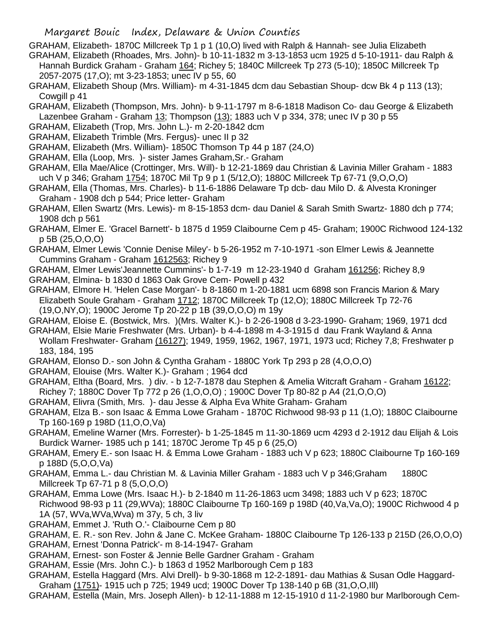- GRAHAM, Elizabeth- 1870C Millcreek Tp 1 p 1 (10,O) lived with Ralph & Hannah- see Julia Elizabeth GRAHAM, Elizabeth (Rhoades, Mrs. John)- b 10-11-1832 m 3-13-1853 ucm 1925 d 5-10-1911- dau Ralph & Hannah Burdick Graham - Graham 164; Richey 5; 1840C Millcreek Tp 273 (5-10); 1850C Millcreek Tp 2057-2075 (17,O); mt 3-23-1853; unec IV p 55, 60
- GRAHAM, Elizabeth Shoup (Mrs. William)- m 4-31-1845 dcm dau Sebastian Shoup- dcw Bk 4 p 113 (13); Cowgill p 41
- GRAHAM, Elizabeth (Thompson, Mrs. John)- b 9-11-1797 m 8-6-1818 Madison Co- dau George & Elizabeth Lazenbee Graham - Graham 13; Thompson (13); 1883 uch V p 334, 378; unec IV p 30 p 55
- GRAHAM, Elizabeth (Trop, Mrs. John L.)- m 2-20-1842 dcm
- GRAHAM, Elizabeth Trimble (Mrs. Fergus)- unec II p 32
- GRAHAM, Elizabeth (Mrs. William)- 1850C Thomson Tp 44 p 187 (24,O)
- GRAHAM, Ella (Loop, Mrs. )- sister James Graham,Sr.- Graham
- GRAHAM, Ella Mae/Alice (Crottinger, Mrs. Will)- b 12-21-1869 dau Christian & Lavinia Miller Graham 1883 uch V p 346; Graham 1754; 1870C Mil Tp 9 p 1 (5/12,O); 1880C Millcreek Tp 67-71 (9,O,O,O)
- GRAHAM, Ella (Thomas, Mrs. Charles)- b 11-6-1886 Delaware Tp dcb- dau Milo D. & Alvesta Kroninger Graham - 1908 dch p 544; Price letter- Graham
- GRAHAM, Ellen Swartz (Mrs. Lewis)- m 8-15-1853 dcm- dau Daniel & Sarah Smith Swartz- 1880 dch p 774; 1908 dch p 561
- GRAHAM, Elmer E. 'Gracel Barnett'- b 1875 d 1959 Claibourne Cem p 45- Graham; 1900C Richwood 124-132 p 5B (25,O,O,O)
- GRAHAM, Elmer Lewis 'Connie Denise Miley'- b 5-26-1952 m 7-10-1971 -son Elmer Lewis & Jeannette Cummins Graham - Graham 1612563; Richey 9
- GRAHAM, Elmer Lewis'Jeannette Cummins'- b 1-7-19 m 12-23-1940 d Graham 161256; Richey 8,9 GRAHAM, Elmina- b 1830 d 1863 Oak Grove Cem- Powell p 432
- GRAHAM, Elmore H. 'Helen Case Morgan'- b 8-1860 m 1-20-1881 ucm 6898 son Francis Marion & Mary Elizabeth Soule Graham - Graham 1712; 1870C Millcreek Tp (12,O); 1880C Millcreek Tp 72-76 (19,O,NY,O); 1900C Jerome Tp 20-22 p 1B (39,O,O,O) m 19y
- GRAHAM, Eloise E. (Bostwick, Mrs. )(Mrs. Walter K.)- b 2-26-1908 d 3-23-1990- Graham; 1969, 1971 dcd
- GRAHAM, Elsie Marie Freshwater (Mrs. Urban)- b 4-4-1898 m 4-3-1915 d dau Frank Wayland & Anna Wollam Freshwater- Graham (16127); 1949, 1959, 1962, 1967, 1971, 1973 ucd; Richey 7,8; Freshwater p 183, 184, 195
- GRAHAM, Elonso D.- son John & Cyntha Graham 1880C York Tp 293 p 28 (4,O,O,O)
- GRAHAM, Elouise (Mrs. Walter K.)- Graham ; 1964 dcd
- GRAHAM, Eltha (Board, Mrs. ) div. b 12-7-1878 dau Stephen & Amelia Witcraft Graham Graham 16122;
- Richey 7; 1880C Dover Tp 772 p 26 (1,O,O,O) ; 1900C Dover Tp 80-82 p A4 (21,O,O,O)
- GRAHAM, Elivra (Smith, Mrs. )- dau Jesse & Alpha Eva White Graham- Graham
- GRAHAM, Elza B.- son Isaac & Emma Lowe Graham 1870C Richwood 98-93 p 11 (1,O); 1880C Claibourne Tp 160-169 p 198D (11,O,O,Va)
- GRAHAM, Emeline Warner (Mrs. Forrester)- b 1-25-1845 m 11-30-1869 ucm 4293 d 2-1912 dau Elijah & Lois Burdick Warner- 1985 uch p 141; 1870C Jerome Tp 45 p 6 (25,O)
- GRAHAM, Emery E.- son Isaac H. & Emma Lowe Graham 1883 uch V p 623; 1880C Claibourne Tp 160-169 p 188D (5,O,O,Va)
- GRAHAM, Emma L.- dau Christian M. & Lavinia Miller Graham 1883 uch V p 346;Graham 1880C Millcreek Tp 67-71 p 8 (5,O,O,O)
- GRAHAM, Emma Lowe (Mrs. Isaac H.)- b 2-1840 m 11-26-1863 ucm 3498; 1883 uch V p 623; 1870C Richwood 98-93 p 11 (29,WVa); 1880C Claibourne Tp 160-169 p 198D (40,Va,Va,O); 1900C Richwood 4 p 1A (57, WVa,WVa,Wva) m 37y, 5 ch, 3 liv
- GRAHAM, Emmet J. 'Ruth O.'- Claibourne Cem p 80
- GRAHAM, E. R.- son Rev. John & Jane C. McKee Graham- 1880C Claibourne Tp 126-133 p 215D (26,O,O,O) GRAHAM, Ernest 'Donna Patrick'- m 8-14-1947- Graham
- GRAHAM, Ernest- son Foster & Jennie Belle Gardner Graham Graham
- GRAHAM, Essie (Mrs. John C.)- b 1863 d 1952 Marlborough Cem p 183
- GRAHAM, Estella Haggard (Mrs. Alvi Drell)- b 9-30-1868 m 12-2-1891- dau Mathias & Susan Odle Haggard-Graham (1751)- 1915 uch p 725; 1949 ucd; 1900C Dover Tp 138-140 p 6B (31,O,O,Ill)
- GRAHAM, Estella (Main, Mrs. Joseph Allen)- b 12-11-1888 m 12-15-1910 d 11-2-1980 bur Marlborough Cem-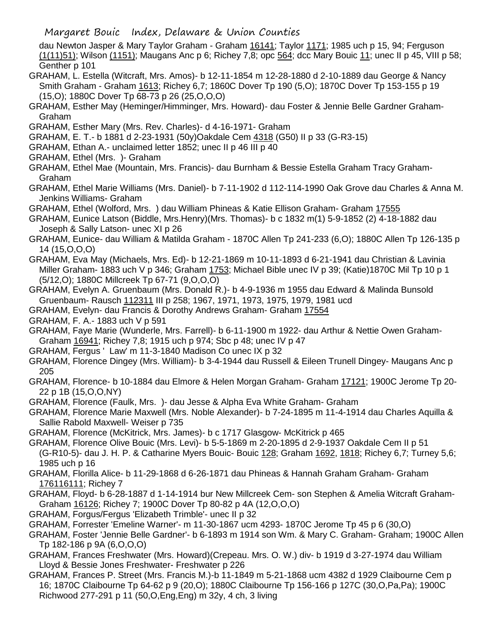dau Newton Jasper & Mary Taylor Graham - Graham 16141; Taylor 1171; 1985 uch p 15, 94; Ferguson (1(11)51); Wilson (1151); Maugans Anc p 6; Richey 7,8; opc 564; dcc Mary Bouic 11; unec II p 45, VIII p 58; Genther p 101

- GRAHAM, L. Estella (Witcraft, Mrs. Amos)- b 12-11-1854 m 12-28-1880 d 2-10-1889 dau George & Nancy Smith Graham - Graham 1613; Richey 6,7; 1860C Dover Tp 190 (5,O); 1870C Dover Tp 153-155 p 19 (15,O); 1880C Dover Tp 68-73 p 26 (25,O,O,O)
- GRAHAM, Esther May (Heminger/Himminger, Mrs. Howard)- dau Foster & Jennie Belle Gardner Graham-Graham
- GRAHAM, Esther Mary (Mrs. Rev. Charles)- d 4-16-1971- Graham
- GRAHAM, E. T.- b 1881 d 2-23-1931 (50y)Oakdale Cem 4318 (G50) II p 33 (G-R3-15)
- GRAHAM, Ethan A.- unclaimed letter 1852; unec II p 46 III p 40
- GRAHAM, Ethel (Mrs. )- Graham
- GRAHAM, Ethel Mae (Mountain, Mrs. Francis)- dau Burnham & Bessie Estella Graham Tracy Graham-Graham
- GRAHAM, Ethel Marie Williams (Mrs. Daniel)- b 7-11-1902 d 112-114-1990 Oak Grove dau Charles & Anna M. Jenkins Williams- Graham
- GRAHAM, Ethel (Wolford, Mrs. ) dau William Phineas & Katie Ellison Graham- Graham 17555
- GRAHAM, Eunice Latson (Biddle, Mrs.Henry)(Mrs. Thomas)- b c 1832 m(1) 5-9-1852 (2) 4-18-1882 dau Joseph & Sally Latson- unec XI p 26
- GRAHAM, Eunice- dau William & Matilda Graham 1870C Allen Tp 241-233 (6,O); 1880C Allen Tp 126-135 p 14 (15,O,O,O)
- GRAHAM, Eva May (Michaels, Mrs. Ed)- b 12-21-1869 m 10-11-1893 d 6-21-1941 dau Christian & Lavinia Miller Graham- 1883 uch V p 346; Graham 1753; Michael Bible unec IV p 39; (Katie)1870C Mil Tp 10 p 1 (5/12,O); 1880C Millcreek Tp 67-71 (9,O,O,O)
- GRAHAM, Evelyn A. Gruenbaum (Mrs. Donald R.)- b 4-9-1936 m 1955 dau Edward & Malinda Bunsold Gruenbaum- Rausch 112311 III p 258; 1967, 1971, 1973, 1975, 1979, 1981 ucd
- GRAHAM, Evelyn- dau Francis & Dorothy Andrews Graham- Graham 17554
- GRAHAM, F. A.- 1883 uch V p 591
- GRAHAM, Faye Marie (Wunderle, Mrs. Farrell)- b 6-11-1900 m 1922- dau Arthur & Nettie Owen Graham-Graham 16941; Richey 7,8; 1915 uch p 974; Sbc p 48; unec IV p 47
- GRAHAM, Fergus ' Law' m 11-3-1840 Madison Co unec IX p 32
- GRAHAM, Florence Dingey (Mrs. William)- b 3-4-1944 dau Russell & Eileen Trunell Dingey- Maugans Anc p 205
- GRAHAM, Florence- b 10-1884 dau Elmore & Helen Morgan Graham- Graham 17121; 1900C Jerome Tp 20- 22 p 1B (15,O,O,NY)
- GRAHAM, Florence (Faulk, Mrs. )- dau Jesse & Alpha Eva White Graham- Graham
- GRAHAM, Florence Marie Maxwell (Mrs. Noble Alexander)- b 7-24-1895 m 11-4-1914 dau Charles Aquilla & Sallie Rabold Maxwell- Weiser p 735
- GRAHAM, Florence (McKitrick, Mrs. James)- b c 1717 Glasgow- McKitrick p 465
- GRAHAM, Florence Olive Bouic (Mrs. Levi)- b 5-5-1869 m 2-20-1895 d 2-9-1937 Oakdale Cem II p 51 (G-R10-5)- dau J. H. P. & Catharine Myers Bouic- Bouic 128; Graham 1692, 1818; Richey 6,7; Turney 5,6; 1985 uch p 16
- GRAHAM, Florilla Alice- b 11-29-1868 d 6-26-1871 dau Phineas & Hannah Graham Graham- Graham 176116111; Richey 7
- GRAHAM, Floyd- b 6-28-1887 d 1-14-1914 bur New Millcreek Cem- son Stephen & Amelia Witcraft Graham-Graham 16126; Richey 7; 1900C Dover Tp 80-82 p 4A (12,O,O,O)
- GRAHAM, Forgus/Fergus 'Elizabeth Trimble'- unec II p 32
- GRAHAM, Forrester 'Emeline Warner'- m 11-30-1867 ucm 4293- 1870C Jerome Tp 45 p 6 (30,O)
- GRAHAM, Foster 'Jennie Belle Gardner'- b 6-1893 m 1914 son Wm. & Mary C. Graham- Graham; 1900C Allen Tp 182-186 p 9A (6,O,O,O)
- GRAHAM, Frances Freshwater (Mrs. Howard)(Crepeau. Mrs. O. W.) div- b 1919 d 3-27-1974 dau William Lloyd & Bessie Jones Freshwater- Freshwater p 226
- GRAHAM, Frances P. Street (Mrs. Francis M.)-b 11-1849 m 5-21-1868 ucm 4382 d 1929 Claibourne Cem p 16; 1870C Claibourne Tp 64-62 p 9 (20,O); 1880C Claibourne Tp 156-166 p 127C (30,O,Pa,Pa); 1900C Richwood 277-291 p 11 (50,O,Eng,Eng) m 32y, 4 ch, 3 living

Margaret Bouic Index, Delaware & Union Counties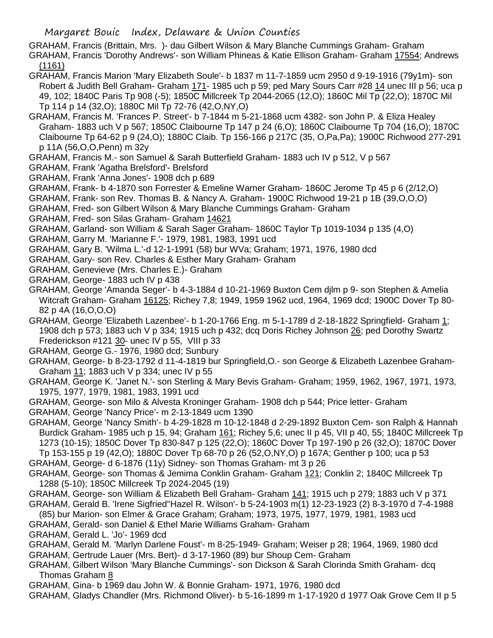GRAHAM, Francis (Brittain, Mrs. )- dau Gilbert Wilson & Mary Blanche Cummings Graham- Graham

- GRAHAM, Francis 'Dorothy Andrews'- son William Phineas & Katie Ellison Graham- Graham 17554; Andrews (1161)
- GRAHAM, Francis Marion 'Mary Elizabeth Soule'- b 1837 m 11-7-1859 ucm 2950 d 9-19-1916 (79y1m)- son Robert & Judith Bell Graham- Graham 171- 1985 uch p 59; ped Mary Sours Carr #28 14 unec III p 56; uca p 49, 102; 1840C Paris Tp 908 (-5); 1850C Millcreek Tp 2044-2065 (12,O); 1860C Mil Tp (22,O); 1870C Mil Tp 114 p 14 (32,O); 1880C Mil Tp 72-76 (42,O,NY,O)
- GRAHAM, Francis M. 'Frances P. Street'- b 7-1844 m 5-21-1868 ucm 4382- son John P. & Eliza Healey Graham- 1883 uch V p 567; 1850C Claibourne Tp 147 p 24 (6,O); 1860C Claibourne Tp 704 (16,O); 1870C Claibourne Tp 64-62 p 9 (24,O); 1880C Claib. Tp 156-166 p 217C (35, O,Pa,Pa); 1900C Richwood 277-291 p 11A (56,O,O,Penn) m 32y
- GRAHAM, Francis M.- son Samuel & Sarah Butterfield Graham- 1883 uch IV p 512, V p 567
- GRAHAM, Frank 'Agatha Brelsford'- Brelsford
- GRAHAM, Frank 'Anna Jones'- 1908 dch p 689
- GRAHAM, Frank- b 4-1870 son Forrester & Emeline Warner Graham- 1860C Jerome Tp 45 p 6 (2/12,O)
- GRAHAM, Frank- son Rev. Thomas B. & Nancy A. Graham- 1900C Richwood 19-21 p 1B (39,O,O,O)
- GRAHAM, Fred- son Gilbert Wilson & Mary Blanche Cummings Graham- Graham
- GRAHAM, Fred- son Silas Graham- Graham 14621
- GRAHAM, Garland- son William & Sarah Sager Graham- 1860C Taylor Tp 1019-1034 p 135 (4,O)
- GRAHAM, Garry M. 'Marianne F.'- 1979, 1981, 1983, 1991 ucd
- GRAHAM, Gary B. 'Wilma L.'-d 12-1-1991 (58) bur WVa; Graham; 1971, 1976, 1980 dcd
- GRAHAM, Gary- son Rev. Charles & Esther Mary Graham- Graham
- GRAHAM, Genevieve (Mrs. Charles E.)- Graham
- GRAHAM, George- 1883 uch IV p 438
- GRAHAM, George 'Amanda Seger'- b 4-3-1884 d 10-21-1969 Buxton Cem djlm p 9- son Stephen & Amelia Witcraft Graham- Graham 16125; Richey 7,8; 1949, 1959 1962 ucd, 1964, 1969 dcd; 1900C Dover Tp 80- 82 p 4A (16,O,O,O)
- GRAHAM, George 'Elizabeth Lazenbee'- b 1-20-1766 Eng. m 5-1-1789 d 2-18-1822 Springfield- Graham 1; 1908 dch p 573; 1883 uch V p 334; 1915 uch p 432; dcq Doris Richey Johnson 26; ped Dorothy Swartz Frederickson #121 30- unec IV p 55, VIII p 33
- GRAHAM, George G.- 1976, 1980 dcd; Sunbury
- GRAHAM, George- b 8-23-1792 d 11-4-1819 bur Springfield,O.- son George & Elizabeth Lazenbee Graham-Graham 11; 1883 uch V p 334; unec IV p 55
- GRAHAM, George K. 'Janet N.'- son Sterling & Mary Bevis Graham- Graham; 1959, 1962, 1967, 1971, 1973, 1975, 1977, 1979, 1981, 1983, 1991 ucd
- GRAHAM, George- son Milo & Alvesta Kroninger Graham- 1908 dch p 544; Price letter- Graham
- GRAHAM, George 'Nancy Price'- m 2-13-1849 ucm 1390
- GRAHAM, George 'Nancy Smith'- b 4-29-1828 m 10-12-1848 d 2-29-1892 Buxton Cem- son Ralph & Hannah Burdick Graham- 1985 uch p 15, 94; Graham 161; Richey 5,6; unec II p 45, VII p 40, 55; 1840C Millcreek Tp 1273 (10-15); 1850C Dover Tp 830-847 p 125 (22,O); 1860C Dover Tp 197-190 p 26 (32,O); 1870C Dover Tp 153-155 p 19 (42,O); 1880C Dover Tp 68-70 p 26 (52,O,NY,O) p 167A; Genther p 100; uca p 53
- GRAHAM, George- d 6-1876 (11y) Sidney- son Thomas Graham- mt 3 p 26
- GRAHAM, George- son Thomas & Jemima Conklin Graham- Graham 121; Conklin 2; 1840C Millcreek Tp 1288 (5-10); 1850C Millcreek Tp 2024-2045 (19)
- GRAHAM, George- son William & Elizabeth Bell Graham- Graham 141; 1915 uch p 279; 1883 uch V p 371
- GRAHAM, Gerald B. 'Irene Sigfried''Hazel R. Wilson'- b 5-24-1903 m(1) 12-23-1923 (2) 8-3-1970 d 7-4-1988 (85) bur Marion- son Elmer & Grace Graham; Graham; 1973, 1975, 1977, 1979, 1981, 1983 ucd
- GRAHAM, Gerald- son Daniel & Ethel Marie Williams Graham- Graham
- GRAHAM, Gerald L. 'Jo'- 1969 dcd
- GRAHAM, Gerald M. 'Marlyn Darlene Foust'- m 8-25-1949- Graham; Weiser p 28; 1964, 1969, 1980 dcd
- GRAHAM, Gertrude Lauer (Mrs. Bert)- d 3-17-1960 (89) bur Shoup Cem- Graham
- GRAHAM, Gilbert Wilson 'Mary Blanche Cummings'- son Dickson & Sarah Clorinda Smith Graham- dcq Thomas Graham 8
- GRAHAM, Gina- b 1969 dau John W. & Bonnie Graham- 1971, 1976, 1980 dcd
- GRAHAM, Gladys Chandler (Mrs. Richmond Oliver)- b 5-16-1899 m 1-17-1920 d 1977 Oak Grove Cem II p 5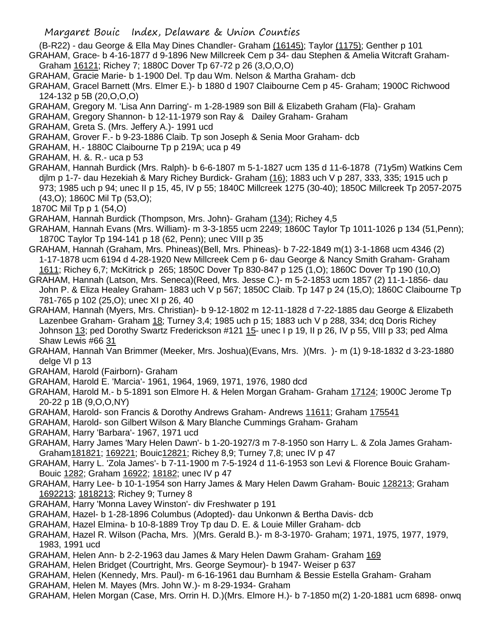(B-R22) - dau George & Ella May Dines Chandler- Graham (16145); Taylor (1175); Genther p 101

GRAHAM, Grace- b 4-16-1877 d 9-1896 New Millcreek Cem p 34- dau Stephen & Amelia Witcraft Graham-Graham 16121; Richey 7; 1880C Dover Tp 67-72 p 26 (3,O,O,O)

GRAHAM, Gracie Marie- b 1-1900 Del. Tp dau Wm. Nelson & Martha Graham- dcb

GRAHAM, Gracel Barnett (Mrs. Elmer E.)- b 1880 d 1907 Claibourne Cem p 45- Graham; 1900C Richwood 124-132 p 5B (20,O,O,O)

GRAHAM, Gregory M. 'Lisa Ann Darring'- m 1-28-1989 son Bill & Elizabeth Graham (Fla)- Graham

GRAHAM, Gregory Shannon- b 12-11-1979 son Ray & Dailey Graham- Graham

GRAHAM, Greta S. (Mrs. Jeffery A.)- 1991 ucd

GRAHAM, Grover F.- b 9-23-1886 Claib. Tp son Joseph & Senia Moor Graham- dcb

GRAHAM, H.- 1880C Claibourne Tp p 219A; uca p 49

GRAHAM, H. &. R.- uca p 53

GRAHAM, Hannah Burdick (Mrs. Ralph)- b 6-6-1807 m 5-1-1827 ucm 135 d 11-6-1878 (71y5m) Watkins Cem djlm p 1-7- dau Hezekiah & Mary Richey Burdick- Graham (16); 1883 uch V p 287, 333, 335; 1915 uch p 973; 1985 uch p 94; unec II p 15, 45, IV p 55; 1840C Millcreek 1275 (30-40); 1850C Millcreek Tp 2057-2075 (43,O); 1860C Mil Tp (53,O);

1870C Mil Tp p 1 (54,O)

GRAHAM, Hannah Burdick (Thompson, Mrs. John)- Graham (134); Richey 4,5

GRAHAM, Hannah Evans (Mrs. William)- m 3-3-1855 ucm 2249; 1860C Taylor Tp 1011-1026 p 134 (51,Penn); 1870C Taylor Tp 194-141 p 18 (62, Penn); unec VIII p 35

GRAHAM, Hannah (Graham, Mrs. Phineas)(Bell, Mrs. Phineas)- b 7-22-1849 m(1) 3-1-1868 ucm 4346 (2) 1-17-1878 ucm 6194 d 4-28-1920 New Millcreek Cem p 6- dau George & Nancy Smith Graham- Graham 1611; Richey 6,7; McKitrick p 265; 1850C Dover Tp 830-847 p 125 (1,O); 1860C Dover Tp 190 (10,O)

GRAHAM, Hannah (Latson, Mrs. Seneca)(Reed, Mrs. Jesse C.)- m 5-2-1853 ucm 1857 (2) 11-1-1856- dau John P. & Eliza Healey Graham- 1883 uch V p 567; 1850C Claib. Tp 147 p 24 (15,O); 1860C Claibourne Tp 781-765 p 102 (25,O); unec XI p 26, 40

GRAHAM, Hannah (Myers, Mrs. Christian)- b 9-12-1802 m 12-11-1828 d 7-22-1885 dau George & Elizabeth Lazenbee Graham- Graham 18; Turney 3,4; 1985 uch p 15; 1883 uch V p 288, 334; dcq Doris Richey Johnson 13; ped Dorothy Swartz Frederickson #121 15- unec I p 19, II p 26, IV p 55, VIII p 33; ped Alma Shaw Lewis #66 31

GRAHAM, Hannah Van Brimmer (Meeker, Mrs. Joshua)(Evans, Mrs. )(Mrs. )- m (1) 9-18-1832 d 3-23-1880 delge VI p 13

GRAHAM, Harold (Fairborn)- Graham

GRAHAM, Harold E. 'Marcia'- 1961, 1964, 1969, 1971, 1976, 1980 dcd

- GRAHAM, Harold M.- b 5-1891 son Elmore H. & Helen Morgan Graham- Graham 17124; 1900C Jerome Tp 20-22 p 1B (9,O,O,NY)
- GRAHAM, Harold- son Francis & Dorothy Andrews Graham- Andrews 11611; Graham 175541

GRAHAM, Harold- son Gilbert Wilson & Mary Blanche Cummings Graham- Graham

GRAHAM, Harry 'Barbara'- 1967, 1971 ucd

GRAHAM, Harry James 'Mary Helen Dawn'- b 1-20-1927/3 m 7-8-1950 son Harry L. & Zola James Graham-Graham181821; 169221; Bouic12821; Richey 8,9; Turney 7,8; unec IV p 47

GRAHAM, Harry L. 'Zola James'- b 7-11-1900 m 7-5-1924 d 11-6-1953 son Levi & Florence Bouic Graham-Bouic 1282; Graham 16922; 18182; unec IV p 47

- GRAHAM, Harry Lee- b 10-1-1954 son Harry James & Mary Helen Dawm Graham- Bouic 128213; Graham 1692213; 1818213; Richey 9; Turney 8
- GRAHAM, Harry 'Monna Lavey Winston'- div Freshwater p 191

GRAHAM, Hazel- b 1-28-1896 Columbus (Adopted)- dau Unkonwn & Bertha Davis- dcb

- GRAHAM, Hazel Elmina- b 10-8-1889 Troy Tp dau D. E. & Louie Miller Graham- dcb
- GRAHAM, Hazel R. Wilson (Pacha, Mrs. )(Mrs. Gerald B.)- m 8-3-1970- Graham; 1971, 1975, 1977, 1979, 1983, 1991 ucd
- GRAHAM, Helen Ann- b 2-2-1963 dau James & Mary Helen Dawm Graham- Graham 169

GRAHAM, Helen Bridget (Courtright, Mrs. George Seymour)- b 1947- Weiser p 637

GRAHAM, Helen (Kennedy, Mrs. Paul)- m 6-16-1961 dau Burnham & Bessie Estella Graham- Graham

- GRAHAM, Helen M. Mayes (Mrs. John W.)- m 8-29-1934- Graham
- GRAHAM, Helen Morgan (Case, Mrs. Orrin H. D.)(Mrs. Elmore H.)- b 7-1850 m(2) 1-20-1881 ucm 6898- onwq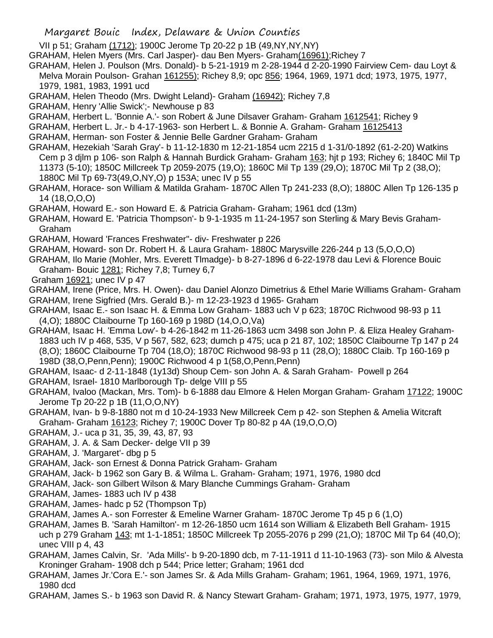- Margaret Bouic Index, Delaware & Union Counties
- VII p 51; Graham (1712); 1900C Jerome Tp 20-22 p 1B (49,NY,NY,NY)
- GRAHAM, Helen Myers (Mrs. Carl Jasper)- dau Ben Myers- Graham(16961);Richey 7
- GRAHAM, Helen J. Poulson (Mrs. Donald)- b 5-21-1919 m 2-28-1944 d 2-20-1990 Fairview Cem- dau Loyt & Melva Morain Poulson- Grahan 161255); Richey 8,9; opc 856; 1964, 1969, 1971 dcd; 1973, 1975, 1977,
	- 1979, 1981, 1983, 1991 ucd
- GRAHAM, Helen Theodo (Mrs. Dwight Leland)- Graham (16942); Richey 7,8
- GRAHAM, Henry 'Allie Swick';- Newhouse p 83
- GRAHAM, Herbert L. 'Bonnie A.'- son Robert & June Dilsaver Graham- Graham 1612541; Richey 9
- GRAHAM, Herbert L. Jr.- b 4-17-1963- son Herbert L. & Bonnie A. Graham- Graham 16125413
- GRAHAM, Herman- son Foster & Jennie Belle Gardner Graham- Graham
- GRAHAM, Hezekiah 'Sarah Gray'- b 11-12-1830 m 12-21-1854 ucm 2215 d 1-31/0-1892 (61-2-20) Watkins Cem p 3 djlm p 106- son Ralph & Hannah Burdick Graham- Graham 163; hjt p 193; Richey 6; 1840C Mil Tp 11373 (5-10); 1850C Millcreek Tp 2059-2075 (19,O); 1860C Mil Tp 139 (29,O); 1870C Mil Tp 2 (38,O); 1880C Mil Tp 69-73(49,O,NY,O) p 153A; unec IV p 55
- GRAHAM, Horace- son William & Matilda Graham- 1870C Allen Tp 241-233 (8,O); 1880C Allen Tp 126-135 p 14 (18,O,O,O)
- GRAHAM, Howard E.- son Howard E. & Patricia Graham- Graham; 1961 dcd (13m)
- GRAHAM, Howard E. 'Patricia Thompson'- b 9-1-1935 m 11-24-1957 son Sterling & Mary Bevis Graham-Graham
- GRAHAM, Howard 'Frances Freshwater"- div- Freshwater p 226
- GRAHAM, Howard- son Dr. Robert H. & Laura Graham- 1880C Marysville 226-244 p 13 (5,O,O,O)
- GRAHAM, Ilo Marie (Mohler, Mrs. Everett Tlmadge)- b 8-27-1896 d 6-22-1978 dau Levi & Florence Bouic Graham- Bouic 1281; Richey 7,8; Turney 6,7
- Graham 16921; unec IV p 47
- GRAHAM, Irene (Price, Mrs. H. Owen)- dau Daniel Alonzo Dimetrius & Ethel Marie Williams Graham- Graham GRAHAM, Irene Sigfried (Mrs. Gerald B.)- m 12-23-1923 d 1965- Graham
- GRAHAM, Isaac E.- son Isaac H. & Emma Low Graham- 1883 uch V p 623; 1870C Richwood 98-93 p 11 (4,O); 1880C Claibourne Tp 160-169 p 198D (14,O,O,Va)
- GRAHAM, Isaac H. 'Emma Low'- b 4-26-1842 m 11-26-1863 ucm 3498 son John P. & Eliza Healey Graham-1883 uch IV p 468, 535, V p 567, 582, 623; dumch p 475; uca p 21 87, 102; 1850C Claibourne Tp 147 p 24 (8,O); 1860C Claibourne Tp 704 (18,O); 1870C Richwood 98-93 p 11 (28,O); 1880C Claib. Tp 160-169 p 198D (38,O,Penn,Penn); 1900C Richwood 4 p 1(58,O,Penn,Penn)
- GRAHAM, Isaac- d 2-11-1848 (1y13d) Shoup Cem- son John A. & Sarah Graham- Powell p 264
- GRAHAM, Israel- 1810 Marlborough Tp- delge VIII p 55
- GRAHAM, Ivaloo (Mackan, Mrs. Tom)- b 6-1888 dau Elmore & Helen Morgan Graham- Graham 17122; 1900C Jerome Tp 20-22 p 1B (11,O,O,NY)
- GRAHAM, Ivan- b 9-8-1880 not m d 10-24-1933 New Millcreek Cem p 42- son Stephen & Amelia Witcraft Graham- Graham 16123; Richey 7; 1900C Dover Tp 80-82 p 4A (19,O,O,O)
- GRAHAM, J.- uca p 31, 35, 39, 43, 87, 93
- GRAHAM, J. A. & Sam Decker- delge VII p 39
- GRAHAM, J. 'Margaret'- dbg p 5
- GRAHAM, Jack- son Ernest & Donna Patrick Graham- Graham
- GRAHAM, Jack- b 1962 son Gary B. & Wilma L. Graham- Graham; 1971, 1976, 1980 dcd
- GRAHAM, Jack- son Gilbert Wilson & Mary Blanche Cummings Graham- Graham
- GRAHAM, James- 1883 uch IV p 438
- GRAHAM, James- hadc p 52 (Thompson Tp)
- GRAHAM, James A.- son Forrester & Emeline Warner Graham- 1870C Jerome Tp 45 p 6 (1,O)
- GRAHAM, James B. 'Sarah Hamilton'- m 12-26-1850 ucm 1614 son William & Elizabeth Bell Graham- 1915 uch p 279 Graham 143; mt 1-1-1851; 1850C Millcreek Tp 2055-2076 p 299 (21,O); 1870C Mil Tp 64 (40,O); unec VIII p 4, 43
- GRAHAM, James Calvin, Sr. 'Ada Mills'- b 9-20-1890 dcb, m 7-11-1911 d 11-10-1963 (73)- son Milo & Alvesta Kroninger Graham- 1908 dch p 544; Price letter; Graham; 1961 dcd
- GRAHAM, James Jr.'Cora E.'- son James Sr. & Ada Mills Graham- Graham; 1961, 1964, 1969, 1971, 1976, 1980 dcd
- GRAHAM, James S.- b 1963 son David R. & Nancy Stewart Graham- Graham; 1971, 1973, 1975, 1977, 1979,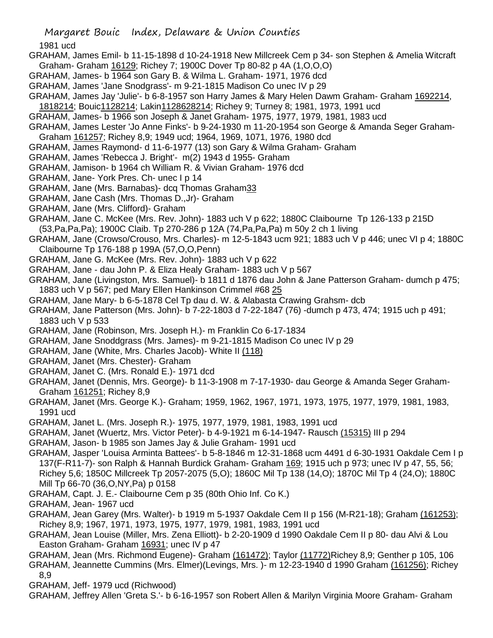1981 ucd

- GRAHAM, James Emil- b 11-15-1898 d 10-24-1918 New Millcreek Cem p 34- son Stephen & Amelia Witcraft Graham- Graham 16129; Richey 7; 1900C Dover Tp 80-82 p 4A (1,O,O,O)
- GRAHAM, James- b 1964 son Gary B. & Wilma L. Graham- 1971, 1976 dcd
- GRAHAM, James 'Jane Snodgrass'- m 9-21-1815 Madison Co unec IV p 29
- GRAHAM, James Jay 'Julie'- b 6-8-1957 son Harry James & Mary Helen Dawm Graham- Graham 1692214,
- 1818214; Bouic1128214; Lakin1128628214; Richey 9; Turney 8; 1981, 1973, 1991 ucd
- GRAHAM, James- b 1966 son Joseph & Janet Graham- 1975, 1977, 1979, 1981, 1983 ucd
- GRAHAM, James Lester 'Jo Anne Finks'- b 9-24-1930 m 11-20-1954 son George & Amanda Seger Graham-
- Graham 161257; Richey 8,9; 1949 ucd; 1964, 1969, 1071, 1976, 1980 dcd
- GRAHAM, James Raymond- d 11-6-1977 (13) son Gary & Wilma Graham- Graham
- GRAHAM, James 'Rebecca J. Bright'- m(2) 1943 d 1955- Graham
- GRAHAM, Jamison- b 1964 ch William R. & Vivian Graham- 1976 dcd
- GRAHAM, Jane- York Pres. Ch- unec I p 14
- GRAHAM, Jane (Mrs. Barnabas)- dcq Thomas Graham33
- GRAHAM, Jane Cash (Mrs. Thomas D.,Jr)- Graham
- GRAHAM, Jane (Mrs. Clifford)- Graham
- GRAHAM, Jane C. McKee (Mrs. Rev. John)- 1883 uch V p 622; 1880C Claibourne Tp 126-133 p 215D (53,Pa,Pa,Pa); 1900C Claib. Tp 270-286 p 12A (74,Pa,Pa,Pa) m 50y 2 ch 1 living
- GRAHAM, Jane (Crowso/Crouso, Mrs. Charles)- m 12-5-1843 ucm 921; 1883 uch V p 446; unec VI p 4; 1880C Claibourne Tp 176-188 p 199A (57,O,O,Penn)
- GRAHAM, Jane G. McKee (Mrs. Rev. John)- 1883 uch V p 622
- GRAHAM, Jane dau John P. & Eliza Healy Graham- 1883 uch V p 567
- GRAHAM, Jane (Livingston, Mrs. Samuel)- b 1811 d 1876 dau John & Jane Patterson Graham- dumch p 475; 1883 uch V p 567; ped Mary Ellen Hankinson Crimmel #68 25
- GRAHAM, Jane Mary- b 6-5-1878 Cel Tp dau d. W. & Alabasta Crawing Grahsm- dcb
- GRAHAM, Jane Patterson (Mrs. John)- b 7-22-1803 d 7-22-1847 (76) -dumch p 473, 474; 1915 uch p 491; 1883 uch V p 533
- GRAHAM, Jane (Robinson, Mrs. Joseph H.)- m Franklin Co 6-17-1834
- GRAHAM, Jane Snoddgrass (Mrs. James)- m 9-21-1815 Madison Co unec IV p 29
- GRAHAM, Jane (White, Mrs. Charles Jacob)- White II (118)
- GRAHAM, Janet (Mrs. Chester)- Graham
- GRAHAM, Janet C. (Mrs. Ronald E.)- 1971 dcd
- GRAHAM, Janet (Dennis, Mrs. George)- b 11-3-1908 m 7-17-1930- dau George & Amanda Seger Graham-Graham 161251; Richey 8,9
- GRAHAM, Janet (Mrs. George K.)- Graham; 1959, 1962, 1967, 1971, 1973, 1975, 1977, 1979, 1981, 1983, 1991 ucd
- GRAHAM, Janet L. (Mrs. Joseph R.)- 1975, 1977, 1979, 1981, 1983, 1991 ucd
- GRAHAM, Janet (Wuertz, Mrs. Victor Peter)- b 4-9-1921 m 6-14-1947- Rausch (15315) III p 294
- GRAHAM, Jason- b 1985 son James Jay & Julie Graham- 1991 ucd
- GRAHAM, Jasper 'Louisa Arminta Battees'- b 5-8-1846 m 12-31-1868 ucm 4491 d 6-30-1931 Oakdale Cem I p 137(F-R11-7)- son Ralph & Hannah Burdick Graham- Graham 169; 1915 uch p 973; unec IV p 47, 55, 56; Richey 5,6; 1850C Millcreek Tp 2057-2075 (5,O); 1860C Mil Tp 138 (14,O); 1870C Mil Tp 4 (24,O); 1880C Mill Tp 66-70 (36,O,NY,Pa) p 0158
- GRAHAM, Capt. J. E.- Claibourne Cem p 35 (80th Ohio Inf. Co K.)
- GRAHAM, Jean- 1967 ucd
- GRAHAM, Jean Garey (Mrs. Walter)- b 1919 m 5-1937 Oakdale Cem II p 156 (M-R21-18); Graham (161253); Richey 8,9; 1967, 1971, 1973, 1975, 1977, 1979, 1981, 1983, 1991 ucd
- GRAHAM, Jean Louise (Miller, Mrs. Zena Elliott)- b 2-20-1909 d 1990 Oakdale Cem II p 80- dau Alvi & Lou Easton Graham- Graham 16931; unec IV p 47
- GRAHAM, Jean (Mrs. Richmond Eugene)- Graham (161472); Taylor (11772)Richey 8,9; Genther p 105, 106 GRAHAM, Jeannette Cummins (Mrs. Elmer)(Levings, Mrs. )- m 12-23-1940 d 1990 Graham (161256); Richey 8,9
- GRAHAM, Jeff- 1979 ucd (Richwood)
- GRAHAM, Jeffrey Allen 'Greta S.'- b 6-16-1957 son Robert Allen & Marilyn Virginia Moore Graham- Graham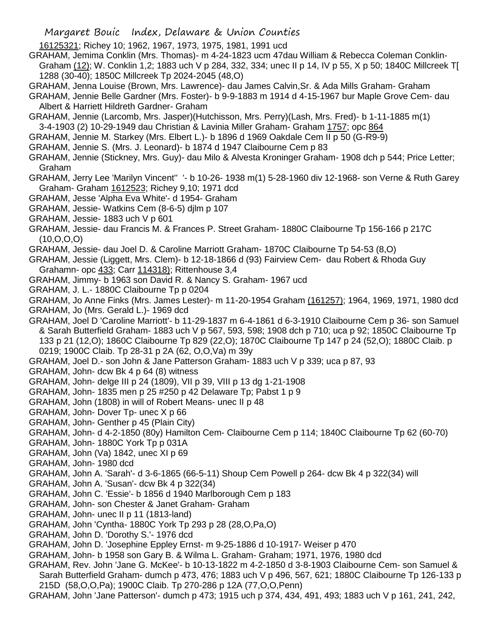- Margaret Bouic Index, Delaware & Union Counties
- 16125321; Richey 10; 1962, 1967, 1973, 1975, 1981, 1991 ucd
- GRAHAM, Jemima Conklin (Mrs. Thomas)- m 4-24-1823 ucm 47dau William & Rebecca Coleman Conklin-Graham (12); W. Conklin 1,2; 1883 uch V p 284, 332, 334; unec II p 14, IV p 55, X p 50; 1840C Millcreek T[ 1288 (30-40); 1850C Millcreek Tp 2024-2045 (48,O)
- GRAHAM, Jenna Louise (Brown, Mrs. Lawrence)- dau James Calvin,Sr. & Ada Mills Graham- Graham
- GRAHAM, Jennie Belle Gardner (Mrs. Foster)- b 9-9-1883 m 1914 d 4-15-1967 bur Maple Grove Cem- dau Albert & Harriett Hildreth Gardner- Graham
- GRAHAM, Jennie (Larcomb, Mrs. Jasper)(Hutchisson, Mrs. Perry)(Lash, Mrs. Fred)- b 1-11-1885 m(1)
- 3-4-1903 (2) 10-29-1949 dau Christian & Lavinia Miller Graham- Graham 1757; opc 864
- GRAHAM, Jennie M. Starkey (Mrs. Elbert L.)- b 1896 d 1969 Oakdale Cem II p 50 (G-R9-9)
- GRAHAM, Jennie S. (Mrs. J. Leonard)- b 1874 d 1947 Claibourne Cem p 83
- GRAHAM, Jennie (Stickney, Mrs. Guy)- dau Milo & Alvesta Kroninger Graham- 1908 dch p 544; Price Letter; Graham
- GRAHAM, Jerry Lee 'Marilyn Vincent'' '- b 10-26- 1938 m(1) 5-28-1960 div 12-1968- son Verne & Ruth Garey Graham- Graham 1612523; Richey 9,10; 1971 dcd
- GRAHAM, Jesse 'Alpha Eva White'- d 1954- Graham
- GRAHAM, Jessie- Watkins Cem (8-6-5) djlm p 107
- GRAHAM, Jessie- 1883 uch V p 601
- GRAHAM, Jessie- dau Francis M. & Frances P. Street Graham- 1880C Claibourne Tp 156-166 p 217C  $(10, O, O, O)$
- GRAHAM, Jessie- dau Joel D. & Caroline Marriott Graham- 1870C Claibourne Tp 54-53 (8,O)
- GRAHAM, Jessie (Liggett, Mrs. Clem)- b 12-18-1866 d (93) Fairview Cem- dau Robert & Rhoda Guy Grahamn- opc 433; Carr 114318); Rittenhouse 3,4
- GRAHAM, Jimmy- b 1963 son David R. & Nancy S. Graham- 1967 ucd
- GRAHAM, J. L.- 1880C Claibourne Tp p 0204
- GRAHAM, Jo Anne Finks (Mrs. James Lester)- m 11-20-1954 Graham (161257); 1964, 1969, 1971, 1980 dcd GRAHAM, Jo (Mrs. Gerald L.)- 1969 dcd
- GRAHAM, Joel D 'Caroline Marriott'- b 11-29-1837 m 6-4-1861 d 6-3-1910 Claibourne Cem p 36- son Samuel & Sarah Butterfield Graham- 1883 uch V p 567, 593, 598; 1908 dch p 710; uca p 92; 1850C Claibourne Tp 133 p 21 (12,O); 1860C Claibourne Tp 829 (22,O); 1870C Claibourne Tp 147 p 24 (52,O); 1880C Claib. p 0219; 1900C Claib. Tp 28-31 p 2A (62, O,O,Va) m 39y
- GRAHAM, Joel D.- son John & Jane Patterson Graham- 1883 uch V p 339; uca p 87, 93
- GRAHAM, John- dcw Bk 4 p 64 (8) witness
- GRAHAM, John- delge III p 24 (1809), VII p 39, VIII p 13 dg 1-21-1908
- GRAHAM, John- 1835 men p 25 #250 p 42 Delaware Tp; Pabst 1 p 9
- GRAHAM, John (1808) in will of Robert Means- unec II p 48
- GRAHAM, John- Dover Tp- unec X p 66
- GRAHAM, John- Genther p 45 (Plain City)
- GRAHAM, John- d 4-2-1850 (80y) Hamilton Cem- Claibourne Cem p 114; 1840C Claibourne Tp 62 (60-70)
- GRAHAM, John- 1880C York Tp p 031A
- GRAHAM, John (Va) 1842, unec XI p 69
- GRAHAM, John- 1980 dcd
- GRAHAM, John A. 'Sarah'- d 3-6-1865 (66-5-11) Shoup Cem Powell p 264- dcw Bk 4 p 322(34) will
- GRAHAM, John A. 'Susan'- dcw Bk 4 p 322(34)
- GRAHAM, John C. 'Essie'- b 1856 d 1940 Marlborough Cem p 183
- GRAHAM, John- son Chester & Janet Graham- Graham
- GRAHAM, John- unec II p 11 (1813-land)
- GRAHAM, John 'Cyntha- 1880C York Tp 293 p 28 (28,O,Pa,O)
- GRAHAM, John D. 'Dorothy S.'- 1976 dcd
- GRAHAM, John D. 'Josephine Eppley Ernst- m 9-25-1886 d 10-1917- Weiser p 470
- GRAHAM, John- b 1958 son Gary B. & Wilma L. Graham- Graham; 1971, 1976, 1980 dcd
- GRAHAM, Rev. John 'Jane G. McKee'- b 10-13-1822 m 4-2-1850 d 3-8-1903 Claibourne Cem- son Samuel & Sarah Butterfield Graham- dumch p 473, 476; 1883 uch V p 496, 567, 621; 1880C Claibourne Tp 126-133 p 215D (58,O,O,Pa); 1900C Claib. Tp 270-286 p 12A (77,O,O,Penn)
- GRAHAM, John 'Jane Patterson'- dumch p 473; 1915 uch p 374, 434, 491, 493; 1883 uch V p 161, 241, 242,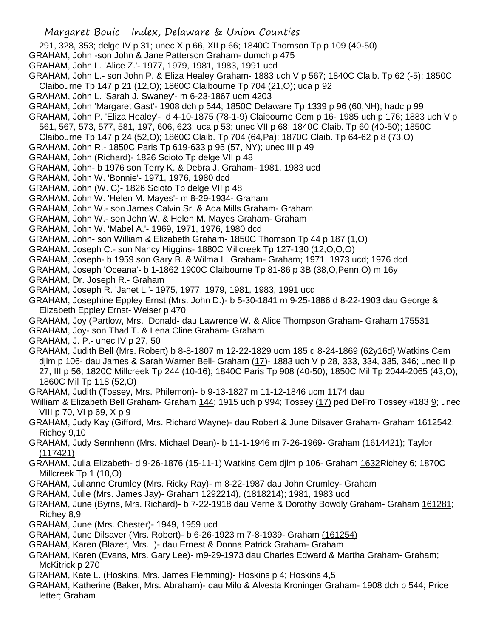291, 328, 353; delge IV p 31; unec X p 66, XII p 66; 1840C Thomson Tp p 109 (40-50)

- GRAHAM, John -son John & Jane Patterson Graham- dumch p 475
- GRAHAM, John L. 'Alice Z.'- 1977, 1979, 1981, 1983, 1991 ucd
- GRAHAM, John L.- son John P. & Eliza Healey Graham- 1883 uch V p 567; 1840C Claib. Tp 62 (-5); 1850C Claibourne Tp 147 p 21 (12,O); 1860C Claibourne Tp 704 (21,O); uca p 92
- GRAHAM, John L. 'Sarah J. Swaney'- m 6-23-1867 ucm 4203
- GRAHAM, John 'Margaret Gast'- 1908 dch p 544; 1850C Delaware Tp 1339 p 96 (60,NH); hadc p 99
- GRAHAM, John P. 'Eliza Healey'- d 4-10-1875 (78-1-9) Claibourne Cem p 16- 1985 uch p 176; 1883 uch V p
- 561, 567, 573, 577, 581, 197, 606, 623; uca p 53; unec VII p 68; 1840C Claib. Tp 60 (40-50); 1850C
- Claibourne Tp 147 p 24 (52,O); 1860C Claib. Tp 704 (64,Pa); 1870C Claib. Tp 64-62 p 8 (73,O)
- GRAHAM, John R.- 1850C Paris Tp 619-633 p 95 (57, NY); unec III p 49
- GRAHAM, John (Richard)- 1826 Scioto Tp delge VII p 48
- GRAHAM, John- b 1976 son Terry K. & Debra J. Graham- 1981, 1983 ucd
- GRAHAM, John W. 'Bonnie'- 1971, 1976, 1980 dcd
- GRAHAM, John (W. C)- 1826 Scioto Tp delge VII p 48
- GRAHAM, John W. 'Helen M. Mayes'- m 8-29-1934- Graham
- GRAHAM, John W.- son James Calvin Sr. & Ada Mills Graham- Graham
- GRAHAM, John W.- son John W. & Helen M. Mayes Graham- Graham
- GRAHAM, John W. 'Mabel A.'- 1969, 1971, 1976, 1980 dcd
- GRAHAM, John- son William & Elizabeth Graham- 1850C Thomson Tp 44 p 187 (1,O)
- GRAHAM, Joseph C.- son Nancy Higgins- 1880C Millcreek Tp 127-130 (12,O,O,O)
- GRAHAM, Joseph- b 1959 son Gary B. & Wilma L. Graham- Graham; 1971, 1973 ucd; 1976 dcd
- GRAHAM, Joseph 'Oceana'- b 1-1862 1900C Claibourne Tp 81-86 p 3B (38,O,Penn,O) m 16y
- GRAHAM, Dr. Joseph R.- Graham
- GRAHAM, Joseph R. 'Janet L.'- 1975, 1977, 1979, 1981, 1983, 1991 ucd
- GRAHAM, Josephine Eppley Ernst (Mrs. John D.)- b 5-30-1841 m 9-25-1886 d 8-22-1903 dau George & Elizabeth Eppley Ernst- Weiser p 470
- GRAHAM, Joy (Partlow, Mrs. Donald- dau Lawrence W. & Alice Thompson Graham- Graham 175531
- GRAHAM, Joy- son Thad T. & Lena Cline Graham- Graham
- GRAHAM, J. P.- unec IV p 27, 50
- GRAHAM, Judith Bell (Mrs. Robert) b 8-8-1807 m 12-22-1829 ucm 185 d 8-24-1869 (62y16d) Watkins Cem djlm p 106- dau James & Sarah Warner Bell- Graham (17)- 1883 uch V p 28, 333, 334, 335, 346; unec II p 27, III p 56; 1820C Millcreek Tp 244 (10-16); 1840C Paris Tp 908 (40-50); 1850C Mil Tp 2044-2065 (43,O); 1860C Mil Tp 118 (52,O)
- GRAHAM, Judith (Tossey, Mrs. Philemon)- b 9-13-1827 m 11-12-1846 ucm 1174 dau
- William & Elizabeth Bell Graham- Graham 144; 1915 uch p 994; Tossey (17) ped DeFro Tossey #183 <u>9</u>; unec VIII p 70, VI p 69, X p 9
- GRAHAM, Judy Kay (Gifford, Mrs. Richard Wayne)- dau Robert & June Dilsaver Graham- Graham 1612542; Richey 9,10
- GRAHAM, Judy Sennhenn (Mrs. Michael Dean)- b 11-1-1946 m 7-26-1969- Graham (1614421); Taylor (117421)
- GRAHAM, Julia Elizabeth- d 9-26-1876 (15-11-1) Watkins Cem djlm p 106- Graham 1632Richey 6; 1870C Millcreek Tp 1 (10,O)
- GRAHAM, Julianne Crumley (Mrs. Ricky Ray)- m 8-22-1987 dau John Crumley- Graham
- GRAHAM, Julie (Mrs. James Jay)- Graham 1292214), (1818214); 1981, 1983 ucd
- GRAHAM, June (Byrns, Mrs. Richard)- b 7-22-1918 dau Verne & Dorothy Bowdly Graham- Graham 161281; Richey 8,9
- GRAHAM, June (Mrs. Chester)- 1949, 1959 ucd
- GRAHAM, June Dilsaver (Mrs. Robert)- b 6-26-1923 m 7-8-1939- Graham (161254)
- GRAHAM, Karen (Blazer, Mrs. )- dau Ernest & Donna Patrick Graham- Graham
- GRAHAM, Karen (Evans, Mrs. Gary Lee)- m9-29-1973 dau Charles Edward & Martha Graham- Graham; McKitrick p 270
- GRAHAM, Kate L. (Hoskins, Mrs. James Flemming)- Hoskins p 4; Hoskins 4,5
- GRAHAM, Katherine (Baker, Mrs. Abraham)- dau Milo & Alvesta Kroninger Graham- 1908 dch p 544; Price letter; Graham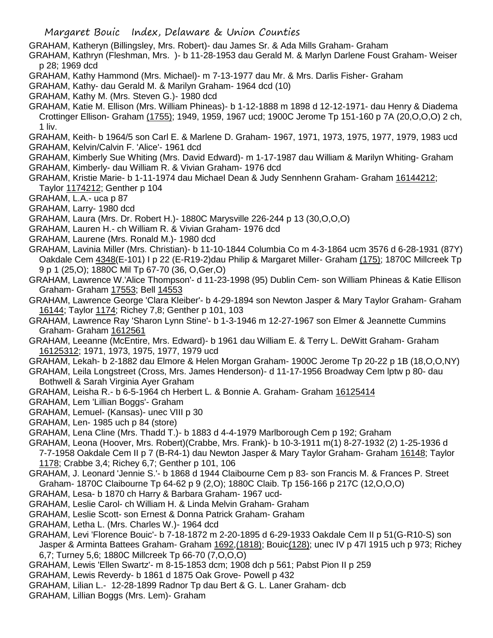GRAHAM, Katheryn (Billingsley, Mrs. Robert)- dau James Sr. & Ada Mills Graham- Graham

GRAHAM, Kathryn (Fleshman, Mrs. )- b 11-28-1953 dau Gerald M. & Marlyn Darlene Foust Graham- Weiser p 28; 1969 dcd

- GRAHAM, Kathy Hammond (Mrs. Michael)- m 7-13-1977 dau Mr. & Mrs. Darlis Fisher- Graham
- GRAHAM, Kathy- dau Gerald M. & Marilyn Graham- 1964 dcd (10)
- GRAHAM, Kathy M. (Mrs. Steven G.)- 1980 dcd
- GRAHAM, Katie M. Ellison (Mrs. William Phineas)- b 1-12-1888 m 1898 d 12-12-1971- dau Henry & Diadema Crottinger Ellison- Graham (1755); 1949, 1959, 1967 ucd; 1900C Jerome Tp 151-160 p 7A (20,O,O,O) 2 ch, 1 liv.
- GRAHAM, Keith- b 1964/5 son Carl E. & Marlene D. Graham- 1967, 1971, 1973, 1975, 1977, 1979, 1983 ucd GRAHAM, Kelvin/Calvin F. 'Alice'- 1961 dcd
- GRAHAM, Kimberly Sue Whiting (Mrs. David Edward)- m 1-17-1987 dau William & Marilyn Whiting- Graham GRAHAM, Kimberly- dau William R. & Vivian Graham- 1976 dcd
- GRAHAM, Kristie Marie- b 1-11-1974 dau Michael Dean & Judy Sennhenn Graham- Graham 16144212; Taylor 1174212; Genther p 104
- GRAHAM, L.A.- uca p 87
- GRAHAM, Larry- 1980 dcd
- GRAHAM, Laura (Mrs. Dr. Robert H.)- 1880C Marysville 226-244 p 13 (30,O,O,O)
- GRAHAM, Lauren H.- ch William R. & Vivian Graham- 1976 dcd
- GRAHAM, Laurene (Mrs. Ronald M.)- 1980 dcd
- GRAHAM, Lavinia Miller (Mrs. Christian)- b 11-10-1844 Columbia Co m 4-3-1864 ucm 3576 d 6-28-1931 (87Y) Oakdale Cem 4348(E-101) I p 22 (E-R19-2)dau Philip & Margaret Miller- Graham (175); 1870C Millcreek Tp 9 p 1 (25,O); 1880C Mil Tp 67-70 (36, O,Ger,O)
- GRAHAM, Lawrence W.'Alice Thompson'- d 11-23-1998 (95) Dublin Cem- son William Phineas & Katie Ellison Graham- Graham 17553; Bell 14553
- GRAHAM, Lawrence George 'Clara Kleiber'- b 4-29-1894 son Newton Jasper & Mary Taylor Graham- Graham 16144; Taylor 1174; Richey 7,8; Genther p 101, 103
- GRAHAM, Lawrence Ray 'Sharon Lynn Stine'- b 1-3-1946 m 12-27-1967 son Elmer & Jeannette Cummins Graham- Graham 1612561
- GRAHAM, Leeanne (McEntire, Mrs. Edward)- b 1961 dau William E. & Terry L. DeWitt Graham- Graham 16125312; 1971, 1973, 1975, 1977, 1979 ucd
- GRAHAM, Lekah- b 2-1882 dau Elmore & Helen Morgan Graham- 1900C Jerome Tp 20-22 p 1B (18,O,O,NY)
- GRAHAM, Leila Longstreet (Cross, Mrs. James Henderson)- d 11-17-1956 Broadway Cem lptw p 80- dau Bothwell & Sarah Virginia Ayer Graham
- GRAHAM, Leisha R.- b 6-5-1964 ch Herbert L. & Bonnie A. Graham- Graham 16125414
- GRAHAM, Lem 'Lillian Boggs'- Graham
- GRAHAM, Lemuel- (Kansas)- unec VIII p 30
- GRAHAM, Len- 1985 uch p 84 (store)
- GRAHAM, Lena Cline (Mrs. Thadd T.)- b 1883 d 4-4-1979 Marlborough Cem p 192; Graham

GRAHAM, Leona (Hoover, Mrs. Robert)(Crabbe, Mrs. Frank)- b 10-3-1911 m(1) 8-27-1932 (2) 1-25-1936 d

7-7-1958 Oakdale Cem II p 7 (B-R4-1) dau Newton Jasper & Mary Taylor Graham- Graham 16148; Taylor 1178; Crabbe 3,4; Richey 6,7; Genther p 101, 106

- GRAHAM, J. Leonard 'Jennie S.'- b 1868 d 1944 Claibourne Cem p 83- son Francis M. & Frances P. Street Graham- 1870C Claibourne Tp 64-62 p 9 (2,O); 1880C Claib. Tp 156-166 p 217C (12,O,O,O)
- GRAHAM, Lesa- b 1870 ch Harry & Barbara Graham- 1967 ucd-
- GRAHAM, Leslie Carol- ch William H. & Linda Melvin Graham- Graham
- GRAHAM, Leslie Scott- son Ernest & Donna Patrick Graham- Graham
- GRAHAM, Letha L. (Mrs. Charles W.)- 1964 dcd
- GRAHAM, Levi 'Florence Bouic'- b 7-18-1872 m 2-20-1895 d 6-29-1933 Oakdale Cem II p 51(G-R10-S) son Jasper & Arminta Battees Graham- Graham 1692, (1818); Bouic (128); unec IV p 47l 1915 uch p 973; Richey 6,7; Turney 5,6; 1880C Millcreek Tp 66-70 (7,O,O,O)
- GRAHAM, Lewis 'Ellen Swartz'- m 8-15-1853 dcm; 1908 dch p 561; Pabst Pion II p 259
- GRAHAM, Lewis Reverdy- b 1861 d 1875 Oak Grove- Powell p 432
- GRAHAM, Lilian L.- 12-28-1899 Radnor Tp dau Bert & G. L. Laner Graham- dcb
- GRAHAM, Lillian Boggs (Mrs. Lem)- Graham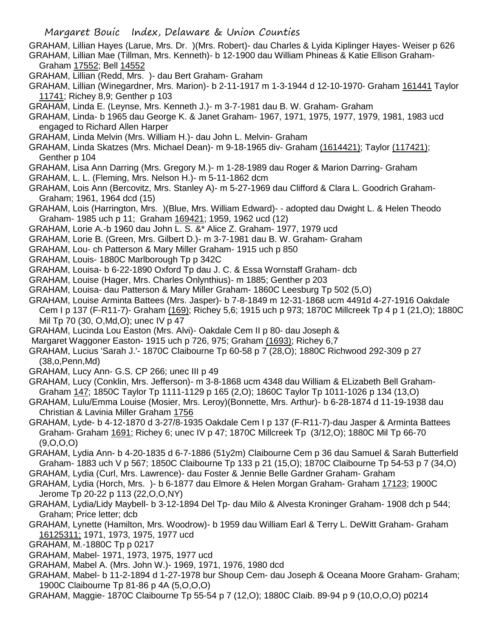GRAHAM, Lillian Hayes (Larue, Mrs. Dr. )(Mrs. Robert)- dau Charles & Lyida Kiplinger Hayes- Weiser p 626 GRAHAM, Lillian Mae (Tillman, Mrs. Kenneth)- b 12-1900 dau William Phineas & Katie Ellison Graham-Graham 17552; Bell 14552

GRAHAM, Lillian (Redd, Mrs. )- dau Bert Graham- Graham

GRAHAM, Lillian (Winegardner, Mrs. Marion)- b 2-11-1917 m 1-3-1944 d 12-10-1970- Graham 161441 Taylor 11741; Richey 8,9; Genther p 103

GRAHAM, Linda E. (Leynse, Mrs. Kenneth J.)- m 3-7-1981 dau B. W. Graham- Graham

GRAHAM, Linda- b 1965 dau George K. & Janet Graham- 1967, 1971, 1975, 1977, 1979, 1981, 1983 ucd engaged to Richard Allen Harper

- GRAHAM, Linda Melvin (Mrs. William H.)- dau John L. Melvin- Graham
- GRAHAM, Linda Skatzes (Mrs. Michael Dean)- m 9-18-1965 div- Graham (1614421); Taylor (117421); Genther p 104
- GRAHAM, Lisa Ann Darring (Mrs. Gregory M.)- m 1-28-1989 dau Roger & Marion Darring- Graham
- GRAHAM, L. L. (Fleming, Mrs. Nelson H.)- m 5-11-1862 dcm
- GRAHAM, Lois Ann (Bercovitz, Mrs. Stanley A)- m 5-27-1969 dau Clifford & Clara L. Goodrich Graham-Graham; 1961, 1964 dcd (15)
- GRAHAM, Lois (Harrington, Mrs. )(Blue, Mrs. William Edward)- adopted dau Dwight L. & Helen Theodo Graham- 1985 uch p 11; Graham 169421; 1959, 1962 ucd (12)
- GRAHAM, Lorie A.-b 1960 dau John L. S. &\* Alice Z. Graham- 1977, 1979 ucd
- GRAHAM, Lorie B. (Green, Mrs. Gilbert D.)- m 3-7-1981 dau B. W. Graham- Graham
- GRAHAM, Lou- ch Patterson & Mary Miller Graham- 1915 uch p 850
- GRAHAM, Louis- 1880C Marlborough Tp p 342C
- GRAHAM, Louisa- b 6-22-1890 Oxford Tp dau J. C. & Essa Wornstaff Graham- dcb
- GRAHAM, Louise (Hager, Mrs. Charles Onlynthius)- m 1885; Genther p 203
- GRAHAM, Louisa- dau Patterson & Mary Miller Graham- 1860C Leesburg Tp 502 (5,O)
- GRAHAM, Louise Arminta Battees (Mrs. Jasper)- b 7-8-1849 m 12-31-1868 ucm 4491d 4-27-1916 Oakdale Cem I p 137 (F-R11-7)- Graham (169); Richey 5,6; 1915 uch p 973; 1870C Millcreek Tp 4 p 1 (21,O); 1880C Mil Tp 70 (30, O,Md,O); unec IV p 47
- GRAHAM, Lucinda Lou Easton (Mrs. Alvi)- Oakdale Cem II p 80- dau Joseph &
- Margaret Waggoner Easton- 1915 uch p 726, 975; Graham (1693); Richey 6,7
- GRAHAM, Lucius 'Sarah J.'- 1870C Claibourne Tp 60-58 p 7 (28,O); 1880C Richwood 292-309 p 27 (38,o,Penn,Md)
- GRAHAM, Lucy Ann- G.S. CP 266; unec III p 49
- GRAHAM, Lucy (Conklin, Mrs. Jefferson)- m 3-8-1868 ucm 4348 dau William & ELizabeth Bell Graham-Graham 147; 1850C Taylor Tp 1111-1129 p 165 (2,O); 1860C Taylor Tp 1011-1026 p 134 (13,O)
- GRAHAM, Lulu/Emma Louise (Mosier, Mrs. Leroy)(Bonnette, Mrs. Arthur)- b 6-28-1874 d 11-19-1938 dau Christian & Lavinia Miller Graham 1756
- GRAHAM, Lyde- b 4-12-1870 d 3-27/8-1935 Oakdale Cem I p 137 (F-R11-7)-dau Jasper & Arminta Battees Graham- Graham 1691; Richey 6; unec IV p 47; 1870C Millcreek Tp (3/12,O); 1880C Mil Tp 66-70 (9,O,O,O)
- GRAHAM, Lydia Ann- b 4-20-1835 d 6-7-1886 (51y2m) Claibourne Cem p 36 dau Samuel & Sarah Butterfield Graham- 1883 uch V p 567; 1850C Claibourne Tp 133 p 21 (15,O); 1870C Claibourne Tp 54-53 p 7 (34,O)
- GRAHAM, Lydia (Curl, Mrs. Lawrence)- dau Foster & Jennie Belle Gardner Graham- Graham
- GRAHAM, Lydia (Horch, Mrs. )- b 6-1877 dau Elmore & Helen Morgan Graham- Graham 17123; 1900C Jerome Tp 20-22 p 113 (22,O,O,NY)
- GRAHAM, Lydia/Lidy Maybell- b 3-12-1894 Del Tp- dau Milo & Alvesta Kroninger Graham- 1908 dch p 544; Graham; Price letter; dcb
- GRAHAM, Lynette (Hamilton, Mrs. Woodrow)- b 1959 dau William Earl & Terry L. DeWitt Graham- Graham 16125311; 1971, 1973, 1975, 1977 ucd
- GRAHAM, M.-1880C Tp p 0217
- GRAHAM, Mabel- 1971, 1973, 1975, 1977 ucd
- GRAHAM, Mabel A. (Mrs. John W.)- 1969, 1971, 1976, 1980 dcd
- GRAHAM, Mabel- b 11-2-1894 d 1-27-1978 bur Shoup Cem- dau Joseph & Oceana Moore Graham- Graham; 1900C Claibourne Tp 81-86 p 4A (5,O,O,O)
- GRAHAM, Maggie- 1870C Claibourne Tp 55-54 p 7 (12,O); 1880C Claib. 89-94 p 9 (10,O,O,O) p0214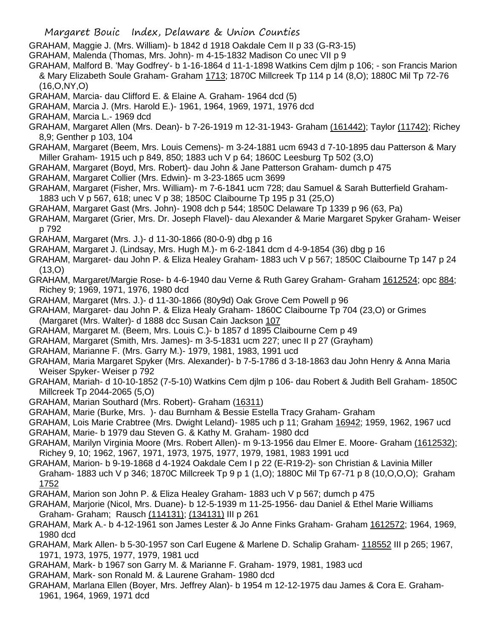- Margaret Bouic Index, Delaware & Union Counties
- GRAHAM, Maggie J. (Mrs. William)- b 1842 d 1918 Oakdale Cem II p 33 (G-R3-15)
- GRAHAM, Malenda (Thomas, Mrs. John)- m 4-15-1832 Madison Co unec VII p 9
- GRAHAM, Malford B. 'May Godfrey'- b 1-16-1864 d 11-1-1898 Watkins Cem djlm p 106; son Francis Marion & Mary Elizabeth Soule Graham- Graham 1713; 1870C Millcreek Tp 114 p 14 (8,O); 1880C Mil Tp 72-76 (16,O,NY,O)
- GRAHAM, Marcia- dau Clifford E. & Elaine A. Graham- 1964 dcd (5)
- GRAHAM, Marcia J. (Mrs. Harold E.)- 1961, 1964, 1969, 1971, 1976 dcd
- GRAHAM, Marcia L.- 1969 dcd
- GRAHAM, Margaret Allen (Mrs. Dean)- b 7-26-1919 m 12-31-1943- Graham (161442); Taylor (11742); Richey 8,9; Genther p 103, 104
- GRAHAM, Margaret (Beem, Mrs. Louis Cemens)- m 3-24-1881 ucm 6943 d 7-10-1895 dau Patterson & Mary Miller Graham- 1915 uch p 849, 850; 1883 uch V p 64; 1860C Leesburg Tp 502 (3,O)
- GRAHAM, Margaret (Boyd, Mrs. Robert)- dau John & Jane Patterson Graham- dumch p 475
- GRAHAM, Margaret Collier (Mrs. Edwin)- m 3-23-1865 ucm 3699
- GRAHAM, Margaret (Fisher, Mrs. William)- m 7-6-1841 ucm 728; dau Samuel & Sarah Butterfield Graham-1883 uch V p 567, 618; unec V p 38; 1850C Claibourne Tp 195 p 31 (25,O)
- GRAHAM, Margaret Gast (Mrs. John)- 1908 dch p 544; 1850C Delaware Tp 1339 p 96 (63, Pa)
- GRAHAM, Margaret (Grier, Mrs. Dr. Joseph Flavel)- dau Alexander & Marie Margaret Spyker Graham- Weiser p 792
- GRAHAM, Margaret (Mrs. J.)- d 11-30-1866 (80-0-9) dbg p 16
- GRAHAM, Margaret J. (Lindsay, Mrs. Hugh M.)- m 6-2-1841 dcm d 4-9-1854 (36) dbg p 16
- GRAHAM, Margaret- dau John P. & Eliza Healey Graham- 1883 uch V p 567; 1850C Claibourne Tp 147 p 24 (13,O)
- GRAHAM, Margaret/Margie Rose- b 4-6-1940 dau Verne & Ruth Garey Graham- Graham 1612524; opc 884; Richey 9; 1969, 1971, 1976, 1980 dcd
- GRAHAM, Margaret (Mrs. J.)- d 11-30-1866 (80y9d) Oak Grove Cem Powell p 96
- GRAHAM, Margaret- dau John P. & Eliza Healy Graham- 1860C Claibourne Tp 704 (23,O) or Grimes (Margaret (Mrs. Walter)- d 1888 dcc Susan Cain Jackson 107
- GRAHAM, Margaret M. (Beem, Mrs. Louis C.)- b 1857 d 1895 Claibourne Cem p 49
- GRAHAM, Margaret (Smith, Mrs. James)- m 3-5-1831 ucm 227; unec II p 27 (Grayham)
- GRAHAM, Marianne F. (Mrs. Garry M.)- 1979, 1981, 1983, 1991 ucd
- GRAHAM, Maria Margaret Spyker (Mrs. Alexander)- b 7-5-1786 d 3-18-1863 dau John Henry & Anna Maria Weiser Spyker- Weiser p 792
- GRAHAM, Mariah- d 10-10-1852 (7-5-10) Watkins Cem djlm p 106- dau Robert & Judith Bell Graham- 1850C Millcreek Tp 2044-2065 (5,O)
- GRAHAM, Marian Southard (Mrs. Robert)- Graham (16311)
- GRAHAM, Marie (Burke, Mrs. )- dau Burnham & Bessie Estella Tracy Graham- Graham
- GRAHAM, Lois Marie Crabtree (Mrs. Dwight Leland)- 1985 uch p 11; Graham 16942; 1959, 1962, 1967 ucd GRAHAM, Marie- b 1979 dau Steven G. & Kathy M. Graham- 1980 dcd
- GRAHAM, Marilyn Virginia Moore (Mrs. Robert Allen)- m 9-13-1956 dau Elmer E. Moore- Graham (1612532); Richey 9, 10; 1962, 1967, 1971, 1973, 1975, 1977, 1979, 1981, 1983 1991 ucd
- GRAHAM, Marion- b 9-19-1868 d 4-1924 Oakdale Cem I p 22 (E-R19-2)- son Christian & Lavinia Miller Graham- 1883 uch V p 346; 1870C Millcreek Tp 9 p 1 (1,O); 1880C Mil Tp 67-71 p 8 (10,O,O,O); Graham 1752
- GRAHAM, Marion son John P. & Eliza Healey Graham- 1883 uch V p 567; dumch p 475
- GRAHAM, Marjorie (Nicol, Mrs. Duane)- b 12-5-1939 m 11-25-1956- dau Daniel & Ethel Marie Williams Graham- Graham; Rausch (114131); (134131) III p 261
- GRAHAM, Mark A.- b 4-12-1961 son James Lester & Jo Anne Finks Graham- Graham 1612572; 1964, 1969, 1980 dcd
- GRAHAM, Mark Allen- b 5-30-1957 son Carl Eugene & Marlene D. Schalip Graham- 118552 III p 265; 1967, 1971, 1973, 1975, 1977, 1979, 1981 ucd
- GRAHAM, Mark- b 1967 son Garry M. & Marianne F. Graham- 1979, 1981, 1983 ucd
- GRAHAM, Mark- son Ronald M. & Laurene Graham- 1980 dcd
- GRAHAM, Marlana Ellen (Boyer, Mrs. Jeffrey Alan)- b 1954 m 12-12-1975 dau James & Cora E. Graham-1961, 1964, 1969, 1971 dcd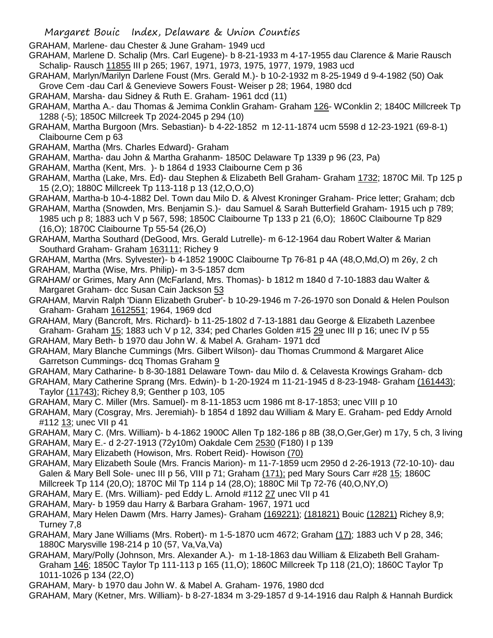GRAHAM, Marlene- dau Chester & June Graham- 1949 ucd

GRAHAM, Marlene D. Schalip (Mrs. Carl Eugene)- b 8-21-1933 m 4-17-1955 dau Clarence & Marie Rausch Schalip- Rausch 11855 III p 265; 1967, 1971, 1973, 1975, 1977, 1979, 1983 ucd

GRAHAM, Marlyn/Marilyn Darlene Foust (Mrs. Gerald M.)- b 10-2-1932 m 8-25-1949 d 9-4-1982 (50) Oak Grove Cem -dau Carl & Genevieve Sowers Foust- Weiser p 28; 1964, 1980 dcd

- GRAHAM, Marsha- dau Sidney & Ruth E. Graham- 1961 dcd (11)
- GRAHAM, Martha A.- dau Thomas & Jemima Conklin Graham- Graham 126- WConklin 2; 1840C Millcreek Tp 1288 (-5); 1850C Millcreek Tp 2024-2045 p 294 (10)
- GRAHAM, Martha Burgoon (Mrs. Sebastian)- b 4-22-1852 m 12-11-1874 ucm 5598 d 12-23-1921 (69-8-1) Claibourne Cem p 63
- GRAHAM, Martha (Mrs. Charles Edward)- Graham
- GRAHAM, Martha- dau John & Martha Grahanm- 1850C Delaware Tp 1339 p 96 (23, Pa)
- GRAHAM, Martha (Kent, Mrs. )- b 1864 d 1933 Claibourne Cem p 36
- GRAHAM, Martha (Lake, Mrs. Ed)- dau Stephen & Elizabeth Bell Graham- Graham 1732; 1870C Mil. Tp 125 p 15 (2,O); 1880C Millcreek Tp 113-118 p 13 (12,O,O,O)
- GRAHAM, Martha-b 10-4-1882 Del. Town dau Milo D. & Alvest Kroninger Graham- Price letter; Graham; dcb
- GRAHAM, Martha (Snowden, Mrs. Benjamin S.)- dau Samuel & Sarah Butterfield Graham- 1915 uch p 789; 1985 uch p 8; 1883 uch V p 567, 598; 1850C Claibourne Tp 133 p 21 (6,O); 1860C Claibourne Tp 829 (16,O); 1870C Claibourne Tp 55-54 (26,O)
- GRAHAM, Martha Southard (DeGood, Mrs. Gerald Lutrelle)- m 6-12-1964 dau Robert Walter & Marian Southard Graham- Graham 163111; Richey 9
- GRAHAM, Martha (Mrs. Sylvester)- b 4-1852 1900C Claibourne Tp 76-81 p 4A (48,O,Md,O) m 26y, 2 ch GRAHAM, Martha (Wise, Mrs. Philip)- m 3-5-1857 dcm
- GRAHAM/ or Grimes, Mary Ann (McFarland, Mrs. Thomas)- b 1812 m 1840 d 7-10-1883 dau Walter & Margaret Graham- dcc Susan Cain Jackson 53
- GRAHAM, Marvin Ralph 'Diann Elizabeth Gruber'- b 10-29-1946 m 7-26-1970 son Donald & Helen Poulson Graham- Graham 1612551; 1964, 1969 dcd
- GRAHAM, Mary (Bancroft, Mrs. Richard)- b 11-25-1802 d 7-13-1881 dau George & Elizabeth Lazenbee Graham- Graham 15; 1883 uch V p 12, 334; ped Charles Golden #15 29 unec III p 16; unec IV p 55 GRAHAM, Mary Beth- b 1970 dau John W. & Mabel A. Graham- 1971 dcd
- GRAHAM, Mary Blanche Cummings (Mrs. Gilbert Wilson)- dau Thomas Crummond & Margaret Alice Garretson Cummings- dcq Thomas Graham 9
- GRAHAM, Mary Catharine- b 8-30-1881 Delaware Town- dau Milo d. & Celavesta Krowings Graham- dcb
- GRAHAM, Mary Catherine Sprang (Mrs. Edwin)- b 1-20-1924 m 11-21-1945 d 8-23-1948- Graham (161443); Taylor (11743); Richey 8,9; Genther p 103, 105
- GRAHAM, Mary C. Miller (Mrs. Samuel)- m 8-11-1853 ucm 1986 mt 8-17-1853; unec VIII p 10
- GRAHAM, Mary (Cosgray, Mrs. Jeremiah)- b 1854 d 1892 dau William & Mary E. Graham- ped Eddy Arnold #112 13; unec VII p 41
- GRAHAM, Mary C. (Mrs. William)- b 4-1862 1900C Allen Tp 182-186 p 8B (38,O,Ger,Ger) m 17y, 5 ch, 3 living GRAHAM, Mary E.- d 2-27-1913 (72y10m) Oakdale Cem 2530 (F180) I p 139
- GRAHAM, Mary Elizabeth (Howison, Mrs. Robert Reid)- Howison (70)
- GRAHAM, Mary Elizabeth Soule (Mrs. Francis Marion)- m 11-7-1859 ucm 2950 d 2-26-1913 (72-10-10)- dau Galen & Mary Bell Sole- unec III p 56, VIII p 71; Graham (171); ped Mary Sours Carr #28 15; 1860C Millcreek Tp 114 (20,O); 1870C Mil Tp 114 p 14 (28,O); 1880C Mil Tp 72-76 (40,O,NY,O)
- 
- GRAHAM, Mary E. (Mrs. William)- ped Eddy L. Arnold #112 27 unec VII p 41 GRAHAM, Mary- b 1959 dau Harry & Barbara Graham- 1967, 1971 ucd
- GRAHAM, Mary Helen Dawm (Mrs. Harry James)- Graham (169221); (181821) Bouic (12821) Richey 8,9; Turney 7,8
- GRAHAM, Mary Jane Williams (Mrs. Robert)- m 1-5-1870 ucm 4672; Graham (17); 1883 uch V p 28, 346; 1880C Marysville 198-214 p 10 (57, Va,Va,Va)
- GRAHAM, Mary/Polly (Johnson, Mrs. Alexander A.)- m 1-18-1863 dau William & Elizabeth Bell Graham-Graham 146; 1850C Taylor Tp 111-113 p 165 (11,O); 1860C Millcreek Tp 118 (21,O); 1860C Taylor Tp 1011-1026 p 134 (22,O)
- GRAHAM, Mary- b 1970 dau John W. & Mabel A. Graham- 1976, 1980 dcd
- GRAHAM, Mary (Ketner, Mrs. William)- b 8-27-1834 m 3-29-1857 d 9-14-1916 dau Ralph & Hannah Burdick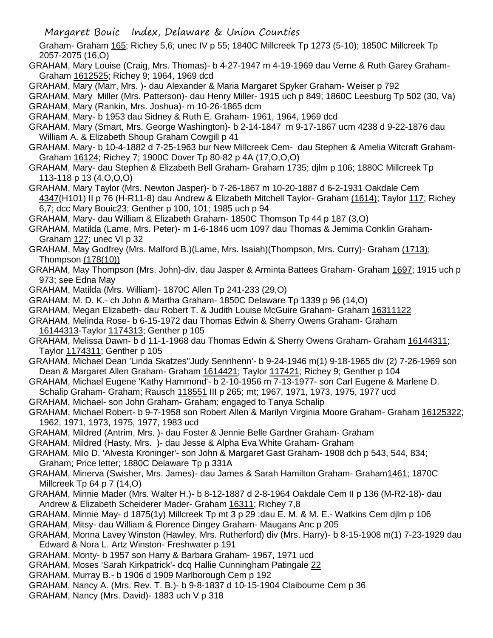Graham- Graham 165; Richey 5,6; unec IV p 55; 1840C Millcreek Tp 1273 (5-10); 1850C Millcreek Tp 2057-2075 (16,O)

- GRAHAM, Mary Louise (Craig, Mrs. Thomas)- b 4-27-1947 m 4-19-1969 dau Verne & Ruth Garey Graham-Graham 1612525; Richey 9; 1964, 1969 dcd
- GRAHAM, Mary (Marr, Mrs. )- dau Alexander & Maria Margaret Spyker Graham- Weiser p 792

GRAHAM, Mary Miller (Mrs. Patterson)- dau Henry Miller- 1915 uch p 849; 1860C Leesburg Tp 502 (30, Va) GRAHAM, Mary (Rankin, Mrs. Joshua)- m 10-26-1865 dcm

GRAHAM, Mary- b 1953 dau Sidney & Ruth E. Graham- 1961, 1964, 1969 dcd

GRAHAM, Mary (Smart, Mrs. George Washington)- b 2-14-1847 m 9-17-1867 ucm 4238 d 9-22-1876 dau William A. & Elizabeth Shoup Graham Cowgill p 41

GRAHAM, Mary- b 10-4-1882 d 7-25-1963 bur New Millcreek Cem- dau Stephen & Amelia Witcraft Graham-Graham 16124; Richey 7; 1900C Dover Tp 80-82 p 4A (17,O,O,O)

GRAHAM, Mary- dau Stephen & Elizabeth Bell Graham- Graham 1735; djlm p 106; 1880C Millcreek Tp 113-118 p 13 (4,O,O,O)

GRAHAM, Mary Taylor (Mrs. Newton Jasper)- b 7-26-1867 m 10-20-1887 d 6-2-1931 Oakdale Cem 4347(H101) II p 76 (H-R11-8) dau Andrew & Elizabeth Mitchell Taylor- Graham (1614); Taylor 117; Richey 6,7; dcc Mary Bouic23; Genther p 100, 101; 1985 uch p 94

GRAHAM, Mary- dau William & Elizabeth Graham- 1850C Thomson Tp 44 p 187 (3,O)

- GRAHAM, Matilda (Lame, Mrs. Peter)- m 1-6-1846 ucm 1097 dau Thomas & Jemima Conklin Graham-Graham 127; unec VI p 32
- GRAHAM, May Godfrey (Mrs. Malford B.)(Lame, Mrs. Isaiah)(Thompson, Mrs. Curry)- Graham (1713); Thompson (178(10))
- GRAHAM, May Thompson (Mrs. John)-div. dau Jasper & Arminta Battees Graham- Graham 1697; 1915 uch p 973; see Edna May
- GRAHAM, Matilda (Mrs. William)- 1870C Allen Tp 241-233 (29,O)
- GRAHAM, M. D. K.- ch John & Martha Graham- 1850C Delaware Tp 1339 p 96 (14,O)
- GRAHAM, Megan Elizabeth- dau Robert T. & Judith Louise McGuire Graham- Graham 16311122
- GRAHAM, Melinda Rose- b 6-15-1972 dau Thomas Edwin & Sherry Owens Graham- Graham 16144313-Taylor 1174313; Genther p 105
- GRAHAM, Melissa Dawn- b d 11-1-1968 dau Thomas Edwin & Sherry Owens Graham- Graham 16144311; Taylor 1174311; Genther p 105
- GRAHAM, Michael Dean 'Linda Skatzes''Judy Sennhenn'- b 9-24-1946 m(1) 9-18-1965 div (2) 7-26-1969 son Dean & Margaret Allen Graham- Graham 1614421; Taylor 117421; Richey 9; Genther p 104
- GRAHAM, Michael Eugene 'Kathy Hammond'- b 2-10-1956 m 7-13-1977- son Carl Eugene & Marlene D.
- Schalip Graham- Graham; Rausch 118551 III p 265; mt; 1967, 1971, 1973, 1975, 1977 ucd
- GRAHAM, Michael- son John Graham- Graham; engaged to Tanya Schalip

GRAHAM, Michael Robert- b 9-7-1958 son Robert Allen & Marilyn Virginia Moore Graham- Graham 16125322; 1962, 1971, 1973, 1975, 1977, 1983 ucd

- GRAHAM, Mildred (Antrim, Mrs. )- dau Foster & Jennie Belle Gardner Graham- Graham
- GRAHAM, Mildred (Hasty, Mrs. )- dau Jesse & Alpha Eva White Graham- Graham
- GRAHAM, Milo D. 'Alvesta Kroninger'- son John & Margaret Gast Graham- 1908 dch p 543, 544, 834; Graham: Price letter: 1880C Delaware Tp p 331A
- GRAHAM, Minerva (Swisher, Mrs. James)- dau James & Sarah Hamilton Graham- Graham1461; 1870C Millcreek Tp 64 p 7 (14,O)
- GRAHAM, Minnie Mader (Mrs. Walter H.)- b 8-12-1887 d 2-8-1964 Oakdale Cem II p 136 (M-R2-18)- dau Andrew & Elizabeth Scheiderer Mader- Graham 16311; Richey 7,8
- GRAHAM, Minnie May- d 1875(1y) Millcreek Tp mt 3 p 29 ;dau E. M. & M. E.- Watkins Cem djlm p 106
- GRAHAM, Mitsy- dau William & Florence Dingey Graham- Maugans Anc p 205
- GRAHAM, Monna Lavey Winston (Hawley, Mrs. Rutherford) div (Mrs. Harry)- b 8-15-1908 m(1) 7-23-1929 dau Edward & Nora L. Artz Winston- Freshwater p 191
- GRAHAM, Monty- b 1957 son Harry & Barbara Graham- 1967, 1971 ucd
- GRAHAM, Moses 'Sarah Kirkpatrick'- dcq Hallie Cunningham Patingale 22
- GRAHAM, Murray B.- b 1906 d 1909 Marlborough Cem p 192
- GRAHAM, Nancy A. (Mrs. Rev. T. B.)- b 9-8-1837 d 10-15-1904 Claibourne Cem p 36
- GRAHAM, Nancy (Mrs. David)- 1883 uch V p 318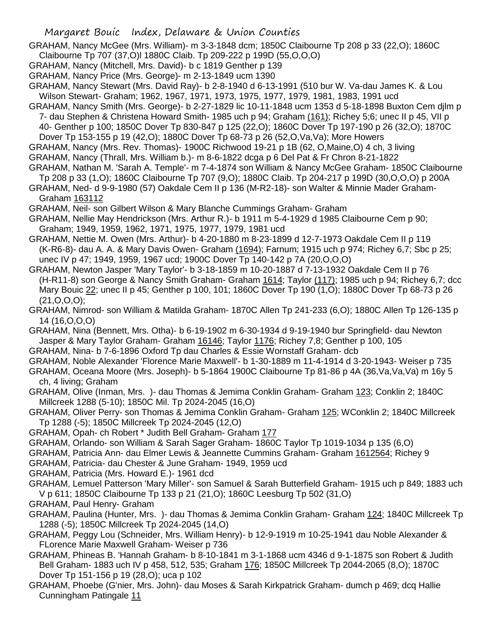GRAHAM, Nancy McGee (Mrs. William)- m 3-3-1848 dcm; 1850C Claibourne Tp 208 p 33 (22,O); 1860C Claibourne Tp 707 (37,O)l 1880C Claib. Tp 209-222 p 199D (55,O,O,O)

- GRAHAM, Nancy (Mitchell, Mrs. David)- b c 1819 Genther p 139
- GRAHAM, Nancy Price (Mrs. George)- m 2-13-1849 ucm 1390

GRAHAM, Nancy Stewart (Mrs. David Ray)- b 2-8-1940 d 6-13-1991 (510 bur W. Va-dau James K. & Lou Wilson Stewart- Graham; 1962, 1967, 1971, 1973, 1975, 1977, 1979, 1981, 1983, 1991 ucd

- GRAHAM, Nancy Smith (Mrs. George)- b 2-27-1829 lic 10-11-1848 ucm 1353 d 5-18-1898 Buxton Cem djlm p 7- dau Stephen & Christena Howard Smith- 1985 uch p 94; Graham (161); Richey 5;6; unec II p 45, VII p 40- Genther p 100; 1850C Dover Tp 830-847 p 125 (22,O); 1860C Dover Tp 197-190 p 26 (32,O); 1870C Dover Tp 153-155 p 19 (42,O); 1880C Dover Tp 68-73 p 26 (52,O,Va,Va); More Howers
- GRAHAM, Nancy (Mrs. Rev. Thomas)- 1900C Richwood 19-21 p 1B (62, O,Maine,O) 4 ch, 3 living
- GRAHAM, Nancy (Thrall, Mrs. William b.)- m 8-6-1822 dcga p 6 Del Pat & Fr Chron 8-21-1822
- GRAHAM, Nathan M. 'Sarah A. Temple'- m 7-4-1874 son William & Nancy McGee Graham- 1850C Claibourne
- Tp 208 p 33 (1,O); 1860C Claibourne Tp 707 (9,O); 1880C Claib. Tp 204-217 p 199D (30,O,O,O) p 200A
- GRAHAM, Ned- d 9-9-1980 (57) Oakdale Cem II p 136 (M-R2-18)- son Walter & Minnie Mader Graham-Graham 163112
- GRAHAM, Neil- son Gilbert Wilson & Mary Blanche Cummings Graham- Graham
- GRAHAM, Nellie May Hendrickson (Mrs. Arthur R.)- b 1911 m 5-4-1929 d 1985 Claibourne Cem p 90; Graham; 1949, 1959, 1962, 1971, 1975, 1977, 1979, 1981 ucd
- GRAHAM, Nettie M. Owen (Mrs. Arthur)- b 4-20-1880 m 8-23-1899 d 12-7-1973 Oakdale Cem II p 119 (K-R6-8)- dau A. A. & Mary Davis Owen- Graham (1694); Farnum; 1915 uch p 974; Richey 6,7; Sbc p 25; unec IV p 47; 1949, 1959, 1967 ucd; 1900C Dover Tp 140-142 p 7A (20,O,O,O)
- GRAHAM, Newton Jasper 'Mary Taylor'- b 3-18-1859 m 10-20-1887 d 7-13-1932 Oakdale Cem II p 76 (H-R11-8) son George & Nancy Smith Graham- Graham 1614; Taylor (117); 1985 uch p 94; Richey 6,7; dcc Mary Bouic 22; unec II p 45; Genther p 100, 101; 1860C Dover Tp 190 (1,O); 1880C Dover Tp 68-73 p 26 (21,O,O,O);
- GRAHAM, Nimrod- son William & Matilda Graham- 1870C Allen Tp 241-233 (6,O); 1880C Allen Tp 126-135 p 14 (16,O,O,O)
- GRAHAM, Nina (Bennett, Mrs. Otha)- b 6-19-1902 m 6-30-1934 d 9-19-1940 bur Springfield- dau Newton Jasper & Mary Taylor Graham- Graham 16146; Taylor 1176; Richey 7,8; Genther p 100, 105
- GRAHAM, Nina- b 7-6-1896 Oxford Tp dau Charles & Essie Wornstaff Graham- dcb
- GRAHAM, Noble Alexander 'Florence Marie Maxwell'- b 1-30-1889 m 11-4-1914 d 3-20-1943- Weiser p 735
- GRAHAM, Oceana Moore (Mrs. Joseph)- b 5-1864 1900C Claibourne Tp 81-86 p 4A (36,Va,Va,Va) m 16y 5 ch, 4 living; Graham
- GRAHAM, Olive (Inman, Mrs. )- dau Thomas & Jemima Conklin Graham- Graham 123; Conklin 2; 1840C Millcreek 1288 (5-10); 1850C Mil. Tp 2024-2045 (16,O)
- GRAHAM, Oliver Perry- son Thomas & Jemima Conklin Graham- Graham 125; WConklin 2; 1840C Millcreek Tp 1288 (-5); 1850C Millcreek Tp 2024-2045 (12,O)
- GRAHAM, Opah- ch Robert \* Judith Bell Graham- Graham 177
- GRAHAM, Orlando- son William & Sarah Sager Graham- 1860C Taylor Tp 1019-1034 p 135 (6,O)
- GRAHAM, Patricia Ann- dau Elmer Lewis & Jeannette Cummins Graham- Graham 1612564; Richey 9
- GRAHAM, Patricia- dau Chester & June Graham- 1949, 1959 ucd
- GRAHAM, Patricia (Mrs. Howard E.)- 1961 dcd
- GRAHAM, Lemuel Patterson 'Mary Miller'- son Samuel & Sarah Butterfield Graham- 1915 uch p 849; 1883 uch V p 611; 1850C Claibourne Tp 133 p 21 (21,O); 1860C Leesburg Tp 502 (31,O)
- GRAHAM, Paul Henry- Graham
- GRAHAM, Paulina (Hunter, Mrs. )- dau Thomas & Jemima Conklin Graham- Graham 124; 1840C Millcreek Tp 1288 (-5); 1850C Millcreek Tp 2024-2045 (14,O)
- GRAHAM, Peggy Lou (Schneider, Mrs. William Henry)- b 12-9-1919 m 10-25-1941 dau Noble Alexander & FLorence Marie Maxwell Graham- Weiser p 736
- GRAHAM, Phineas B. 'Hannah Graham- b 8-10-1841 m 3-1-1868 ucm 4346 d 9-1-1875 son Robert & Judith Bell Graham- 1883 uch IV p 458, 512, 535; Graham 176; 1850C Millcreek Tp 2044-2065 (8,O); 1870C Dover Tp 151-156 p 19 (28,O); uca p 102
- GRAHAM, Phoebe (G'nier, Mrs. John)- dau Moses & Sarah Kirkpatrick Graham- dumch p 469; dcq Hallie Cunningham Patingale 11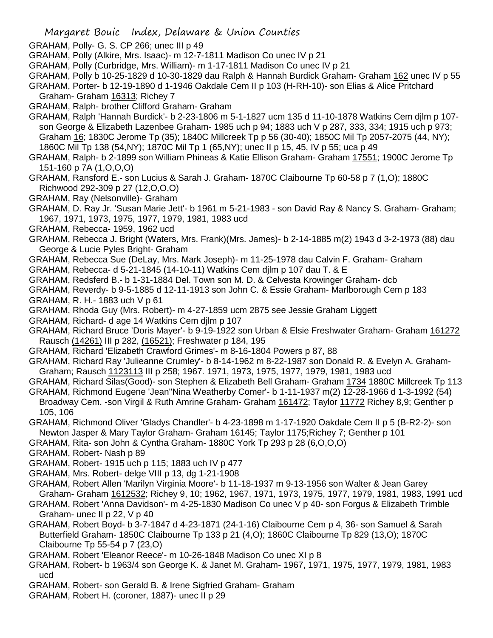- GRAHAM, Polly- G. S. CP 266; unec III p 49
- GRAHAM, Polly (Alkire, Mrs. Isaac)- m 12-7-1811 Madison Co unec IV p 21
- GRAHAM, Polly (Curbridge, Mrs. William)- m 1-17-1811 Madison Co unec IV p 21
- GRAHAM, Polly b 10-25-1829 d 10-30-1829 dau Ralph & Hannah Burdick Graham- Graham 162 unec IV p 55

GRAHAM, Porter- b 12-19-1890 d 1-1946 Oakdale Cem II p 103 (H-RH-10)- son Elias & Alice Pritchard Graham- Graham 16313; Richey 7

GRAHAM, Ralph- brother Clifford Graham- Graham

GRAHAM, Ralph 'Hannah Burdick'- b 2-23-1806 m 5-1-1827 ucm 135 d 11-10-1878 Watkins Cem djlm p 107 son George & Elizabeth Lazenbee Graham- 1985 uch p 94; 1883 uch V p 287, 333, 334; 1915 uch p 973; Graham 16; 1830C Jerome Tp (35); 1840C Millcreek Tp p 56 (30-40); 1850C Mil Tp 2057-2075 (44, NY); 1860C Mil Tp 138 (54,NY); 1870C Mil Tp 1 (65,NY); unec II p 15, 45, IV p 55; uca p 49

GRAHAM, Ralph- b 2-1899 son William Phineas & Katie Ellison Graham- Graham 17551; 1900C Jerome Tp 151-160 p 7A (1,O,O,O)

- GRAHAM, Ransford E.- son Lucius & Sarah J. Graham- 1870C Claibourne Tp 60-58 p 7 (1,O); 1880C Richwood 292-309 p 27 (12,O,O,O)
- GRAHAM, Ray (Nelsonville)- Graham

GRAHAM, D. Ray Jr. 'Susan Marie Jett'- b 1961 m 5-21-1983 - son David Ray & Nancy S. Graham- Graham; 1967, 1971, 1973, 1975, 1977, 1979, 1981, 1983 ucd

- GRAHAM, Rebecca- 1959, 1962 ucd
- GRAHAM, Rebecca J. Bright (Waters, Mrs. Frank)(Mrs. James)- b 2-14-1885 m(2) 1943 d 3-2-1973 (88) dau George & Lucie Pyles Bright- Graham
- GRAHAM, Rebecca Sue (DeLay, Mrs. Mark Joseph)- m 11-25-1978 dau Calvin F. Graham- Graham
- GRAHAM, Rebecca- d 5-21-1845 (14-10-11) Watkins Cem djlm p 107 dau T. & E
- GRAHAM, Redsferd B.- b 1-31-1884 Del. Town son M. D. & Celvesta Krowinger Graham- dcb
- GRAHAM, Reverdy- b 9-5-1885 d 12-11-1913 son John C. & Essie Graham- Marlborough Cem p 183
- GRAHAM, R. H.- 1883 uch V p 61
- GRAHAM, Rhoda Guy (Mrs. Robert)- m 4-27-1859 ucm 2875 see Jessie Graham Liggett
- GRAHAM, Richard- d age 14 Watkins Cem djlm p 107
- GRAHAM, Richard Bruce 'Doris Mayer'- b 9-19-1922 son Urban & Elsie Freshwater Graham- Graham 161272 Rausch (14261) III p 282, (16521); Freshwater p 184, 195
- GRAHAM, Richard 'Elizabeth Crawford Grimes'- m 8-16-1804 Powers p 87, 88
- GRAHAM, Richard Ray 'Julieanne Crumley'- b 8-14-1962 m 8-22-1987 son Donald R. & Evelyn A. Graham-Graham; Rausch 1123113 III p 258; 1967. 1971, 1973, 1975, 1977, 1979, 1981, 1983 ucd
- GRAHAM, Richard Silas(Good)- son Stephen & Elizabeth Bell Graham- Graham 1734 1880C Millcreek Tp 113
- GRAHAM, Richmond Eugene 'Jean''Nina Weatherby Comer'- b 1-11-1937 m(2) 12-28-1966 d 1-3-1992 (54) Broadway Cem. -son Virgil & Ruth Amrine Graham- Graham 161472; Taylor 11772 Richey 8,9; Genther p 105, 106
- GRAHAM, Richmond Oliver 'Gladys Chandler'- b 4-23-1898 m 1-17-1920 Oakdale Cem II p 5 (B-R2-2)- son Newton Jasper & Mary Taylor Graham- Graham 16145; Taylor 1175;Richey 7; Genther p 101
- GRAHAM, Rita- son John & Cyntha Graham- 1880C York Tp 293 p 28 (6,O,O,O)
- GRAHAM, Robert- Nash p 89
- GRAHAM, Robert- 1915 uch p 115; 1883 uch IV p 477
- GRAHAM, Mrs. Robert- delge VIII p 13, dg 1-21-1908
- GRAHAM, Robert Allen 'Marilyn Virginia Moore'- b 11-18-1937 m 9-13-1956 son Walter & Jean Garey Graham- Graham 1612532; Richey 9, 10; 1962, 1967, 1971, 1973, 1975, 1977, 1979, 1981, 1983, 1991 ucd
- GRAHAM, Robert 'Anna Davidson'- m 4-25-1830 Madison Co unec V p 40- son Forgus & Elizabeth Trimble Graham- unec II p 22, V p 40
- GRAHAM, Robert Boyd- b 3-7-1847 d 4-23-1871 (24-1-16) Claibourne Cem p 4, 36- son Samuel & Sarah Butterfield Graham- 1850C Claibourne Tp 133 p 21 (4,O); 1860C Claibourne Tp 829 (13,O); 1870C Claibourne Tp 55-54 p 7 (23,O)
- GRAHAM, Robert 'Eleanor Reece'- m 10-26-1848 Madison Co unec XI p 8
- GRAHAM, Robert- b 1963/4 son George K. & Janet M. Graham- 1967, 1971, 1975, 1977, 1979, 1981, 1983 ucd
- GRAHAM, Robert- son Gerald B. & Irene Sigfried Graham- Graham
- GRAHAM, Robert H. (coroner, 1887)- unec II p 29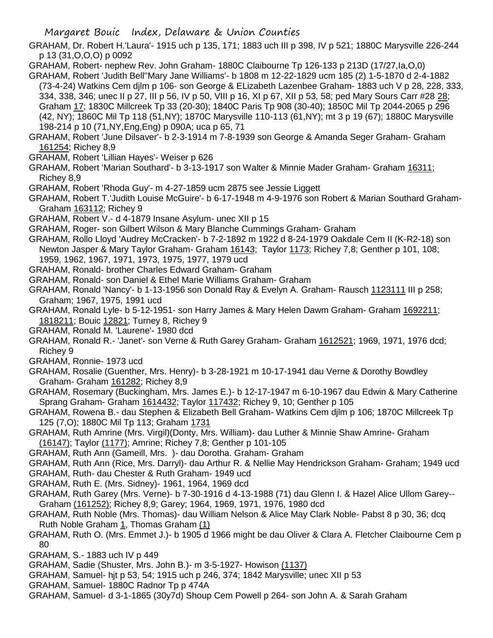GRAHAM, Dr. Robert H.'Laura'- 1915 uch p 135, 171; 1883 uch III p 398, IV p 521; 1880C Marysville 226-244 p 13 (31,O,O,O) p 0092

GRAHAM, Robert- nephew Rev. John Graham- 1880C Claibourne Tp 126-133 p 213D (17/27,Ia,O,0)

GRAHAM, Robert 'Judith Bell''Mary Jane Williams'- b 1808 m 12-22-1829 ucm 185 (2) 1-5-1870 d 2-4-1882 (73-4-24) Watkins Cem djlm p 106- son George & ELizabeth Lazenbee Graham- 1883 uch V p 28, 228, 333, 334, 338, 346; unec II p 27, III p 56, IV p 50, VIII p 16, XI p 67, XII p 53, 58; ped Mary Sours Carr #28 28; Graham 17; 1830C Millcreek Tp 33 (20-30); 1840C Paris Tp 908 (30-40); 1850C Mil Tp 2044-2065 p 296 (42, NY); 1860C Mil Tp 118 (51,NY); 1870C Marysville 110-113 (61,NY); mt 3 p 19 (67); 1880C Marysville 198-214 p 10 (71,NY,Eng,Eng) p 090A; uca p 65, 71

- GRAHAM, Robert 'June Dilsaver'- b 2-3-1914 m 7-8-1939 son George & Amanda Seger Graham- Graham 161254; Richey 8,9
- GRAHAM, Robert 'Lillian Hayes'- Weiser p 626
- GRAHAM, Robert 'Marian Southard'- b 3-13-1917 son Walter & Minnie Mader Graham- Graham 16311; Richey 8,9
- GRAHAM, Robert 'Rhoda Guy'- m 4-27-1859 ucm 2875 see Jessie Liggett
- GRAHAM, Robert T.'Judith Louise McGuire'- b 6-17-1948 m 4-9-1976 son Robert & Marian Southard Graham-Graham 163112; Richey 9
- GRAHAM, Robert V.- d 4-1879 Insane Asylum- unec XII p 15
- GRAHAM, Roger- son Gilbert Wilson & Mary Blanche Cummings Graham- Graham
- GRAHAM, Rollo Lloyd 'Audrey McCracken'- b 7-2-1892 m 1922 d 8-24-1979 Oakdale Cem II (K-R2-18) son Newton Jasper & Mary Taylor Graham- Graham 16143; Taylor 1173; Richey 7,8; Genther p 101, 108; 1959, 1962, 1967, 1971, 1973, 1975, 1977, 1979 ucd
- GRAHAM, Ronald- brother Charles Edward Graham- Graham
- GRAHAM, Ronald- son Daniel & Ethel Marie Williams Graham- Graham
- GRAHAM, Ronald 'Nancy'- b 1-13-1956 son Donald Ray & Evelyn A. Graham- Rausch 1123111 III p 258; Graham; 1967, 1975, 1991 ucd
- GRAHAM, Ronald Lyle- b 5-12-1951- son Harry James & Mary Helen Dawm Graham- Graham 1692211; 1818211; Bouic 12821; Turney 8, Richey 9
- GRAHAM, Ronald M. 'Laurene'- 1980 dcd
- GRAHAM, Ronald R.- 'Janet'- son Verne & Ruth Garey Graham- Graham 1612521; 1969, 1971, 1976 dcd; Richey 9
- GRAHAM, Ronnie- 1973 ucd
- GRAHAM, Rosalie (Guenther, Mrs. Henry)- b 3-28-1921 m 10-17-1941 dau Verne & Dorothy Bowdley Graham- Graham 161282; Richey 8,9
- GRAHAM, Rosemary (Buckingham, Mrs. James E.)- b 12-17-1947 m 6-10-1967 dau Edwin & Mary Catherine Sprang Graham- Graham 1614432; Taylor 117432; Richey 9, 10; Genther p 105
- GRAHAM, Rowena B.- dau Stephen & Elizabeth Bell Graham- Watkins Cem djlm p 106; 1870C Millcreek Tp 125 (7,O); 1880C Mil Tp 113; Graham 1731
- GRAHAM, Ruth Amrine (Mrs. Virgil)(Donty, Mrs. William)- dau Luther & Minnie Shaw Amrine- Graham (16147); Taylor (1177); Amrine; Richey 7,8; Genther p 101-105
- GRAHAM, Ruth Ann (Gameill, Mrs. )- dau Dorotha. Graham- Graham
- GRAHAM, Ruth Ann (Rice, Mrs. Darryl)- dau Arthur R. & Nellie May Hendrickson Graham- Graham; 1949 ucd
- GRAHAM, Ruth- dau Chester & Ruth Graham- 1949 ucd
- GRAHAM, Ruth E. (Mrs. Sidney)- 1961, 1964, 1969 dcd
- GRAHAM, Ruth Garey (Mrs. Verne)- b 7-30-1916 d 4-13-1988 (71) dau Glenn I. & Hazel Alice Ullom Garey-- Graham (161252); Richey 8,9; Garey; 1964, 1969, 1971, 1976, 1980 dcd
- GRAHAM, Ruth Noble (Mrs. Thomas)- dau William Nelson & Alice May Clark Noble- Pabst 8 p 30, 36; dcq Ruth Noble Graham 1, Thomas Graham (1)
- GRAHAM, Ruth O. (Mrs. Emmet J.)- b 1905 d 1966 might be dau Oliver & Clara A. Fletcher Claibourne Cem p 80
- GRAHAM, S.- 1883 uch IV p 449
- GRAHAM, Sadie (Shuster, Mrs. John B.)- m 3-5-1927- Howison (1137)
- GRAHAM, Samuel- hjt p 53, 54; 1915 uch p 246, 374; 1842 Marysville; unec XII p 53
- GRAHAM, Samuel- 1880C Radnor Tp p 474A
- GRAHAM, Samuel- d 3-1-1865 (30y7d) Shoup Cem Powell p 264- son John A. & Sarah Graham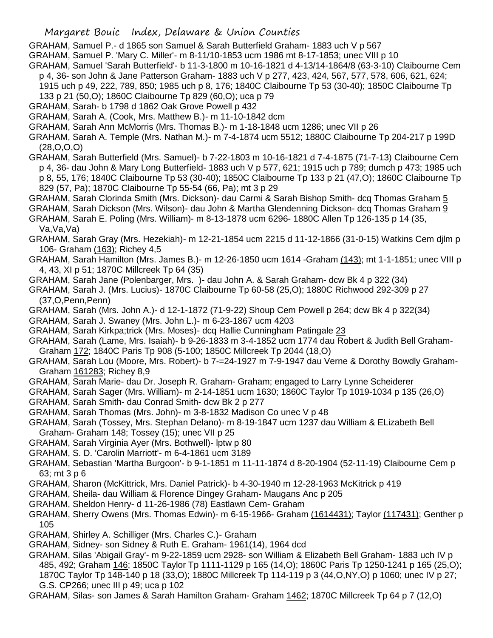## Margaret Bouic Index, Delaware & Union Counties

GRAHAM, Samuel P.- d 1865 son Samuel & Sarah Butterfield Graham- 1883 uch V p 567

GRAHAM, Samuel P. 'Mary C. Miller'- m 8-11/10-1853 ucm 1986 mt 8-17-1853; unec VIII p 10

- GRAHAM, Samuel 'Sarah Butterfield'- b 11-3-1800 m 10-16-1821 d 4-13/14-1864/8 (63-3-10) Claibourne Cem p 4, 36- son John & Jane Patterson Graham- 1883 uch V p 277, 423, 424, 567, 577, 578, 606, 621, 624;
- 1915 uch p 49, 222, 789, 850; 1985 uch p 8, 176; 1840C Claibourne Tp 53 (30-40); 1850C Claibourne Tp 133 p 21 (50,O); 1860C Claibourne Tp 829 (60,O); uca p 79
- GRAHAM, Sarah- b 1798 d 1862 Oak Grove Powell p 432
- GRAHAM, Sarah A. (Cook, Mrs. Matthew B.)- m 11-10-1842 dcm
- GRAHAM, Sarah Ann McMorris (Mrs. Thomas B.)- m 1-18-1848 ucm 1286; unec VII p 26
- GRAHAM, Sarah A. Temple (Mrs. Nathan M.)- m 7-4-1874 ucm 5512; 1880C Claibourne Tp 204-217 p 199D (28,O,O,O)
- GRAHAM, Sarah Butterfield (Mrs. Samuel)- b 7-22-1803 m 10-16-1821 d 7-4-1875 (71-7-13) Claibourne Cem p 4, 36- dau John & Mary Long Butterfield- 1883 uch V p 577, 621; 1915 uch p 789; dumch p 473; 1985 uch p 8, 55, 176; 1840C Claibourne Tp 53 (30-40); 1850C Claibourne Tp 133 p 21 (47,O); 1860C Claibourne Tp
	- 829 (57, Pa); 1870C Claibourne Tp 55-54 (66, Pa); mt 3 p 29
- GRAHAM, Sarah Clorinda Smith (Mrs. Dickson)- dau Carmi & Sarah Bishop Smith- dcq Thomas Graham 5
- GRAHAM, Sarah Dickson (Mrs. Wilson)- dau John & Martha Glendenning Dickson- dcq Thomas Graham 9
- GRAHAM, Sarah E. Poling (Mrs. William)- m 8-13-1878 ucm 6296- 1880C Allen Tp 126-135 p 14 (35, Va,Va,Va)
- GRAHAM, Sarah Gray (Mrs. Hezekiah)- m 12-21-1854 ucm 2215 d 11-12-1866 (31-0-15) Watkins Cem djlm p 106- Graham (163); Richey 4,5
- GRAHAM, Sarah Hamilton (Mrs. James B.)- m 12-26-1850 ucm 1614 -Graham (143); mt 1-1-1851; unec VIII p 4, 43, XI p 51; 1870C Millcreek Tp 64 (35)
- GRAHAM, Sarah Jane (Polenbarger, Mrs. )- dau John A. & Sarah Graham- dcw Bk 4 p 322 (34)
- GRAHAM, Sarah J. (Mrs. Lucius)- 1870C Claibourne Tp 60-58 (25,O); 1880C Richwood 292-309 p 27 (37,O,Penn,Penn)
- GRAHAM, Sarah (Mrs. John A.)- d 12-1-1872 (71-9-22) Shoup Cem Powell p 264; dcw Bk 4 p 322(34)
- GRAHAM, Sarah J. Swaney (Mrs. John L.)- m 6-23-1867 ucm 4203
- GRAHAM, Sarah Kirkpa;trick (Mrs. Moses)- dcq Hallie Cunningham Patingale 23
- GRAHAM, Sarah (Lame, Mrs. Isaiah)- b 9-26-1833 m 3-4-1852 ucm 1774 dau Robert & Judith Bell Graham-Graham 172; 1840C Paris Tp 908 (5-100; 1850C Millcreek Tp 2044 (18,O)
- GRAHAM, Sarah Lou (Moore, Mrs. Robert)- b 7-=24-1927 m 7-9-1947 dau Verne & Dorothy Bowdly Graham-Graham 161283; Richey 8,9
- GRAHAM, Sarah Marie- dau Dr. Joseph R. Graham- Graham; engaged to Larry Lynne Scheiderer
- GRAHAM, Sarah Sager (Mrs. William)- m 2-14-1851 ucm 1630; 1860C Taylor Tp 1019-1034 p 135 (26,O)
- GRAHAM, Sarah Smith- dau Conrad Smith- dcw Bk 2 p 277
- GRAHAM, Sarah Thomas (Mrs. John)- m 3-8-1832 Madison Co unec V p 48
- GRAHAM, Sarah (Tossey, Mrs. Stephan Delano)- m 8-19-1847 ucm 1237 dau William & ELizabeth Bell
- Graham- Graham 148; Tossey (15); unec VII p 25
- GRAHAM, Sarah Virginia Ayer (Mrs. Bothwell)- lptw p 80
- GRAHAM, S. D. 'Carolin Marriott'- m 6-4-1861 ucm 3189
- GRAHAM, Sebastian 'Martha Burgoon'- b 9-1-1851 m 11-11-1874 d 8-20-1904 (52-11-19) Claibourne Cem p 63; mt 3 p 6
- GRAHAM, Sharon (McKittrick, Mrs. Daniel Patrick)- b 4-30-1940 m 12-28-1963 McKitrick p 419
- GRAHAM, Sheila- dau William & Florence Dingey Graham- Maugans Anc p 205
- GRAHAM, Sheldon Henry- d 11-26-1986 (78) Eastlawn Cem- Graham
- GRAHAM, Sherry Owens (Mrs. Thomas Edwin)- m 6-15-1966- Graham (1614431); Taylor (117431); Genther p 105
- GRAHAM, Shirley A. Schilliger (Mrs. Charles C.)- Graham
- GRAHAM, Sidney- son Sidney & Ruth E. Graham- 1961(14), 1964 dcd
- GRAHAM, Silas 'Abigail Gray'- m 9-22-1859 ucm 2928- son William & Elizabeth Bell Graham- 1883 uch IV p 485, 492; Graham 146; 1850C Taylor Tp 1111-1129 p 165 (14,O); 1860C Paris Tp 1250-1241 p 165 (25,O); 1870C Taylor Tp 148-140 p 18 (33,O); 1880C Millcreek Tp 114-119 p 3 (44,O,NY,O) p 1060; unec IV p 27; G.S. CP266; unec III p 49; uca p 102
- GRAHAM, Silas- son James & Sarah Hamilton Graham- Graham 1462; 1870C Millcreek Tp 64 p 7 (12,O)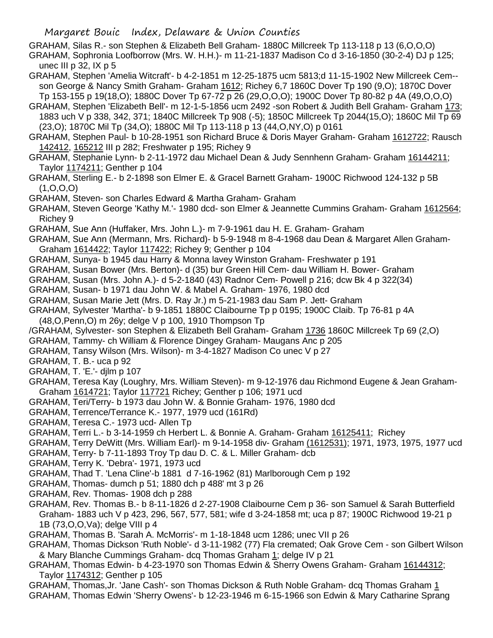GRAHAM, Silas R.- son Stephen & Elizabeth Bell Graham- 1880C Millcreek Tp 113-118 p 13 (6,O,O,O) GRAHAM, Sophronia Loofborrow (Mrs. W. H.H.)- m 11-21-1837 Madison Co d 3-16-1850 (30-2-4) DJ p 125; unec III p  $32$ , IX p  $5$ 

- GRAHAM, Stephen 'Amelia Witcraft'- b 4-2-1851 m 12-25-1875 ucm 5813;d 11-15-1902 New Millcreek Cem- son George & Nancy Smith Graham- Graham 1612; Richey 6,7 1860C Dover Tp 190 (9,O); 1870C Dover Tp 153-155 p 19(18,O); 1880C Dover Tp 67-72 p 26 (29,O,O,O); 1900C Dover Tp 80-82 p 4A (49,O,O,O)
- GRAHAM, Stephen 'Elizabeth Bell'- m 12-1-5-1856 ucm 2492 -son Robert & Judith Bell Graham- Graham 173; 1883 uch V p 338, 342, 371; 1840C Millcreek Tp 908 (-5); 1850C Millcreek Tp 2044(15,O); 1860C Mil Tp 69 (23,O); 1870C Mil Tp (34,O); 1880C Mil Tp 113-118 p 13 (44,O,NY,O) p 0161
- GRAHAM, Stephen Paul- b 10-28-1951 son Richard Bruce & Doris Mayer Graham- Graham 1612722; Rausch 142412, 165212 III p 282; Freshwater p 195; Richey 9
- GRAHAM, Stephanie Lynn- b 2-11-1972 dau Michael Dean & Judy Sennhenn Graham- Graham 16144211; Taylor 1174211; Genther p 104
- GRAHAM, Sterling E.- b 2-1898 son Elmer E. & Gracel Barnett Graham- 1900C Richwood 124-132 p 5B  $(1, 0, 0, 0)$
- GRAHAM, Steven- son Charles Edward & Martha Graham- Graham
- GRAHAM, Steven George 'Kathy M.'- 1980 dcd- son Elmer & Jeannette Cummins Graham- Graham 1612564; Richey 9
- GRAHAM, Sue Ann (Huffaker, Mrs. John L.)- m 7-9-1961 dau H. E. Graham- Graham
- GRAHAM, Sue Ann (Mermann, Mrs. Richard)- b 5-9-1948 m 8-4-1968 dau Dean & Margaret Allen Graham-Graham 1614422; Taylor 117422; Richey 9; Genther p 104
- GRAHAM, Sunya- b 1945 dau Harry & Monna lavey Winston Graham- Freshwater p 191
- GRAHAM, Susan Bower (Mrs. Berton)- d (35) bur Green Hill Cem- dau William H. Bower- Graham
- GRAHAM, Susan (Mrs. John A.)- d 5-2-1840 (43) Radnor Cem- Powell p 216; dcw Bk 4 p 322(34)
- GRAHAM, Susan- b 1971 dau John W. & Mabel A. Graham- 1976, 1980 dcd
- GRAHAM, Susan Marie Jett (Mrs. D. Ray Jr.) m 5-21-1983 dau Sam P. Jett- Graham
- GRAHAM, Sylvester 'Martha'- b 9-1851 1880C Claibourne Tp p 0195; 1900C Claib. Tp 76-81 p 4A
- (48,O,Penn,O) m 26y; delge V p 100, 1910 Thompson Tp
- /GRAHAM, Sylvester- son Stephen & Elizabeth Bell Graham- Graham 1736 1860C Millcreek Tp 69 (2,O)
- GRAHAM, Tammy- ch William & Florence Dingey Graham- Maugans Anc p 205
- GRAHAM, Tansy Wilson (Mrs. Wilson)- m 3-4-1827 Madison Co unec V p 27

GRAHAM, T. B.- uca p 92

GRAHAM, T. 'E.'- djlm p 107

- GRAHAM, Teresa Kay (Loughry, Mrs. William Steven)- m 9-12-1976 dau Richmond Eugene & Jean Graham-Graham 1614721; Taylor 117721 Richey; Genther p 106; 1971 ucd
- GRAHAM, Teri/Terry- b 1973 dau John W. & Bonnie Graham- 1976, 1980 dcd
- GRAHAM, Terrence/Terrance K.- 1977, 1979 ucd (161Rd)
- GRAHAM, Teresa C.- 1973 ucd- Allen Tp
- GRAHAM, Terri L.- b 3-14-1959 ch Herbert L. & Bonnie A. Graham- Graham 16125411; Richey
- GRAHAM, Terry DeWitt (Mrs. William Earl)- m 9-14-1958 div- Graham (1612531); 1971, 1973, 1975, 1977 ucd
- GRAHAM, Terry- b 7-11-1893 Troy Tp dau D. C. & L. Miller Graham- dcb
- GRAHAM, Terry K. 'Debra'- 1971, 1973 ucd
- GRAHAM, Thad T. 'Lena Cline'-b 1881 d 7-16-1962 (81) Marlborough Cem p 192
- GRAHAM, Thomas- dumch p 51; 1880 dch p 488' mt 3 p 26
- GRAHAM, Rev. Thomas- 1908 dch p 288
- GRAHAM, Rev. Thomas B.- b 8-11-1826 d 2-27-1908 Claibourne Cem p 36- son Samuel & Sarah Butterfield Graham- 1883 uch V p 423, 296, 567, 577, 581; wife d 3-24-1858 mt; uca p 87; 1900C Richwood 19-21 p 1B (73,O,O,Va); delge VIII p 4
- GRAHAM, Thomas B. 'Sarah A. McMorris'- m 1-18-1848 ucm 1286; unec VII p 26
- GRAHAM, Thomas Dickson 'Ruth Noble'- d 3-11-1982 (77) Fla cremated; Oak Grove Cem son Gilbert Wilson & Mary Blanche Cummings Graham- dcq Thomas Graham 1; delge IV p 21
- GRAHAM, Thomas Edwin- b 4-23-1970 son Thomas Edwin & Sherry Owens Graham- Graham 16144312; Taylor 1174312; Genther p 105
- GRAHAM, Thomas,Jr. 'Jane Cash'- son Thomas Dickson & Ruth Noble Graham- dcq Thomas Graham 1 GRAHAM, Thomas Edwin 'Sherry Owens'- b 12-23-1946 m 6-15-1966 son Edwin & Mary Catharine Sprang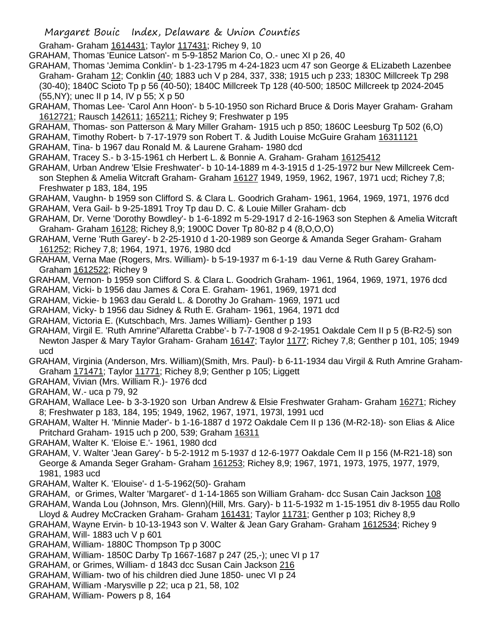## Margaret Bouic Index, Delaware & Union Counties

Graham- Graham 1614431; Taylor 117431; Richey 9, 10

GRAHAM, Thomas 'Eunice Latson'- m 5-9-1852 Marion Co, O.- unec XI p 26, 40

- GRAHAM, Thomas 'Jemima Conklin'- b 1-23-1795 m 4-24-1823 ucm 47 son George & ELizabeth Lazenbee Graham- Graham 12; Conklin (40; 1883 uch V p 284, 337, 338; 1915 uch p 233; 1830C Millcreek Tp 298 (30-40); 1840C Scioto Tp p 56 (40-50); 1840C Millcreek Tp 128 (40-500; 1850C Millcreek tp 2024-2045
- (55,NY); unec II p 14, IV p 55; X p 50
- GRAHAM, Thomas Lee- 'Carol Ann Hoon'- b 5-10-1950 son Richard Bruce & Doris Mayer Graham- Graham 1612721; Rausch 142611; 165211; Richey 9; Freshwater p 195
- GRAHAM, Thomas- son Patterson & Mary Miller Graham- 1915 uch p 850; 1860C Leesburg Tp 502 (6,O)
- GRAHAM, Timothy Robert- b 7-17-1979 son Robert T. & Judith Louise McGuire Graham 16311121
- GRAHAM, Tina- b 1967 dau Ronald M. & Laurene Graham- 1980 dcd
- GRAHAM, Tracey S.- b 3-15-1961 ch Herbert L. & Bonnie A. Graham- Graham 16125412
- GRAHAM, Urban Andrew 'Elsie Freshwater'- b 10-14-1889 m 4-3-1915 d 1-25-1972 bur New Millcreek Cemson Stephen & Amelia Witcraft Graham- Graham 16127 1949, 1959, 1962, 1967, 1971 ucd; Richey 7,8; Freshwater p 183, 184, 195
- GRAHAM, Vaughn- b 1959 son Clifford S. & Clara L. Goodrich Graham- 1961, 1964, 1969, 1971, 1976 dcd GRAHAM, Vera Gail- b 9-25-1891 Troy Tp dau D. C. & Louie Miller Graham- dcb
- GRAHAM, Dr. Verne 'Dorothy Bowdley'- b 1-6-1892 m 5-29-1917 d 2-16-1963 son Stephen & Amelia Witcraft Graham- Graham 16128; Richey 8,9; 1900C Dover Tp 80-82 p 4 (8,O,O,O)
- GRAHAM, Verne 'Ruth Garey'- b 2-25-1910 d 1-20-1989 son George & Amanda Seger Graham- Graham 161252; Richey 7,8; 1964, 1971, 1976, 1980 dcd
- GRAHAM, Verna Mae (Rogers, Mrs. William)- b 5-19-1937 m 6-1-19 dau Verne & Ruth Garey Graham-Graham 1612522; Richey 9
- GRAHAM, Vernon- b 1959 son Clifford S. & Clara L. Goodrich Graham- 1961, 1964, 1969, 1971, 1976 dcd
- GRAHAM, Vicki- b 1956 dau James & Cora E. Graham- 1961, 1969, 1971 dcd
- GRAHAM, Vickie- b 1963 dau Gerald L. & Dorothy Jo Graham- 1969, 1971 ucd
- GRAHAM, Vicky- b 1956 dau Sidney & Ruth E. Graham- 1961, 1964, 1971 dcd
- GRAHAM, Victoria E. (Kutschbach, Mrs. James William)- Genther p 193
- GRAHAM, Virgil E. 'Ruth Amrine''Alfaretta Crabbe'- b 7-7-1908 d 9-2-1951 Oakdale Cem II p 5 (B-R2-5) son Newton Jasper & Mary Taylor Graham- Graham 16147; Taylor 1177; Richey 7,8; Genther p 101, 105; 1949 ucd
- GRAHAM, Virginia (Anderson, Mrs. William)(Smith, Mrs. Paul)- b 6-11-1934 dau Virgil & Ruth Amrine Graham-Graham 171471; Taylor 11771; Richey 8,9; Genther p 105; Liggett
- GRAHAM, Vivian (Mrs. William R.)- 1976 dcd
- GRAHAM, W.- uca p 79, 92
- GRAHAM, Wallace Lee- b 3-3-1920 son Urban Andrew & Elsie Freshwater Graham- Graham 16271; Richey 8; Freshwater p 183, 184, 195; 1949, 1962, 1967, 1971, 1973l, 1991 ucd
- GRAHAM, Walter H. 'Minnie Mader'- b 1-16-1887 d 1972 Oakdale Cem II p 136 (M-R2-18)- son Elias & Alice Pritchard Graham- 1915 uch p 200, 539; Graham 16311
- GRAHAM, Walter K. 'Eloise E.'- 1961, 1980 dcd
- GRAHAM, V. Walter 'Jean Garey'- b 5-2-1912 m 5-1937 d 12-6-1977 Oakdale Cem II p 156 (M-R21-18) son George & Amanda Seger Graham- Graham 161253; Richey 8,9; 1967, 1971, 1973, 1975, 1977, 1979, 1981, 1983 ucd
- GRAHAM, Walter K. 'Elouise'- d 1-5-1962(50)- Graham
- GRAHAM, or Grimes, Walter 'Margaret'- d 1-14-1865 son William Graham- dcc Susan Cain Jackson 108
- GRAHAM, Wanda Lou (Johnson, Mrs. Glenn)(Hill, Mrs. Gary)- b 11-5-1932 m 1-15-1951 div 8-1955 dau Rollo
- Lloyd & Audrey McCracken Graham- Graham 161431; Taylor 11731; Genther p 103; Richey 8,9
- GRAHAM, Wayne Ervin- b 10-13-1943 son V. Walter & Jean Gary Graham- Graham 1612534; Richey 9 GRAHAM, Will- 1883 uch V p 601
- GRAHAM, William- 1880C Thompson Tp p 300C
- GRAHAM, William- 1850C Darby Tp 1667-1687 p 247 (25,-); unec VI p 17
- GRAHAM, or Grimes, William- d 1843 dcc Susan Cain Jackson 216
- GRAHAM, William- two of his children died June 1850- unec VI p 24
- GRAHAM, William -Marysville p 22; uca p 21, 58, 102
- GRAHAM, William- Powers p 8, 164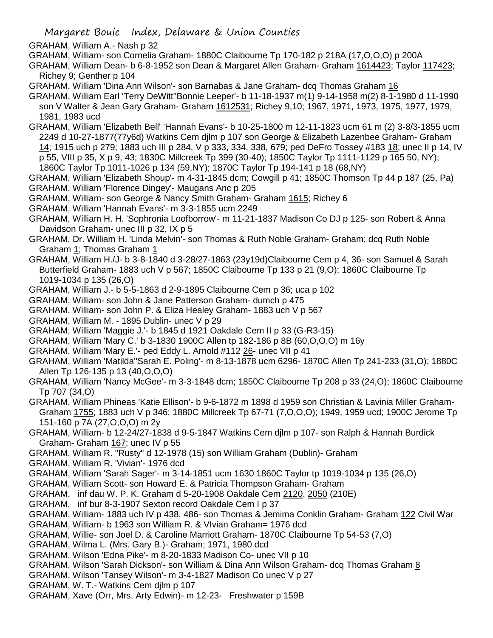- GRAHAM, William A.- Nash p 32
- GRAHAM, William- son Cornelia Graham- 1880C Claibourne Tp 170-182 p 218A (17,O,O,O) p 200A
- GRAHAM, William Dean- b 6-8-1952 son Dean & Margaret Allen Graham- Graham 1614423; Taylor 117423; Richey 9; Genther p 104
- GRAHAM, William 'Dina Ann Wilson'- son Barnabas & Jane Graham- dcq Thomas Graham 16
- GRAHAM, William Earl 'Terry DeWitt''Bonnie Leeper'- b 11-18-1937 m(1) 9-14-1958 m(2) 8-1-1980 d 11-1990 son V Walter & Jean Gary Graham- Graham 1612531; Richey 9,10; 1967, 1971, 1973, 1975, 1977, 1979, 1981, 1983 ucd
- GRAHAM, William 'Elizabeth Bell' 'Hannah Evans'- b 10-25-1800 m 12-11-1823 ucm 61 m (2) 3-8/3-1855 ucm 2249 d 10-27-1877(77y6d) Watkins Cem djlm p 107 son George & Elizabeth Lazenbee Graham- Graham 14; 1915 uch p 279; 1883 uch III p 284, V p 333, 334, 338, 679; ped DeFro Tossey #183 18; unec II p 14, IV p 55, VIII p 35, X p 9, 43; 1830C Millcreek Tp 399 (30-40); 1850C Taylor Tp 1111-1129 p 165 50, NY); 1860C Taylor Tp 1011-1026 p 134 (59,NY); 1870C Taylor Tp 194-141 p 18 (68,NY)
- GRAHAM, William 'Elizabeth Shoup'- m 4-31-1845 dcm; Cowgill p 41; 1850C Thomson Tp 44 p 187 (25, Pa) GRAHAM, William 'Florence Dingey'- Maugans Anc p 205
- GRAHAM, William- son George & Nancy Smith Graham- Graham 1615; Richey 6
- GRAHAM, William 'Hannah Evans'- m 3-3-1855 ucm 2249
- GRAHAM, William H. H. 'Sophronia Loofborrow'- m 11-21-1837 Madison Co DJ p 125- son Robert & Anna Davidson Graham- unec III p 32, IX p 5
- GRAHAM, Dr. William H. 'Linda Melvin'- son Thomas & Ruth Noble Graham- Graham; dcq Ruth Noble Graham 1; Thomas Graham 1
- GRAHAM, William H./J- b 3-8-1840 d 3-28/27-1863 (23y19d)Claibourne Cem p 4, 36- son Samuel & Sarah Butterfield Graham- 1883 uch V p 567; 1850C Claibourne Tp 133 p 21 (9,O); 1860C Claibourne Tp 1019-1034 p 135 (26,O)
- GRAHAM, William J.- b 5-5-1863 d 2-9-1895 Claibourne Cem p 36; uca p 102
- GRAHAM, William- son John & Jane Patterson Graham- dumch p 475
- GRAHAM, William- son John P. & Eliza Healey Graham- 1883 uch V p 567
- GRAHAM, William M. 1895 Dublin- unec V p 29
- GRAHAM, William 'Maggie J.'- b 1845 d 1921 Oakdale Cem II p 33 (G-R3-15)
- GRAHAM, William 'Mary C.' b 3-1830 1900C Allen tp 182-186 p 8B (60,O,O,O) m 16y
- GRAHAM, William 'Mary E.'- ped Eddy L. Arnold #112 26- unec VII p 41
- GRAHAM, William 'Matilda''Sarah E. Poling'- m 8-13-1878 ucm 6296- 1870C Allen Tp 241-233 (31,O); 1880C Allen Tp 126-135 p 13 (40,O,O,O)
- GRAHAM, William 'Nancy McGee'- m 3-3-1848 dcm; 1850C Claibourne Tp 208 p 33 (24,O); 1860C Claibourne Tp 707 (34,O)
- GRAHAM, William Phineas 'Katie Ellison'- b 9-6-1872 m 1898 d 1959 son Christian & Lavinia Miller Graham-Graham 1755; 1883 uch V p 346; 1880C Millcreek Tp 67-71 (7,O,O,O); 1949, 1959 ucd; 1900C Jerome Tp 151-160 p 7A (27,O,O,O) m 2y
- GRAHAM, William- b 12-24/27-1838 d 9-5-1847 Watkins Cem djlm p 107- son Ralph & Hannah Burdick Graham- Graham 167; unec IV p 55
- GRAHAM, William R. "Rusty" d 12-1978 (15) son William Graham (Dublin)- Graham
- GRAHAM, William R. 'Vivian'- 1976 dcd
- GRAHAM, William 'Sarah Sager'- m 3-14-1851 ucm 1630 1860C Taylor tp 1019-1034 p 135 (26,O)
- GRAHAM, William Scott- son Howard E. & Patricia Thompson Graham- Graham
- GRAHAM, inf dau W. P. K. Graham d 5-20-1908 Oakdale Cem 2120, 2050 (210E)
- GRAHAM, inf bur 8-3-1907 Sexton record Oakdale Cem I p 37
- GRAHAM, William- 1883 uch IV p 438, 486- son Thomas & Jemima Conklin Graham- Graham 122 Civil War
- GRAHAM, William- b 1963 son William R. & VIvian Graham= 1976 dcd
- GRAHAM, Willie- son Joel D. & Caroline Marriott Graham- 1870C Claibourne Tp 54-53 (7,O)
- GRAHAM, Wilma L. (Mrs. Gary B.)- Graham; 1971, 1980 dcd
- GRAHAM, Wilson 'Edna Pike'- m 8-20-1833 Madison Co- unec VII p 10
- GRAHAM, Wilson 'Sarah Dickson'- son William & Dina Ann Wilson Graham- dcq Thomas Graham 8
- GRAHAM, Wilson 'Tansey Wilson'- m 3-4-1827 Madison Co unec V p 27
- GRAHAM, W. T.- Watkins Cem djlm p 107
- GRAHAM, Xave (Orr, Mrs. Arty Edwin)- m 12-23- Freshwater p 159B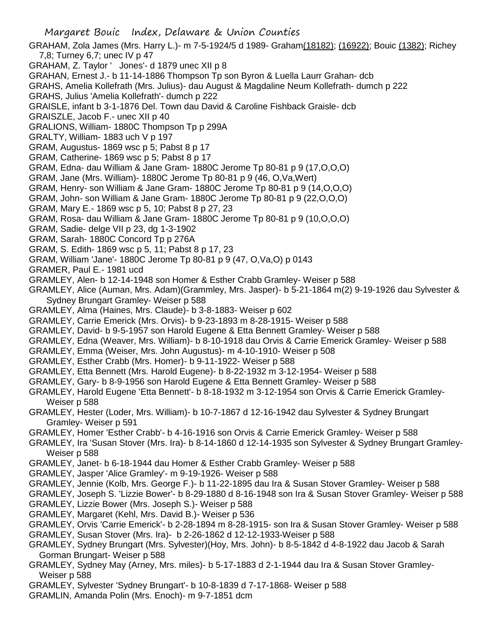- GRAHAM, Zola James (Mrs. Harry L.)- m 7-5-1924/5 d 1989- Graham(18182); (16922); Bouic (1382); Richey 7,8; Turney 6,7; unec IV p 47
- GRAHAM, Z. Taylor ' Jones'- d 1879 unec XII p 8
- GRAHAN, Ernest J.- b 11-14-1886 Thompson Tp son Byron & Luella Laurr Grahan- dcb
- GRAHS, Amelia Kollefrath (Mrs. Julius)- dau August & Magdaline Neum Kollefrath- dumch p 222
- GRAHS, Julius 'Amelia Kollefrath'- dumch p 222
- GRAISLE, infant b 3-1-1876 Del. Town dau David & Caroline Fishback Graisle- dcb
- GRAISZLE, Jacob F.- unec XII p 40
- GRALIONS, William- 1880C Thompson Tp p 299A
- GRALTY, William- 1883 uch V p 197
- GRAM, Augustus- 1869 wsc p 5; Pabst 8 p 17
- GRAM, Catherine- 1869 wsc p 5; Pabst 8 p 17
- GRAM, Edna- dau William & Jane Gram- 1880C Jerome Tp 80-81 p 9 (17,O,O,O)
- GRAM, Jane (Mrs. William)- 1880C Jerome Tp 80-81 p 9 (46, O,Va,Wert)
- GRAM, Henry- son William & Jane Gram- 1880C Jerome Tp 80-81 p 9 (14,O,O,O)
- GRAM, John- son William & Jane Gram- 1880C Jerome Tp 80-81 p 9 (22,O,O,O)
- GRAM, Mary E.- 1869 wsc p 5, 10; Pabst 8 p 27, 23
- GRAM, Rosa- dau William & Jane Gram- 1880C Jerome Tp 80-81 p 9 (10,O,O,O)
- GRAM, Sadie- delge VII p 23, dg 1-3-1902
- GRAM, Sarah- 1880C Concord Tp p 276A
- GRAM, S. Edith- 1869 wsc p 5, 11; Pabst 8 p 17, 23
- GRAM, William 'Jane'- 1880C Jerome Tp 80-81 p 9 (47, O,Va,O) p 0143
- GRAMER, Paul E.- 1981 ucd
- GRAMLEY, Alen- b 12-14-1948 son Homer & Esther Crabb Gramley- Weiser p 588
- GRAMLEY, Alice (Auman, Mrs. Adam)(Grammley, Mrs. Jasper)- b 5-21-1864 m(2) 9-19-1926 dau Sylvester & Sydney Brungart Gramley- Weiser p 588
- GRAMLEY, Alma (Haines, Mrs. Claude)- b 3-8-1883- Weiser p 602
- GRAMLEY, Carrie Emerick (Mrs. Orvis)- b 9-23-1893 m 8-28-1915- Weiser p 588
- GRAMLEY, David- b 9-5-1957 son Harold Eugene & Etta Bennett Gramley- Weiser p 588
- GRAMLEY, Edna (Weaver, Mrs. William)- b 8-10-1918 dau Orvis & Carrie Emerick Gramley- Weiser p 588
- GRAMLEY, Emma (Weiser, Mrs. John Augustus)- m 4-10-1910- Weiser p 508
- GRAMLEY, Esther Crabb (Mrs. Homer)- b 9-11-1922- Weiser p 588
- GRAMLEY, Etta Bennett (Mrs. Harold Eugene)- b 8-22-1932 m 3-12-1954- Weiser p 588
- GRAMLEY, Gary- b 8-9-1956 son Harold Eugene & Etta Bennett Gramley- Weiser p 588
- GRAMLEY, Harold Eugene 'Etta Bennett'- b 8-18-1932 m 3-12-1954 son Orvis & Carrie Emerick Gramley-Weiser p 588
- GRAMLEY, Hester (Loder, Mrs. William)- b 10-7-1867 d 12-16-1942 dau Sylvester & Sydney Brungart Gramley- Weiser p 591
- GRAMLEY, Homer 'Esther Crabb'- b 4-16-1916 son Orvis & Carrie Emerick Gramley- Weiser p 588
- GRAMLEY, Ira 'Susan Stover (Mrs. Ira)- b 8-14-1860 d 12-14-1935 son Sylvester & Sydney Brungart Gramley-Weiser p 588
- GRAMLEY, Janet- b 6-18-1944 dau Homer & Esther Crabb Gramley- Weiser p 588
- GRAMLEY, Jasper 'Alice Gramley'- m 9-19-1926- Weiser p 588
- GRAMLEY, Jennie (Kolb, Mrs. George F.)- b 11-22-1895 dau Ira & Susan Stover Gramley- Weiser p 588
- GRAMLEY, Joseph S. 'Lizzie Bower'- b 8-29-1880 d 8-16-1948 son Ira & Susan Stover Gramley- Weiser p 588
- GRAMLEY, Lizzie Bower (Mrs. Joseph S.)- Weiser p 588
- GRAMLEY, Margaret (Kehl, Mrs. David B.)- Weiser p 536
- GRAMLEY, Orvis 'Carrie Emerick'- b 2-28-1894 m 8-28-1915- son Ira & Susan Stover Gramley- Weiser p 588
- GRAMLEY, Susan Stover (Mrs. Ira)- b 2-26-1862 d 12-12-1933-Weiser p 588
- GRAMLEY, Sydney Brungart (Mrs. Sylvester)(Hoy, Mrs. John)- b 8-5-1842 d 4-8-1922 dau Jacob & Sarah Gorman Brungart- Weiser p 588
- GRAMLEY, Sydney May (Arney, Mrs. miles)- b 5-17-1883 d 2-1-1944 dau Ira & Susan Stover Gramley-Weiser p 588
- GRAMLEY, Sylvester 'Sydney Brungart'- b 10-8-1839 d 7-17-1868- Weiser p 588
- GRAMLIN, Amanda Polin (Mrs. Enoch)- m 9-7-1851 dcm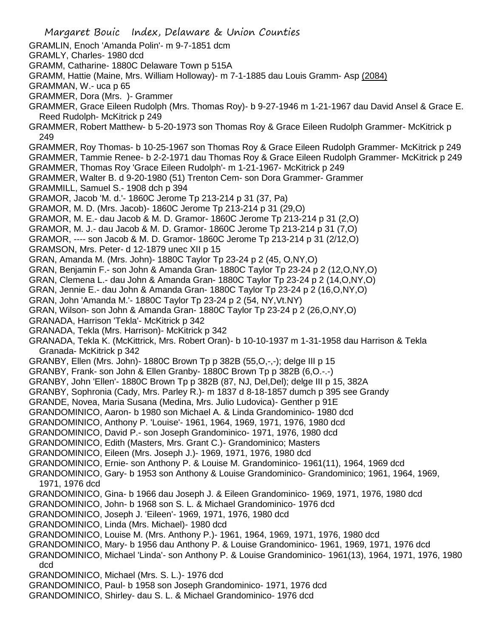Margaret Bouic Index, Delaware & Union Counties GRAMLIN, Enoch 'Amanda Polin'- m 9-7-1851 dcm GRAMLY, Charles- 1980 dcd GRAMM, Catharine- 1880C Delaware Town p 515A GRAMM, Hattie (Maine, Mrs. William Holloway)- m 7-1-1885 dau Louis Gramm- Asp (2084) GRAMMAN, W.- uca p 65 GRAMMER, Dora (Mrs. )- Grammer GRAMMER, Grace Eileen Rudolph (Mrs. Thomas Roy)- b 9-27-1946 m 1-21-1967 dau David Ansel & Grace E. Reed Rudolph- McKitrick p 249 GRAMMER, Robert Matthew- b 5-20-1973 son Thomas Roy & Grace Eileen Rudolph Grammer- McKitrick p 249 GRAMMER, Roy Thomas- b 10-25-1967 son Thomas Roy & Grace Eileen Rudolph Grammer- McKitrick p 249 GRAMMER, Tammie Renee- b 2-2-1971 dau Thomas Roy & Grace Eileen Rudolph Grammer- McKitrick p 249 GRAMMER, Thomas Roy 'Grace Eileen Rudolph'- m 1-21-1967- McKitrick p 249 GRAMMER, Walter B. d 9-20-1980 (51) Trenton Cem- son Dora Grammer- Grammer GRAMMILL, Samuel S.- 1908 dch p 394 GRAMOR, Jacob 'M. d.'- 1860C Jerome Tp 213-214 p 31 (37, Pa) GRAMOR, M. D. (Mrs. Jacob)- 1860C Jerome Tp 213-214 p 31 (29,O) GRAMOR, M. E.- dau Jacob & M. D. Gramor- 1860C Jerome Tp 213-214 p 31 (2,O) GRAMOR, M. J.- dau Jacob & M. D. Gramor- 1860C Jerome Tp 213-214 p 31 (7,O) GRAMOR, ---- son Jacob & M. D. Gramor- 1860C Jerome Tp 213-214 p 31 (2/12,O) GRAMSON, Mrs. Peter- d 12-1879 unec XII p 15 GRAN, Amanda M. (Mrs. John)- 1880C Taylor Tp 23-24 p 2 (45, O,NY,O) GRAN, Benjamin F.- son John & Amanda Gran- 1880C Taylor Tp 23-24 p 2 (12,O,NY,O) GRAN, Clemena L.- dau John & Amanda Gran- 1880C Taylor Tp 23-24 p 2 (14,O,NY,O) GRAN, Jennie E.- dau John & Amanda Gran- 1880C Taylor Tp 23-24 p 2 (16,O,NY,O) GRAN, John 'Amanda M.'- 1880C Taylor Tp 23-24 p 2 (54, NY,Vt.NY) GRAN, Wilson- son John & Amanda Gran- 1880C Taylor Tp 23-24 p 2 (26,O,NY,O) GRANADA, Harrison 'Tekla'- McKitrick p 342 GRANADA, Tekla (Mrs. Harrison)- McKitrick p 342 GRANADA, Tekla K. (McKittrick, Mrs. Robert Oran)- b 10-10-1937 m 1-31-1958 dau Harrison & Tekla Granada- McKitrick p 342 GRANBY, Ellen (Mrs. John)- 1880C Brown Tp p 382B (55,O,-,-); delge III p 15 GRANBY, Frank- son John & Ellen Granby- 1880C Brown Tp p 382B (6,O.-.-) GRANBY, John 'Ellen'- 1880C Brown Tp p 382B (87, NJ, Del,Del); delge III p 15, 382A GRANBY, Sophronia (Cady, Mrs. Parley R.)- m 1837 d 8-18-1857 dumch p 395 see Grandy GRANDE, Novea, Maria Susana (Medina, Mrs. Julio Ludovica)- Genther p 91E GRANDOMINICO, Aaron- b 1980 son Michael A. & Linda Grandominico- 1980 dcd GRANDOMINICO, Anthony P. 'Louise'- 1961, 1964, 1969, 1971, 1976, 1980 dcd GRANDOMINICO, David P.- son Joseph Grandominico- 1971, 1976, 1980 dcd GRANDOMINICO, Edith (Masters, Mrs. Grant C.)- Grandominico; Masters GRANDOMINICO, Eileen (Mrs. Joseph J.)- 1969, 1971, 1976, 1980 dcd GRANDOMINICO, Ernie- son Anthony P. & Louise M. Grandominico- 1961(11), 1964, 1969 dcd GRANDOMINICO, Gary- b 1953 son Anthony & Louise Grandominico- Grandominico; 1961, 1964, 1969, 1971, 1976 dcd GRANDOMINICO, Gina- b 1966 dau Joseph J. & Eileen Grandominico- 1969, 1971, 1976, 1980 dcd GRANDOMINICO, John- b 1968 son S. L. & Michael Grandominico- 1976 dcd GRANDOMINICO, Joseph J. 'Eileen'- 1969, 1971, 1976, 1980 dcd GRANDOMINICO, Linda (Mrs. Michael)- 1980 dcd GRANDOMINICO, Louise M. (Mrs. Anthony P.)- 1961, 1964, 1969, 1971, 1976, 1980 dcd GRANDOMINICO, Mary- b 1956 dau Anthony P. & Louise Grandominico- 1961, 1969, 1971, 1976 dcd GRANDOMINICO, Michael 'Linda'- son Anthony P. & Louise Grandominico- 1961(13), 1964, 1971, 1976, 1980 dcd GRANDOMINICO, Michael (Mrs. S. L.)- 1976 dcd GRANDOMINICO, Paul- b 1958 son Joseph Grandominico- 1971, 1976 dcd GRANDOMINICO, Shirley- dau S. L. & Michael Grandominico- 1976 dcd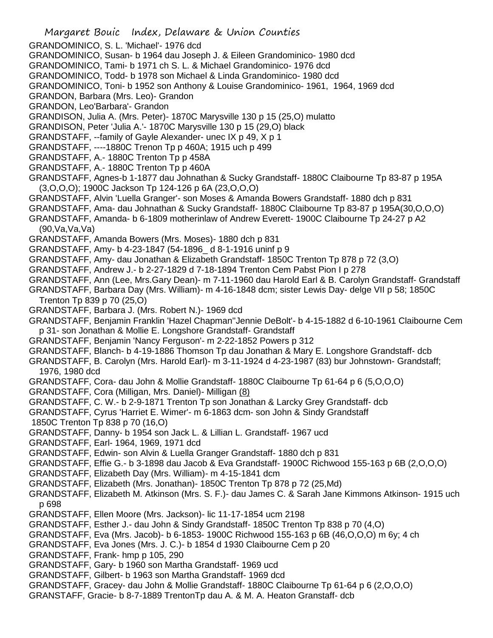Margaret Bouic Index, Delaware & Union Counties GRANDOMINICO, S. L. 'Michael'- 1976 dcd GRANDOMINICO, Susan- b 1964 dau Joseph J. & Eileen Grandominico- 1980 dcd GRANDOMINICO, Tami- b 1971 ch S. L. & Michael Grandominico- 1976 dcd GRANDOMINICO, Todd- b 1978 son Michael & Linda Grandominico- 1980 dcd GRANDOMINICO, Toni- b 1952 son Anthony & Louise Grandominico- 1961, 1964, 1969 dcd GRANDON, Barbara (Mrs. Leo)- Grandon GRANDON, Leo'Barbara'- Grandon GRANDISON, Julia A. (Mrs. Peter)- 1870C Marysville 130 p 15 (25,O) mulatto GRANDISON, Peter 'Julia A.'- 1870C Marysville 130 p 15 (29,O) black GRANDSTAFF, --family of Gayle Alexander- unec IX p 49, X p 1 GRANDSTAFF, ----1880C Trenon Tp p 460A; 1915 uch p 499 GRANDSTAFF, A.- 1880C Trenton Tp p 458A GRANDSTAFF, A.- 1880C Trenton Tp p 460A GRANDSTAFF, Agnes-b 1-1877 dau Johnathan & Sucky Grandstaff- 1880C Claibourne Tp 83-87 p 195A (3,O,O,O); 1900C Jackson Tp 124-126 p 6A (23,O,O,O) GRANDSTAFF, Alvin 'Luella Granger'- son Moses & Amanda Bowers Grandstaff- 1880 dch p 831 GRANDSTAFF, Ama- dau Johnathan & Sucky Grandstaff- 1880C Claibourne Tp 83-87 p 195A(30,O,O,O) GRANDSTAFF, Amanda- b 6-1809 motherinlaw of Andrew Everett- 1900C Claibourne Tp 24-27 p A2 (90,Va,Va,Va) GRANDSTAFF, Amanda Bowers (Mrs. Moses)- 1880 dch p 831 GRANDSTAFF, Amy- b 4-23-1847 (54-1896\_ d 8-1-1916 uninf p 9 GRANDSTAFF, Amy- dau Jonathan & Elizabeth Grandstaff- 1850C Trenton Tp 878 p 72 (3,O) GRANDSTAFF, Andrew J.- b 2-27-1829 d 7-18-1894 Trenton Cem Pabst Pion I p 278 GRANDSTAFF, Ann (Lee, Mrs.Gary Dean)- m 7-11-1960 dau Harold Earl & B. Carolyn Grandstaff- Grandstaff GRANDSTAFF, Barbara Day (Mrs. William)- m 4-16-1848 dcm; sister Lewis Day- delge VII p 58; 1850C Trenton Tp 839 p 70 (25,O) GRANDSTAFF, Barbara J. (Mrs. Robert N.)- 1969 dcd GRANDSTAFF, Benjamin Franklin 'Hazel Chapman''Jennie DeBolt'- b 4-15-1882 d 6-10-1961 Claibourne Cem p 31- son Jonathan & Mollie E. Longshore Grandstaff- Grandstaff GRANDSTAFF, Benjamin 'Nancy Ferguson'- m 2-22-1852 Powers p 312 GRANDSTAFF, Blanch- b 4-19-1886 Thomson Tp dau Jonathan & Mary E. Longshore Grandstaff- dcb GRANDSTAFF, B. Carolyn (Mrs. Harold Earl)- m 3-11-1924 d 4-23-1987 (83) bur Johnstown- Grandstaff; 1976, 1980 dcd GRANDSTAFF, Cora- dau John & Mollie Grandstaff- 1880C Claibourne Tp 61-64 p 6 (5,O,O,O) GRANDSTAFF, Cora (Milligan, Mrs. Daniel)- Milligan (8) GRANDSTAFF, C. W.- b 2-9-1871 Trenton Tp son Jonathan & Larcky Grey Grandstaff- dcb GRANDSTAFF, Cyrus 'Harriet E. Wimer'- m 6-1863 dcm- son John & Sindy Grandstaff 1850C Trenton Tp 838 p 70 (16,O) GRANDSTAFF, Danny- b 1954 son Jack L. & Lillian L. Grandstaff- 1967 ucd GRANDSTAFF, Earl- 1964, 1969, 1971 dcd GRANDSTAFF, Edwin- son Alvin & Luella Granger Grandstaff- 1880 dch p 831 GRANDSTAFF, Effie G.- b 3-1898 dau Jacob & Eva Grandstaff- 1900C Richwood 155-163 p 6B (2,O,O,O) GRANDSTAFF, Elizabeth Day (Mrs. William)- m 4-15-1841 dcm GRANDSTAFF, Elizabeth (Mrs. Jonathan)- 1850C Trenton Tp 878 p 72 (25,Md) GRANDSTAFF, Elizabeth M. Atkinson (Mrs. S. F.)- dau James C. & Sarah Jane Kimmons Atkinson- 1915 uch p 698 GRANDSTAFF, Ellen Moore (Mrs. Jackson)- lic 11-17-1854 ucm 2198 GRANDSTAFF, Esther J.- dau John & Sindy Grandstaff- 1850C Trenton Tp 838 p 70 (4,O) GRANDSTAFF, Eva (Mrs. Jacob)- b 6-1853- 1900C Richwood 155-163 p 6B (46,O,O,O) m 6y; 4 ch GRANDSTAFF, Eva Jones (Mrs. J. C.)- b 1854 d 1930 Claibourne Cem p 20 GRANDSTAFF, Frank- hmp p 105, 290 GRANDSTAFF, Gary- b 1960 son Martha Grandstaff- 1969 ucd GRANDSTAFF, Gilbert- b 1963 son Martha Grandstaff- 1969 dcd GRANDSTAFF, Gracey- dau John & Mollie Grandstaff- 1880C Claibourne Tp 61-64 p 6 (2,O,O,O) GRANSTAFF, Gracie- b 8-7-1889 TrentonTp dau A. & M. A. Heaton Granstaff- dcb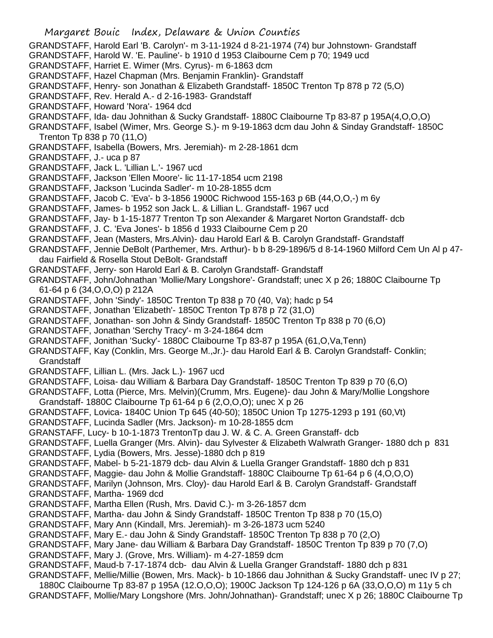Margaret Bouic Index, Delaware & Union Counties GRANDSTAFF, Harold Earl 'B. Carolyn'- m 3-11-1924 d 8-21-1974 (74) bur Johnstown- Grandstaff GRANDSTAFF, Harold W. 'E. Pauline'- b 1910 d 1953 Claibourne Cem p 70; 1949 ucd GRANDSTAFF, Harriet E. Wimer (Mrs. Cyrus)- m 6-1863 dcm GRANDSTAFF, Hazel Chapman (Mrs. Benjamin Franklin)- Grandstaff GRANDSTAFF, Henry- son Jonathan & Elizabeth Grandstaff- 1850C Trenton Tp 878 p 72 (5,O) GRANDSTAFF, Rev. Herald A.- d 2-16-1983- Grandstaff GRANDSTAFF, Howard 'Nora'- 1964 dcd GRANDSTAFF, Ida- dau Johnithan & Sucky Grandstaff- 1880C Claibourne Tp 83-87 p 195A(4,O,O,O) GRANDSTAFF, Isabel (Wimer, Mrs. George S.)- m 9-19-1863 dcm dau John & Sinday Grandstaff- 1850C Trenton Tp 838 p 70 (11,O) GRANDSTAFF, Isabella (Bowers, Mrs. Jeremiah)- m 2-28-1861 dcm GRANDSTAFF, J.- uca p 87 GRANDSTAFF, Jack L. 'Lillian L.'- 1967 ucd GRANDSTAFF, Jackson 'Ellen Moore'- lic 11-17-1854 ucm 2198 GRANDSTAFF, Jackson 'Lucinda Sadler'- m 10-28-1855 dcm GRANDSTAFF, Jacob C. 'Eva'- b 3-1856 1900C Richwood 155-163 p 6B (44,O,O,-) m 6y GRANDSTAFF, James- b 1952 son Jack L. & Lillian L. Grandstaff- 1967 ucd GRANDSTAFF, Jay- b 1-15-1877 Trenton Tp son Alexander & Margaret Norton Grandstaff- dcb GRANDSTAFF, J. C. 'Eva Jones'- b 1856 d 1933 Claibourne Cem p 20 GRANDSTAFF, Jean (Masters, Mrs.Alvin)- dau Harold Earl & B. Carolyn Grandstaff- Grandstaff GRANDSTAFF, Jennie DeBolt (Parthemer, Mrs. Arthur)- b b 8-29-1896/5 d 8-14-1960 Milford Cem Un Al p 47 dau Fairfield & Rosella Stout DeBolt- Grandstaff GRANDSTAFF, Jerry- son Harold Earl & B. Carolyn Grandstaff- Grandstaff GRANDSTAFF, John/Johnathan 'Mollie/Mary Longshore'- Grandstaff; unec X p 26; 1880C Claibourne Tp 61-64 p 6 (34,O,O,O) p 212A GRANDSTAFF, John 'Sindy'- 1850C Trenton Tp 838 p 70 (40, Va); hadc p 54 GRANDSTAFF, Jonathan 'Elizabeth'- 1850C Trenton Tp 878 p 72 (31,O) GRANDSTAFF, Jonathan- son John & Sindy Grandstaff- 1850C Trenton Tp 838 p 70 (6,O) GRANDSTAFF, Jonathan 'Serchy Tracy'- m 3-24-1864 dcm GRANDSTAFF, Jonithan 'Sucky'- 1880C Claibourne Tp 83-87 p 195A (61,O,Va,Tenn) GRANDSTAFF, Kay (Conklin, Mrs. George M.,Jr.)- dau Harold Earl & B. Carolyn Grandstaff- Conklin; **Grandstaff** GRANDSTAFF, Lillian L. (Mrs. Jack L.)- 1967 ucd GRANDSTAFF, Loisa- dau William & Barbara Day Grandstaff- 1850C Trenton Tp 839 p 70 (6,O) GRANDSTAFF, Lotta (Pierce, Mrs. Melvin)(Crumm, Mrs. Eugene)- dau John & Mary/Mollie Longshore Grandstaff- 1880C Claibourne Tp 61-64 p 6 (2,O,O,O); unec X p 26 GRANDSTAFF, Lovica- 1840C Union Tp 645 (40-50); 1850C Union Tp 1275-1293 p 191 (60,Vt) GRANDSTAFF, Lucinda Sadler (Mrs. Jackson)- m 10-28-1855 dcm GRANSTAFF, Lucy- b 10-1-1873 TrentonTp dau J. W. & C. A. Green Granstaff- dcb GRANDSTAFF, Luella Granger (Mrs. Alvin)- dau Sylvester & Elizabeth Walwrath Granger- 1880 dch p 831 GRANDSTAFF, Lydia (Bowers, Mrs. Jesse)-1880 dch p 819 GRANDSTAFF, Mabel- b 5-21-1879 dcb- dau Alvin & Luella Granger Grandstaff- 1880 dch p 831 GRANDSTAFF, Maggie- dau John & Mollie Grandstaff- 1880C Claibourne Tp 61-64 p 6 (4,O,O,O) GRANDSTAFF, Marilyn (Johnson, Mrs. Cloy)- dau Harold Earl & B. Carolyn Grandstaff- Grandstaff GRANDSTAFF, Martha- 1969 dcd GRANDSTAFF, Martha Ellen (Rush, Mrs. David C.)- m 3-26-1857 dcm GRANDSTAFF, Martha- dau John & Sindy Grandstaff- 1850C Trenton Tp 838 p 70 (15,O) GRANDSTAFF, Mary Ann (Kindall, Mrs. Jeremiah)- m 3-26-1873 ucm 5240 GRANDSTAFF, Mary E.- dau John & Sindy Grandstaff- 1850C Trenton Tp 838 p 70 (2,O) GRANDSTAFF, Mary Jane- dau William & Barbara Day Grandstaff- 1850C Trenton Tp 839 p 70 (7,O) GRANDSTAFF, Mary J. (Grove, Mrs. William)- m 4-27-1859 dcm GRANDSTAFF, Maud-b 7-17-1874 dcb- dau Alvin & Luella Granger Grandstaff- 1880 dch p 831 GRANDSTAFF, Mellie/Millie (Bowen, Mrs. Mack)- b 10-1866 dau Johnithan & Sucky Grandstaff- unec IV p 27; 1880C Claibourne Tp 83-87 p 195A (12.O,O,O); 1900C Jackson Tp 124-126 p 6A (33,O,O,O) m 11y 5 ch GRANDSTAFF, Mollie/Mary Longshore (Mrs. John/Johnathan)- Grandstaff; unec X p 26; 1880C Claibourne Tp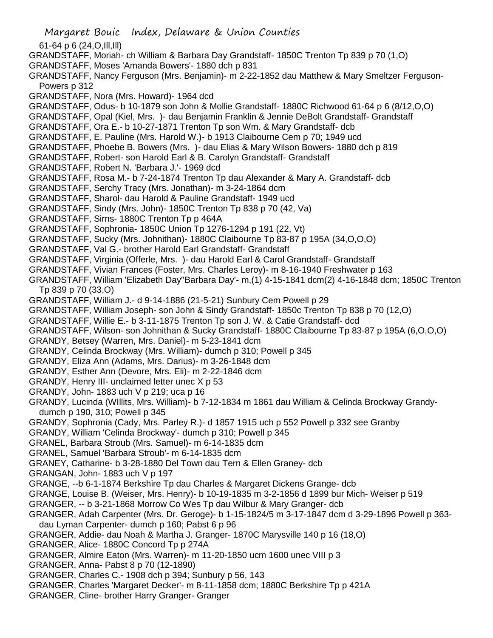- Margaret Bouic Index, Delaware & Union Counties 61-64 p 6 (24,O,Ill,Ill) GRANDSTAFF, Moriah- ch William & Barbara Day Grandstaff- 1850C Trenton Tp 839 p 70 (1,O) GRANDSTAFF, Moses 'Amanda Bowers'- 1880 dch p 831 GRANDSTAFF, Nancy Ferguson (Mrs. Benjamin)- m 2-22-1852 dau Matthew & Mary Smeltzer Ferguson-Powers p 312 GRANDSTAFF, Nora (Mrs. Howard)- 1964 dcd GRANDSTAFF, Odus- b 10-1879 son John & Mollie Grandstaff- 1880C Richwood 61-64 p 6 (8/12,O,O) GRANDSTAFF, Opal (Kiel, Mrs. )- dau Benjamin Franklin & Jennie DeBolt Grandstaff- Grandstaff GRANDSTAFF, Ora E.- b 10-27-1871 Trenton Tp son Wm. & Mary Grandstaff- dcb GRANDSTAFF, E. Pauline (Mrs. Harold W.)- b 1913 Claibourne Cem p 70; 1949 ucd GRANDSTAFF, Phoebe B. Bowers (Mrs. )- dau Elias & Mary Wilson Bowers- 1880 dch p 819 GRANDSTAFF, Robert- son Harold Earl & B. Carolyn Grandstaff- Grandstaff GRANDSTAFF, Robert N. 'Barbara J.'- 1969 dcd GRANDSTAFF, Rosa M.- b 7-24-1874 Trenton Tp dau Alexander & Mary A. Grandstaff- dcb GRANDSTAFF, Serchy Tracy (Mrs. Jonathan)- m 3-24-1864 dcm GRANDSTAFF, Sharol- dau Harold & Pauline Grandstaff- 1949 ucd GRANDSTAFF, Sindy (Mrs. John)- 1850C Trenton Tp 838 p 70 (42, Va) GRANDSTAFF, Sirns- 1880C Trenton Tp p 464A GRANDSTAFF, Sophronia- 1850C Union Tp 1276-1294 p 191 (22, Vt) GRANDSTAFF, Sucky (Mrs. Johnithan)- 1880C Claibourne Tp 83-87 p 195A (34,O,O,O) GRANDSTAFF, Val G.- brother Harold Earl Grandstaff- Grandstaff GRANDSTAFF, Virginia (Offerle, Mrs. )- dau Harold Earl & Carol Grandstaff- Grandstaff GRANDSTAFF, Vivian Frances (Foster, Mrs. Charles Leroy)- m 8-16-1940 Freshwater p 163 GRANDSTAFF, William 'Elizabeth Day''Barbara Day'- m,(1) 4-15-1841 dcm(2) 4-16-1848 dcm; 1850C Trenton Tp 839 p 70 (33,O) GRANDSTAFF, William J.- d 9-14-1886 (21-5-21) Sunbury Cem Powell p 29 GRANDSTAFF, William Joseph- son John & Sindy Grandstaff- 1850c Trenton Tp 838 p 70 (12,O) GRANDSTAFF, Willie E.- b 3-11-1875 Trenton Tp son J. W. & Catie Grandstaff- dcd GRANDSTAFF, Wilson- son Johnithan & Sucky Grandstaff- 1880C Claibourne Tp 83-87 p 195A (6,O,O,O) GRANDY, Betsey (Warren, Mrs. Daniel)- m 5-23-1841 dcm GRANDY, Celinda Brockway (Mrs. William)- dumch p 310; Powell p 345 GRANDY, Eliza Ann (Adams, Mrs. Darius)- m 3-26-1848 dcm GRANDY, Esther Ann (Devore, Mrs. Eli)- m 2-22-1846 dcm GRANDY, Henry III- unclaimed letter unec X p 53 GRANDY, John- 1883 uch V p 219; uca p 16 GRANDY, Lucinda (WIllits, Mrs. William)- b 7-12-1834 m 1861 dau William & Celinda Brockway Grandydumch p 190, 310; Powell p 345 GRANDY, Sophronia (Cady, Mrs. Parley R.)- d 1857 1915 uch p 552 Powell p 332 see Granby GRANDY, William 'Celinda Brockway'- dumch p 310; Powell p 345 GRANEL, Barbara Stroub (Mrs. Samuel)- m 6-14-1835 dcm GRANEL, Samuel 'Barbara Stroub'- m 6-14-1835 dcm GRANEY, Catharine- b 3-28-1880 Del Town dau Tern & Ellen Graney- dcb GRANGAN, John- 1883 uch V p 197 GRANGE, --b 6-1-1874 Berkshire Tp dau Charles & Margaret Dickens Grange- dcb GRANGE, Louise B. (Weiser, Mrs. Henry)- b 10-19-1835 m 3-2-1856 d 1899 bur Mich- Weiser p 519 GRANGER, -- b 3-21-1868 Morrow Co Wes Tp dau Wilbur & Mary Granger- dcb GRANGER, Adah Carpenter (Mrs. Dr. Geroge)- b 1-15-1824/5 m 3-17-1847 dcm d 3-29-1896 Powell p 363 dau Lyman Carpenter- dumch p 160; Pabst 6 p 96 GRANGER, Addie- dau Noah & Martha J. Granger- 1870C Marysville 140 p 16 (18,O) GRANGER, Alice- 1880C Concord Tp p 274A GRANGER, Almire Eaton (Mrs. Warren)- m 11-20-1850 ucm 1600 unec VIII p 3 GRANGER, Anna- Pabst 8 p 70 (12-1890)
- GRANGER, Charles C.- 1908 dch p 394; Sunbury p 56, 143
- GRANGER, Charles 'Margaret Decker'- m 8-11-1858 dcm; 1880C Berkshire Tp p 421A
- GRANGER, Cline- brother Harry Granger- Granger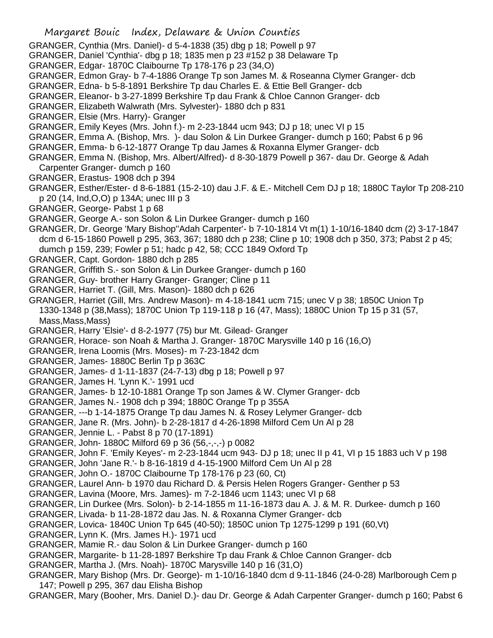- GRANGER, Cynthia (Mrs. Daniel)- d 5-4-1838 (35) dbg p 18; Powell p 97
- GRANGER, Daniel 'Cynthia'- dbg p 18; 1835 men p 23 #152 p 38 Delaware Tp
- GRANGER, Edgar- 1870C Claibourne Tp 178-176 p 23 (34,O)
- GRANGER, Edmon Gray- b 7-4-1886 Orange Tp son James M. & Roseanna Clymer Granger- dcb
- GRANGER, Edna- b 5-8-1891 Berkshire Tp dau Charles E. & Ettie Bell Granger- dcb
- GRANGER, Eleanor- b 3-27-1899 Berkshire Tp dau Frank & Chloe Cannon Granger- dcb
- GRANGER, Elizabeth Walwrath (Mrs. Sylvester)- 1880 dch p 831
- GRANGER, Elsie (Mrs. Harry)- Granger
- GRANGER, Emily Keyes (Mrs. John f.)- m 2-23-1844 ucm 943; DJ p 18; unec VI p 15
- GRANGER, Emma A. (Bishop, Mrs. )- dau Solon & Lin Durkee Granger- dumch p 160; Pabst 6 p 96
- GRANGER, Emma- b 6-12-1877 Orange Tp dau James & Roxanna Elymer Granger- dcb
- GRANGER, Emma N. (Bishop, Mrs. Albert/Alfred)- d 8-30-1879 Powell p 367- dau Dr. George & Adah
- Carpenter Granger- dumch p 160
- GRANGER, Erastus- 1908 dch p 394
- GRANGER, Esther/Ester- d 8-6-1881 (15-2-10) dau J.F. & E.- Mitchell Cem DJ p 18; 1880C Taylor Tp 208-210 p 20 (14, Ind,O,O) p 134A; unec III p 3
- GRANGER, George- Pabst 1 p 68
- GRANGER, George A.- son Solon & Lin Durkee Granger- dumch p 160
- GRANGER, Dr. George 'Mary Bishop''Adah Carpenter'- b 7-10-1814 Vt m(1) 1-10/16-1840 dcm (2) 3-17-1847 dcm d 6-15-1860 Powell p 295, 363, 367; 1880 dch p 238; Cline p 10; 1908 dch p 350, 373; Pabst 2 p 45; dumch p 159, 239; Fowler p 51; hadc p 42, 58; CCC 1849 Oxford Tp
- GRANGER, Capt. Gordon- 1880 dch p 285
- GRANGER, Griffith S.- son Solon & Lin Durkee Granger- dumch p 160
- GRANGER, Guy- brother Harry Granger- Granger; Cline p 11
- GRANGER, Harriet T. (Gill, Mrs. Mason)- 1880 dch p 626
- GRANGER, Harriet (Gill, Mrs. Andrew Mason)- m 4-18-1841 ucm 715; unec V p 38; 1850C Union Tp 1330-1348 p (38,Mass); 1870C Union Tp 119-118 p 16 (47, Mass); 1880C Union Tp 15 p 31 (57, Mass,Mass,Mass)
- GRANGER, Harry 'Elsie'- d 8-2-1977 (75) bur Mt. Gilead- Granger
- GRANGER, Horace- son Noah & Martha J. Granger- 1870C Marysville 140 p 16 (16,O)
- GRANGER, Irena Loomis (Mrs. Moses)- m 7-23-1842 dcm
- GRANGER, James- 1880C Berlin Tp p 363C
- GRANGER, James- d 1-11-1837 (24-7-13) dbg p 18; Powell p 97
- GRANGER, James H. 'Lynn K.'- 1991 ucd
- GRANGER, James- b 12-10-1881 Orange Tp son James & W. Clymer Granger- dcb
- GRANGER, James N.- 1908 dch p 394; 1880C Orange Tp p 355A
- GRANGER, ---b 1-14-1875 Orange Tp dau James N. & Rosey Lelymer Granger- dcb
- GRANGER, Jane R. (Mrs. John)- b 2-28-1817 d 4-26-1898 Milford Cem Un Al p 28
- GRANGER, Jennie L. Pabst 8 p 70 (17-1891)
- GRANGER, John- 1880C Milford 69 p 36 (56,-,-,-) p 0082
- GRANGER, John F. 'Emily Keyes'- m 2-23-1844 ucm 943- DJ p 18; unec II p 41, VI p 15 1883 uch V p 198
- GRANGER, John 'Jane R.'- b 8-16-1819 d 4-15-1900 Milford Cem Un Al p 28
- GRANGER, John O.- 1870C Claibourne Tp 178-176 p 23 (60, Ct)
- GRANGER, Laurel Ann- b 1970 dau Richard D. & Persis Helen Rogers Granger- Genther p 53
- GRANGER, Lavina (Moore, Mrs. James)- m 7-2-1846 ucm 1143; unec VI p 68
- GRANGER, Lin Durkee (Mrs. Solon)- b 2-14-1855 m 11-16-1873 dau A. J. & M. R. Durkee- dumch p 160
- GRANGER, Livada- b 11-28-1872 dau Jas. N. & Roxanna Clymer Granger- dcb
- GRANGER, Lovica- 1840C Union Tp 645 (40-50); 1850C union Tp 1275-1299 p 191 (60,Vt)
- GRANGER, Lynn K. (Mrs. James H.)- 1971 ucd
- GRANGER, Mamie R.- dau Solon & Lin Durkee Granger- dumch p 160
- GRANGER, Margarite- b 11-28-1897 Berkshire Tp dau Frank & Chloe Cannon Granger- dcb
- GRANGER, Martha J. (Mrs. Noah)- 1870C Marysville 140 p 16 (31,O)
- GRANGER, Mary Bishop (Mrs. Dr. George)- m 1-10/16-1840 dcm d 9-11-1846 (24-0-28) Marlborough Cem p 147; Powell p 295, 367 dau Elisha Bishop
- GRANGER, Mary (Booher, Mrs. Daniel D.)- dau Dr. George & Adah Carpenter Granger- dumch p 160; Pabst 6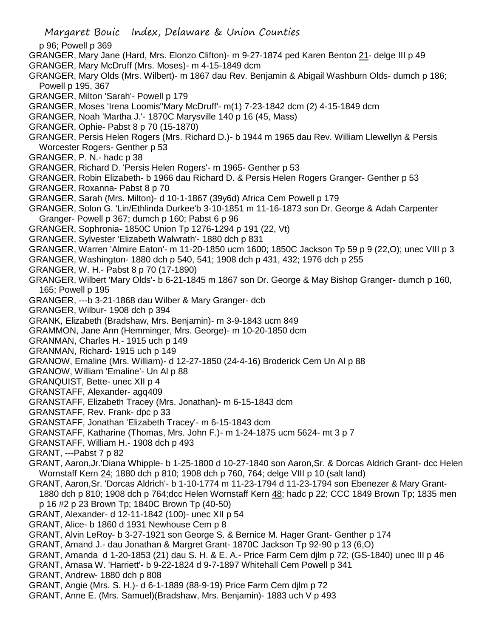p 96; Powell p 369

- GRANGER, Mary Jane (Hard, Mrs. Elonzo Clifton)- m 9-27-1874 ped Karen Benton 21- delge III p 49 GRANGER, Mary McDruff (Mrs. Moses)- m 4-15-1849 dcm
- GRANGER, Mary Olds (Mrs. Wilbert)- m 1867 dau Rev. Benjamin & Abigail Washburn Olds- dumch p 186; Powell p 195, 367
- GRANGER, Milton 'Sarah'- Powell p 179
- GRANGER, Moses 'Irena Loomis''Mary McDruff'- m(1) 7-23-1842 dcm (2) 4-15-1849 dcm
- GRANGER, Noah 'Martha J.'- 1870C Marysville 140 p 16 (45, Mass)
- GRANGER, Ophie- Pabst 8 p 70 (15-1870)
- GRANGER, Persis Helen Rogers (Mrs. Richard D.)- b 1944 m 1965 dau Rev. William Llewellyn & Persis Worcester Rogers- Genther p 53
- GRANGER, P. N.- hadc p 38
- GRANGER, Richard D. 'Persis Helen Rogers'- m 1965- Genther p 53
- GRANGER, Robin Elizabeth- b 1966 dau Richard D. & Persis Helen Rogers Granger- Genther p 53
- GRANGER, Roxanna- Pabst 8 p 70
- GRANGER, Sarah (Mrs. Milton)- d 10-1-1867 (39y6d) Africa Cem Powell p 179
- GRANGER, Solon G. 'Lin/Ethlinda Durkee'b 3-10-1851 m 11-16-1873 son Dr. George & Adah Carpenter Granger- Powell p 367; dumch p 160; Pabst 6 p 96
- GRANGER, Sophronia- 1850C Union Tp 1276-1294 p 191 (22, Vt)
- GRANGER, Sylvester 'Elizabeth Walwrath'- 1880 dch p 831
- GRANGER, Warren 'Almire Eaton'- m 11-20-1850 ucm 1600; 1850C Jackson Tp 59 p 9 (22,O); unec VIII p 3
- GRANGER, Washington- 1880 dch p 540, 541; 1908 dch p 431, 432; 1976 dch p 255
- GRANGER, W. H.- Pabst 8 p 70 (17-1890)
- GRANGER, Wilbert 'Mary Olds'- b 6-21-1845 m 1867 son Dr. George & May Bishop Granger- dumch p 160, 165; Powell p 195
- GRANGER, ---b 3-21-1868 dau Wilber & Mary Granger- dcb
- GRANGER, Wilbur- 1908 dch p 394
- GRANK, Elizabeth (Bradshaw, Mrs. Benjamin)- m 3-9-1843 ucm 849
- GRAMMON, Jane Ann (Hemminger, Mrs. George)- m 10-20-1850 dcm
- GRANMAN, Charles H.- 1915 uch p 149
- GRANMAN, Richard- 1915 uch p 149
- GRANOW, Emaline (Mrs. William)- d 12-27-1850 (24-4-16) Broderick Cem Un Al p 88
- GRANOW, William 'Emaline'- Un Al p 88
- GRANQUIST, Bette- unec XII p 4
- GRANSTAFF, Alexander- agq409
- GRANSTAFF, Elizabeth Tracey (Mrs. Jonathan)- m 6-15-1843 dcm
- GRANSTAFF, Rev. Frank- dpc p 33
- GRANSTAFF, Jonathan 'Elizabeth Tracey'- m 6-15-1843 dcm
- GRANSTAFF, Katharine (Thomas, Mrs. John F.)- m 1-24-1875 ucm 5624- mt 3 p 7
- GRANSTAFF, William H.- 1908 dch p 493
- GRANT, ---Pabst 7 p 82
- GRANT, Aaron,Jr.'Diana Whipple- b 1-25-1800 d 10-27-1840 son Aaron,Sr. & Dorcas Aldrich Grant- dcc Helen Wornstaff Kern 24; 1880 dch p 810; 1908 dch p 760, 764; delge VIII p 10 (salt land)
- GRANT, Aaron,Sr. 'Dorcas Aldrich'- b 1-10-1774 m 11-23-1794 d 11-23-1794 son Ebenezer & Mary Grant-1880 dch p 810; 1908 dch p 764;dcc Helen Wornstaff Kern 48; hadc p 22; CCC 1849 Brown Tp; 1835 men p 16 #2 p 23 Brown Tp; 1840C Brown Tp (40-50)
- GRANT, Alexander- d 12-11-1842 (100)- unec XII p 54
- GRANT, Alice- b 1860 d 1931 Newhouse Cem p 8
- GRANT, Alvin LeRoy- b 3-27-1921 son George S. & Bernice M. Hager Grant- Genther p 174
- GRANT, Amand J.- dau Jonathan & Margret Grant- 1870C Jackson Tp 92-90 p 13 (6,O)
- GRANT, Amanda d 1-20-1853 (21) dau S. H. & E. A.- Price Farm Cem djlm p 72; (GS-1840) unec III p 46
- GRANT, Amasa W. 'Harriett'- b 9-22-1824 d 9-7-1897 Whitehall Cem Powell p 341
- GRANT, Andrew- 1880 dch p 808
- GRANT, Angie (Mrs. S. H.)- d 6-1-1889 (88-9-19) Price Farm Cem djlm p 72
- GRANT, Anne E. (Mrs. Samuel)(Bradshaw, Mrs. Benjamin)- 1883 uch V p 493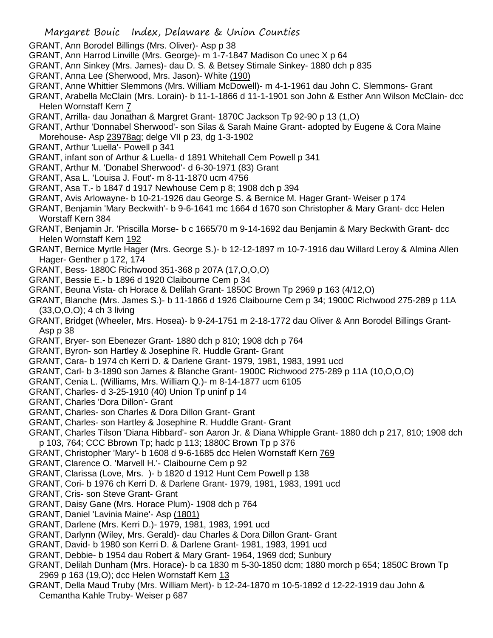- GRANT, Ann Borodel Billings (Mrs. Oliver)- Asp p 38
- GRANT, Ann Harrod Linville (Mrs. George)- m 1-7-1847 Madison Co unec X p 64
- GRANT, Ann Sinkey (Mrs. James)- dau D. S. & Betsey Stimale Sinkey- 1880 dch p 835
- GRANT, Anna Lee (Sherwood, Mrs. Jason)- White (190)
- GRANT, Anne Whittier Slemmons (Mrs. William McDowell)- m 4-1-1961 dau John C. Slemmons- Grant
- GRANT, Arabella McClain (Mrs. Lorain)- b 11-1-1866 d 11-1-1901 son John & Esther Ann Wilson McClain- dcc Helen Wornstaff Kern 7
- GRANT, Arrilla- dau Jonathan & Margret Grant- 1870C Jackson Tp 92-90 p 13 (1,O)
- GRANT, Arthur 'Donnabel Sherwood'- son Silas & Sarah Maine Grant- adopted by Eugene & Cora Maine Morehouse- Asp 23978ag; delge VII p 23, dg 1-3-1902
- GRANT, Arthur 'Luella'- Powell p 341
- GRANT, infant son of Arthur & Luella- d 1891 Whitehall Cem Powell p 341
- GRANT, Arthur M. 'Donabel Sherwood'- d 6-30-1971 (83) Grant
- GRANT, Asa L. 'Louisa J. Fout'- m 8-11-1870 ucm 4756
- GRANT, Asa T.- b 1847 d 1917 Newhouse Cem p 8; 1908 dch p 394
- GRANT, Avis Arlowayne- b 10-21-1926 dau George S. & Bernice M. Hager Grant- Weiser p 174
- GRANT, Benjamin 'Mary Beckwith'- b 9-6-1641 mc 1664 d 1670 son Christopher & Mary Grant- dcc Helen Worstaff Kern 384
- GRANT, Benjamin Jr. 'Priscilla Morse- b c 1665/70 m 9-14-1692 dau Benjamin & Mary Beckwith Grant- dcc Helen Wornstaff Kern 192
- GRANT, Bernice Myrtle Hager (Mrs. George S.)- b 12-12-1897 m 10-7-1916 dau Willard Leroy & Almina Allen Hager- Genther p 172, 174
- GRANT, Bess- 1880C Richwood 351-368 p 207A (17,O,O,O)
- GRANT, Bessie E.- b 1896 d 1920 Claibourne Cem p 34
- GRANT, Beuna Vista- ch Horace & Delilah Grant- 1850C Brown Tp 2969 p 163 (4/12,O)
- GRANT, Blanche (Mrs. James S.)- b 11-1866 d 1926 Claibourne Cem p 34; 1900C Richwood 275-289 p 11A (33,O,O,O); 4 ch 3 living
- GRANT, Bridget (Wheeler, Mrs. Hosea)- b 9-24-1751 m 2-18-1772 dau Oliver & Ann Borodel Billings Grant-Asp p 38
- GRANT, Bryer- son Ebenezer Grant- 1880 dch p 810; 1908 dch p 764
- GRANT, Byron- son Hartley & Josephine R. Huddle Grant- Grant
- GRANT, Cara- b 1974 ch Kerri D. & Darlene Grant- 1979, 1981, 1983, 1991 ucd
- GRANT, Carl- b 3-1890 son James & Blanche Grant- 1900C Richwood 275-289 p 11A (10,O,O,O)
- GRANT, Cenia L. (Williams, Mrs. William Q.)- m 8-14-1877 ucm 6105
- GRANT, Charles- d 3-25-1910 (40) Union Tp uninf p 14
- GRANT, Charles 'Dora Dillon'- Grant
- GRANT, Charles- son Charles & Dora Dillon Grant- Grant
- GRANT, Charles- son Hartley & Josephine R. Huddle Grant- Grant
- GRANT, Charles Tilson 'Diana Hibbard'- son Aaron Jr. & Diana Whipple Grant- 1880 dch p 217, 810; 1908 dch p 103, 764; CCC Bbrown Tp; hadc p 113; 1880C Brown Tp p 376
- GRANT, Christopher 'Mary'- b 1608 d 9-6-1685 dcc Helen Wornstaff Kern 769
- GRANT, Clarence O. 'Marvell H.'- Claibourne Cem p 92
- GRANT, Clarissa (Love, Mrs. )- b 1820 d 1912 Hunt Cem Powell p 138
- GRANT, Cori- b 1976 ch Kerri D. & Darlene Grant- 1979, 1981, 1983, 1991 ucd
- GRANT, Cris- son Steve Grant- Grant
- GRANT, Daisy Gane (Mrs. Horace Plum)- 1908 dch p 764
- GRANT, Daniel 'Lavinia Maine'- Asp (1801)
- GRANT, Darlene (Mrs. Kerri D.)- 1979, 1981, 1983, 1991 ucd
- GRANT, Darlynn (Wiley, Mrs. Gerald)- dau Charles & Dora Dillon Grant- Grant
- GRANT, David- b 1980 son Kerri D. & Darlene Grant- 1981, 1983, 1991 ucd
- GRANT, Debbie- b 1954 dau Robert & Mary Grant- 1964, 1969 dcd; Sunbury
- GRANT, Delilah Dunham (Mrs. Horace)- b ca 1830 m 5-30-1850 dcm; 1880 morch p 654; 1850C Brown Tp 2969 p 163 (19,O); dcc Helen Wornstaff Kern 13
- GRANT, Della Maud Truby (Mrs. William Mert)- b 12-24-1870 m 10-5-1892 d 12-22-1919 dau John & Cemantha Kahle Truby- Weiser p 687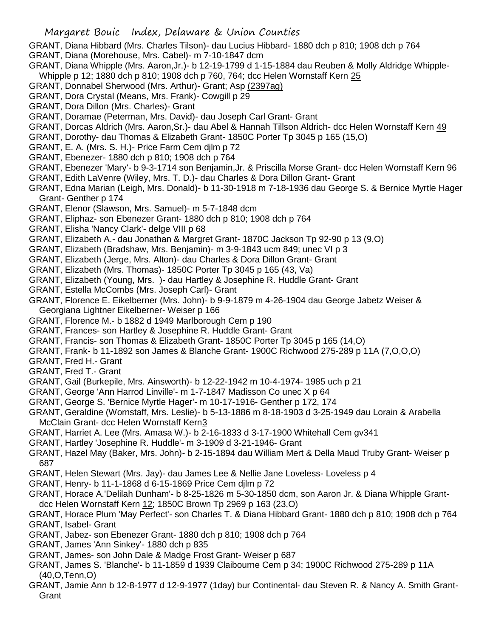- GRANT, Diana Hibbard (Mrs. Charles Tilson)- dau Lucius Hibbard- 1880 dch p 810; 1908 dch p 764
- GRANT, Diana (Morehouse, Mrs. Cabel)- m 7-10-1847 dcm
- GRANT, Diana Whipple (Mrs. Aaron,Jr.)- b 12-19-1799 d 1-15-1884 dau Reuben & Molly Aldridge Whipple-Whipple p 12; 1880 dch p 810; 1908 dch p 760, 764; dcc Helen Wornstaff Kern 25
- GRANT, Donnabel Sherwood (Mrs. Arthur)- Grant; Asp (2397ag)
- GRANT, Dora Crystal (Means, Mrs. Frank)- Cowgill p 29
- GRANT, Dora Dillon (Mrs. Charles)- Grant
- GRANT, Doramae (Peterman, Mrs. David)- dau Joseph Carl Grant- Grant
- GRANT, Dorcas Aldrich (Mrs. Aaron,Sr.)- dau Abel & Hannah Tillson Aldrich- dcc Helen Wornstaff Kern 49
- GRANT, Dorothy- dau Thomas & Elizabeth Grant- 1850C Porter Tp 3045 p 165 (15,O)
- GRANT, E. A. (Mrs. S. H.)- Price Farm Cem djlm p 72
- GRANT, Ebenezer- 1880 dch p 810; 1908 dch p 764
- GRANT, Ebenezer 'Mary'- b 9-3-1714 son Benjamin,Jr. & Priscilla Morse Grant- dcc Helen Wornstaff Kern 96
- GRANT, Edith LaVenre (Wiley, Mrs. T. D.)- dau Charles & Dora Dillon Grant- Grant
- GRANT, Edna Marian (Leigh, Mrs. Donald)- b 11-30-1918 m 7-18-1936 dau George S. & Bernice Myrtle Hager Grant- Genther p 174
- GRANT, Elenor (Slawson, Mrs. Samuel)- m 5-7-1848 dcm
- GRANT, Eliphaz- son Ebenezer Grant- 1880 dch p 810; 1908 dch p 764
- GRANT, Elisha 'Nancy Clark'- delge VIII p 68
- GRANT, Elizabeth A.- dau Jonathan & Margret Grant- 1870C Jackson Tp 92-90 p 13 (9,O)
- GRANT, Elizabeth (Bradshaw, Mrs. Benjamin)- m 3-9-1843 ucm 849; unec VI p 3
- GRANT, Elizabeth (Jerge, Mrs. Alton)- dau Charles & Dora Dillon Grant- Grant
- GRANT, Elizabeth (Mrs. Thomas)- 1850C Porter Tp 3045 p 165 (43, Va)
- GRANT, Elizabeth (Young, Mrs. )- dau Hartley & Josephine R. Huddle Grant- Grant
- GRANT, Estella McCombs (Mrs. Joseph Carl)- Grant
- GRANT, Florence E. Eikelberner (Mrs. John)- b 9-9-1879 m 4-26-1904 dau George Jabetz Weiser & Georgiana Lightner Eikelberner- Weiser p 166
- GRANT, Florence M.- b 1882 d 1949 Marlborough Cem p 190
- GRANT, Frances- son Hartley & Josephine R. Huddle Grant- Grant
- GRANT, Francis- son Thomas & Elizabeth Grant- 1850C Porter Tp 3045 p 165 (14,O)
- GRANT, Frank- b 11-1892 son James & Blanche Grant- 1900C Richwood 275-289 p 11A (7,O,O,O)
- GRANT, Fred H.- Grant
- GRANT, Fred T.- Grant
- GRANT, Gail (Burkepile, Mrs. Ainsworth)- b 12-22-1942 m 10-4-1974- 1985 uch p 21
- GRANT, George 'Ann Harrod Linville'- m 1-7-1847 Madisson Co unec X p 64
- GRANT, George S. 'Bernice Myrtle Hager'- m 10-17-1916- Genther p 172, 174
- GRANT, Geraldine (Wornstaff, Mrs. Leslie)- b 5-13-1886 m 8-18-1903 d 3-25-1949 dau Lorain & Arabella McClain Grant- dcc Helen Wornstaff Kern3
- GRANT, Harriet A. Lee (Mrs. Amasa W.)- b 2-16-1833 d 3-17-1900 Whitehall Cem gv341
- GRANT, Hartley 'Josephine R. Huddle'- m 3-1909 d 3-21-1946- Grant
- GRANT, Hazel May (Baker, Mrs. John)- b 2-15-1894 dau William Mert & Della Maud Truby Grant- Weiser p 687
- GRANT, Helen Stewart (Mrs. Jay)- dau James Lee & Nellie Jane Loveless- Loveless p 4
- GRANT, Henry- b 11-1-1868 d 6-15-1869 Price Cem djlm p 72
- GRANT, Horace A.'Delilah Dunham'- b 8-25-1826 m 5-30-1850 dcm, son Aaron Jr. & Diana Whipple Grantdcc Helen Wornstaff Kern 12; 1850C Brown Tp 2969 p 163 (23,O)
- GRANT, Horace Plum 'May Perfect'- son Charles T. & Diana Hibbard Grant- 1880 dch p 810; 1908 dch p 764 GRANT, Isabel- Grant
- GRANT, Jabez- son Ebenezer Grant- 1880 dch p 810; 1908 dch p 764
- GRANT, James 'Ann Sinkey'- 1880 dch p 835
- GRANT, James- son John Dale & Madge Frost Grant- Weiser p 687
- GRANT, James S. 'Blanche'- b 11-1859 d 1939 Claibourne Cem p 34; 1900C Richwood 275-289 p 11A (40,O,Tenn,O)
- GRANT, Jamie Ann b 12-8-1977 d 12-9-1977 (1day) bur Continental- dau Steven R. & Nancy A. Smith Grant-**Grant**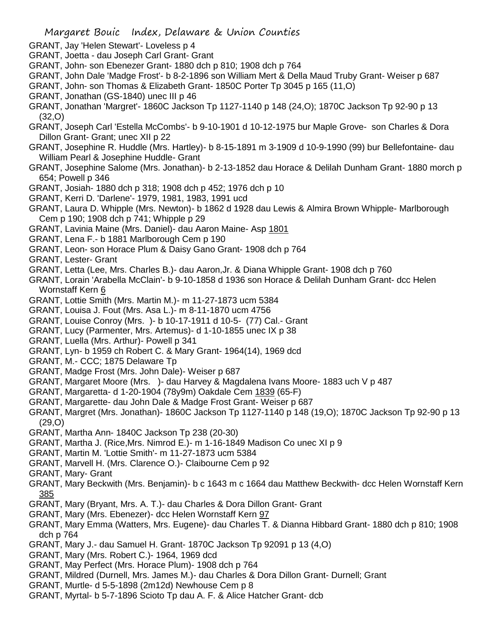- GRANT, Jay 'Helen Stewart'- Loveless p 4
- GRANT, Joetta dau Joseph Carl Grant- Grant
- GRANT, John- son Ebenezer Grant- 1880 dch p 810; 1908 dch p 764
- GRANT, John Dale 'Madge Frost'- b 8-2-1896 son William Mert & Della Maud Truby Grant- Weiser p 687
- GRANT, John- son Thomas & Elizabeth Grant- 1850C Porter Tp 3045 p 165 (11,O)
- GRANT, Jonathan (GS-1840) unec III p 46
- GRANT, Jonathan 'Margret'- 1860C Jackson Tp 1127-1140 p 148 (24,O); 1870C Jackson Tp 92-90 p 13 (32,O)
- GRANT, Joseph Carl 'Estella McCombs'- b 9-10-1901 d 10-12-1975 bur Maple Grove- son Charles & Dora Dillon Grant- Grant; unec XII p 22
- GRANT, Josephine R. Huddle (Mrs. Hartley)- b 8-15-1891 m 3-1909 d 10-9-1990 (99) bur Bellefontaine- dau William Pearl & Josephine Huddle- Grant
- GRANT, Josephine Salome (Mrs. Jonathan)- b 2-13-1852 dau Horace & Delilah Dunham Grant- 1880 morch p 654; Powell p 346
- GRANT, Josiah- 1880 dch p 318; 1908 dch p 452; 1976 dch p 10
- GRANT, Kerri D. 'Darlene'- 1979, 1981, 1983, 1991 ucd
- GRANT, Laura D. Whipple (Mrs. Newton)- b 1862 d 1928 dau Lewis & Almira Brown Whipple- Marlborough Cem p 190; 1908 dch p 741; Whipple p 29
- GRANT, Lavinia Maine (Mrs. Daniel)- dau Aaron Maine- Asp 1801
- GRANT, Lena F.- b 1881 Marlborough Cem p 190
- GRANT, Leon- son Horace Plum & Daisy Gano Grant- 1908 dch p 764
- GRANT, Lester- Grant
- GRANT, Letta (Lee, Mrs. Charles B.)- dau Aaron,Jr. & Diana Whipple Grant- 1908 dch p 760
- GRANT, Lorain 'Arabella McClain'- b 9-10-1858 d 1936 son Horace & Delilah Dunham Grant- dcc Helen Wornstaff Kern 6
- GRANT, Lottie Smith (Mrs. Martin M.)- m 11-27-1873 ucm 5384
- GRANT, Louisa J. Fout (Mrs. Asa L.)- m 8-11-1870 ucm 4756
- GRANT, Louise Conroy (Mrs. )- b 10-17-1911 d 10-5- (77) Cal.- Grant
- GRANT, Lucy (Parmenter, Mrs. Artemus)- d 1-10-1855 unec IX p 38
- GRANT, Luella (Mrs. Arthur)- Powell p 341
- GRANT, Lyn- b 1959 ch Robert C. & Mary Grant- 1964(14), 1969 dcd
- GRANT, M.- CCC; 1875 Delaware Tp
- GRANT, Madge Frost (Mrs. John Dale)- Weiser p 687
- GRANT, Margaret Moore (Mrs. )- dau Harvey & Magdalena Ivans Moore- 1883 uch V p 487
- GRANT, Margaretta- d 1-20-1904 (78y9m) Oakdale Cem 1839 (65-F)
- GRANT, Margarette- dau John Dale & Madge Frost Grant- Weiser p 687
- GRANT, Margret (Mrs. Jonathan)- 1860C Jackson Tp 1127-1140 p 148 (19,O); 1870C Jackson Tp 92-90 p 13 (29,O)
- GRANT, Martha Ann- 1840C Jackson Tp 238 (20-30)
- GRANT, Martha J. (Rice,Mrs. Nimrod E.)- m 1-16-1849 Madison Co unec XI p 9
- GRANT, Martin M. 'Lottie Smith'- m 11-27-1873 ucm 5384
- GRANT, Marvell H. (Mrs. Clarence O.)- Claibourne Cem p 92
- GRANT, Mary- Grant
- GRANT, Mary Beckwith (Mrs. Benjamin)- b c 1643 m c 1664 dau Matthew Beckwith- dcc Helen Wornstaff Kern 385
- GRANT, Mary (Bryant, Mrs. A. T.)- dau Charles & Dora Dillon Grant- Grant
- GRANT, Mary (Mrs. Ebenezer)- dcc Helen Wornstaff Kern 97
- GRANT, Mary Emma (Watters, Mrs. Eugene)- dau Charles T. & Dianna Hibbard Grant- 1880 dch p 810; 1908 dch p 764
- GRANT, Mary J.- dau Samuel H. Grant- 1870C Jackson Tp 92091 p 13 (4,O)
- GRANT, Mary (Mrs. Robert C.)- 1964, 1969 dcd
- GRANT, May Perfect (Mrs. Horace Plum)- 1908 dch p 764
- GRANT, Mildred (Durnell, Mrs. James M.)- dau Charles & Dora Dillon Grant- Durnell; Grant
- GRANT, Murtle- d 5-5-1898 (2m12d) Newhouse Cem p 8
- GRANT, Myrtal- b 5-7-1896 Scioto Tp dau A. F. & Alice Hatcher Grant- dcb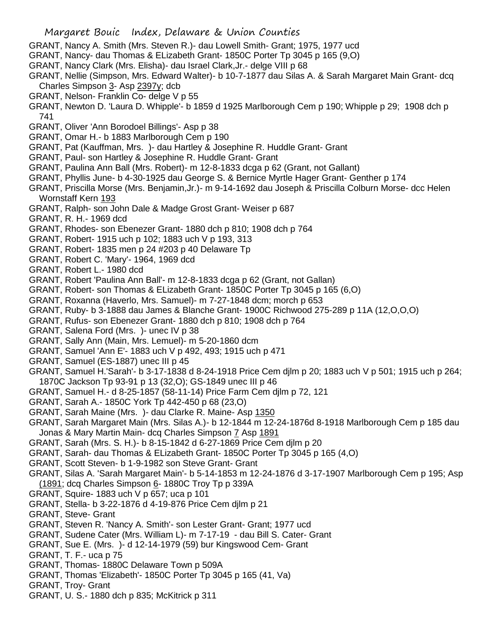- GRANT, Nancy A. Smith (Mrs. Steven R.)- dau Lowell Smith- Grant; 1975, 1977 ucd
- GRANT, Nancy- dau Thomas & ELizabeth Grant- 1850C Porter Tp 3045 p 165 (9,O)
- GRANT, Nancy Clark (Mrs. Elisha)- dau Israel Clark,Jr.- delge VIII p 68
- GRANT, Nellie (Simpson, Mrs. Edward Walter)- b 10-7-1877 dau Silas A. & Sarah Margaret Main Grant- dcq Charles Simpson 3- Asp 2397y; dcb
- GRANT, Nelson- Franklin Co- delge V p 55
- GRANT, Newton D. 'Laura D. Whipple'- b 1859 d 1925 Marlborough Cem p 190; Whipple p 29; 1908 dch p 741
- GRANT, Oliver 'Ann Borodoel Billings'- Asp p 38
- GRANT, Omar H.- b 1883 Marlborough Cem p 190
- GRANT, Pat (Kauffman, Mrs. )- dau Hartley & Josephine R. Huddle Grant- Grant
- GRANT, Paul- son Hartley & Josephine R. Huddle Grant- Grant
- GRANT, Paulina Ann Ball (Mrs. Robert)- m 12-8-1833 dcga p 62 (Grant, not Gallant)
- GRANT, Phyllis June- b 4-30-1925 dau George S. & Bernice Myrtle Hager Grant- Genther p 174
- GRANT, Priscilla Morse (Mrs. Benjamin,Jr.)- m 9-14-1692 dau Joseph & Priscilla Colburn Morse- dcc Helen Wornstaff Kern 193
- GRANT, Ralph- son John Dale & Madge Grost Grant- Weiser p 687
- GRANT, R. H.- 1969 dcd
- GRANT, Rhodes- son Ebenezer Grant- 1880 dch p 810; 1908 dch p 764
- GRANT, Robert- 1915 uch p 102; 1883 uch V p 193, 313
- GRANT, Robert- 1835 men p 24 #203 p 40 Delaware Tp
- GRANT, Robert C. 'Mary'- 1964, 1969 dcd
- GRANT, Robert L.- 1980 dcd
- GRANT, Robert 'Paulina Ann Ball'- m 12-8-1833 dcga p 62 (Grant, not Gallan)
- GRANT, Robert- son Thomas & ELizabeth Grant- 1850C Porter Tp 3045 p 165 (6,O)
- GRANT, Roxanna (Haverlo, Mrs. Samuel)- m 7-27-1848 dcm; morch p 653
- GRANT, Ruby- b 3-1888 dau James & Blanche Grant- 1900C Richwood 275-289 p 11A (12,O,O,O)
- GRANT, Rufus- son Ebenezer Grant- 1880 dch p 810; 1908 dch p 764
- GRANT, Salena Ford (Mrs. )- unec IV p 38
- GRANT, Sally Ann (Main, Mrs. Lemuel)- m 5-20-1860 dcm
- GRANT, Samuel 'Ann E'- 1883 uch V p 492, 493; 1915 uch p 471
- GRANT, Samuel (ES-1887) unec III p 45
- GRANT, Samuel H.'Sarah'- b 3-17-1838 d 8-24-1918 Price Cem djlm p 20; 1883 uch V p 501; 1915 uch p 264; 1870C Jackson Tp 93-91 p 13 (32,O); GS-1849 unec III p 46
- GRANT, Samuel H.- d 8-25-1857 (58-11-14) Price Farm Cem djlm p 72, 121
- GRANT, Sarah A.- 1850C York Tp 442-450 p 68 (23,O)
- GRANT, Sarah Maine (Mrs. )- dau Clarke R. Maine- Asp 1350
- GRANT, Sarah Margaret Main (Mrs. Silas A.)- b 12-1844 m 12-24-1876d 8-1918 Marlborough Cem p 185 dau Jonas & Mary Martin Main- dcq Charles Simpson 7 Asp 1891
- GRANT, Sarah (Mrs. S. H.)- b 8-15-1842 d 6-27-1869 Price Cem djlm p 20
- GRANT, Sarah- dau Thomas & ELizabeth Grant- 1850C Porter Tp 3045 p 165 (4,O)
- GRANT, Scott Steven- b 1-9-1982 son Steve Grant- Grant
- GRANT, Silas A. 'Sarah Margaret Main'- b 5-14-1853 m 12-24-1876 d 3-17-1907 Marlborough Cem p 195; Asp (1891; dcq Charles Simpson 6- 1880C Troy Tp p 339A
- GRANT, Squire- 1883 uch V p 657; uca p 101
- GRANT, Stella- b 3-22-1876 d 4-19-876 Price Cem djlm p 21
- GRANT, Steve- Grant
- GRANT, Steven R. 'Nancy A. Smith'- son Lester Grant- Grant; 1977 ucd
- GRANT, Sudene Cater (Mrs. William L)- m 7-17-19 dau Bill S. Cater- Grant
- GRANT, Sue E. (Mrs. )- d 12-14-1979 (59) bur Kingswood Cem- Grant
- GRANT, T. F.- uca p 75
- GRANT, Thomas- 1880C Delaware Town p 509A
- GRANT, Thomas 'Elizabeth'- 1850C Porter Tp 3045 p 165 (41, Va)
- GRANT, Troy- Grant
- GRANT, U. S.- 1880 dch p 835; McKitrick p 311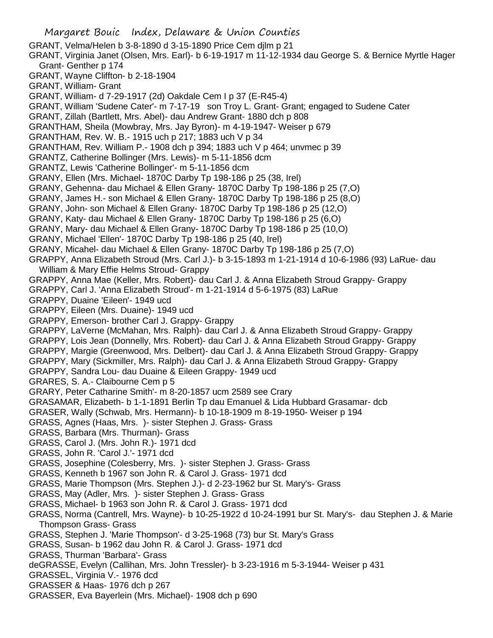Margaret Bouic Index, Delaware & Union Counties GRANT, Velma/Helen b 3-8-1890 d 3-15-1890 Price Cem djlm p 21 GRANT, Virginia Janet (Olsen, Mrs. Earl)- b 6-19-1917 m 11-12-1934 dau George S. & Bernice Myrtle Hager Grant- Genther p 174 GRANT, Wayne Cliffton- b 2-18-1904 GRANT, William- Grant GRANT, William- d 7-29-1917 (2d) Oakdale Cem I p 37 (E-R45-4) GRANT, William 'Sudene Cater'- m 7-17-19 son Troy L. Grant- Grant; engaged to Sudene Cater GRANT, Zillah (Bartlett, Mrs. Abel)- dau Andrew Grant- 1880 dch p 808 GRANTHAM, Sheila (Mowbray, Mrs. Jay Byron)- m 4-19-1947- Weiser p 679 GRANTHAM, Rev. W. B.- 1915 uch p 217; 1883 uch V p 34 GRANTHAM, Rev. William P.- 1908 dch p 394; 1883 uch V p 464; unvmec p 39 GRANTZ, Catherine Bollinger (Mrs. Lewis)- m 5-11-1856 dcm GRANTZ, Lewis 'Catherine Bollinger'- m 5-11-1856 dcm GRANY, Ellen (Mrs. Michael- 1870C Darby Tp 198-186 p 25 (38, Irel) GRANY, Gehenna- dau Michael & Ellen Grany- 1870C Darby Tp 198-186 p 25 (7,O) GRANY, James H.- son Michael & Ellen Grany- 1870C Darby Tp 198-186 p 25 (8,O) GRANY, John- son Michael & Ellen Grany- 1870C Darby Tp 198-186 p 25 (12,O) GRANY, Katy- dau Michael & Ellen Grany- 1870C Darby Tp 198-186 p 25 (6,O) GRANY, Mary- dau Michael & Ellen Grany- 1870C Darby Tp 198-186 p 25 (10,O) GRANY, Michael 'Ellen'- 1870C Darby Tp 198-186 p 25 (40, Irel) GRANY, Micahel- dau Michael & Ellen Grany- 1870C Darby Tp 198-186 p 25 (7,O) GRAPPY, Anna Elizabeth Stroud (Mrs. Carl J.)- b 3-15-1893 m 1-21-1914 d 10-6-1986 (93) LaRue- dau William & Mary Effie Helms Stroud- Grappy GRAPPY, Anna Mae (Keller, Mrs. Robert)- dau Carl J. & Anna Elizabeth Stroud Grappy- Grappy GRAPPY, Carl J. 'Anna Elizabeth Stroud'- m 1-21-1914 d 5-6-1975 (83) LaRue GRAPPY, Duaine 'Eileen'- 1949 ucd GRAPPY, Eileen (Mrs. Duaine)- 1949 ucd GRAPPY, Emerson- brother Carl J. Grappy- Grappy GRAPPY, LaVerne (McMahan, Mrs. Ralph)- dau Carl J. & Anna Elizabeth Stroud Grappy- Grappy GRAPPY, Lois Jean (Donnelly, Mrs. Robert)- dau Carl J. & Anna Elizabeth Stroud Grappy- Grappy GRAPPY, Margie (Greenwood, Mrs. Delbert)- dau Carl J. & Anna Elizabeth Stroud Grappy- Grappy GRAPPY, Mary (Sickmiller, Mrs. Ralph)- dau Carl J. & Anna Elizabeth Stroud Grappy- Grappy GRAPPY, Sandra Lou- dau Duaine & Eileen Grappy- 1949 ucd GRARES, S. A.- Claibourne Cem p 5 GRARY, Peter Catharine Smith'- m 8-20-1857 ucm 2589 see Crary GRASAMAR, Elizabeth- b 1-1-1891 Berlin Tp dau Emanuel & Lida Hubbard Grasamar- dcb GRASER, Wally (Schwab, Mrs. Hermann)- b 10-18-1909 m 8-19-1950- Weiser p 194 GRASS, Agnes (Haas, Mrs. )- sister Stephen J. Grass- Grass GRASS, Barbara (Mrs. Thurman)- Grass GRASS, Carol J. (Mrs. John R.)- 1971 dcd GRASS, John R. 'Carol J.'- 1971 dcd GRASS, Josephine (Colesberry, Mrs. )- sister Stephen J. Grass- Grass GRASS, Kenneth b 1967 son John R. & Carol J. Grass- 1971 dcd GRASS, Marie Thompson (Mrs. Stephen J.)- d 2-23-1962 bur St. Mary's- Grass GRASS, May (Adler, Mrs. )- sister Stephen J. Grass- Grass GRASS, Michael- b 1963 son John R. & Carol J. Grass- 1971 dcd GRASS, Norma (Cantrell, Mrs. Wayne)- b 10-25-1922 d 10-24-1991 bur St. Mary's- dau Stephen J. & Marie Thompson Grass- Grass GRASS, Stephen J. 'Marie Thompson'- d 3-25-1968 (73) bur St. Mary's Grass GRASS, Susan- b 1962 dau John R. & Carol J. Grass- 1971 dcd GRASS, Thurman 'Barbara'- Grass deGRASSE, Evelyn (Callihan, Mrs. John Tressler)- b 3-23-1916 m 5-3-1944- Weiser p 431 GRASSEL, Virginia V.- 1976 dcd GRASSER & Haas- 1976 dch p 267 GRASSER, Eva Bayerlein (Mrs. Michael)- 1908 dch p 690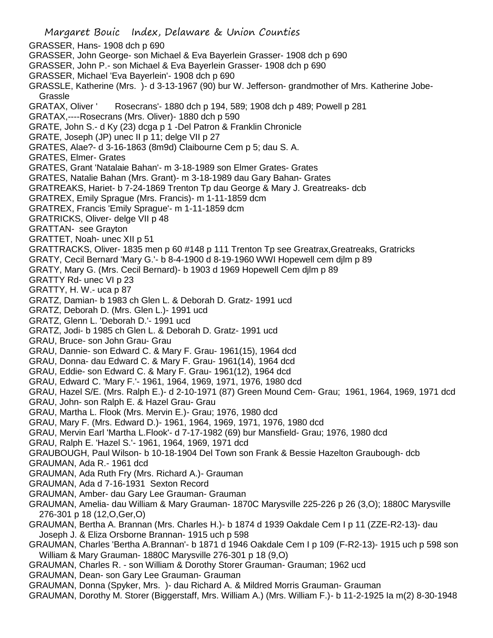Margaret Bouic Index, Delaware & Union Counties GRASSER, Hans- 1908 dch p 690 GRASSER, John George- son Michael & Eva Bayerlein Grasser- 1908 dch p 690 GRASSER, John P.- son Michael & Eva Bayerlein Grasser- 1908 dch p 690 GRASSER, Michael 'Eva Bayerlein'- 1908 dch p 690 GRASSLE, Katherine (Mrs. )- d 3-13-1967 (90) bur W. Jefferson- grandmother of Mrs. Katherine Jobe-Grassle GRATAX, Oliver ' Rosecrans'- 1880 dch p 194, 589; 1908 dch p 489; Powell p 281 GRATAX,----Rosecrans (Mrs. Oliver)- 1880 dch p 590 GRATE, John S.- d Ky (23) dcga p 1 -Del Patron & Franklin Chronicle GRATE, Joseph (JP) unec II p 11; delge VII p 27 GRATES, Alae?- d 3-16-1863 (8m9d) Claibourne Cem p 5; dau S. A. GRATES, Elmer- Grates GRATES, Grant 'Natalaie Bahan'- m 3-18-1989 son Elmer Grates- Grates GRATES, Natalie Bahan (Mrs. Grant)- m 3-18-1989 dau Gary Bahan- Grates GRATREAKS, Hariet- b 7-24-1869 Trenton Tp dau George & Mary J. Greatreaks- dcb GRATREX, Emily Sprague (Mrs. Francis)- m 1-11-1859 dcm GRATREX, Francis 'Emily Sprague'- m 1-11-1859 dcm GRATRICKS, Oliver- delge VII p 48 GRATTAN- see Grayton GRATTET, Noah- unec XII p 51 GRATTRACKS, Oliver- 1835 men p 60 #148 p 111 Trenton Tp see Greatrax,Greatreaks, Gratricks GRATY, Cecil Bernard 'Mary G.'- b 8-4-1900 d 8-19-1960 WWI Hopewell cem djlm p 89 GRATY, Mary G. (Mrs. Cecil Bernard)- b 1903 d 1969 Hopewell Cem djlm p 89 GRATTY Rd- unec VI p 23 GRATTY, H. W.- uca p 87 GRATZ, Damian- b 1983 ch Glen L. & Deborah D. Gratz- 1991 ucd GRATZ, Deborah D. (Mrs. Glen L.)- 1991 ucd GRATZ, Glenn L. 'Deborah D.'- 1991 ucd GRATZ, Jodi- b 1985 ch Glen L. & Deborah D. Gratz- 1991 ucd GRAU, Bruce- son John Grau- Grau GRAU, Dannie- son Edward C. & Mary F. Grau- 1961(15), 1964 dcd GRAU, Donna- dau Edward C. & Mary F. Grau- 1961(14), 1964 dcd GRAU, Eddie- son Edward C. & Mary F. Grau- 1961(12), 1964 dcd GRAU, Edward C. 'Mary F.'- 1961, 1964, 1969, 1971, 1976, 1980 dcd GRAU, Hazel S/E. (Mrs. Ralph E.)- d 2-10-1971 (87) Green Mound Cem- Grau; 1961, 1964, 1969, 1971 dcd GRAU, John- son Ralph E. & Hazel Grau- Grau GRAU, Martha L. Flook (Mrs. Mervin E.)- Grau; 1976, 1980 dcd GRAU, Mary F. (Mrs. Edward D.)- 1961, 1964, 1969, 1971, 1976, 1980 dcd GRAU, Mervin Earl 'Martha L.Flook'- d 7-17-1982 (69) bur Mansfield- Grau; 1976, 1980 dcd GRAU, Ralph E. 'Hazel S.'- 1961, 1964, 1969, 1971 dcd GRAUBOUGH, Paul Wilson- b 10-18-1904 Del Town son Frank & Bessie Hazelton Graubough- dcb GRAUMAN, Ada R.- 1961 dcd GRAUMAN, Ada Ruth Fry (Mrs. Richard A.)- Grauman GRAUMAN, Ada d 7-16-1931 Sexton Record GRAUMAN, Amber- dau Gary Lee Grauman- Grauman GRAUMAN, Amelia- dau William & Mary Grauman- 1870C Marysville 225-226 p 26 (3,O); 1880C Marysville 276-301 p 18 (12,O,Ger,O) GRAUMAN, Bertha A. Brannan (Mrs. Charles H.)- b 1874 d 1939 Oakdale Cem I p 11 (ZZE-R2-13)- dau Joseph J. & Eliza Orsborne Brannan- 1915 uch p 598 GRAUMAN, Charles 'Bertha A.Brannan'- b 1871 d 1946 Oakdale Cem I p 109 (F-R2-13)- 1915 uch p 598 son William & Mary Grauman- 1880C Marysville 276-301 p 18 (9,O) GRAUMAN, Charles R. - son William & Dorothy Storer Grauman- Grauman; 1962 ucd GRAUMAN, Dean- son Gary Lee Grauman- Grauman GRAUMAN, Donna (Spyker, Mrs. )- dau Richard A. & Mildred Morris Grauman- Grauman GRAUMAN, Dorothy M. Storer (Biggerstaff, Mrs. William A.) (Mrs. William F.)- b 11-2-1925 Ia m(2) 8-30-1948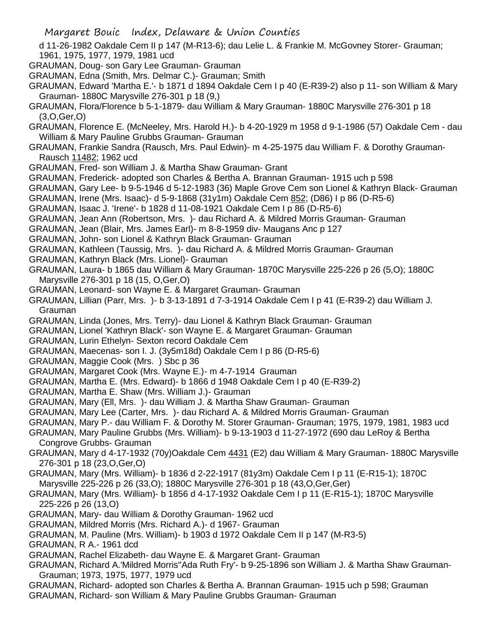d 11-26-1982 Oakdale Cem II p 147 (M-R13-6); dau Lelie L. & Frankie M. McGovney Storer- Grauman; 1961, 1975, 1977, 1979, 1981 ucd

- GRAUMAN, Doug- son Gary Lee Grauman- Grauman
- GRAUMAN, Edna (Smith, Mrs. Delmar C.)- Grauman; Smith
- GRAUMAN, Edward 'Martha E.'- b 1871 d 1894 Oakdale Cem I p 40 (E-R39-2) also p 11- son William & Mary Grauman- 1880C Marysville 276-301 p 18 (9,)
- GRAUMAN, Flora/Florence b 5-1-1879- dau William & Mary Grauman- 1880C Marysville 276-301 p 18 (3,O,Ger,O)
- GRAUMAN, Florence E. (McNeeley, Mrs. Harold H.)- b 4-20-1929 m 1958 d 9-1-1986 (57) Oakdale Cem dau William & Mary Pauline Grubbs Grauman- Grauman
- GRAUMAN, Frankie Sandra (Rausch, Mrs. Paul Edwin)- m 4-25-1975 dau William F. & Dorothy Grauman-Rausch 11482; 1962 ucd
- GRAUMAN, Fred- son William J. & Martha Shaw Grauman- Grant
- GRAUMAN, Frederick- adopted son Charles & Bertha A. Brannan Grauman- 1915 uch p 598
- GRAUMAN, Gary Lee- b 9-5-1946 d 5-12-1983 (36) Maple Grove Cem son Lionel & Kathryn Black- Grauman
- GRAUMAN, Irene (Mrs. Isaac)- d 5-9-1868 (31y1m) Oakdale Cem 852; (D86) I p 86 (D-R5-6)
- GRAUMAN, Isaac J. 'Irene'- b 1828 d 11-08-1921 Oakdale Cem I p 86 (D-R5-6)
- GRAUMAN, Jean Ann (Robertson, Mrs. )- dau Richard A. & Mildred Morris Grauman- Grauman
- GRAUMAN, Jean (Blair, Mrs. James Earl)- m 8-8-1959 div- Maugans Anc p 127
- GRAUMAN, John- son Lionel & Kathryn Black Grauman- Grauman
- GRAUMAN, Kathleen (Taussig, Mrs. )- dau Richard A. & Mildred Morris Grauman- Grauman
- GRAUMAN, Kathryn Black (Mrs. Lionel)- Grauman
- GRAUMAN, Laura- b 1865 dau William & Mary Grauman- 1870C Marysville 225-226 p 26 (5,O); 1880C Marysville 276-301 p 18 (15, O,Ger,O)
- GRAUMAN, Leonard- son Wayne E. & Margaret Grauman- Grauman
- GRAUMAN, Lillian (Parr, Mrs. )- b 3-13-1891 d 7-3-1914 Oakdale Cem I p 41 (E-R39-2) dau William J. Grauman
- GRAUMAN, Linda (Jones, Mrs. Terry)- dau Lionel & Kathryn Black Grauman- Grauman
- GRAUMAN, Lionel 'Kathryn Black'- son Wayne E. & Margaret Grauman- Grauman
- GRAUMAN, Lurin Ethelyn- Sexton record Oakdale Cem
- GRAUMAN, Maecenas- son I. J. (3y5m18d) Oakdale Cem I p 86 (D-R5-6)
- GRAUMAN, Maggie Cook (Mrs. ) Sbc p 36
- GRAUMAN, Margaret Cook (Mrs. Wayne E.)- m 4-7-1914 Grauman
- GRAUMAN, Martha E. (Mrs. Edward)- b 1866 d 1948 Oakdale Cem I p 40 (E-R39-2)
- GRAUMAN, Martha E. Shaw (Mrs. William J.)- Grauman
- GRAUMAN, Mary (Ell, Mrs. )- dau William J. & Martha Shaw Grauman- Grauman
- GRAUMAN, Mary Lee (Carter, Mrs. )- dau Richard A. & Mildred Morris Grauman- Grauman
- GRAUMAN, Mary P.- dau William F. & Dorothy M. Storer Grauman- Grauman; 1975, 1979, 1981, 1983 ucd
- GRAUMAN, Mary Pauline Grubbs (Mrs. William)- b 9-13-1903 d 11-27-1972 (690 dau LeRoy & Bertha Congrove Grubbs- Grauman
- GRAUMAN, Mary d 4-17-1932 (70y)Oakdale Cem 4431 (E2) dau William & Mary Grauman- 1880C Marysville 276-301 p 18 (23,O,Ger,O)
- GRAUMAN, Mary (Mrs. William)- b 1836 d 2-22-1917 (81y3m) Oakdale Cem I p 11 (E-R15-1); 1870C Marysville 225-226 p 26 (33,O); 1880C Marysville 276-301 p 18 (43,O,Ger,Ger)
- GRAUMAN, Mary (Mrs. William)- b 1856 d 4-17-1932 Oakdale Cem I p 11 (E-R15-1); 1870C Marysville 225-226 p 26 (13,O)
- GRAUMAN, Mary- dau William & Dorothy Grauman- 1962 ucd
- GRAUMAN, Mildred Morris (Mrs. Richard A.)- d 1967- Grauman
- GRAUMAN, M. Pauline (Mrs. William)- b 1903 d 1972 Oakdale Cem II p 147 (M-R3-5)
- GRAUMAN, R A.- 1961 dcd
- GRAUMAN, Rachel Elizabeth- dau Wayne E. & Margaret Grant- Grauman
- GRAUMAN, Richard A.'Mildred Morris''Ada Ruth Fry'- b 9-25-1896 son William J. & Martha Shaw Grauman-Grauman; 1973, 1975, 1977, 1979 ucd
- GRAUMAN, Richard- adopted son Charles & Bertha A. Brannan Grauman- 1915 uch p 598; Grauman GRAUMAN, Richard- son William & Mary Pauline Grubbs Grauman- Grauman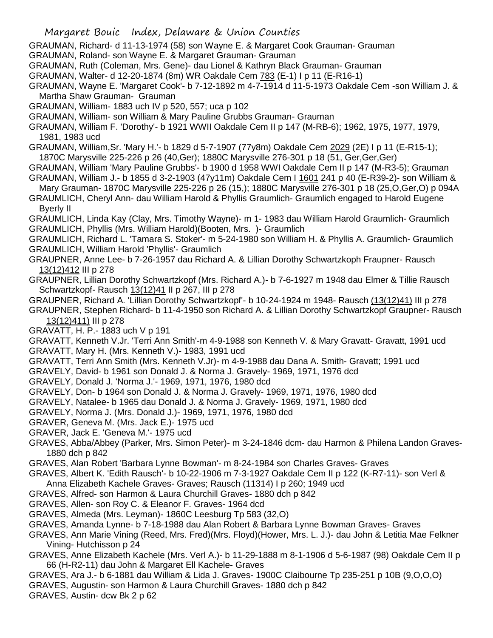GRAUMAN, Richard- d 11-13-1974 (58) son Wayne E. & Margaret Cook Grauman- Grauman

GRAUMAN, Roland- son Wayne E. & Margaret Grauman- Grauman

GRAUMAN, Ruth (Coleman, Mrs. Gene)- dau Lionel & Kathryn Black Grauman- Grauman

GRAUMAN, Walter- d 12-20-1874 (8m) WR Oakdale Cem 783 (E-1) I p 11 (E-R16-1)

GRAUMAN, Wayne E. 'Margaret Cook'- b 7-12-1892 m 4-7-1914 d 11-5-1973 Oakdale Cem -son William J. & Martha Shaw Grauman- Grauman

GRAUMAN, William- 1883 uch IV p 520, 557; uca p 102

GRAUMAN, William- son William & Mary Pauline Grubbs Grauman- Grauman

GRAUMAN, William F. 'Dorothy'- b 1921 WWII Oakdale Cem II p 147 (M-RB-6); 1962, 1975, 1977, 1979, 1981, 1983 ucd

GRAUMAN, William,Sr. 'Mary H.'- b 1829 d 5-7-1907 (77y8m) Oakdale Cem 2029 (2E) I p 11 (E-R15-1); 1870C Marysville 225-226 p 26 (40,Ger); 1880C Marysville 276-301 p 18 (51, Ger,Ger,Ger)

GRAUMAN, William 'Mary Pauline Grubbs'- b 1900 d 1958 WWI Oakdale Cem II p 147 (M-R3-5); Grauman GRAUMAN, William J.- b 1855 d 3-2-1903 (47y11m) Oakdale Cem I 1601 241 p 40 (E-R39-2)- son William &

Mary Grauman- 1870C Marysville 225-226 p 26 (15,); 1880C Marysville 276-301 p 18 (25,O,Ger,O) p 094A GRAUMLICH, Cheryl Ann- dau William Harold & Phyllis Graumlich- Graumlich engaged to Harold Eugene

Byerly II

GRAUMLICH, Linda Kay (Clay, Mrs. Timothy Wayne)- m 1- 1983 dau William Harold Graumlich- Graumlich GRAUMLICH, Phyllis (Mrs. William Harold)(Booten, Mrs. )- Graumlich

GRAUMLICH, Richard L. 'Tamara S. Stoker'- m 5-24-1980 son William H. & Phyllis A. Graumlich- Graumlich GRAUMLICH, William Harold 'Phyllis'- Graumlich

- GRAUPNER, Anne Lee- b 7-26-1957 dau Richard A. & Lillian Dorothy Schwartzkoph Fraupner- Rausch 13(12)412 III p 278
- GRAUPNER, Lillian Dorothy Schwartzkopf (Mrs. Richard A.)- b 7-6-1927 m 1948 dau Elmer & Tillie Rausch Schwartzkopf- Rausch 13(12)41 II p 267, III p 278

GRAUPNER, Richard A. 'Lillian Dorothy Schwartzkopf'- b 10-24-1924 m 1948- Rausch (13(12)41) III p 278

GRAUPNER, Stephen Richard- b 11-4-1950 son Richard A. & Lillian Dorothy Schwartzkopf Graupner- Rausch 13(12)411) III p 278

GRAVATT, H. P.- 1883 uch V p 191

GRAVATT, Kenneth V.Jr. 'Terri Ann Smith'-m 4-9-1988 son Kenneth V. & Mary Gravatt- Gravatt, 1991 ucd GRAVATT, Mary H. (Mrs. Kenneth V.)- 1983, 1991 ucd

GRAVATT, Terri Ann Smith (Mrs. Kenneth V.Jr)- m 4-9-1988 dau Dana A. Smith- Gravatt; 1991 ucd

GRAVELY, David- b 1961 son Donald J. & Norma J. Gravely- 1969, 1971, 1976 dcd

GRAVELY, Donald J. 'Norma J.'- 1969, 1971, 1976, 1980 dcd

GRAVELY, Don- b 1964 son Donald J. & Norma J. Gravely- 1969, 1971, 1976, 1980 dcd

GRAVELY, Natalee- b 1965 dau Donald J. & Norma J. Gravely- 1969, 1971, 1980 dcd

GRAVELY, Norma J. (Mrs. Donald J.)- 1969, 1971, 1976, 1980 dcd

GRAVER, Geneva M. (Mrs. Jack E.)- 1975 ucd

GRAVER, Jack E. 'Geneva M.'- 1975 ucd

GRAVES, Abba/Abbey (Parker, Mrs. Simon Peter)- m 3-24-1846 dcm- dau Harmon & Philena Landon Graves-1880 dch p 842

GRAVES, Alan Robert 'Barbara Lynne Bowman'- m 8-24-1984 son Charles Graves- Graves

GRAVES, Albert K. 'Edith Rausch'- b 10-22-1906 m 7-3-1927 Oakdale Cem II p 122 (K-R7-11)- son Verl &

Anna Elizabeth Kachele Graves- Graves; Rausch (11314) I p 260; 1949 ucd

- GRAVES, Alfred- son Harmon & Laura Churchill Graves- 1880 dch p 842
- GRAVES, Allen- son Roy C. & Eleanor F. Graves- 1964 dcd
- GRAVES, Almeda (Mrs. Leyman)- 1860C Leesburg Tp 583 (32,O)
- GRAVES, Amanda Lynne- b 7-18-1988 dau Alan Robert & Barbara Lynne Bowman Graves- Graves

GRAVES, Ann Marie Vining (Reed, Mrs. Fred)(Mrs. Floyd)(Hower, Mrs. L. J.)- dau John & Letitia Mae Felkner Vining- Hutchisson p 24

- GRAVES, Anne Elizabeth Kachele (Mrs. Verl A.)- b 11-29-1888 m 8-1-1906 d 5-6-1987 (98) Oakdale Cem II p 66 (H-R2-11) dau John & Margaret Ell Kachele- Graves
- GRAVES, Ara J.- b 6-1881 dau William & Lida J. Graves- 1900C Claibourne Tp 235-251 p 10B (9,O,O,O)
- GRAVES, Augustin- son Harmon & Laura Churchill Graves- 1880 dch p 842

GRAVES, Austin- dcw Bk 2 p 62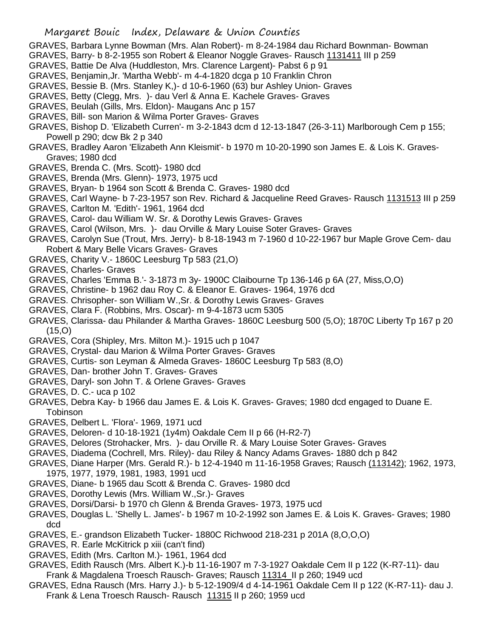- GRAVES, Barbara Lynne Bowman (Mrs. Alan Robert)- m 8-24-1984 dau Richard Bownman- Bowman
- GRAVES, Barry- b 8-2-1955 son Robert & Eleanor Noggle Graves- Rausch 1131411 III p 259
- GRAVES, Battie De Alva (Huddleston, Mrs. Clarence Largent)- Pabst 6 p 91
- GRAVES, Benjamin,Jr. 'Martha Webb'- m 4-4-1820 dcga p 10 Franklin Chron
- GRAVES, Bessie B. (Mrs. Stanley K,)- d 10-6-1960 (63) bur Ashley Union- Graves
- GRAVES, Betty (Clegg, Mrs. )- dau Verl & Anna E. Kachele Graves- Graves
- GRAVES, Beulah (Gills, Mrs. Eldon)- Maugans Anc p 157
- GRAVES, Bill- son Marion & Wilma Porter Graves- Graves
- GRAVES, Bishop D. 'Elizabeth Curren'- m 3-2-1843 dcm d 12-13-1847 (26-3-11) Marlborough Cem p 155; Powell p 290; dcw Bk 2 p 340
- GRAVES, Bradley Aaron 'Elizabeth Ann Kleismit'- b 1970 m 10-20-1990 son James E. & Lois K. Graves-Graves; 1980 dcd
- GRAVES, Brenda C. (Mrs. Scott)- 1980 dcd
- GRAVES, Brenda (Mrs. Glenn)- 1973, 1975 ucd
- GRAVES, Bryan- b 1964 son Scott & Brenda C. Graves- 1980 dcd
- GRAVES, Carl Wayne- b 7-23-1957 son Rev. Richard & Jacqueline Reed Graves- Rausch 1131513 III p 259
- GRAVES, Carlton M. 'Edith'- 1961, 1964 dcd
- GRAVES, Carol- dau William W. Sr. & Dorothy Lewis Graves- Graves
- GRAVES, Carol (Wilson, Mrs. )- dau Orville & Mary Louise Soter Graves- Graves
- GRAVES, Carolyn Sue (Trout, Mrs. Jerry)- b 8-18-1943 m 7-1960 d 10-22-1967 bur Maple Grove Cem- dau Robert & Mary Belle Vicars Graves- Graves
- GRAVES, Charity V.- 1860C Leesburg Tp 583 (21,O)
- GRAVES, Charles- Graves
- GRAVES, Charles 'Emma B.'- 3-1873 m 3y- 1900C Claibourne Tp 136-146 p 6A (27, Miss,O,O)
- GRAVES, Christine- b 1962 dau Roy C. & Eleanor E. Graves- 1964, 1976 dcd
- GRAVES. Chrisopher- son William W.,Sr. & Dorothy Lewis Graves- Graves
- GRAVES, Clara F. (Robbins, Mrs. Oscar)- m 9-4-1873 ucm 5305
- GRAVES, Clarissa- dau Philander & Martha Graves- 1860C Leesburg 500 (5,O); 1870C Liberty Tp 167 p 20  $(15,0)$
- GRAVES, Cora (Shipley, Mrs. Milton M.)- 1915 uch p 1047
- GRAVES, Crystal- dau Marion & Wilma Porter Graves- Graves
- GRAVES, Curtis- son Leyman & Almeda Graves- 1860C Leesburg Tp 583 (8,O)
- GRAVES, Dan- brother John T. Graves- Graves
- GRAVES, Daryl- son John T. & Orlene Graves- Graves
- GRAVES, D. C.- uca p 102
- GRAVES, Debra Kay- b 1966 dau James E. & Lois K. Graves- Graves; 1980 dcd engaged to Duane E. Tobinson
- GRAVES, Delbert L. 'Flora'- 1969, 1971 ucd
- GRAVES, Deloren- d 10-18-1921 (1y4m) Oakdale Cem II p 66 (H-R2-7)
- GRAVES, Delores (Strohacker, Mrs. )- dau Orville R. & Mary Louise Soter Graves- Graves
- GRAVES, Diadema (Cochrell, Mrs. Riley)- dau Riley & Nancy Adams Graves- 1880 dch p 842
- GRAVES, Diane Harper (Mrs. Gerald R.)- b 12-4-1940 m 11-16-1958 Graves; Rausch (113142); 1962, 1973, 1975, 1977, 1979, 1981, 1983, 1991 ucd
- GRAVES, Diane- b 1965 dau Scott & Brenda C. Graves- 1980 dcd
- GRAVES, Dorothy Lewis (Mrs. William W.,Sr.)- Graves
- GRAVES, Dorsi/Darsi- b 1970 ch Glenn & Brenda Graves- 1973, 1975 ucd
- GRAVES, Douglas L. 'Shelly L. James'- b 1967 m 10-2-1992 son James E. & Lois K. Graves- Graves; 1980 dcd
- GRAVES, E.- grandson Elizabeth Tucker- 1880C Richwood 218-231 p 201A (8,O,O,O)
- GRAVES, R. Earle McKitrick p xiii (can't find)
- GRAVES, Edith (Mrs. Carlton M.)- 1961, 1964 dcd
- GRAVES, Edith Rausch (Mrs. Albert K.)-b 11-16-1907 m 7-3-1927 Oakdale Cem II p 122 (K-R7-11)- dau Frank & Magdalena Troesch Rausch- Graves; Rausch 11314 II p 260; 1949 ucd
- GRAVES, Edna Rausch (Mrs. Harry J.)- b 5-12-1909/4 d 4-14-1961 Oakdale Cem II p 122 (K-R7-11)- dau J. Frank & Lena Troesch Rausch- Rausch 11315 II p 260; 1959 ucd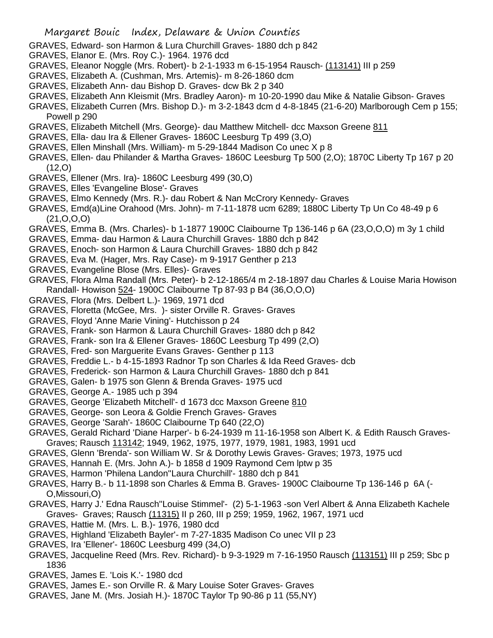- GRAVES, Edward- son Harmon & Lura Churchill Graves- 1880 dch p 842
- GRAVES, Elanor E. (Mrs. Roy C.)- 1964. 1976 dcd
- GRAVES, Eleanor Noggle (Mrs. Robert)- b 2-1-1933 m 6-15-1954 Rausch- (113141) III p 259
- GRAVES, Elizabeth A. (Cushman, Mrs. Artemis)- m 8-26-1860 dcm
- GRAVES, Elizabeth Ann- dau Bishop D. Graves- dcw Bk 2 p 340
- GRAVES, Elizabeth Ann Kleismit (Mrs. Bradley Aaron)- m 10-20-1990 dau Mike & Natalie Gibson- Graves
- GRAVES, Elizabeth Curren (Mrs. Bishop D.)- m 3-2-1843 dcm d 4-8-1845 (21-6-20) Marlborough Cem p 155; Powell p 290
- GRAVES, Elizabeth Mitchell (Mrs. George)- dau Matthew Mitchell- dcc Maxson Greene 811
- GRAVES, Ella- dau Ira & Ellener Graves- 1860C Leesburg Tp 499 (3,O)
- GRAVES, Ellen Minshall (Mrs. William)- m 5-29-1844 Madison Co unec X p 8
- GRAVES, Ellen- dau Philander & Martha Graves- 1860C Leesburg Tp 500 (2,O); 1870C Liberty Tp 167 p 20  $(12, 0)$
- GRAVES, Ellener (Mrs. Ira)- 1860C Leesburg 499 (30,O)
- GRAVES, Elles 'Evangeline Blose'- Graves
- GRAVES, Elmo Kennedy (Mrs. R.)- dau Robert & Nan McCrory Kennedy- Graves
- GRAVES, Emd(a)Line Orahood (Mrs. John)- m 7-11-1878 ucm 6289; 1880C Liberty Tp Un Co 48-49 p 6  $(21, 0, 0, 0)$
- GRAVES, Emma B. (Mrs. Charles)- b 1-1877 1900C Claibourne Tp 136-146 p 6A (23,O,O,O) m 3y 1 child
- GRAVES, Emma- dau Harmon & Laura Churchill Graves- 1880 dch p 842
- GRAVES, Enoch- son Harmon & Laura Churchill Graves- 1880 dch p 842
- GRAVES, Eva M. (Hager, Mrs. Ray Case)- m 9-1917 Genther p 213
- GRAVES, Evangeline Blose (Mrs. Elles)- Graves
- GRAVES, Flora Alma Randall (Mrs. Peter)- b 2-12-1865/4 m 2-18-1897 dau Charles & Louise Maria Howison Randall- Howison 524- 1900C Claibourne Tp 87-93 p B4 (36,O,O,O)
- GRAVES, Flora (Mrs. Delbert L.)- 1969, 1971 dcd
- GRAVES, Floretta (McGee, Mrs. )- sister Orville R. Graves- Graves
- GRAVES, Floyd 'Anne Marie Vining'- Hutchisson p 24
- GRAVES, Frank- son Harmon & Laura Churchill Graves- 1880 dch p 842
- GRAVES, Frank- son Ira & Ellener Graves- 1860C Leesburg Tp 499 (2,O)
- GRAVES, Fred- son Marguerite Evans Graves- Genther p 113
- GRAVES, Freddie L.- b 4-15-1893 Radnor Tp son Charles & Ida Reed Graves- dcb
- GRAVES, Frederick- son Harmon & Laura Churchill Graves- 1880 dch p 841
- GRAVES, Galen- b 1975 son Glenn & Brenda Graves- 1975 ucd
- GRAVES, George A.- 1985 uch p 394
- GRAVES, George 'Elizabeth Mitchell'- d 1673 dcc Maxson Greene 810
- GRAVES, George- son Leora & Goldie French Graves- Graves
- GRAVES, George 'Sarah'- 1860C Claibourne Tp 640 (22,O)
- GRAVES, Gerald Richard 'Diane Harper'- b 6-24-1939 m 11-16-1958 son Albert K. & Edith Rausch Graves-Graves; Rausch 113142; 1949, 1962, 1975, 1977, 1979, 1981, 1983, 1991 ucd
- GRAVES, Glenn 'Brenda'- son William W. Sr & Dorothy Lewis Graves- Graves; 1973, 1975 ucd
- GRAVES, Hannah E. (Mrs. John A.)- b 1858 d 1909 Raymond Cem lptw p 35
- GRAVES, Harmon 'Philena Landon''Laura Churchill'- 1880 dch p 841
- GRAVES, Harry B.- b 11-1898 son Charles & Emma B. Graves- 1900C Claibourne Tp 136-146 p 6A (- O,Missouri,O)
- GRAVES, Harry J.' Edna Rausch''Louise Stimmel'- (2) 5-1-1963 -son Verl Albert & Anna Elizabeth Kachele Graves- Graves; Rausch (11315) II p 260, III p 259; 1959, 1962, 1967, 1971 ucd
- GRAVES, Hattie M. (Mrs. L. B.)- 1976, 1980 dcd
- GRAVES, Highland 'Elizabeth Bayler'- m 7-27-1835 Madison Co unec VII p 23
- GRAVES, Ira 'Ellener'- 1860C Leesburg 499 (34,O)
- GRAVES, Jacqueline Reed (Mrs. Rev. Richard)- b 9-3-1929 m 7-16-1950 Rausch (113151) III p 259; Sbc p 1836
- GRAVES, James E. 'Lois K.'- 1980 dcd
- GRAVES, James E.- son Orville R. & Mary Louise Soter Graves- Graves
- GRAVES, Jane M. (Mrs. Josiah H.)- 1870C Taylor Tp 90-86 p 11 (55,NY)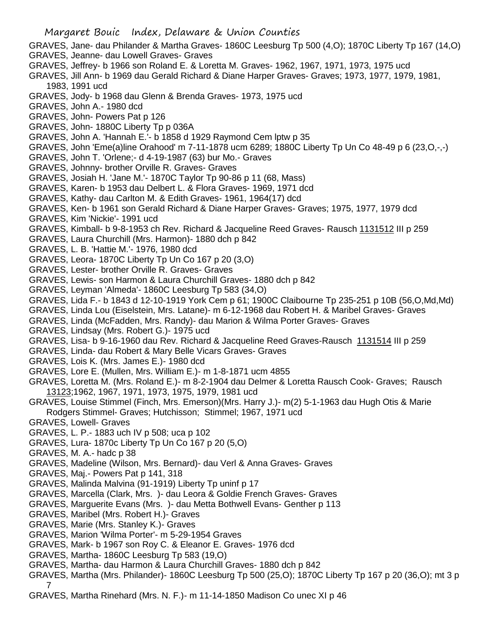- GRAVES, Jane- dau Philander & Martha Graves- 1860C Leesburg Tp 500 (4,O); 1870C Liberty Tp 167 (14,O)
- GRAVES, Jeanne- dau Lowell Graves- Graves
- GRAVES, Jeffrey- b 1966 son Roland E. & Loretta M. Graves- 1962, 1967, 1971, 1973, 1975 ucd
- GRAVES, Jill Ann- b 1969 dau Gerald Richard & Diane Harper Graves- Graves; 1973, 1977, 1979, 1981, 1983, 1991 ucd
- GRAVES, Jody- b 1968 dau Glenn & Brenda Graves- 1973, 1975 ucd
- GRAVES, John A.- 1980 dcd
- GRAVES, John- Powers Pat p 126
- GRAVES, John- 1880C Liberty Tp p 036A
- GRAVES, John A. 'Hannah E.'- b 1858 d 1929 Raymond Cem lptw p 35
- GRAVES, John 'Eme(a)line Orahood' m 7-11-1878 ucm 6289; 1880C Liberty Tp Un Co 48-49 p 6 (23,O,-,-)
- GRAVES, John T. 'Orlene;- d 4-19-1987 (63) bur Mo.- Graves
- GRAVES, Johnny- brother Orville R. Graves- Graves
- GRAVES, Josiah H. 'Jane M.'- 1870C Taylor Tp 90-86 p 11 (68, Mass)
- GRAVES, Karen- b 1953 dau Delbert L. & Flora Graves- 1969, 1971 dcd
- GRAVES, Kathy- dau Carlton M. & Edith Graves- 1961, 1964(17) dcd
- GRAVES, Ken- b 1961 son Gerald Richard & Diane Harper Graves- Graves; 1975, 1977, 1979 dcd
- GRAVES, Kim 'Nickie'- 1991 ucd
- GRAVES, Kimball- b 9-8-1953 ch Rev. Richard & Jacqueline Reed Graves- Rausch 1131512 III p 259
- GRAVES, Laura Churchill (Mrs. Harmon)- 1880 dch p 842
- GRAVES, L. B. 'Hattie M.'- 1976, 1980 dcd
- GRAVES, Leora- 1870C Liberty Tp Un Co 167 p 20 (3,O)
- GRAVES, Lester- brother Orville R. Graves- Graves
- GRAVES, Lewis- son Harmon & Laura Churchill Graves- 1880 dch p 842
- GRAVES, Leyman 'Almeda'- 1860C Leesburg Tp 583 (34,O)
- GRAVES, Lida F.- b 1843 d 12-10-1919 York Cem p 61; 1900C Claibourne Tp 235-251 p 10B (56,O,Md,Md)
- GRAVES, Linda Lou (Eiselstein, Mrs. Latane)- m 6-12-1968 dau Robert H. & Maribel Graves- Graves
- GRAVES, Linda (McFadden, Mrs. Randy)- dau Marion & Wilma Porter Graves- Graves
- GRAVES, Lindsay (Mrs. Robert G.)- 1975 ucd
- GRAVES, Lisa- b 9-16-1960 dau Rev. Richard & Jacqueline Reed Graves-Rausch 1131514 III p 259
- GRAVES, Linda- dau Robert & Mary Belle Vicars Graves- Graves
- GRAVES, Lois K. (Mrs. James E.)- 1980 dcd
- GRAVES, Lore E. (Mullen, Mrs. William E.)- m 1-8-1871 ucm 4855
- GRAVES, Loretta M. (Mrs. Roland E.)- m 8-2-1904 dau Delmer & Loretta Rausch Cook- Graves; Rausch 13123;1962, 1967, 1971, 1973, 1975, 1979, 1981 ucd
- GRAVES, Louise Stimmel (Finch, Mrs. Emerson)(Mrs. Harry J.)- m(2) 5-1-1963 dau Hugh Otis & Marie Rodgers Stimmel- Graves; Hutchisson; Stimmel; 1967, 1971 ucd
- GRAVES, Lowell- Graves
- GRAVES, L. P.- 1883 uch IV p 508; uca p 102
- GRAVES, Lura- 1870c Liberty Tp Un Co 167 p 20 (5,O)
- GRAVES, M. A.- hadc p 38
- GRAVES, Madeline (Wilson, Mrs. Bernard)- dau Verl & Anna Graves- Graves
- GRAVES, Maj.- Powers Pat p 141, 318
- GRAVES, Malinda Malvina (91-1919) Liberty Tp uninf p 17
- GRAVES, Marcella (Clark, Mrs. )- dau Leora & Goldie French Graves- Graves
- GRAVES, Marguerite Evans (Mrs. )- dau Metta Bothwell Evans- Genther p 113
- GRAVES, Maribel (Mrs. Robert H.)- Graves
- GRAVES, Marie (Mrs. Stanley K.)- Graves
- GRAVES, Marion 'Wilma Porter'- m 5-29-1954 Graves
- GRAVES, Mark- b 1967 son Roy C. & Eleanor E. Graves- 1976 dcd
- GRAVES, Martha- 1860C Leesburg Tp 583 (19,O)
- GRAVES, Martha- dau Harmon & Laura Churchill Graves- 1880 dch p 842
- GRAVES, Martha (Mrs. Philander)- 1860C Leesburg Tp 500 (25,O); 1870C Liberty Tp 167 p 20 (36,O); mt 3 p 7
- GRAVES, Martha Rinehard (Mrs. N. F.)- m 11-14-1850 Madison Co unec XI p 46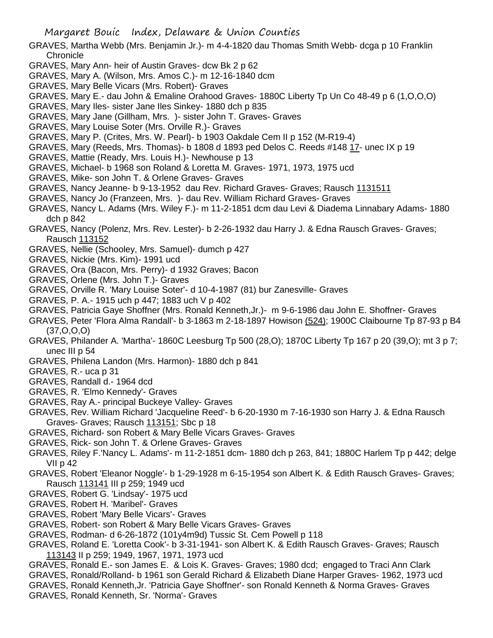- GRAVES, Martha Webb (Mrs. Benjamin Jr.)- m 4-4-1820 dau Thomas Smith Webb- dcga p 10 Franklin **Chronicle**
- GRAVES, Mary Ann- heir of Austin Graves- dcw Bk 2 p 62
- GRAVES, Mary A. (Wilson, Mrs. Amos C.)- m 12-16-1840 dcm
- GRAVES, Mary Belle Vicars (Mrs. Robert)- Graves
- GRAVES, Mary E.- dau John & Emaline Orahood Graves- 1880C Liberty Tp Un Co 48-49 p 6 (1,O,O,O)
- GRAVES, Mary Iles- sister Jane Iles Sinkey- 1880 dch p 835
- GRAVES, Mary Jane (Gillham, Mrs. )- sister John T. Graves- Graves
- GRAVES, Mary Louise Soter (Mrs. Orville R.)- Graves
- GRAVES, Mary P. (Crites, Mrs. W. Pearl)- b 1903 Oakdale Cem II p 152 (M-R19-4)
- GRAVES, Mary (Reeds, Mrs. Thomas)- b 1808 d 1893 ped Delos C. Reeds #148 17- unec IX p 19
- GRAVES, Mattie (Ready, Mrs. Louis H.)- Newhouse p 13
- GRAVES, Michael- b 1968 son Roland & Loretta M. Graves- 1971, 1973, 1975 ucd
- GRAVES, Mike- son John T. & Orlene Graves- Graves
- GRAVES, Nancy Jeanne- b 9-13-1952 dau Rev. Richard Graves- Graves; Rausch 1131511
- GRAVES, Nancy Jo (Franzeen, Mrs. )- dau Rev. William Richard Graves- Graves
- GRAVES, Nancy L. Adams (Mrs. Wiley F.)- m 11-2-1851 dcm dau Levi & Diadema Linnabary Adams- 1880 dch p 842
- GRAVES, Nancy (Polenz, Mrs. Rev. Lester)- b 2-26-1932 dau Harry J. & Edna Rausch Graves- Graves; Rausch 113152
- GRAVES, Nellie (Schooley, Mrs. Samuel)- dumch p 427
- GRAVES, Nickie (Mrs. Kim)- 1991 ucd
- GRAVES, Ora (Bacon, Mrs. Perry)- d 1932 Graves; Bacon
- GRAVES, Orlene (Mrs. John T.)- Graves
- GRAVES, Orville R. 'Mary Louise Soter'- d 10-4-1987 (81) bur Zanesville- Graves
- GRAVES, P. A.- 1915 uch p 447; 1883 uch V p 402
- GRAVES, Patricia Gaye Shoffner (Mrs. Ronald Kenneth,Jr.)- m 9-6-1986 dau John E. Shoffner- Graves
- GRAVES, Peter 'Flora Alma Randall'- b 3-1863 m 2-18-1897 Howison (524); 1900C Claibourne Tp 87-93 p B4 (37,O,O,O)
- GRAVES, Philander A. 'Martha'- 1860C Leesburg Tp 500 (28,O); 1870C Liberty Tp 167 p 20 (39,O); mt 3 p 7; unec III p 54
- GRAVES, Philena Landon (Mrs. Harmon)- 1880 dch p 841
- GRAVES, R.- uca p 31
- GRAVES, Randall d.- 1964 dcd
- GRAVES, R. 'Elmo Kennedy'- Graves
- GRAVES, Ray A.- principal Buckeye Valley- Graves
- GRAVES, Rev. William Richard 'Jacqueline Reed'- b 6-20-1930 m 7-16-1930 son Harry J. & Edna Rausch Graves- Graves; Rausch 113151; Sbc p 18
- GRAVES, Richard- son Robert & Mary Belle Vicars Graves- Graves
- GRAVES, Rick- son John T. & Orlene Graves- Graves
- GRAVES, Riley F.'Nancy L. Adams'- m 11-2-1851 dcm- 1880 dch p 263, 841; 1880C Harlem Tp p 442; delge VII p 42
- GRAVES, Robert 'Eleanor Noggle'- b 1-29-1928 m 6-15-1954 son Albert K. & Edith Rausch Graves- Graves; Rausch 113141 III p 259; 1949 ucd
- GRAVES, Robert G. 'Lindsay'- 1975 ucd
- GRAVES, Robert H. 'Maribel'- Graves
- GRAVES, Robert 'Mary Belle Vicars'- Graves
- GRAVES, Robert- son Robert & Mary Belle Vicars Graves- Graves
- GRAVES, Rodman- d 6-26-1872 (101y4m9d) Tussic St. Cem Powell p 118
- GRAVES, Roland E. 'Loretta Cook'- b 3-31-1941- son Albert K. & Edith Rausch Graves- Graves; Rausch 113143 II p 259; 1949, 1967, 1971, 1973 ucd
- GRAVES, Ronald E.- son James E. & Lois K. Graves- Graves; 1980 dcd; engaged to Traci Ann Clark
- GRAVES, Ronald/Rolland- b 1961 son Gerald Richard & Elizabeth Diane Harper Graves- 1962, 1973 ucd
- GRAVES, Ronald Kenneth,Jr. 'Patricia Gaye Shoffner'- son Ronald Kenneth & Norma Graves- Graves GRAVES, Ronald Kenneth, Sr. 'Norma'- Graves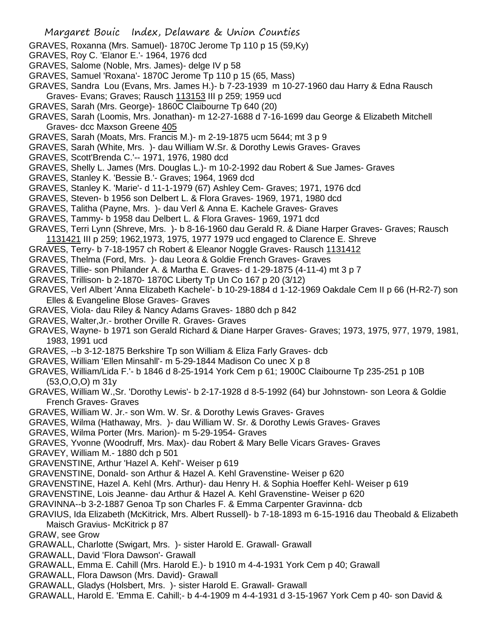- GRAVES, Roxanna (Mrs. Samuel)- 1870C Jerome Tp 110 p 15 (59,Ky)
- GRAVES, Roy C. 'Elanor E.'- 1964, 1976 dcd
- GRAVES, Salome (Noble, Mrs. James)- delge IV p 58
- GRAVES, Samuel 'Roxana'- 1870C Jerome Tp 110 p 15 (65, Mass)
- GRAVES, Sandra Lou (Evans, Mrs. James H.)- b 7-23-1939 m 10-27-1960 dau Harry & Edna Rausch Graves- Evans; Graves; Rausch 113153 III p 259; 1959 ucd
- GRAVES, Sarah (Mrs. George)- 1860C Claibourne Tp 640 (20)
- GRAVES, Sarah (Loomis, Mrs. Jonathan)- m 12-27-1688 d 7-16-1699 dau George & Elizabeth Mitchell Graves- dcc Maxson Greene 405
- GRAVES, Sarah (Moats, Mrs. Francis M.)- m 2-19-1875 ucm 5644; mt 3 p 9
- GRAVES, Sarah (White, Mrs. )- dau William W.Sr. & Dorothy Lewis Graves- Graves
- GRAVES, Scott'Brenda C.'-- 1971, 1976, 1980 dcd
- GRAVES, Shelly L. James (Mrs. Douglas L.)- m 10-2-1992 dau Robert & Sue James- Graves
- GRAVES, Stanley K. 'Bessie B.'- Graves; 1964, 1969 dcd
- GRAVES, Stanley K. 'Marie'- d 11-1-1979 (67) Ashley Cem- Graves; 1971, 1976 dcd
- GRAVES, Steven- b 1956 son Delbert L. & Flora Graves- 1969, 1971, 1980 dcd
- GRAVES, Talitha (Payne, Mrs. )- dau Verl & Anna E. Kachele Graves- Graves
- GRAVES, Tammy- b 1958 dau Delbert L. & Flora Graves- 1969, 1971 dcd
- GRAVES, Terri Lynn (Shreve, Mrs. )- b 8-16-1960 dau Gerald R. & Diane Harper Graves- Graves; Rausch 1131421 III p 259; 1962,1973, 1975, 1977 1979 ucd engaged to Clarence E. Shreve
- GRAVES, Terry- b 7-18-1957 ch Robert & Eleanor Noggle Graves- Rausch 1131412
- GRAVES, Thelma (Ford, Mrs. )- dau Leora & Goldie French Graves- Graves
- GRAVES, Tillie- son Philander A. & Martha E. Graves- d 1-29-1875 (4-11-4) mt 3 p 7
- GRAVES, Trillison- b 2-1870- 1870C Liberty Tp Un Co 167 p 20 (3/12)
- GRAVES, Verl Albert 'Anna Elizabeth Kachele'- b 10-29-1884 d 1-12-1969 Oakdale Cem II p 66 (H-R2-7) son Elles & Evangeline Blose Graves- Graves
- GRAVES, Viola- dau Riley & Nancy Adams Graves- 1880 dch p 842
- GRAVES, Walter,Jr.- brother Orville R. Graves- Graves
- GRAVES, Wayne- b 1971 son Gerald Richard & Diane Harper Graves- Graves; 1973, 1975, 977, 1979, 1981, 1983, 1991 ucd
- GRAVES, --b 3-12-1875 Berkshire Tp son William & Eliza Farly Graves- dcb
- GRAVES, William 'Ellen Minsahll'- m 5-29-1844 Madison Co unec X p 8
- GRAVES, William/Lida F.'- b 1846 d 8-25-1914 York Cem p 61; 1900C Claibourne Tp 235-251 p 10B (53,O,O,O) m 31y
- GRAVES, William W.,Sr. 'Dorothy Lewis'- b 2-17-1928 d 8-5-1992 (64) bur Johnstown- son Leora & Goldie French Graves- Graves
- GRAVES, William W. Jr.- son Wm. W. Sr. & Dorothy Lewis Graves- Graves
- GRAVES, Wilma (Hathaway, Mrs. )- dau William W. Sr. & Dorothy Lewis Graves- Graves
- GRAVES, Wilma Porter (Mrs. Marion)- m 5-29-1954- Graves
- GRAVES, Yvonne (Woodruff, Mrs. Max)- dau Robert & Mary Belle Vicars Graves- Graves
- GRAVEY, William M.- 1880 dch p 501
- GRAVENSTINE, Arthur 'Hazel A. Kehl'- Weiser p 619
- GRAVENSTINE, Donald- son Arthur & Hazel A. Kehl Gravenstine- Weiser p 620
- GRAVENSTINE, Hazel A. Kehl (Mrs. Arthur)- dau Henry H. & Sophia Hoeffer Kehl- Weiser p 619
- GRAVENSTINE, Lois Jeanne- dau Arthur & Hazel A. Kehl Gravenstine- Weiser p 620
- GRAVINNA--b 3-2-1887 Genoa Tp son Charles F. & Emma Carpenter Gravinna- dcb
- GRAVIUS, Ida Elizabeth (McKitrick, Mrs. Albert Russell)- b 7-18-1893 m 6-15-1916 dau Theobald & Elizabeth Maisch Gravius- McKitrick p 87
- GRAW, see Grow
- GRAWALL, Charlotte (Swigart, Mrs. )- sister Harold E. Grawall- Grawall
- GRAWALL, David 'Flora Dawson'- Grawall
- GRAWALL, Emma E. Cahill (Mrs. Harold E.)- b 1910 m 4-4-1931 York Cem p 40; Grawall
- GRAWALL, Flora Dawson (Mrs. David)- Grawall
- GRAWALL, Gladys (Holsbert, Mrs. )- sister Harold E. Grawall- Grawall
- GRAWALL, Harold E. 'Emma E. Cahill;- b 4-4-1909 m 4-4-1931 d 3-15-1967 York Cem p 40- son David &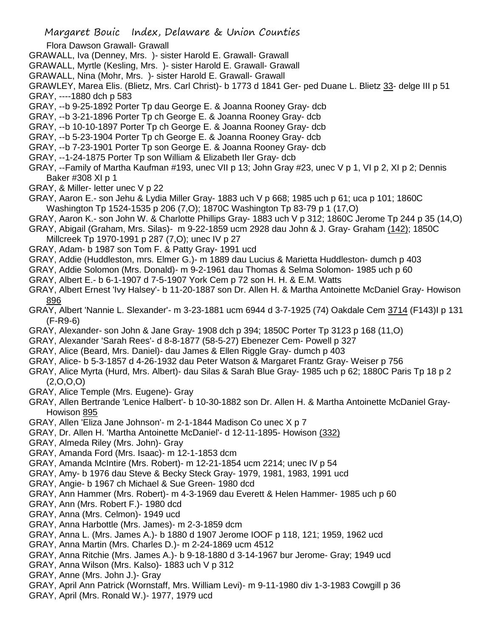Flora Dawson Grawall- Grawall

- GRAWALL, Iva (Denney, Mrs. )- sister Harold E. Grawall- Grawall
- GRAWALL, Myrtle (Kesling, Mrs. )- sister Harold E. Grawall- Grawall
- GRAWALL, Nina (Mohr, Mrs. )- sister Harold E. Grawall- Grawall

GRAWLEY, Marea Elis. (Blietz, Mrs. Carl Christ)- b 1773 d 1841 Ger- ped Duane L. Blietz 33- delge III p 51 GRAY, ----1880 dch p 583

- GRAY, --b 9-25-1892 Porter Tp dau George E. & Joanna Rooney Gray- dcb
- GRAY, --b 3-21-1896 Porter Tp ch George E. & Joanna Rooney Gray- dcb
- GRAY, --b 10-10-1897 Porter Tp ch George E. & Joanna Rooney Gray- dcb
- GRAY, --b 5-23-1904 Porter Tp ch George E. & Joanna Rooney Gray- dcb
- GRAY, --b 7-23-1901 Porter Tp son George E. & Joanna Rooney Gray- dcb
- GRAY, --1-24-1875 Porter Tp son William & Elizabeth Iler Gray- dcb
- GRAY, --Family of Martha Kaufman #193, unec VII p 13; John Gray #23, unec V p 1, VI p 2, XI p 2; Dennis Baker #308 XI p 1
- GRAY, & Miller- letter unec V p 22
- GRAY, Aaron E.- son Jehu & Lydia Miller Gray- 1883 uch V p 668; 1985 uch p 61; uca p 101; 1860C Washington Tp 1524-1535 p 206 (7,O); 1870C Washington Tp 83-79 p 1 (17,O)
- GRAY, Aaron K.- son John W. & Charlotte Phillips Gray- 1883 uch V p 312; 1860C Jerome Tp 244 p 35 (14,O)
- GRAY, Abigail (Graham, Mrs. Silas)- m 9-22-1859 ucm 2928 dau John & J. Gray- Graham (142); 1850C
- Millcreek Tp 1970-1991 p 287 (7,O); unec IV p 27
- GRAY, Adam- b 1987 son Tom F. & Patty Gray- 1991 ucd
- GRAY, Addie (Huddleston, mrs. Elmer G.)- m 1889 dau Lucius & Marietta Huddleston- dumch p 403
- GRAY, Addie Solomon (Mrs. Donald)- m 9-2-1961 dau Thomas & Selma Solomon- 1985 uch p 60
- GRAY, Albert E.- b 6-1-1907 d 7-5-1907 York Cem p 72 son H. H. & E.M. Watts
- GRAY, Albert Ernest 'Ivy Halsey'- b 11-20-1887 son Dr. Allen H. & Martha Antoinette McDaniel Gray- Howison 896
- GRAY, Albert 'Nannie L. Slexander'- m 3-23-1881 ucm 6944 d 3-7-1925 (74) Oakdale Cem 3714 (F143)I p 131 (F-R9-6)
- GRAY, Alexander- son John & Jane Gray- 1908 dch p 394; 1850C Porter Tp 3123 p 168 (11,O)
- GRAY, Alexander 'Sarah Rees'- d 8-8-1877 (58-5-27) Ebenezer Cem- Powell p 327
- GRAY, Alice (Beard, Mrs. Daniel)- dau James & Ellen Riggle Gray- dumch p 403
- GRAY, Alice- b 5-3-1857 d 4-26-1932 dau Peter Watson & Margaret Frantz Gray- Weiser p 756
- GRAY, Alice Myrta (Hurd, Mrs. Albert)- dau Silas & Sarah Blue Gray- 1985 uch p 62; 1880C Paris Tp 18 p 2 (2,O,O,O)
- GRAY, Alice Temple (Mrs. Eugene)- Gray
- GRAY, Allen Bertrande 'Lenice Halbert'- b 10-30-1882 son Dr. Allen H. & Martha Antoinette McDaniel Gray-Howison 895
- GRAY, Allen 'Eliza Jane Johnson'- m 2-1-1844 Madison Co unec X p 7
- GRAY, Dr. Allen H. 'Martha Antoinette McDaniel'- d 12-11-1895- Howison (332)
- GRAY, Almeda Riley (Mrs. John)- Gray
- GRAY, Amanda Ford (Mrs. Isaac)- m 12-1-1853 dcm
- GRAY, Amanda McIntire (Mrs. Robert)- m 12-21-1854 ucm 2214; unec IV p 54
- GRAY, Amy- b 1976 dau Steve & Becky Steck Gray- 1979, 1981, 1983, 1991 ucd
- GRAY, Angie- b 1967 ch Michael & Sue Green- 1980 dcd
- GRAY, Ann Hammer (Mrs. Robert)- m 4-3-1969 dau Everett & Helen Hammer- 1985 uch p 60
- GRAY, Ann (Mrs. Robert F.)- 1980 dcd
- GRAY, Anna (Mrs. Celmon)- 1949 ucd
- GRAY, Anna Harbottle (Mrs. James)- m 2-3-1859 dcm
- GRAY, Anna L. (Mrs. James A.)- b 1880 d 1907 Jerome IOOF p 118, 121; 1959, 1962 ucd
- GRAY, Anna Martin (Mrs. Charles D.)- m 2-24-1869 ucm 4512
- GRAY, Anna Ritchie (Mrs. James A.)- b 9-18-1880 d 3-14-1967 bur Jerome- Gray; 1949 ucd
- GRAY, Anna Wilson (Mrs. Kalso)- 1883 uch V p 312
- GRAY, Anne (Mrs. John J.)- Gray
- GRAY, April Ann Patrick (Wornstaff, Mrs. William Levi)- m 9-11-1980 div 1-3-1983 Cowgill p 36 GRAY, April (Mrs. Ronald W.)- 1977, 1979 ucd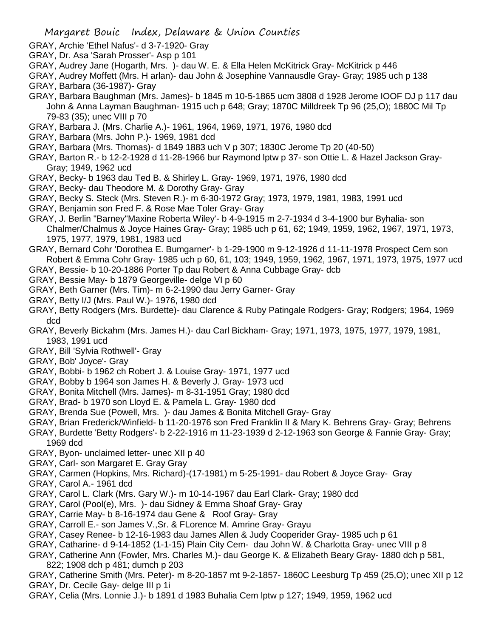- GRAY, Archie 'Ethel Nafus'- d 3-7-1920- Gray
- GRAY, Dr. Asa 'Sarah Prosser'- Asp p 101
- GRAY, Audrey Jane (Hogarth, Mrs. )- dau W. E. & Ella Helen McKitrick Gray- McKitrick p 446
- GRAY, Audrey Moffett (Mrs. H arlan)- dau John & Josephine Vannausdle Gray- Gray; 1985 uch p 138 GRAY, Barbara (36-1987)- Gray
- GRAY, Barbara Baughman (Mrs. James)- b 1845 m 10-5-1865 ucm 3808 d 1928 Jerome IOOF DJ p 117 dau John & Anna Layman Baughman- 1915 uch p 648; Gray; 1870C Milldreek Tp 96 (25,O); 1880C Mil Tp 79-83 (35); unec VIII p 70
- GRAY, Barbara J. (Mrs. Charlie A.)- 1961, 1964, 1969, 1971, 1976, 1980 dcd
- GRAY, Barbara (Mrs. John P.)- 1969, 1981 dcd
- GRAY, Barbara (Mrs. Thomas)- d 1849 1883 uch V p 307; 1830C Jerome Tp 20 (40-50)
- GRAY, Barton R.- b 12-2-1928 d 11-28-1966 bur Raymond lptw p 37- son Ottie L. & Hazel Jackson Gray-Gray; 1949, 1962 ucd
- GRAY, Becky- b 1963 dau Ted B. & Shirley L. Gray- 1969, 1971, 1976, 1980 dcd
- GRAY, Becky- dau Theodore M. & Dorothy Gray- Gray
- GRAY, Becky S. Steck (Mrs. Steven R.)- m 6-30-1972 Gray; 1973, 1979, 1981, 1983, 1991 ucd
- GRAY, Benjamin son Fred F. & Rose Mae Toler Gray- Gray
- GRAY, J. Berlin "Barney''Maxine Roberta Wiley'- b 4-9-1915 m 2-7-1934 d 3-4-1900 bur Byhalia- son Chalmer/Chalmus & Joyce Haines Gray- Gray; 1985 uch p 61, 62; 1949, 1959, 1962, 1967, 1971, 1973, 1975, 1977, 1979, 1981, 1983 ucd
- GRAY, Bernard Cohr 'Dorothea E. Bumgarner'- b 1-29-1900 m 9-12-1926 d 11-11-1978 Prospect Cem son Robert & Emma Cohr Gray- 1985 uch p 60, 61, 103; 1949, 1959, 1962, 1967, 1971, 1973, 1975, 1977 ucd
- GRAY, Bessie- b 10-20-1886 Porter Tp dau Robert & Anna Cubbage Gray- dcb
- GRAY, Bessie May- b 1879 Georgeville- delge VI p 60
- GRAY, Beth Garner (Mrs. Tim)- m 6-2-1990 dau Jerry Garner- Gray
- GRAY, Betty I/J (Mrs. Paul W.)- 1976, 1980 dcd
- GRAY, Betty Rodgers (Mrs. Burdette)- dau Clarence & Ruby Patingale Rodgers- Gray; Rodgers; 1964, 1969 dcd
- GRAY, Beverly Bickahm (Mrs. James H.)- dau Carl Bickham- Gray; 1971, 1973, 1975, 1977, 1979, 1981, 1983, 1991 ucd
- GRAY, Bill 'Sylvia Rothwell'- Gray
- GRAY, Bob' Joyce'- Gray
- GRAY, Bobbi- b 1962 ch Robert J. & Louise Gray- 1971, 1977 ucd
- GRAY, Bobby b 1964 son James H. & Beverly J. Gray- 1973 ucd
- GRAY, Bonita Mitchell (Mrs. James)- m 8-31-1951 Gray; 1980 dcd
- GRAY, Brad- b 1970 son Lloyd E. & Pamela L. Gray- 1980 dcd
- GRAY, Brenda Sue (Powell, Mrs. )- dau James & Bonita Mitchell Gray- Gray
- GRAY, Brian Frederick/Winfield- b 11-20-1976 son Fred Franklin II & Mary K. Behrens Gray- Gray; Behrens
- GRAY, Burdette 'Betty Rodgers'- b 2-22-1916 m 11-23-1939 d 2-12-1963 son George & Fannie Gray- Gray; 1969 dcd
- GRAY, Byon- unclaimed letter- unec XII p 40
- GRAY, Carl- son Margaret E. Gray Gray
- GRAY, Carmen (Hopkins, Mrs. Richard)-(17-1981) m 5-25-1991- dau Robert & Joyce Gray- Gray
- GRAY, Carol A.- 1961 dcd
- GRAY, Carol L. Clark (Mrs. Gary W.)- m 10-14-1967 dau Earl Clark- Gray; 1980 dcd
- GRAY, Carol (Pool(e), Mrs. )- dau Sidney & Emma Shoaf Gray- Gray
- GRAY, Carrie May- b 8-16-1974 dau Gene & Roof Gray- Gray
- GRAY, Carroll E.- son James V.,Sr. & FLorence M. Amrine Gray- Grayu
- GRAY, Casey Renee- b 12-16-1983 dau James Allen & Judy Cooperider Gray- 1985 uch p 61
- GRAY, Catharine- d 9-14-1852 (1-1-15) Plain City Cem- dau John W. & Charlotta Gray- unec VIII p 8
- GRAY, Catherine Ann (Fowler, Mrs. Charles M.)- dau George K. & Elizabeth Beary Gray- 1880 dch p 581, 822; 1908 dch p 481; dumch p 203
- GRAY, Catherine Smith (Mrs. Peter)- m 8-20-1857 mt 9-2-1857- 1860C Leesburg Tp 459 (25,O); unec XII p 12 GRAY, Dr. Cecile Gay- delge III p 1i
- GRAY, Celia (Mrs. Lonnie J.)- b 1891 d 1983 Buhalia Cem lptw p 127; 1949, 1959, 1962 ucd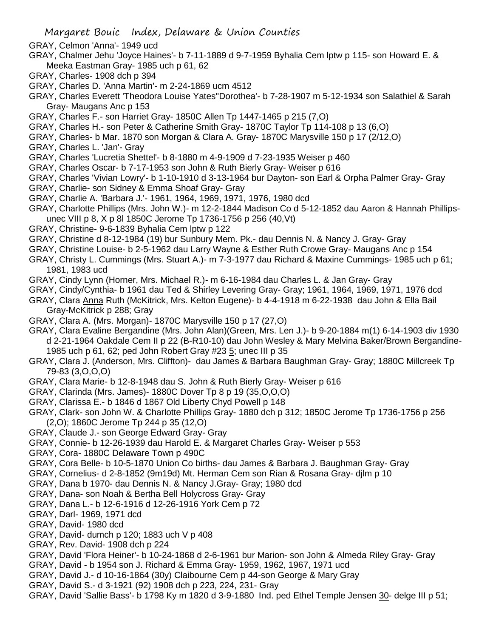- GRAY, Celmon 'Anna'- 1949 ucd
- GRAY, Chalmer Jehu 'Joyce Haines'- b 7-11-1889 d 9-7-1959 Byhalia Cem lptw p 115- son Howard E. & Meeka Eastman Gray- 1985 uch p 61, 62
- GRAY, Charles- 1908 dch p 394
- GRAY, Charles D. 'Anna Martin'- m 2-24-1869 ucm 4512
- GRAY, Charles Everett 'Theodora Louise Yates''Dorothea'- b 7-28-1907 m 5-12-1934 son Salathiel & Sarah Gray- Maugans Anc p 153
- GRAY, Charles F.- son Harriet Gray- 1850C Allen Tp 1447-1465 p 215 (7,O)
- GRAY, Charles H.- son Peter & Catherine Smith Gray- 1870C Taylor Tp 114-108 p 13 (6,O)
- GRAY, Charles- b Mar. 1870 son Morgan & Clara A. Gray- 1870C Marysville 150 p 17 (2/12,O)
- GRAY, Charles L. 'Jan'- Gray
- GRAY, Charles 'Lucretia Shettel'- b 8-1880 m 4-9-1909 d 7-23-1935 Weiser p 460
- GRAY, Charles Oscar- b 7-17-1953 son John & Ruth Bierly Gray- Weiser p 616
- GRAY, Charles 'Vivian Lowry'- b 1-10-1910 d 3-13-1964 bur Dayton- son Earl & Orpha Palmer Gray- Gray
- GRAY, Charlie- son Sidney & Emma Shoaf Gray- Gray
- GRAY, Charlie A. 'Barbara J.'- 1961, 1964, 1969, 1971, 1976, 1980 dcd
- GRAY, Charlotte Phillips (Mrs. John W.)- m 12-2-1844 Madison Co d 5-12-1852 dau Aaron & Hannah Phillipsunec VIII p 8, X p 8l 1850C Jerome Tp 1736-1756 p 256 (40,Vt)
- GRAY, Christine- 9-6-1839 Byhalia Cem lptw p 122
- GRAY, Christine d 8-12-1984 (19) bur Sunbury Mem. Pk.- dau Dennis N. & Nancy J. Gray- Gray
- GRAY, Christine Louise- b 2-5-1962 dau Larry Wayne & Esther Ruth Crowe Gray- Maugans Anc p 154
- GRAY, Christy L. Cummings (Mrs. Stuart A.)- m 7-3-1977 dau Richard & Maxine Cummings- 1985 uch p 61; 1981, 1983 ucd
- GRAY, Cindy Lynn (Horner, Mrs. Michael R.)- m 6-16-1984 dau Charles L. & Jan Gray- Gray
- GRAY, Cindy/Cynthia- b 1961 dau Ted & Shirley Levering Gray- Gray; 1961, 1964, 1969, 1971, 1976 dcd
- GRAY, Clara Anna Ruth (McKitrick, Mrs. Kelton Eugene)- b 4-4-1918 m 6-22-1938 dau John & Ella Bail Gray-McKitrick p 288; Gray
- GRAY, Clara A. (Mrs. Morgan)- 1870C Marysville 150 p 17 (27,O)
- GRAY, Clara Evaline Bergandine (Mrs. John Alan)(Green, Mrs. Len J.)- b 9-20-1884 m(1) 6-14-1903 div 1930 d 2-21-1964 Oakdale Cem II p 22 (B-R10-10) dau John Wesley & Mary Melvina Baker/Brown Bergandine-1985 uch p 61, 62; ped John Robert Gray #23 5; unec III p 35
- GRAY, Clara J. (Anderson, Mrs. Cliffton)- dau James & Barbara Baughman Gray- Gray; 1880C Millcreek Tp 79-83 (3,O,O,O)
- GRAY, Clara Marie- b 12-8-1948 dau S. John & Ruth Bierly Gray- Weiser p 616
- GRAY, Clarinda (Mrs. James)- 1880C Dover Tp 8 p 19 (35,O,O,O)
- GRAY, Clarissa E.- b 1846 d 1867 Old Liberty Chyd Powell p 148
- GRAY, Clark- son John W. & Charlotte Phillips Gray- 1880 dch p 312; 1850C Jerome Tp 1736-1756 p 256 (2,O); 1860C Jerome Tp 244 p 35 (12,O)
- GRAY, Claude J.- son George Edward Gray- Gray
- GRAY, Connie- b 12-26-1939 dau Harold E. & Margaret Charles Gray- Weiser p 553
- GRAY, Cora- 1880C Delaware Town p 490C
- GRAY, Cora Belle- b 10-5-1870 Union Co births- dau James & Barbara J. Baughman Gray- Gray
- GRAY, Cornelius- d 2-8-1852 (9m19d) Mt. Herman Cem son Rian & Rosana Gray- djlm p 10
- GRAY, Dana b 1970- dau Dennis N. & Nancy J.Gray- Gray; 1980 dcd
- GRAY, Dana- son Noah & Bertha Bell Holycross Gray- Gray
- GRAY, Dana L.- b 12-6-1916 d 12-26-1916 York Cem p 72
- GRAY, Darl- 1969, 1971 dcd
- GRAY, David- 1980 dcd
- GRAY, David- dumch p 120; 1883 uch V p 408
- GRAY, Rev. David- 1908 dch p 224
- GRAY, David 'Flora Heiner'- b 10-24-1868 d 2-6-1961 bur Marion- son John & Almeda Riley Gray- Gray
- GRAY, David b 1954 son J. Richard & Emma Gray- 1959, 1962, 1967, 1971 ucd
- GRAY, David J.- d 10-16-1864 (30y) Claibourne Cem p 44-son George & Mary Gray
- GRAY, David S.- d 3-1921 (92) 1908 dch p 223, 224, 231- Gray
- GRAY, David 'Sallie Bass'- b 1798 Ky m 1820 d 3-9-1880 Ind. ped Ethel Temple Jensen 30- delge III p 51;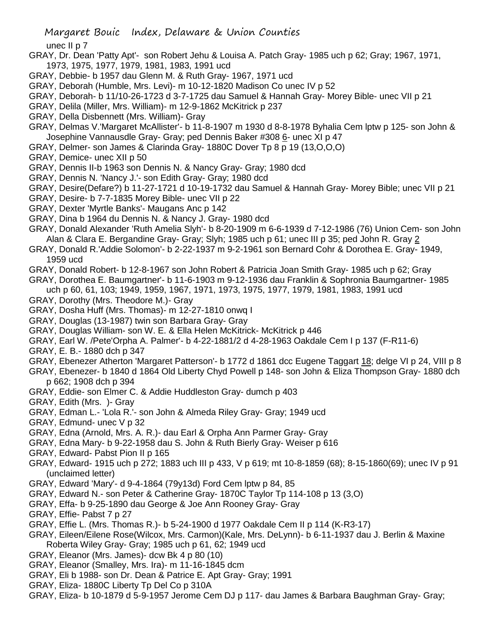unec II p 7

- GRAY, Dr. Dean 'Patty Apt'- son Robert Jehu & Louisa A. Patch Gray- 1985 uch p 62; Gray; 1967, 1971, 1973, 1975, 1977, 1979, 1981, 1983, 1991 ucd
- GRAY, Debbie- b 1957 dau Glenn M. & Ruth Gray- 1967, 1971 ucd
- GRAY, Deborah (Humble, Mrs. Levi)- m 10-12-1820 Madison Co unec IV p 52
- GRAY, Deborah- b 11/10-26-1723 d 3-7-1725 dau Samuel & Hannah Gray- Morey Bible- unec VII p 21
- GRAY, Delila (Miller, Mrs. William)- m 12-9-1862 McKitrick p 237
- GRAY, Della Disbennett (Mrs. William)- Gray
- GRAY, Delmas V.'Margaret McAllister'- b 11-8-1907 m 1930 d 8-8-1978 Byhalia Cem lptw p 125- son John & Josephine Vannausdle Gray- Gray; ped Dennis Baker #308 6- unec XI p 47
- GRAY, Delmer- son James & Clarinda Gray- 1880C Dover Tp 8 p 19 (13,O,O,O)
- GRAY, Demice- unec XII p 50
- GRAY, Dennis II-b 1963 son Dennis N. & Nancy Gray- Gray; 1980 dcd
- GRAY, Dennis N. 'Nancy J.'- son Edith Gray- Gray; 1980 dcd
- GRAY, Desire(Defare?) b 11-27-1721 d 10-19-1732 dau Samuel & Hannah Gray- Morey Bible; unec VII p 21
- GRAY, Desire- b 7-7-1835 Morey Bible- unec VII p 22
- GRAY, Dexter 'Myrtle Banks'- Maugans Anc p 142
- GRAY, Dina b 1964 du Dennis N. & Nancy J. Gray- 1980 dcd
- GRAY, Donald Alexander 'Ruth Amelia Slyh'- b 8-20-1909 m 6-6-1939 d 7-12-1986 (76) Union Cem- son John Alan & Clara E. Bergandine Gray- Gray; Slyh; 1985 uch p 61; unec III p 35; ped John R. Gray 2
- GRAY, Donald R.'Addie Solomon'- b 2-22-1937 m 9-2-1961 son Bernard Cohr & Dorothea E. Gray- 1949, 1959 ucd
- GRAY, Donald Robert- b 12-8-1967 son John Robert & Patricia Joan Smith Gray- 1985 uch p 62; Gray
- GRAY, Dorothea E. Baumgartner'- b 11-6-1903 m 9-12-1936 dau Franklin & Sophronia Baumgartner- 1985 uch p 60, 61, 103; 1949, 1959, 1967, 1971, 1973, 1975, 1977, 1979, 1981, 1983, 1991 ucd
- GRAY, Dorothy (Mrs. Theodore M.)- Gray
- GRAY, Dosha Huff (Mrs. Thomas)- m 12-27-1810 onwq I
- GRAY, Douglas (13-1987) twin son Barbara Gray- Gray
- GRAY, Douglas William- son W. E. & Ella Helen McKitrick- McKitrick p 446
- GRAY, Earl W. /Pete'Orpha A. Palmer'- b 4-22-1881/2 d 4-28-1963 Oakdale Cem I p 137 (F-R11-6)
- GRAY, E. B.- 1880 dch p 347
- GRAY, Ebenezer Atherton 'Margaret Patterson'- b 1772 d 1861 dcc Eugene Taggart 18; delge VI p 24, VIII p 8
- GRAY, Ebenezer- b 1840 d 1864 Old Liberty Chyd Powell p 148- son John & Eliza Thompson Gray- 1880 dch p 662; 1908 dch p 394
- GRAY, Eddie- son Elmer C. & Addie Huddleston Gray- dumch p 403
- GRAY, Edith (Mrs. )- Gray
- GRAY, Edman L.- 'Lola R.'- son John & Almeda Riley Gray- Gray; 1949 ucd
- GRAY, Edmund- unec V p 32
- GRAY, Edna (Arnold, Mrs. A. R.)- dau Earl & Orpha Ann Parmer Gray- Gray
- GRAY, Edna Mary- b 9-22-1958 dau S. John & Ruth Bierly Gray- Weiser p 616
- GRAY, Edward- Pabst Pion II p 165
- GRAY, Edward- 1915 uch p 272; 1883 uch III p 433, V p 619; mt 10-8-1859 (68); 8-15-1860(69); unec IV p 91 (unclaimed letter)
- GRAY, Edward 'Mary'- d 9-4-1864 (79y13d) Ford Cem lptw p 84, 85
- GRAY, Edward N.- son Peter & Catherine Gray- 1870C Taylor Tp 114-108 p 13 (3,O)
- GRAY, Effa- b 9-25-1890 dau George & Joe Ann Rooney Gray- Gray
- GRAY, Effie- Pabst 7 p 27
- GRAY, Effie L. (Mrs. Thomas R.)- b 5-24-1900 d 1977 Oakdale Cem II p 114 (K-R3-17)
- GRAY, Eileen/Eilene Rose(Wilcox, Mrs. Carmon)(Kale, Mrs. DeLynn)- b 6-11-1937 dau J. Berlin & Maxine Roberta Wiley Gray- Gray; 1985 uch p 61, 62; 1949 ucd
- GRAY, Eleanor (Mrs. James)- dcw Bk 4 p 80 (10)
- GRAY, Eleanor (Smalley, Mrs. Ira)- m 11-16-1845 dcm
- GRAY, Eli b 1988- son Dr. Dean & Patrice E. Apt Gray- Gray; 1991
- GRAY, Eliza- 1880C Liberty Tp Del Co p 310A
- GRAY, Eliza- b 10-1879 d 5-9-1957 Jerome Cem DJ p 117- dau James & Barbara Baughman Gray- Gray;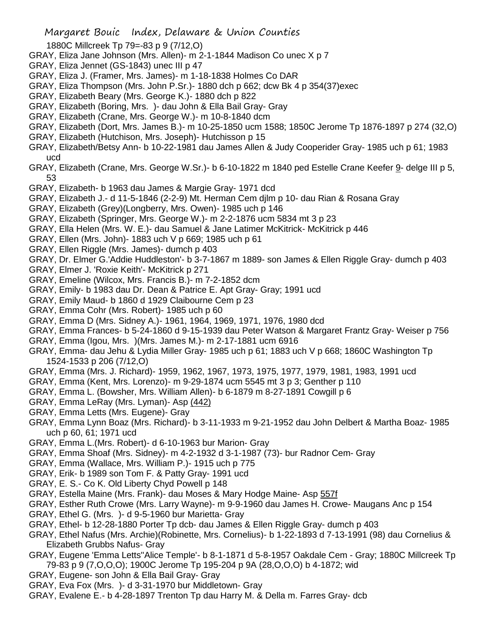- 1880C Millcreek Tp 79=-83 p 9 (7/12,O)
- GRAY, Eliza Jane Johnson (Mrs. Allen)- m 2-1-1844 Madison Co unec X p 7
- GRAY, Eliza Jennet (GS-1843) unec III p 47
- GRAY, Eliza J. (Framer, Mrs. James)- m 1-18-1838 Holmes Co DAR
- GRAY, Eliza Thompson (Mrs. John P.Sr.)- 1880 dch p 662; dcw Bk 4 p 354(37)exec
- GRAY, Elizabeth Beary (Mrs. George K.)- 1880 dch p 822
- GRAY, Elizabeth (Boring, Mrs. )- dau John & Ella Bail Gray- Gray
- GRAY, Elizabeth (Crane, Mrs. George W.)- m 10-8-1840 dcm
- GRAY, Elizabeth (Dort, Mrs. James B.)- m 10-25-1850 ucm 1588; 1850C Jerome Tp 1876-1897 p 274 (32,O)
- GRAY, Elizabeth (Hutchison, Mrs. Joseph)- Hutchisson p 15
- GRAY, Elizabeth/Betsy Ann- b 10-22-1981 dau James Allen & Judy Cooperider Gray- 1985 uch p 61; 1983 ucd
- GRAY, Elizabeth (Crane, Mrs. George W.Sr.)- b 6-10-1822 m 1840 ped Estelle Crane Keefer 9- delge III p 5, 53
- GRAY, Elizabeth- b 1963 dau James & Margie Gray- 1971 dcd
- GRAY, Elizabeth J.- d 11-5-1846 (2-2-9) Mt. Herman Cem djlm p 10- dau Rian & Rosana Gray
- GRAY, Elizabeth (Grey)(Longberry, Mrs. Owen)- 1985 uch p 146
- GRAY, Elizabeth (Springer, Mrs. George W.)- m 2-2-1876 ucm 5834 mt 3 p 23
- GRAY, Ella Helen (Mrs. W. E.)- dau Samuel & Jane Latimer McKitrick- McKitrick p 446
- GRAY, Ellen (Mrs. John)- 1883 uch V p 669; 1985 uch p 61
- GRAY, Ellen Riggle (Mrs. James)- dumch p 403
- GRAY, Dr. Elmer G.'Addie Huddleston'- b 3-7-1867 m 1889- son James & Ellen Riggle Gray- dumch p 403
- GRAY, Elmer J. 'Roxie Keith'- McKitrick p 271
- GRAY, Emeline (Wilcox, Mrs. Francis B.)- m 7-2-1852 dcm
- GRAY, Emily- b 1983 dau Dr. Dean & Patrice E. Apt Gray- Gray; 1991 ucd
- GRAY, Emily Maud- b 1860 d 1929 Claibourne Cem p 23
- GRAY, Emma Cohr (Mrs. Robert)- 1985 uch p 60
- GRAY, Emma D (Mrs. Sidney A.)- 1961, 1964, 1969, 1971, 1976, 1980 dcd
- GRAY, Emma Frances- b 5-24-1860 d 9-15-1939 dau Peter Watson & Margaret Frantz Gray- Weiser p 756
- GRAY, Emma (Igou, Mrs. )(Mrs. James M.)- m 2-17-1881 ucm 6916
- GRAY, Emma- dau Jehu & Lydia Miller Gray- 1985 uch p 61; 1883 uch V p 668; 1860C Washington Tp 1524-1533 p 206 (7/12,O)
- GRAY, Emma (Mrs. J. Richard)- 1959, 1962, 1967, 1973, 1975, 1977, 1979, 1981, 1983, 1991 ucd
- GRAY, Emma (Kent, Mrs. Lorenzo)- m 9-29-1874 ucm 5545 mt 3 p 3; Genther p 110
- GRAY, Emma L. (Bowsher, Mrs. William Allen)- b 6-1879 m 8-27-1891 Cowgill p 6
- GRAY, Emma LeRay (Mrs. Lyman)- Asp (442)
- GRAY, Emma Letts (Mrs. Eugene)- Gray
- GRAY, Emma Lynn Boaz (Mrs. Richard)- b 3-11-1933 m 9-21-1952 dau John Delbert & Martha Boaz- 1985 uch p 60, 61; 1971 ucd
- GRAY, Emma L.(Mrs. Robert)- d 6-10-1963 bur Marion- Gray
- GRAY, Emma Shoaf (Mrs. Sidney)- m 4-2-1932 d 3-1-1987 (73)- bur Radnor Cem- Gray
- GRAY, Emma (Wallace, Mrs. William P.)- 1915 uch p 775
- GRAY, Erik- b 1989 son Tom F. & Patty Gray- 1991 ucd
- GRAY, E. S.- Co K. Old Liberty Chyd Powell p 148
- GRAY, Estella Maine (Mrs. Frank)- dau Moses & Mary Hodge Maine- Asp 557f
- GRAY, Esther Ruth Crowe (Mrs. Larry Wayne)- m 9-9-1960 dau James H. Crowe- Maugans Anc p 154
- GRAY, Ethel G. (Mrs. )- d 9-5-1960 bur Marietta- Gray
- GRAY, Ethel- b 12-28-1880 Porter Tp dcb- dau James & Ellen Riggle Gray- dumch p 403
- GRAY, Ethel Nafus (Mrs. Archie)(Robinette, Mrs. Cornelius)- b 1-22-1893 d 7-13-1991 (98) dau Cornelius & Elizabeth Grubbs Nafus- Gray
- GRAY, Eugene 'Emma Letts''Alice Temple'- b 8-1-1871 d 5-8-1957 Oakdale Cem Gray; 1880C Millcreek Tp 79-83 p 9 (7,O,O,O); 1900C Jerome Tp 195-204 p 9A (28,O,O,O) b 4-1872; wid
- GRAY, Eugene- son John & Ella Bail Gray- Gray
- GRAY, Eva Fox (Mrs. )- d 3-31-1970 bur Middletown- Gray
- GRAY, Evalene E.- b 4-28-1897 Trenton Tp dau Harry M. & Della m. Farres Gray- dcb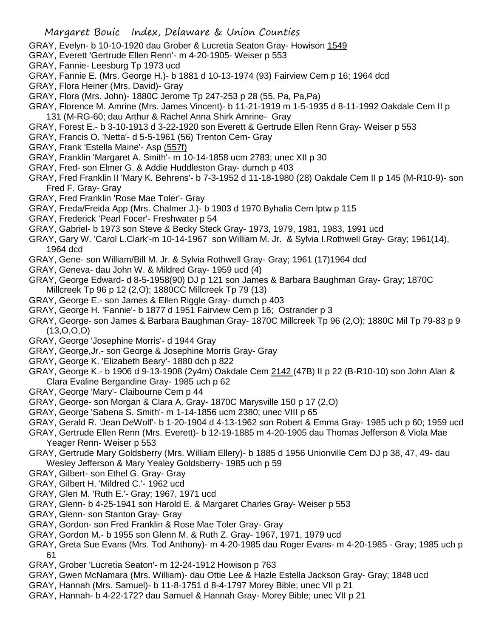- GRAY, Evelyn- b 10-10-1920 dau Grober & Lucretia Seaton Gray- Howison 1549
- GRAY, Everett 'Gertrude Ellen Renn'- m 4-20-1905- Weiser p 553
- GRAY, Fannie- Leesburg Tp 1973 ucd
- GRAY, Fannie E. (Mrs. George H.)- b 1881 d 10-13-1974 (93) Fairview Cem p 16; 1964 dcd
- GRAY, Flora Heiner (Mrs. David)- Gray
- GRAY, Flora (Mrs. John)- 1880C Jerome Tp 247-253 p 28 (55, Pa, Pa,Pa)
- GRAY, Florence M. Amrine (Mrs. James Vincent)- b 11-21-1919 m 1-5-1935 d 8-11-1992 Oakdale Cem II p 131 (M-RG-60; dau Arthur & Rachel Anna Shirk Amrine- Gray
- GRAY, Forest E.- b 3-10-1913 d 3-22-1920 son Everett & Gertrude Ellen Renn Gray- Weiser p 553
- GRAY, Francis O. 'Netta'- d 5-5-1961 (56) Trenton Cem- Gray
- GRAY, Frank 'Estella Maine'- Asp (557f)
- GRAY, Franklin 'Margaret A. Smith'- m 10-14-1858 ucm 2783; unec XII p 30
- GRAY, Fred- son Elmer G. & Addie Huddleston Gray- dumch p 403
- GRAY, Fred Franklin II 'Mary K. Behrens'- b 7-3-1952 d 11-18-1980 (28) Oakdale Cem II p 145 (M-R10-9)- son Fred F. Gray- Gray
- GRAY, Fred Franklin 'Rose Mae Toler'- Gray
- GRAY, Freda/Freida App (Mrs. Chalmer J.)- b 1903 d 1970 Byhalia Cem lptw p 115
- GRAY, Frederick 'Pearl Focer'- Freshwater p 54
- GRAY, Gabriel- b 1973 son Steve & Becky Steck Gray- 1973, 1979, 1981, 1983, 1991 ucd
- GRAY, Gary W. 'Carol L.Clark'-m 10-14-1967 son William M. Jr. & Sylvia I.Rothwell Gray- Gray; 1961(14), 1964 dcd
- GRAY, Gene- son William/Bill M. Jr. & Sylvia Rothwell Gray- Gray; 1961 (17)1964 dcd
- GRAY, Geneva- dau John W. & Mildred Gray- 1959 ucd (4)
- GRAY, George Edward- d 8-5-1958(90) DJ p 121 son James & Barbara Baughman Gray- Gray; 1870C Millcreek Tp 96 p 12 (2,O); 1880CC Millcreek Tp 79 (13)
- GRAY, George E.- son James & Ellen Riggle Gray- dumch p 403
- GRAY, George H. 'Fannie'- b 1877 d 1951 Fairview Cem p 16; Ostrander p 3
- GRAY, George- son James & Barbara Baughman Gray- 1870C Millcreek Tp 96 (2,O); 1880C Mil Tp 79-83 p 9 (13,O,O,O)
- GRAY, George 'Josephine Morris'- d 1944 Gray
- GRAY, George,Jr.- son George & Josephine Morris Gray- Gray
- GRAY, George K. 'Elizabeth Beary'- 1880 dch p 822
- GRAY, George K.- b 1906 d 9-13-1908 (2y4m) Oakdale Cem 2142 (47B) II p 22 (B-R10-10) son John Alan & Clara Evaline Bergandine Gray- 1985 uch p 62
- GRAY, George 'Mary'- Claibourne Cem p 44
- GRAY, George- son Morgan & Clara A. Gray- 1870C Marysville 150 p 17 (2,O)
- GRAY, George 'Sabena S. Smith'- m 1-14-1856 ucm 2380; unec VIII p 65
- GRAY, Gerald R. 'Jean DeWolf'- b 1-20-1904 d 4-13-1962 son Robert & Emma Gray- 1985 uch p 60; 1959 ucd
- GRAY, Gertrude Ellen Renn (Mrs. Everett)- b 12-19-1885 m 4-20-1905 dau Thomas Jefferson & Viola Mae Yeager Renn- Weiser p 553
- GRAY, Gertrude Mary Goldsberry (Mrs. William Ellery)- b 1885 d 1956 Unionville Cem DJ p 38, 47, 49- dau Wesley Jefferson & Mary Yealey Goldsberry- 1985 uch p 59
- GRAY, Gilbert- son Ethel G. Gray- Gray
- GRAY, Gilbert H. 'Mildred C.'- 1962 ucd
- GRAY, Glen M. 'Ruth E.'- Gray; 1967, 1971 ucd
- GRAY, Glenn- b 4-25-1941 son Harold E. & Margaret Charles Gray- Weiser p 553
- GRAY, Glenn- son Stanton Gray- Gray
- GRAY, Gordon- son Fred Franklin & Rose Mae Toler Gray- Gray
- GRAY, Gordon M.- b 1955 son Glenn M. & Ruth Z. Gray- 1967, 1971, 1979 ucd
- GRAY, Greta Sue Evans (Mrs. Tod Anthony)- m 4-20-1985 dau Roger Evans- m 4-20-1985 Gray; 1985 uch p 61
- GRAY, Grober 'Lucretia Seaton'- m 12-24-1912 Howison p 763
- GRAY, Gwen McNamara (Mrs. William)- dau Ottie Lee & Hazle Estella Jackson Gray- Gray; 1848 ucd
- GRAY, Hannah (Mrs. Samuel)- b 11-8-1751 d 8-4-1797 Morey Bible; unec VII p 21
- GRAY, Hannah- b 4-22-172? dau Samuel & Hannah Gray- Morey Bible; unec VII p 21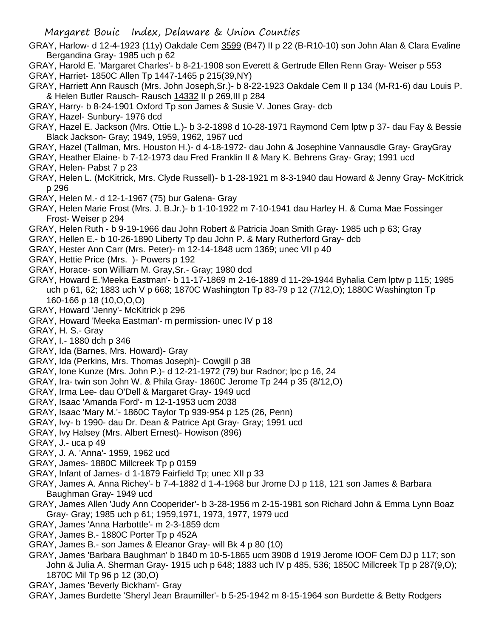- GRAY, Harlow- d 12-4-1923 (11y) Oakdale Cem 3599 (B47) II p 22 (B-R10-10) son John Alan & Clara Evaline Bergandina Gray- 1985 uch p 62
- GRAY, Harold E. 'Margaret Charles'- b 8-21-1908 son Everett & Gertrude Ellen Renn Gray- Weiser p 553 GRAY, Harriet- 1850C Allen Tp 1447-1465 p 215(39,NY)
- GRAY, Harriett Ann Rausch (Mrs. John Joseph,Sr.)- b 8-22-1923 Oakdale Cem II p 134 (M-R1-6) dau Louis P. & Helen Butler Rausch- Rausch 14332 II p 269,III p 284
- GRAY, Harry- b 8-24-1901 Oxford Tp son James & Susie V. Jones Gray- dcb
- GRAY, Hazel- Sunbury- 1976 dcd
- GRAY, Hazel E. Jackson (Mrs. Ottie L.)- b 3-2-1898 d 10-28-1971 Raymond Cem lptw p 37- dau Fay & Bessie Black Jackson- Gray; 1949, 1959, 1962, 1967 ucd
- GRAY, Hazel (Tallman, Mrs. Houston H.)- d 4-18-1972- dau John & Josephine Vannausdle Gray- GrayGray
- GRAY, Heather Elaine- b 7-12-1973 dau Fred Franklin II & Mary K. Behrens Gray- Gray; 1991 ucd
- GRAY, Helen- Pabst 7 p 23
- GRAY, Helen L. (McKitrick, Mrs. Clyde Russell)- b 1-28-1921 m 8-3-1940 dau Howard & Jenny Gray- McKitrick p 296
- GRAY, Helen M.- d 12-1-1967 (75) bur Galena- Gray
- GRAY, Helen Marie Frost (Mrs. J. B.Jr.)- b 1-10-1922 m 7-10-1941 dau Harley H. & Cuma Mae Fossinger Frost- Weiser p 294
- GRAY, Helen Ruth b 9-19-1966 dau John Robert & Patricia Joan Smith Gray- 1985 uch p 63; Gray
- GRAY, Hellen E.- b 10-26-1890 Liberty Tp dau John P. & Mary Rutherford Gray- dcb
- GRAY, Hester Ann Carr (Mrs. Peter)- m 12-14-1848 ucm 1369; unec VII p 40
- GRAY, Hettie Price (Mrs. )- Powers p 192
- GRAY, Horace- son William M. Gray,Sr.- Gray; 1980 dcd
- GRAY, Howard E.'Meeka Eastman'- b 11-17-1869 m 2-16-1889 d 11-29-1944 Byhalia Cem lptw p 115; 1985 uch p 61, 62; 1883 uch V p 668; 1870C Washington Tp 83-79 p 12 (7/12,O); 1880C Washington Tp 160-166 p 18 (10,O,O,O)
- GRAY, Howard 'Jenny'- McKitrick p 296
- GRAY, Howard 'Meeka Eastman'- m permission- unec IV p 18
- GRAY, H. S.- Gray
- GRAY, I.- 1880 dch p 346
- GRAY, Ida (Barnes, Mrs. Howard)- Gray
- GRAY, Ida (Perkins, Mrs. Thomas Joseph)- Cowgill p 38
- GRAY, Ione Kunze (Mrs. John P.)- d 12-21-1972 (79) bur Radnor; lpc p 16, 24
- GRAY, Ira- twin son John W. & Phila Gray- 1860C Jerome Tp 244 p 35 (8/12,O)
- GRAY, Irma Lee- dau O'Dell & Margaret Gray- 1949 ucd
- GRAY, Isaac 'Amanda Ford'- m 12-1-1953 ucm 2038
- GRAY, Isaac 'Mary M.'- 1860C Taylor Tp 939-954 p 125 (26, Penn)
- GRAY, Ivy- b 1990- dau Dr. Dean & Patrice Apt Gray- Gray; 1991 ucd
- GRAY, Ivy Halsey (Mrs. Albert Ernest)- Howison (896)
- GRAY, J.- uca p 49
- GRAY, J. A. 'Anna'- 1959, 1962 ucd
- GRAY, James- 1880C Millcreek Tp p 0159
- GRAY, Infant of James- d 1-1879 Fairfield Tp; unec XII p 33
- GRAY, James A. Anna Richey'- b 7-4-1882 d 1-4-1968 bur Jrome DJ p 118, 121 son James & Barbara Baughman Gray- 1949 ucd
- GRAY, James Allen 'Judy Ann Cooperider'- b 3-28-1956 m 2-15-1981 son Richard John & Emma Lynn Boaz Gray- Gray; 1985 uch p 61; 1959,1971, 1973, 1977, 1979 ucd
- GRAY, James 'Anna Harbottle'- m 2-3-1859 dcm
- GRAY, James B.- 1880C Porter Tp p 452A
- GRAY, James B.- son James & Eleanor Gray- will Bk 4 p 80 (10)
- GRAY, James 'Barbara Baughman' b 1840 m 10-5-1865 ucm 3908 d 1919 Jerome IOOF Cem DJ p 117; son John & Julia A. Sherman Gray- 1915 uch p 648; 1883 uch IV p 485, 536; 1850C Millcreek Tp p 287(9,O); 1870C Mil Tp 96 p 12 (30,O)
- GRAY, James 'Beverly Bickham'- Gray
- GRAY, James Burdette 'Sheryl Jean Braumiller'- b 5-25-1942 m 8-15-1964 son Burdette & Betty Rodgers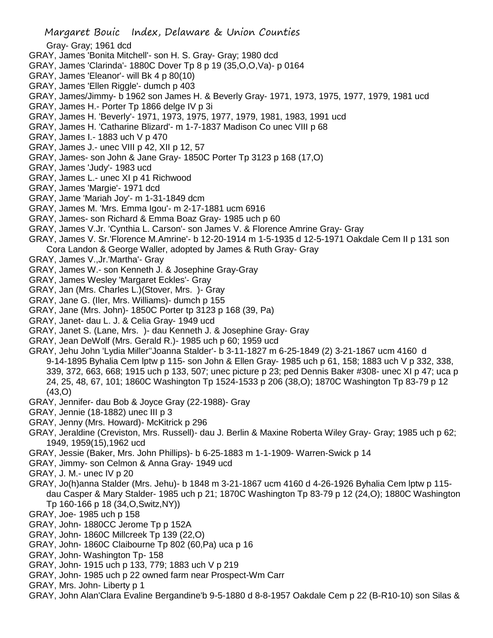Gray- Gray; 1961 dcd

- GRAY, James 'Bonita Mitchell'- son H. S. Gray- Gray; 1980 dcd
- GRAY, James 'Clarinda'- 1880C Dover Tp 8 p 19 (35,O,O,Va)- p 0164
- GRAY, James 'Eleanor'- will Bk 4 p 80(10)
- GRAY, James 'Ellen Riggle'- dumch p 403
- GRAY, James/Jimmy- b 1962 son James H. & Beverly Gray- 1971, 1973, 1975, 1977, 1979, 1981 ucd
- GRAY, James H.- Porter Tp 1866 delge IV p 3i
- GRAY, James H. 'Beverly'- 1971, 1973, 1975, 1977, 1979, 1981, 1983, 1991 ucd
- GRAY, James H. 'Catharine Blizard'- m 1-7-1837 Madison Co unec VIII p 68
- GRAY, James I.- 1883 uch V p 470
- GRAY, James J.- unec VIII p 42, XII p 12, 57
- GRAY, James- son John & Jane Gray- 1850C Porter Tp 3123 p 168 (17,O)
- GRAY, James 'Judy'- 1983 ucd
- GRAY, James L.- unec XI p 41 Richwood
- GRAY, James 'Margie'- 1971 dcd
- GRAY, Jame 'Mariah Joy'- m 1-31-1849 dcm
- GRAY, James M. 'Mrs. Emma Igou'- m 2-17-1881 ucm 6916
- GRAY, James- son Richard & Emma Boaz Gray- 1985 uch p 60
- GRAY, James V.Jr. 'Cynthia L. Carson'- son James V. & Florence Amrine Gray- Gray
- GRAY, James V. Sr.'Florence M.Amrine'- b 12-20-1914 m 1-5-1935 d 12-5-1971 Oakdale Cem II p 131 son Cora Landon & George Waller, adopted by James & Ruth Gray- Gray
- GRAY, James V.,Jr.'Martha'- Gray
- GRAY, James W.- son Kenneth J. & Josephine Gray-Gray
- GRAY, James Wesley 'Margaret Eckles'- Gray
- GRAY, Jan (Mrs. Charles L.)(Stover, Mrs. )- Gray
- GRAY, Jane G. (Iler, Mrs. Williams)- dumch p 155
- GRAY, Jane (Mrs. John)- 1850C Porter tp 3123 p 168 (39, Pa)
- GRAY, Janet- dau L. J. & Celia Gray- 1949 ucd
- GRAY, Janet S. (Lane, Mrs. )- dau Kenneth J. & Josephine Gray- Gray
- GRAY, Jean DeWolf (Mrs. Gerald R.)- 1985 uch p 60; 1959 ucd
- GRAY, Jehu John 'Lydia Miller''Joanna Stalder'- b 3-11-1827 m 6-25-1849 (2) 3-21-1867 ucm 4160 d 9-14-1895 Byhalia Cem lptw p 115- son John & Ellen Gray- 1985 uch p 61, 158; 1883 uch V p 332, 338, 339, 372, 663, 668; 1915 uch p 133, 507; unec picture p 23; ped Dennis Baker #308- unec XI p 47; uca p 24, 25, 48, 67, 101; 1860C Washington Tp 1524-1533 p 206 (38,O); 1870C Washington Tp 83-79 p 12 (43,O)
- GRAY, Jennifer- dau Bob & Joyce Gray (22-1988)- Gray
- GRAY, Jennie (18-1882) unec III p 3
- GRAY, Jenny (Mrs. Howard)- McKitrick p 296
- GRAY, Jeraldine (Creviston, Mrs. Russell)- dau J. Berlin & Maxine Roberta Wiley Gray- Gray; 1985 uch p 62; 1949, 1959(15),1962 ucd
- GRAY, Jessie (Baker, Mrs. John Phillips)- b 6-25-1883 m 1-1-1909- Warren-Swick p 14
- GRAY, Jimmy- son Celmon & Anna Gray- 1949 ucd
- GRAY, J. M.- unec IV p 20
- GRAY, Jo(h)anna Stalder (Mrs. Jehu)- b 1848 m 3-21-1867 ucm 4160 d 4-26-1926 Byhalia Cem lptw p 115 dau Casper & Mary Stalder- 1985 uch p 21; 1870C Washington Tp 83-79 p 12 (24,O); 1880C Washington Tp 160-166 p 18 (34,O,Switz,NY))
- GRAY, Joe- 1985 uch p 158
- GRAY, John- 1880CC Jerome Tp p 152A
- GRAY, John- 1860C Millcreek Tp 139 (22,O)
- GRAY, John- 1860C Claibourne Tp 802 (60,Pa) uca p 16
- GRAY, John- Washington Tp- 158
- GRAY, John- 1915 uch p 133, 779; 1883 uch V p 219
- GRAY, John- 1985 uch p 22 owned farm near Prospect-Wm Carr
- GRAY, Mrs. John- Liberty p 1
- GRAY, John Alan'Clara Evaline Bergandine'b 9-5-1880 d 8-8-1957 Oakdale Cem p 22 (B-R10-10) son Silas &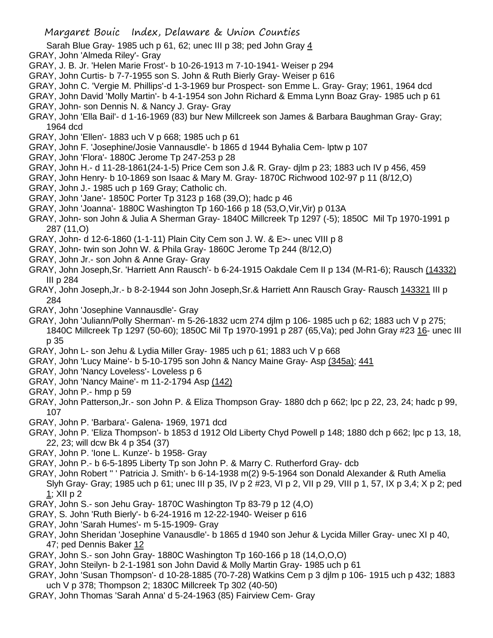- Sarah Blue Gray- 1985 uch p 61, 62; unec III p 38; ped John Gray 4
- GRAY, John 'Almeda Riley'- Gray
- GRAY, J. B. Jr. 'Helen Marie Frost'- b 10-26-1913 m 7-10-1941- Weiser p 294
- GRAY, John Curtis- b 7-7-1955 son S. John & Ruth Bierly Gray- Weiser p 616
- GRAY, John C. 'Vergie M. Phillips'-d 1-3-1969 bur Prospect- son Emme L. Gray- Gray; 1961, 1964 dcd
- GRAY, John David 'Molly Martin'- b 4-1-1954 son John Richard & Emma Lynn Boaz Gray- 1985 uch p 61 GRAY, John- son Dennis N. & Nancy J. Gray- Gray
- GRAY, John 'Ella Bail'- d 1-16-1969 (83) bur New Millcreek son James & Barbara Baughman Gray- Gray; 1964 dcd
- GRAY, John 'Ellen'- 1883 uch V p 668; 1985 uch p 61
- GRAY, John F. 'Josephine/Josie Vannausdle'- b 1865 d 1944 Byhalia Cem- lptw p 107
- GRAY, John 'Flora'- 1880C Jerome Tp 247-253 p 28
- GRAY, John H.- d 11-28-1861(24-1-5) Price Cem son J.& R. Gray- djlm p 23; 1883 uch IV p 456, 459
- GRAY, John Henry- b 10-1869 son Isaac & Mary M. Gray- 1870C Richwood 102-97 p 11 (8/12,O)
- GRAY, John J.- 1985 uch p 169 Gray; Catholic ch.
- GRAY, John 'Jane'- 1850C Porter Tp 3123 p 168 (39,O); hadc p 46
- GRAY, John 'Joanna'- 1880C Washington Tp 160-166 p 18 (53,O,Vir,Vir) p 013A
- GRAY, John- son John & Julia A Sherman Gray- 1840C Millcreek Tp 1297 (-5); 1850C Mil Tp 1970-1991 p 287 (11,O)
- GRAY, John- d 12-6-1860 (1-1-11) Plain City Cem son J. W. & E>- unec VIII p 8
- GRAY, John- twin son John W. & Phila Gray- 1860C Jerome Tp 244 (8/12,O)
- GRAY, John Jr.- son John & Anne Gray- Gray
- GRAY, John Joseph,Sr. 'Harriett Ann Rausch'- b 6-24-1915 Oakdale Cem II p 134 (M-R1-6); Rausch (14332) III p 284
- GRAY, John Joseph,Jr.- b 8-2-1944 son John Joseph,Sr.& Harriett Ann Rausch Gray- Rausch 143321 III p 284
- GRAY, John 'Josephine Vannausdle'- Gray
- GRAY, John 'Juliann/Polly Sherman'- m 5-26-1832 ucm 274 djlm p 106- 1985 uch p 62; 1883 uch V p 275; 1840C Millcreek Tp 1297 (50-60); 1850C Mil Tp 1970-1991 p 287 (65,Va); ped John Gray #23 16- unec III p 35
- GRAY, John L- son Jehu & Lydia Miller Gray- 1985 uch p 61; 1883 uch V p 668
- GRAY, John 'Lucy Maine'- b 5-10-1795 son John & Nancy Maine Gray- Asp (345a); 441
- GRAY, John 'Nancy Loveless'- Loveless p 6
- GRAY, John 'Nancy Maine'- m 11-2-1794 Asp (142)
- GRAY, John P.- hmp p 59
- GRAY, John Patterson,Jr.- son John P. & Eliza Thompson Gray- 1880 dch p 662; lpc p 22, 23, 24; hadc p 99, 107
- GRAY, John P. 'Barbara'- Galena- 1969, 1971 dcd
- GRAY, John P. 'Eliza Thompson'- b 1853 d 1912 Old Liberty Chyd Powell p 148; 1880 dch p 662; lpc p 13, 18, 22, 23; will dcw Bk 4 p 354 (37)
- GRAY, John P. 'Ione L. Kunze'- b 1958- Gray
- GRAY, John P.- b 6-5-1895 Liberty Tp son John P. & Marry C. Rutherford Gray- dcb
- GRAY, John Robert '' ' Patricia J. Smith'- b 6-14-1938 m(2) 9-5-1964 son Donald Alexander & Ruth Amelia Slyh Gray- Gray; 1985 uch p 61; unec III p 35, IV p 2 #23, VI p 2, VII p 29, VIII p 1, 57, IX p 3,4; X p 2; ped 1; XII p 2
- GRAY, John S.- son Jehu Gray- 1870C Washington Tp 83-79 p 12 (4,O)
- GRAY, S. John 'Ruth Bierly'- b 6-24-1916 m 12-22-1940- Weiser p 616
- GRAY, John 'Sarah Humes'- m 5-15-1909- Gray
- GRAY, John Sheridan 'Josephine Vanausdle'- b 1865 d 1940 son Jehur & Lycida Miller Gray- unec XI p 40, 47; ped Dennis Baker 12
- GRAY, John S.- son John Gray- 1880C Washington Tp 160-166 p 18 (14,O,O,O)
- GRAY, John Steilyn- b 2-1-1981 son John David & Molly Martin Gray- 1985 uch p 61
- GRAY, John 'Susan Thompson'- d 10-28-1885 (70-7-28) Watkins Cem p 3 djlm p 106- 1915 uch p 432; 1883 uch V p 378; Thompson 2; 1830C Millcreek Tp 302 (40-50)
- GRAY, John Thomas 'Sarah Anna' d 5-24-1963 (85) Fairview Cem- Gray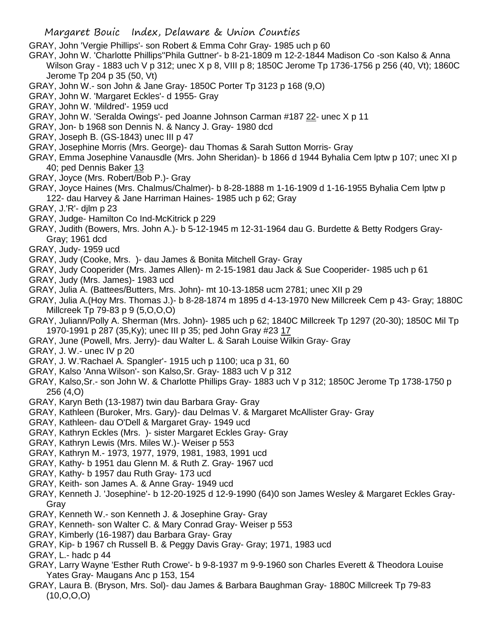GRAY, John 'Vergie Phillips'- son Robert & Emma Cohr Gray- 1985 uch p 60

- GRAY, John W. 'Charlotte Phillips''Phila Guttner'- b 8-21-1809 m 12-2-1844 Madison Co -son Kalso & Anna Wilson Gray - 1883 uch V p 312; unec X p 8, VIII p 8; 1850C Jerome Tp 1736-1756 p 256 (40, Vt); 1860C Jerome Tp 204 p 35 (50, Vt)
- GRAY, John W.- son John & Jane Gray- 1850C Porter Tp 3123 p 168 (9,O)
- GRAY, John W. 'Margaret Eckles'- d 1955- Gray
- GRAY, John W. 'Mildred'- 1959 ucd
- GRAY, John W. 'Seralda Owings'- ped Joanne Johnson Carman #187 22- unec X p 11
- GRAY, Jon- b 1968 son Dennis N. & Nancy J. Gray- 1980 dcd
- GRAY, Joseph B. (GS-1843) unec III p 47
- GRAY, Josephine Morris (Mrs. George)- dau Thomas & Sarah Sutton Morris- Gray
- GRAY, Emma Josephine Vanausdle (Mrs. John Sheridan)- b 1866 d 1944 Byhalia Cem lptw p 107; unec XI p 40; ped Dennis Baker 13
- GRAY, Joyce (Mrs. Robert/Bob P.)- Gray
- GRAY, Joyce Haines (Mrs. Chalmus/Chalmer)- b 8-28-1888 m 1-16-1909 d 1-16-1955 Byhalia Cem lptw p 122- dau Harvey & Jane Harriman Haines- 1985 uch p 62; Gray
- GRAY, J.'R'- djlm p 23
- GRAY, Judge- Hamilton Co Ind-McKitrick p 229
- GRAY, Judith (Bowers, Mrs. John A.)- b 5-12-1945 m 12-31-1964 dau G. Burdette & Betty Rodgers Gray-Gray; 1961 dcd
- GRAY, Judy- 1959 ucd
- GRAY, Judy (Cooke, Mrs. )- dau James & Bonita Mitchell Gray- Gray
- GRAY, Judy Cooperider (Mrs. James Allen)- m 2-15-1981 dau Jack & Sue Cooperider- 1985 uch p 61
- GRAY, Judy (Mrs. James)- 1983 ucd
- GRAY, Julia A. (Battees/Butters, Mrs. John)- mt 10-13-1858 ucm 2781; unec XII p 29
- GRAY, Julia A.(Hoy Mrs. Thomas J.)- b 8-28-1874 m 1895 d 4-13-1970 New Millcreek Cem p 43- Gray; 1880C Millcreek Tp 79-83 p 9 (5,O,O,O)
- GRAY, Juliann/Polly A. Sherman (Mrs. John)- 1985 uch p 62; 1840C Millcreek Tp 1297 (20-30); 1850C Mil Tp 1970-1991 p 287 (35,Ky); unec III p 35; ped John Gray #23 17
- GRAY, June (Powell, Mrs. Jerry)- dau Walter L. & Sarah Louise Wilkin Gray- Gray
- GRAY, J. W.- unec IV p 20
- GRAY, J. W.'Rachael A. Spangler'- 1915 uch p 1100; uca p 31, 60
- GRAY, Kalso 'Anna Wilson'- son Kalso,Sr. Gray- 1883 uch V p 312
- GRAY, Kalso,Sr.- son John W. & Charlotte Phillips Gray- 1883 uch V p 312; 1850C Jerome Tp 1738-1750 p 256 (4,O)
- GRAY, Karyn Beth (13-1987) twin dau Barbara Gray- Gray
- GRAY, Kathleen (Buroker, Mrs. Gary)- dau Delmas V. & Margaret McAllister Gray- Gray
- GRAY, Kathleen- dau O'Dell & Margaret Gray- 1949 ucd
- GRAY, Kathryn Eckles (Mrs. )- sister Margaret Eckles Gray- Gray
- GRAY, Kathryn Lewis (Mrs. Miles W.)- Weiser p 553
- GRAY, Kathryn M.- 1973, 1977, 1979, 1981, 1983, 1991 ucd
- GRAY, Kathy- b 1951 dau Glenn M. & Ruth Z. Gray- 1967 ucd
- GRAY, Kathy- b 1957 dau Ruth Gray- 173 ucd
- GRAY, Keith- son James A. & Anne Gray- 1949 ucd
- GRAY, Kenneth J. 'Josephine'- b 12-20-1925 d 12-9-1990 (64)0 son James Wesley & Margaret Eckles Gray-Gray
- GRAY, Kenneth W.- son Kenneth J. & Josephine Gray- Gray
- GRAY, Kenneth- son Walter C. & Mary Conrad Gray- Weiser p 553
- GRAY, Kimberly (16-1987) dau Barbara Gray- Gray
- GRAY, Kip- b 1967 ch Russell B. & Peggy Davis Gray- Gray; 1971, 1983 ucd
- GRAY, L.- hadc p 44
- GRAY, Larry Wayne 'Esther Ruth Crowe'- b 9-8-1937 m 9-9-1960 son Charles Everett & Theodora Louise Yates Gray- Maugans Anc p 153, 154
- GRAY, Laura B. (Bryson, Mrs. Sol)- dau James & Barbara Baughman Gray- 1880C Millcreek Tp 79-83 (10,O,O,O)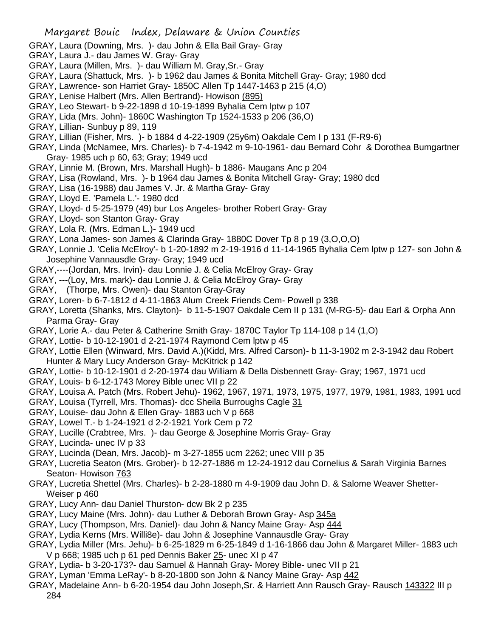- GRAY, Laura (Downing, Mrs. )- dau John & Ella Bail Gray- Gray
- GRAY, Laura J.- dau James W. Gray- Gray
- GRAY, Laura (Millen, Mrs. )- dau William M. Gray,Sr.- Gray
- GRAY, Laura (Shattuck, Mrs. )- b 1962 dau James & Bonita Mitchell Gray- Gray; 1980 dcd
- GRAY, Lawrence- son Harriet Gray- 1850C Allen Tp 1447-1463 p 215 (4,O)
- GRAY, Lenise Halbert (Mrs. Allen Bertrand)- Howison (895)
- GRAY, Leo Stewart- b 9-22-1898 d 10-19-1899 Byhalia Cem lptw p 107
- GRAY, Lida (Mrs. John)- 1860C Washington Tp 1524-1533 p 206 (36,O)
- GRAY, Lillian- Sunbuy p 89, 119
- GRAY, Lillian (Fisher, Mrs. )- b 1884 d 4-22-1909 (25y6m) Oakdale Cem I p 131 (F-R9-6)
- GRAY, Linda (McNamee, Mrs. Charles)- b 7-4-1942 m 9-10-1961- dau Bernard Cohr & Dorothea Bumgartner Gray- 1985 uch p 60, 63; Gray; 1949 ucd
- GRAY, Linnie M. (Brown, Mrs. Marshall Hugh)- b 1886- Maugans Anc p 204
- GRAY, Lisa (Rowland, Mrs. )- b 1964 dau James & Bonita Mitchell Gray- Gray; 1980 dcd
- GRAY, Lisa (16-1988) dau James V. Jr. & Martha Gray- Gray
- GRAY, Lloyd E. 'Pamela L.'- 1980 dcd
- GRAY, Lloyd- d 5-25-1979 (49) bur Los Angeles- brother Robert Gray- Gray
- GRAY, Lloyd- son Stanton Gray- Gray
- GRAY, Lola R. (Mrs. Edman L.)- 1949 ucd
- GRAY, Lona James- son James & Clarinda Gray- 1880C Dover Tp 8 p 19 (3,O,O,O)
- GRAY, Lonnie J. 'Celia McElroy'- b 1-20-1892 m 2-19-1916 d 11-14-1965 Byhalia Cem lptw p 127- son John & Josephine Vannausdle Gray- Gray; 1949 ucd
- GRAY,----(Jordan, Mrs. Irvin)- dau Lonnie J. & Celia McElroy Gray- Gray
- GRAY, ---(Loy, Mrs. mark)- dau Lonnie J. & Celia McElroy Gray- Gray
- GRAY, (Thorpe, Mrs. Owen)- dau Stanton Gray-Gray
- GRAY, Loren- b 6-7-1812 d 4-11-1863 Alum Creek Friends Cem- Powell p 338
- GRAY, Loretta (Shanks, Mrs. Clayton)- b 11-5-1907 Oakdale Cem II p 131 (M-RG-5)- dau Earl & Orpha Ann Parma Gray- Gray
- GRAY, Lorie A.- dau Peter & Catherine Smith Gray- 1870C Taylor Tp 114-108 p 14 (1,O)
- GRAY, Lottie- b 10-12-1901 d 2-21-1974 Raymond Cem lptw p 45
- GRAY, Lottie Ellen (Winward, Mrs. David A.)(Kidd, Mrs. Alfred Carson)- b 11-3-1902 m 2-3-1942 dau Robert Hunter & Mary Lucy Anderson Gray- McKitrick p 142
- GRAY, Lottie- b 10-12-1901 d 2-20-1974 dau William & Della Disbennett Gray- Gray; 1967, 1971 ucd
- GRAY, Louis- b 6-12-1743 Morey Bible unec VII p 22
- GRAY, Louisa A. Patch (Mrs. Robert Jehu)- 1962, 1967, 1971, 1973, 1975, 1977, 1979, 1981, 1983, 1991 ucd
- GRAY, Louisa (Tyrrell, Mrs. Thomas)- dcc Sheila Burroughs Cagle 31
- GRAY, Louise- dau John & Ellen Gray- 1883 uch V p 668
- GRAY, Lowel T.- b 1-24-1921 d 2-2-1921 York Cem p 72
- GRAY, Lucille (Crabtree, Mrs. )- dau George & Josephine Morris Gray- Gray
- GRAY, Lucinda- unec IV p 33
- GRAY, Lucinda (Dean, Mrs. Jacob)- m 3-27-1855 ucm 2262; unec VIII p 35
- GRAY, Lucretia Seaton (Mrs. Grober)- b 12-27-1886 m 12-24-1912 dau Cornelius & Sarah Virginia Barnes Seaton- Howison 763
- GRAY, Lucretia Shettel (Mrs. Charles)- b 2-28-1880 m 4-9-1909 dau John D. & Salome Weaver Shetter-Weiser p 460
- GRAY, Lucy Ann- dau Daniel Thurston- dcw Bk 2 p 235
- GRAY, Lucy Maine (Mrs. John)- dau Luther & Deborah Brown Gray- Asp 345a
- GRAY, Lucy (Thompson, Mrs. Daniel)- dau John & Nancy Maine Gray- Asp 444
- GRAY, Lydia Kerns (Mrs. Willi8e)- dau John & Josephine Vannausdle Gray- Gray
- GRAY, Lydia Miller (Mrs. Jehu)- b 6-25-1829 m 6-25-1849 d 1-16-1866 dau John & Margaret Miller- 1883 uch V p 668; 1985 uch p 61 ped Dennis Baker 25- unec XI p 47
- GRAY, Lydia- b 3-20-173?- dau Samuel & Hannah Gray- Morey Bible- unec VII p 21
- GRAY, Lyman 'Emma LeRay'- b 8-20-1800 son John & Nancy Maine Gray- Asp 442
- GRAY, Madelaine Ann- b 6-20-1954 dau John Joseph,Sr. & Harriett Ann Rausch Gray- Rausch 143322 III p 284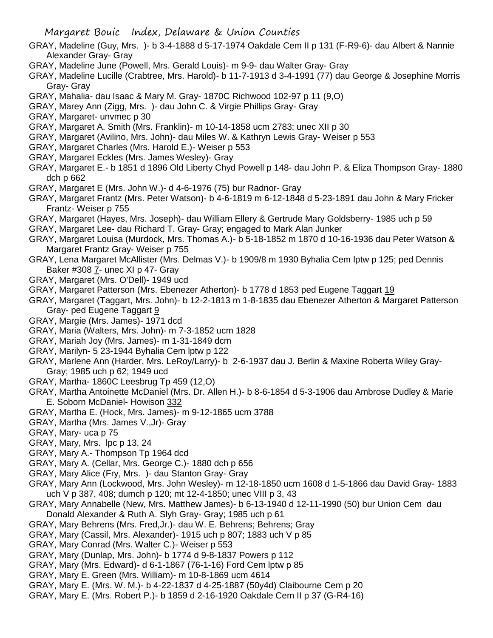- GRAY, Madeline (Guy, Mrs. )- b 3-4-1888 d 5-17-1974 Oakdale Cem II p 131 (F-R9-6)- dau Albert & Nannie Alexander Gray- Gray
- GRAY, Madeline June (Powell, Mrs. Gerald Louis)- m 9-9- dau Walter Gray- Gray
- GRAY, Madeline Lucille (Crabtree, Mrs. Harold)- b 11-7-1913 d 3-4-1991 (77) dau George & Josephine Morris Gray- Gray
- GRAY, Mahalia- dau Isaac & Mary M. Gray- 1870C Richwood 102-97 p 11 (9,O)
- GRAY, Marey Ann (Zigg, Mrs. )- dau John C. & Virgie Phillips Gray- Gray
- GRAY, Margaret- unvmec p 30
- GRAY, Margaret A. Smith (Mrs. Franklin)- m 10-14-1858 ucm 2783; unec XII p 30
- GRAY, Margaret (Avilino, Mrs. John)- dau Miles W. & Kathryn Lewis Gray- Weiser p 553
- GRAY, Margaret Charles (Mrs. Harold E.)- Weiser p 553
- GRAY, Margaret Eckles (Mrs. James Wesley)- Gray
- GRAY, Margaret E.- b 1851 d 1896 Old Liberty Chyd Powell p 148- dau John P. & Eliza Thompson Gray- 1880 dch p 662
- GRAY, Margaret E (Mrs. John W.)- d 4-6-1976 (75) bur Radnor- Gray
- GRAY, Margaret Frantz (Mrs. Peter Watson)- b 4-6-1819 m 6-12-1848 d 5-23-1891 dau John & Mary Fricker Frantz- Weiser p 755
- GRAY, Margaret (Hayes, Mrs. Joseph)- dau William Ellery & Gertrude Mary Goldsberry- 1985 uch p 59
- GRAY, Margaret Lee- dau Richard T. Gray- Gray; engaged to Mark Alan Junker
- GRAY, Margaret Louisa (Murdock, Mrs. Thomas A.)- b 5-18-1852 m 1870 d 10-16-1936 dau Peter Watson & Margaret Frantz Gray- Weiser p 755
- GRAY, Lena Margaret McAllister (Mrs. Delmas V.)- b 1909/8 m 1930 Byhalia Cem lptw p 125; ped Dennis Baker #308 7- unec XI p 47- Gray
- GRAY, Margaret (Mrs. O'Dell)- 1949 ucd
- GRAY, Margaret Patterson (Mrs. Ebenezer Atherton)- b 1778 d 1853 ped Eugene Taggart 19
- GRAY, Margaret (Taggart, Mrs. John)- b 12-2-1813 m 1-8-1835 dau Ebenezer Atherton & Margaret Patterson Gray- ped Eugene Taggart 9
- GRAY, Margie (Mrs. James)- 1971 dcd
- GRAY, Maria (Walters, Mrs. John)- m 7-3-1852 ucm 1828
- GRAY, Mariah Joy (Mrs. James)- m 1-31-1849 dcm
- GRAY, Marilyn- 5 23-1944 Byhalia Cem lptw p 122
- GRAY, Marlene Ann (Harder, Mrs. LeRoy/Larry)- b 2-6-1937 dau J. Berlin & Maxine Roberta Wiley Gray-Gray; 1985 uch p 62; 1949 ucd
- GRAY, Martha- 1860C Leesbrug Tp 459 (12,O)
- GRAY, Martha Antoinette McDaniel (Mrs. Dr. Allen H.)- b 8-6-1854 d 5-3-1906 dau Ambrose Dudley & Marie E. Soborn McDaniel- Howison 332
- GRAY, Martha E. (Hock, Mrs. James)- m 9-12-1865 ucm 3788
- GRAY, Martha (Mrs. James V.,Jr)- Gray
- GRAY, Mary- uca p 75
- GRAY, Mary, Mrs. lpc p 13, 24
- GRAY, Mary A.- Thompson Tp 1964 dcd
- GRAY, Mary A. (Cellar, Mrs. George C.)- 1880 dch p 656
- GRAY, Mary Alice (Fry, Mrs. )- dau Stanton Gray- Gray
- GRAY, Mary Ann (Lockwood, Mrs. John Wesley)- m 12-18-1850 ucm 1608 d 1-5-1866 dau David Gray- 1883 uch V p 387, 408; dumch p 120; mt 12-4-1850; unec VIII p 3, 43
- GRAY, Mary Annabelle (New, Mrs. Matthew James)- b 6-13-1940 d 12-11-1990 (50) bur Union Cem dau Donald Alexander & Ruth A. Slyh Gray- Gray; 1985 uch p 61
- GRAY, Mary Behrens (Mrs. Fred,Jr.)- dau W. E. Behrens; Behrens; Gray
- GRAY, Mary (Cassil, Mrs. Alexander)- 1915 uch p 807; 1883 uch V p 85
- GRAY, Mary Conrad (Mrs. Walter C.)- Weiser p 553
- GRAY, Mary (Dunlap, Mrs. John)- b 1774 d 9-8-1837 Powers p 112
- GRAY, Mary (Mrs. Edward)- d 6-1-1867 (76-1-16) Ford Cem lptw p 85
- GRAY, Mary E. Green (Mrs. William)- m 10-8-1869 ucm 4614
- GRAY, Mary E. (Mrs. W. M.)- b 4-22-1837 d 4-25-1887 (50y4d) Claibourne Cem p 20
- GRAY, Mary E. (Mrs. Robert P.)- b 1859 d 2-16-1920 Oakdale Cem II p 37 (G-R4-16)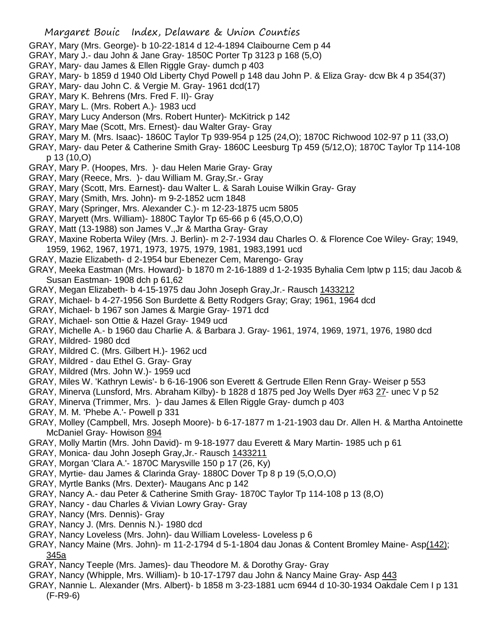- GRAY, Mary (Mrs. George)- b 10-22-1814 d 12-4-1894 Claibourne Cem p 44
- GRAY, Mary J.- dau John & Jane Gray- 1850C Porter Tp 3123 p 168 (5,O)
- GRAY, Mary- dau James & Ellen Riggle Gray- dumch p 403
- GRAY, Mary- b 1859 d 1940 Old Liberty Chyd Powell p 148 dau John P. & Eliza Gray- dcw Bk 4 p 354(37)
- GRAY, Mary- dau John C. & Vergie M. Gray- 1961 dcd(17)
- GRAY, Mary K. Behrens (Mrs. Fred F. II)- Gray
- GRAY, Mary L. (Mrs. Robert A.)- 1983 ucd
- GRAY, Mary Lucy Anderson (Mrs. Robert Hunter)- McKitrick p 142
- GRAY, Mary Mae (Scott, Mrs. Ernest)- dau Walter Gray- Gray
- GRAY, Mary M. (Mrs. Isaac)- 1860C Taylor Tp 939-954 p 125 (24,O); 1870C Richwood 102-97 p 11 (33,O)
- GRAY, Mary- dau Peter & Catherine Smith Gray- 1860C Leesburg Tp 459 (5/12,O); 1870C Taylor Tp 114-108 p 13 (10,O)
- GRAY, Mary P. (Hoopes, Mrs. )- dau Helen Marie Gray- Gray
- GRAY, Mary (Reece, Mrs. )- dau William M. Gray,Sr.- Gray
- GRAY, Mary (Scott, Mrs. Earnest)- dau Walter L. & Sarah Louise Wilkin Gray- Gray
- GRAY, Mary (Smith, Mrs. John)- m 9-2-1852 ucm 1848
- GRAY, Mary (Springer, Mrs. Alexander C.)- m 12-23-1875 ucm 5805
- GRAY, Maryett (Mrs. William)- 1880C Taylor Tp 65-66 p 6 (45,O,O,O)
- GRAY, Matt (13-1988) son James V.,Jr & Martha Gray- Gray
- GRAY, Maxine Roberta Wiley (Mrs. J. Berlin)- m 2-7-1934 dau Charles O. & Florence Coe Wiley- Gray; 1949, 1959, 1962, 1967, 1971, 1973, 1975, 1979, 1981, 1983,1991 ucd
- GRAY, Mazie Elizabeth- d 2-1954 bur Ebenezer Cem, Marengo- Gray
- GRAY, Meeka Eastman (Mrs. Howard)- b 1870 m 2-16-1889 d 1-2-1935 Byhalia Cem lptw p 115; dau Jacob & Susan Eastman- 1908 dch p 61,62
- GRAY, Megan Elizabeth- b 4-15-1975 dau John Joseph Gray,Jr.- Rausch 1433212
- GRAY, Michael- b 4-27-1956 Son Burdette & Betty Rodgers Gray; Gray; 1961, 1964 dcd
- GRAY, Michael- b 1967 son James & Margie Gray- 1971 dcd
- GRAY, Michael- son Ottie & Hazel Gray- 1949 ucd
- GRAY, Michelle A.- b 1960 dau Charlie A. & Barbara J. Gray- 1961, 1974, 1969, 1971, 1976, 1980 dcd
- GRAY, Mildred- 1980 dcd
- GRAY, Mildred C. (Mrs. Gilbert H.)- 1962 ucd
- GRAY, Mildred dau Ethel G. Gray- Gray
- GRAY, Mildred (Mrs. John W.)- 1959 ucd
- GRAY, Miles W. 'Kathryn Lewis'- b 6-16-1906 son Everett & Gertrude Ellen Renn Gray- Weiser p 553
- GRAY, Minerva (Lunsford, Mrs. Abraham Kilby)- b 1828 d 1875 ped Joy Wells Dyer #63 27- unec V p 52
- GRAY, Minerva (Trimmer, Mrs. )- dau James & Ellen Riggle Gray- dumch p 403
- GRAY, M. M. 'Phebe A.'- Powell p 331
- GRAY, Molley (Campbell, Mrs. Joseph Moore)- b 6-17-1877 m 1-21-1903 dau Dr. Allen H. & Martha Antoinette McDaniel Gray- Howison 894
- GRAY, Molly Martin (Mrs. John David)- m 9-18-1977 dau Everett & Mary Martin- 1985 uch p 61
- GRAY, Monica- dau John Joseph Gray,Jr.- Rausch 1433211
- GRAY, Morgan 'Clara A.'- 1870C Marysville 150 p 17 (26, Ky)
- GRAY, Myrtie- dau James & Clarinda Gray- 1880C Dover Tp 8 p 19 (5,O,O,O)
- GRAY, Myrtle Banks (Mrs. Dexter)- Maugans Anc p 142
- GRAY, Nancy A.- dau Peter & Catherine Smith Gray- 1870C Taylor Tp 114-108 p 13 (8,O)
- GRAY, Nancy dau Charles & Vivian Lowry Gray- Gray
- GRAY, Nancy (Mrs. Dennis)- Gray
- GRAY, Nancy J. (Mrs. Dennis N.)- 1980 dcd
- GRAY, Nancy Loveless (Mrs. John)- dau William Loveless- Loveless p 6
- GRAY, Nancy Maine (Mrs. John)- m 11-2-1794 d 5-1-1804 dau Jonas & Content Bromley Maine- Asp(142); 345a
- GRAY, Nancy Teeple (Mrs. James)- dau Theodore M. & Dorothy Gray- Gray
- GRAY, Nancy (Whipple, Mrs. William)- b 10-17-1797 dau John & Nancy Maine Gray- Asp 443
- GRAY, Nannie L. Alexander (Mrs. Albert)- b 1858 m 3-23-1881 ucm 6944 d 10-30-1934 Oakdale Cem I p 131 (F-R9-6)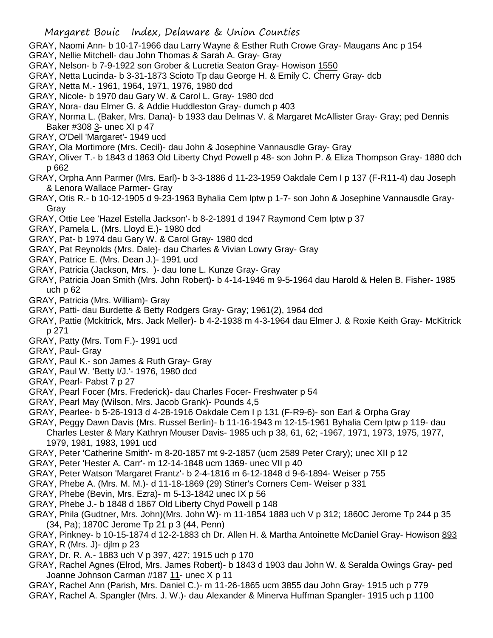GRAY, Naomi Ann- b 10-17-1966 dau Larry Wayne & Esther Ruth Crowe Gray- Maugans Anc p 154

- GRAY, Nellie Mitchell- dau John Thomas & Sarah A. Gray- Gray
- GRAY, Nelson- b 7-9-1922 son Grober & Lucretia Seaton Gray- Howison 1550
- GRAY, Netta Lucinda- b 3-31-1873 Scioto Tp dau George H. & Emily C. Cherry Gray- dcb
- GRAY, Netta M.- 1961, 1964, 1971, 1976, 1980 dcd
- GRAY, Nicole- b 1970 dau Gary W. & Carol L. Gray- 1980 dcd
- GRAY, Nora- dau Elmer G. & Addie Huddleston Gray- dumch p 403
- GRAY, Norma L. (Baker, Mrs. Dana)- b 1933 dau Delmas V. & Margaret McAllister Gray- Gray; ped Dennis Baker #308 3- unec XI p 47
- GRAY, O'Dell 'Margaret'- 1949 ucd
- GRAY, Ola Mortimore (Mrs. Cecil)- dau John & Josephine Vannausdle Gray- Gray
- GRAY, Oliver T.- b 1843 d 1863 Old Liberty Chyd Powell p 48- son John P. & Eliza Thompson Gray- 1880 dch p 662
- GRAY, Orpha Ann Parmer (Mrs. Earl)- b 3-3-1886 d 11-23-1959 Oakdale Cem I p 137 (F-R11-4) dau Joseph & Lenora Wallace Parmer- Gray
- GRAY, Otis R.- b 10-12-1905 d 9-23-1963 Byhalia Cem lptw p 1-7- son John & Josephine Vannausdle Gray-Gray
- GRAY, Ottie Lee 'Hazel Estella Jackson'- b 8-2-1891 d 1947 Raymond Cem lptw p 37
- GRAY, Pamela L. (Mrs. Lloyd E.)- 1980 dcd
- GRAY, Pat- b 1974 dau Gary W. & Carol Gray- 1980 dcd
- GRAY, Pat Reynolds (Mrs. Dale)- dau Charles & Vivian Lowry Gray- Gray
- GRAY, Patrice E. (Mrs. Dean J.)- 1991 ucd
- GRAY, Patricia (Jackson, Mrs. )- dau Ione L. Kunze Gray- Gray
- GRAY, Patricia Joan Smith (Mrs. John Robert)- b 4-14-1946 m 9-5-1964 dau Harold & Helen B. Fisher- 1985 uch p 62
- GRAY, Patricia (Mrs. William)- Gray
- GRAY, Patti- dau Burdette & Betty Rodgers Gray- Gray; 1961(2), 1964 dcd
- GRAY, Pattie (Mckitrick, Mrs. Jack Meller)- b 4-2-1938 m 4-3-1964 dau Elmer J. & Roxie Keith Gray- McKitrick p 271
- GRAY, Patty (Mrs. Tom F.)- 1991 ucd
- GRAY, Paul- Gray
- GRAY, Paul K.- son James & Ruth Gray- Gray
- GRAY, Paul W. 'Betty I/J.'- 1976, 1980 dcd
- GRAY, Pearl- Pabst 7 p 27
- GRAY, Pearl Focer (Mrs. Frederick)- dau Charles Focer- Freshwater p 54
- GRAY, Pearl May (Wilson, Mrs. Jacob Grank)- Pounds 4,5
- GRAY, Pearlee- b 5-26-1913 d 4-28-1916 Oakdale Cem I p 131 (F-R9-6)- son Earl & Orpha Gray
- GRAY, Peggy Dawn Davis (Mrs. Russel Berlin)- b 11-16-1943 m 12-15-1961 Byhalia Cem lptw p 119- dau Charles Lester & Mary Kathryn Mouser Davis- 1985 uch p 38, 61, 62; -1967, 1971, 1973, 1975, 1977, 1979, 1981, 1983, 1991 ucd
- GRAY, Peter 'Catherine Smith'- m 8-20-1857 mt 9-2-1857 (ucm 2589 Peter Crary); unec XII p 12
- GRAY, Peter 'Hester A. Carr'- m 12-14-1848 ucm 1369- unec VII p 40
- GRAY, Peter Watson 'Margaret Frantz'- b 2-4-1816 m 6-12-1848 d 9-6-1894- Weiser p 755
- GRAY, Phebe A. (Mrs. M. M.)- d 11-18-1869 (29) Stiner's Corners Cem- Weiser p 331
- GRAY, Phebe (Bevin, Mrs. Ezra)- m 5-13-1842 unec IX p 56
- GRAY, Phebe J.- b 1848 d 1867 Old Liberty Chyd Powell p 148
- GRAY, Phila (Gudtner, Mrs. John)(Mrs. John W)- m 11-1854 1883 uch V p 312; 1860C Jerome Tp 244 p 35 (34, Pa); 1870C Jerome Tp 21 p 3 (44, Penn)
- GRAY, Pinkney- b 10-15-1874 d 12-2-1883 ch Dr. Allen H. & Martha Antoinette McDaniel Gray- Howison 893 GRAY, R (Mrs. J)- djlm p 23
- GRAY, Dr. R. A.- 1883 uch V p 397, 427; 1915 uch p 170
- GRAY, Rachel Agnes (Elrod, Mrs. James Robert)- b 1843 d 1903 dau John W. & Seralda Owings Gray- ped Joanne Johnson Carman #187 11- unec X p 11
- GRAY, Rachel Ann (Parish, Mrs. Daniel C.)- m 11-26-1865 ucm 3855 dau John Gray- 1915 uch p 779 GRAY, Rachel A. Spangler (Mrs. J. W.)- dau Alexander & Minerva Huffman Spangler- 1915 uch p 1100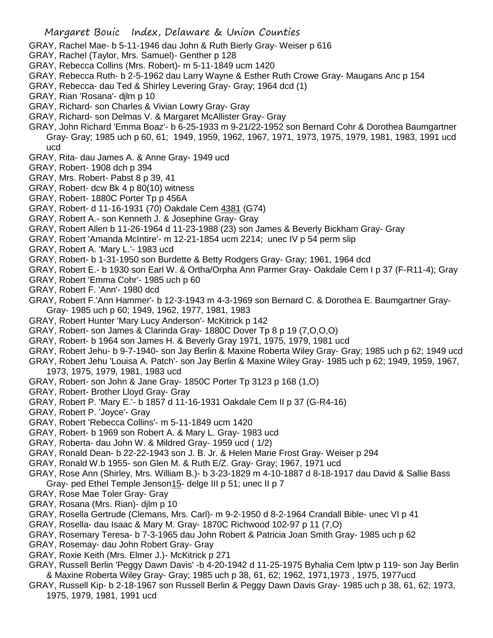- GRAY, Rachel Mae- b 5-11-1946 dau John & Ruth Bierly Gray- Weiser p 616
- GRAY, Rachel (Taylor, Mrs. Samuel)- Genther p 128
- GRAY, Rebecca Collins (Mrs. Robert)- m 5-11-1849 ucm 1420
- GRAY, Rebecca Ruth- b 2-5-1962 dau Larry Wayne & Esther Ruth Crowe Gray- Maugans Anc p 154
- GRAY, Rebecca- dau Ted & Shirley Levering Gray- Gray; 1964 dcd (1)
- GRAY, Rian 'Rosana'- djlm p 10
- GRAY, Richard- son Charles & Vivian Lowry Gray- Gray
- GRAY, Richard- son Delmas V. & Margaret McAllister Gray- Gray
- GRAY, John Richard 'Emma Boaz'- b 6-25-1933 m 9-21/22-1952 son Bernard Cohr & Dorothea Baumgartner Gray- Gray; 1985 uch p 60, 61; 1949, 1959, 1962, 1967, 1971, 1973, 1975, 1979, 1981, 1983, 1991 ucd ucd
- GRAY, Rita- dau James A. & Anne Gray- 1949 ucd
- GRAY, Robert- 1908 dch p 394
- GRAY, Mrs. Robert- Pabst 8 p 39, 41
- GRAY, Robert- dcw Bk 4 p 80(10) witness
- GRAY, Robert- 1880C Porter Tp p 456A
- GRAY, Robert- d 11-16-1931 (70) Oakdale Cem 4381 (G74)
- GRAY, Robert A.- son Kenneth J. & Josephine Gray- Gray
- GRAY, Robert Allen b 11-26-1964 d 11-23-1988 (23) son James & Beverly Bickham Gray- Gray
- GRAY, Robert 'Amanda McIntire'- m 12-21-1854 ucm 2214; unec IV p 54 perm slip
- GRAY, Robert A. 'Mary L.'- 1983 ucd
- GRAY, Robert- b 1-31-1950 son Burdette & Betty Rodgers Gray- Gray; 1961, 1964 dcd
- GRAY, Robert E.- b 1930 son Earl W. & Ortha/Orpha Ann Parmer Gray- Oakdale Cem I p 37 (F-R11-4); Gray
- GRAY, Robert 'Emma Cohr'- 1985 uch p 60
- GRAY, Robert F. 'Ann'- 1980 dcd
- GRAY, Robert F.'Ann Hammer'- b 12-3-1943 m 4-3-1969 son Bernard C. & Dorothea E. Baumgartner Gray-Gray- 1985 uch p 60; 1949, 1962, 1977, 1981, 1983
- GRAY, Robert Hunter 'Mary Lucy Anderson'- McKitrick p 142
- GRAY, Robert- son James & Clarinda Gray- 1880C Dover Tp 8 p 19 (7,O,O,O)
- GRAY, Robert- b 1964 son James H. & Beverly Gray 1971, 1975, 1979, 1981 ucd
- GRAY, Robert Jehu- b 9-7-1940- son Jay Berlin & Maxine Roberta Wiley Gray- Gray; 1985 uch p 62; 1949 ucd
- GRAY, Robert Jehu 'Louisa A. Patch'- son Jay Berlin & Maxine Wiley Gray- 1985 uch p 62; 1949, 1959, 1967, 1973, 1975, 1979, 1981, 1983 ucd
- GRAY, Robert- son John & Jane Gray- 1850C Porter Tp 3123 p 168 (1,O)
- GRAY, Robert- Brother Lloyd Gray- Gray
- GRAY, Robert P. 'Mary E.'- b 1857 d 11-16-1931 Oakdale Cem II p 37 (G-R4-16)
- GRAY, Robert P. 'Joyce'- Gray
- GRAY, Robert 'Rebecca Collins'- m 5-11-1849 ucm 1420
- GRAY, Robert- b 1969 son Robert A. & Mary L. Gray- 1983 ucd
- GRAY, Roberta- dau John W. & Mildred Gray- 1959 ucd ( 1/2)
- GRAY, Ronald Dean- b 22-22-1943 son J. B. Jr. & Helen Marie Frost Gray- Weiser p 294
- GRAY, Ronald W.b 1955- son Glen M. & Ruth E/Z. Gray- Gray; 1967, 1971 ucd
- GRAY, Rose Ann (Shirley, Mrs. William B.)- b 3-23-1829 m 4-10-1887 d 8-18-1917 dau David & Sallie Bass
- Gray- ped Ethel Temple Jenson15- delge III p 51; unec II p 7
- GRAY, Rose Mae Toler Gray- Gray
- GRAY, Rosana (Mrs. Rian)- djlm p 10
- GRAY, Rosella Gertrude (Clemans, Mrs. Carl)- m 9-2-1950 d 8-2-1964 Crandall Bible- unec VI p 41
- GRAY, Rosella- dau Isaac & Mary M. Gray- 1870C Richwood 102-97 p 11 (7,O)
- GRAY, Rosemary Teresa- b 7-3-1965 dau John Robert & Patricia Joan Smith Gray- 1985 uch p 62
- GRAY, Rosemay- dau John Robert Gray- Gray
- GRAY, Roxie Keith (Mrs. Elmer J.)- McKitrick p 271
- GRAY, Russell Berlin 'Peggy Dawn Davis' -b 4-20-1942 d 11-25-1975 Byhalia Cem lptw p 119- son Jay Berlin & Maxine Roberta Wiley Gray- Gray; 1985 uch p 38, 61, 62; 1962, 1971,1973 , 1975, 1977ucd
- GRAY, Russell Kip- b 2-18-1967 son Russell Berlin & Peggy Dawn Davis Gray- 1985 uch p 38, 61, 62; 1973, 1975, 1979, 1981, 1991 ucd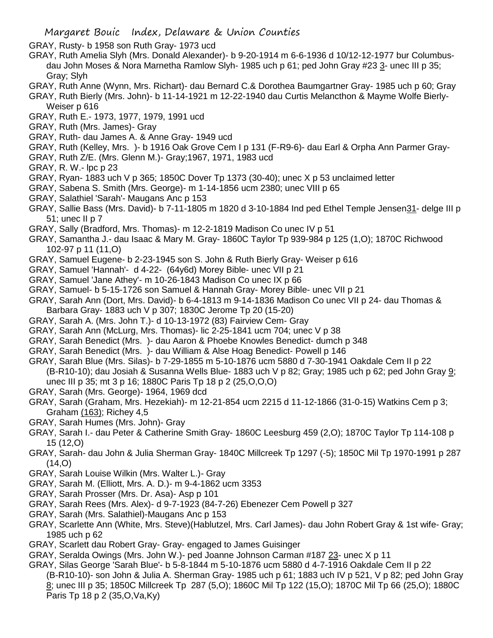GRAY, Rusty- b 1958 son Ruth Gray- 1973 ucd

- GRAY, Ruth Amelia Slyh (Mrs. Donald Alexander)- b 9-20-1914 m 6-6-1936 d 10/12-12-1977 bur Columbusdau John Moses & Nora Marnetha Ramlow Slyh- 1985 uch p 61; ped John Gray #23 3- unec III p 35; Gray; Slyh
- GRAY, Ruth Anne (Wynn, Mrs. Richart)- dau Bernard C.& Dorothea Baumgartner Gray- 1985 uch p 60; Gray
- GRAY, Ruth Bierly (Mrs. John)- b 11-14-1921 m 12-22-1940 dau Curtis Melancthon & Mayme Wolfe Bierly-Weiser p 616
- GRAY, Ruth E.- 1973, 1977, 1979, 1991 ucd
- GRAY, Ruth (Mrs. James)- Gray
- GRAY, Ruth- dau James A. & Anne Gray- 1949 ucd
- GRAY, Ruth (Kelley, Mrs. )- b 1916 Oak Grove Cem I p 131 (F-R9-6)- dau Earl & Orpha Ann Parmer Gray-
- GRAY, Ruth Z/E. (Mrs. Glenn M.)- Gray;1967, 1971, 1983 ucd
- GRAY, R. W.- lpc p 23
- GRAY, Ryan- 1883 uch V p 365; 1850C Dover Tp 1373 (30-40); unec X p 53 unclaimed letter
- GRAY, Sabena S. Smith (Mrs. George)- m 1-14-1856 ucm 2380; unec VIII p 65
- GRAY, Salathiel 'Sarah'- Maugans Anc p 153
- GRAY, Sallie Bass (Mrs. David)- b 7-11-1805 m 1820 d 3-10-1884 Ind ped Ethel Temple Jensen31- delge III p 51; unec II p 7
- GRAY, Sally (Bradford, Mrs. Thomas)- m 12-2-1819 Madison Co unec IV p 51
- GRAY, Samantha J.- dau Isaac & Mary M. Gray- 1860C Taylor Tp 939-984 p 125 (1,O); 1870C Richwood 102-97 p 11 (11,O)
- GRAY, Samuel Eugene- b 2-23-1945 son S. John & Ruth Bierly Gray- Weiser p 616
- GRAY, Samuel 'Hannah'- d 4-22- (64y6d) Morey Bible- unec VII p 21
- GRAY, Samuel 'Jane Athey'- m 10-26-1843 Madison Co unec IX p 66
- GRAY, Samuel- b 5-15-1726 son Samuel & Hannah Gray- Morey Bible- unec VII p 21
- GRAY, Sarah Ann (Dort, Mrs. David)- b 6-4-1813 m 9-14-1836 Madison Co unec VII p 24- dau Thomas & Barbara Gray- 1883 uch V p 307; 1830C Jerome Tp 20 (15-20)
- GRAY, Sarah A. (Mrs. John T.)- d 10-13-1972 (83) Fairview Cem- Gray
- GRAY, Sarah Ann (McLurg, Mrs. Thomas)- lic 2-25-1841 ucm 704; unec V p 38
- GRAY, Sarah Benedict (Mrs. )- dau Aaron & Phoebe Knowles Benedict- dumch p 348
- GRAY, Sarah Benedict (Mrs. )- dau William & Alse Hoag Benedict- Powell p 146
- GRAY, Sarah Blue (Mrs. Silas)- b 7-29-1855 m 5-10-1876 ucm 5880 d 7-30-1941 Oakdale Cem II p 22 (B-R10-10); dau Josiah & Susanna Wells Blue- 1883 uch V p 82; Gray; 1985 uch p 62; ped John Gray 9; unec III p 35; mt 3 p 16; 1880C Paris Tp 18 p 2 (25,O,O,O)
- GRAY, Sarah (Mrs. George)- 1964, 1969 dcd
- GRAY, Sarah (Graham, Mrs. Hezekiah)- m 12-21-854 ucm 2215 d 11-12-1866 (31-0-15) Watkins Cem p 3; Graham (163); Richey 4,5
- GRAY, Sarah Humes (Mrs. John)- Gray
- GRAY, Sarah I.- dau Peter & Catherine Smith Gray- 1860C Leesburg 459 (2,O); 1870C Taylor Tp 114-108 p 15 (12,O)
- GRAY, Sarah- dau John & Julia Sherman Gray- 1840C Millcreek Tp 1297 (-5); 1850C Mil Tp 1970-1991 p 287  $(14,0)$
- GRAY, Sarah Louise Wilkin (Mrs. Walter L.)- Gray
- GRAY, Sarah M. (Elliott, Mrs. A. D.)- m 9-4-1862 ucm 3353
- GRAY, Sarah Prosser (Mrs. Dr. Asa)- Asp p 101
- GRAY, Sarah Rees (Mrs. Alex)- d 9-7-1923 (84-7-26) Ebenezer Cem Powell p 327
- GRAY, Sarah (Mrs. Salathiel)-Maugans Anc p 153
- GRAY, Scarlette Ann (White, Mrs. Steve)(Hablutzel, Mrs. Carl James)- dau John Robert Gray & 1st wife- Gray; 1985 uch p 62
- GRAY, Scarlett dau Robert Gray- Gray- engaged to James Guisinger
- GRAY, Seralda Owings (Mrs. John W.)- ped Joanne Johnson Carman #187 23- unec X p 11
- GRAY, Silas George 'Sarah Blue'- b 5-8-1844 m 5-10-1876 ucm 5880 d 4-7-1916 Oakdale Cem II p 22 (B-R10-10)- son John & Julia A. Sherman Gray- 1985 uch p 61; 1883 uch IV p 521, V p 82; ped John Gray 8; unec III p 35; 1850C Millcreek Tp 287 (5,O); 1860C Mil Tp 122 (15,O); 1870C Mil Tp 66 (25,O); 1880C Paris Tp 18 p 2 (35,O,Va,Ky)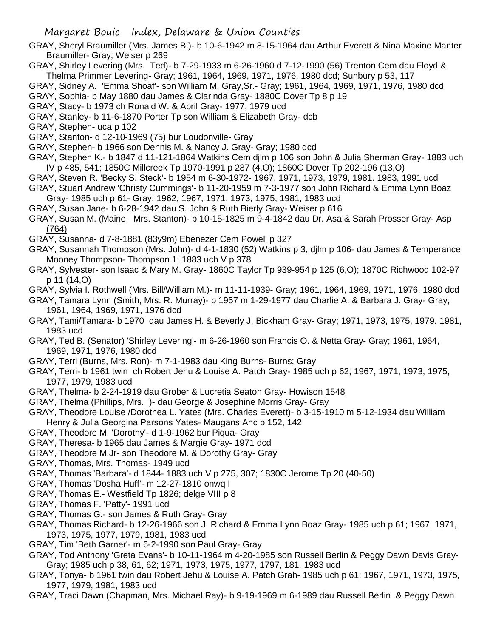- GRAY, Sheryl Braumiller (Mrs. James B.)- b 10-6-1942 m 8-15-1964 dau Arthur Everett & Nina Maxine Manter Braumiller- Gray; Weiser p 269
- GRAY, Shirley Levering (Mrs. Ted)- b 7-29-1933 m 6-26-1960 d 7-12-1990 (56) Trenton Cem dau Floyd & Thelma Primmer Levering- Gray; 1961, 1964, 1969, 1971, 1976, 1980 dcd; Sunbury p 53, 117
- GRAY, Sidney A. 'Emma Shoaf'- son William M. Gray,Sr.- Gray; 1961, 1964, 1969, 1971, 1976, 1980 dcd
- GRAY, Sophia- b May 1880 dau James & Clarinda Gray- 1880C Dover Tp 8 p 19
- GRAY, Stacy- b 1973 ch Ronald W. & April Gray- 1977, 1979 ucd
- GRAY, Stanley- b 11-6-1870 Porter Tp son William & Elizabeth Gray- dcb
- GRAY, Stephen- uca p 102
- GRAY, Stanton- d 12-10-1969 (75) bur Loudonville- Gray
- GRAY, Stephen- b 1966 son Dennis M. & Nancy J. Gray- Gray; 1980 dcd
- GRAY, Stephen K.- b 1847 d 11-121-1864 Watkins Cem djlm p 106 son John & Julia Sherman Gray- 1883 uch IV p 485, 541; 1850C Millcreek Tp 1970-1991 p 287 (4,O); 1860C Dover Tp 202-196 (13,O)
- GRAY, Steven R. 'Becky S. Steck'- b 1954 m 6-30-1972- 1967, 1971, 1973, 1979, 1981. 1983, 1991 ucd
- GRAY, Stuart Andrew 'Christy Cummings'- b 11-20-1959 m 7-3-1977 son John Richard & Emma Lynn Boaz Gray- 1985 uch p 61- Gray; 1962, 1967, 1971, 1973, 1975, 1981, 1983 ucd
- GRAY, Susan Jane- b 6-28-1942 dau S. John & Ruth Bierly Gray- Weiser p 616
- GRAY, Susan M. (Maine, Mrs. Stanton)- b 10-15-1825 m 9-4-1842 dau Dr. Asa & Sarah Prosser Gray- Asp (764)
- GRAY, Susanna- d 7-8-1881 (83y9m) Ebenezer Cem Powell p 327
- GRAY, Susannah Thompson (Mrs. John)- d 4-1-1830 (52) Watkins p 3, djlm p 106- dau James & Temperance Mooney Thompson- Thompson 1; 1883 uch V p 378
- GRAY, Sylvester- son Isaac & Mary M. Gray- 1860C Taylor Tp 939-954 p 125 (6,O); 1870C Richwood 102-97 p 11 (14,O)
- GRAY, Sylvia I. Rothwell (Mrs. Bill/William M.)- m 11-11-1939- Gray; 1961, 1964, 1969, 1971, 1976, 1980 dcd
- GRAY, Tamara Lynn (Smith, Mrs. R. Murray)- b 1957 m 1-29-1977 dau Charlie A. & Barbara J. Gray- Gray; 1961, 1964, 1969, 1971, 1976 dcd
- GRAY, Tami/Tamara- b 1970 dau James H. & Beverly J. Bickham Gray- Gray; 1971, 1973, 1975, 1979. 1981, 1983 ucd
- GRAY, Ted B. (Senator) 'Shirley Levering'- m 6-26-1960 son Francis O. & Netta Gray- Gray; 1961, 1964, 1969, 1971, 1976, 1980 dcd
- GRAY, Terri (Burns, Mrs. Ron)- m 7-1-1983 dau King Burns- Burns; Gray
- GRAY, Terri- b 1961 twin ch Robert Jehu & Louise A. Patch Gray- 1985 uch p 62; 1967, 1971, 1973, 1975, 1977, 1979, 1983 ucd
- GRAY, Thelma- b 2-24-1919 dau Grober & Lucretia Seaton Gray- Howison 1548
- GRAY, Thelma (Phillips, Mrs. )- dau George & Josephine Morris Gray- Gray
- GRAY, Theodore Louise /Dorothea L. Yates (Mrs. Charles Everett)- b 3-15-1910 m 5-12-1934 dau William Henry & Julia Georgina Parsons Yates- Maugans Anc p 152, 142
- GRAY, Theodore M. 'Dorothy'- d 1-9-1962 bur Piqua- Gray
- GRAY, Theresa- b 1965 dau James & Margie Gray- 1971 dcd
- GRAY, Theodore M.Jr- son Theodore M. & Dorothy Gray- Gray
- GRAY, Thomas, Mrs. Thomas- 1949 ucd
- GRAY, Thomas 'Barbara'- d 1844- 1883 uch V p 275, 307; 1830C Jerome Tp 20 (40-50)
- GRAY, Thomas 'Dosha Huff'- m 12-27-1810 onwq I
- GRAY, Thomas E.- Westfield Tp 1826; delge VIII p 8
- GRAY, Thomas F. 'Patty'- 1991 ucd
- GRAY, Thomas G.- son James & Ruth Gray- Gray
- GRAY, Thomas Richard- b 12-26-1966 son J. Richard & Emma Lynn Boaz Gray- 1985 uch p 61; 1967, 1971, 1973, 1975, 1977, 1979, 1981, 1983 ucd
- GRAY, Tim 'Beth Garner'- m 6-2-1990 son Paul Gray- Gray
- GRAY, Tod Anthony 'Greta Evans'- b 10-11-1964 m 4-20-1985 son Russell Berlin & Peggy Dawn Davis Gray-Gray; 1985 uch p 38, 61, 62; 1971, 1973, 1975, 1977, 1797, 181, 1983 ucd
- GRAY, Tonya- b 1961 twin dau Robert Jehu & Louise A. Patch Grah- 1985 uch p 61; 1967, 1971, 1973, 1975, 1977, 1979, 1981, 1983 ucd
- GRAY, Traci Dawn (Chapman, Mrs. Michael Ray)- b 9-19-1969 m 6-1989 dau Russell Berlin & Peggy Dawn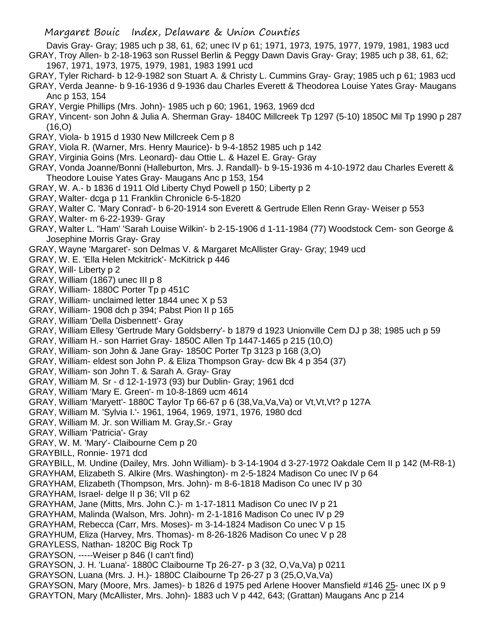Davis Gray- Gray; 1985 uch p 38, 61, 62; unec IV p 61; 1971, 1973, 1975, 1977, 1979, 1981, 1983 ucd GRAY, Troy Allen- b 2-18-1963 son Russel Berlin & Peggy Dawn Davis Gray- Gray; 1985 uch p 38, 61, 62; 1967, 1971, 1973, 1975, 1979, 1981, 1983 1991 ucd

GRAY, Tyler Richard- b 12-9-1982 son Stuart A. & Christy L. Cummins Gray- Gray; 1985 uch p 61; 1983 ucd GRAY, Verda Jeanne- b 9-16-1936 d 9-1936 dau Charles Everett & Theodorea Louise Yates Gray- Maugans

Anc p 153, 154 GRAY, Vergie Phillips (Mrs. John)- 1985 uch p 60; 1961, 1963, 1969 dcd

- GRAY, Vincent- son John & Julia A. Sherman Gray- 1840C Millcreek Tp 1297 (5-10) 1850C Mil Tp 1990 p 287  $(16, 0)$
- GRAY, Viola- b 1915 d 1930 New Millcreek Cem p 8
- GRAY, Viola R. (Warner, Mrs. Henry Maurice)- b 9-4-1852 1985 uch p 142
- GRAY, Virginia Goins (Mrs. Leonard)- dau Ottie L. & Hazel E. Gray- Gray
- GRAY, Vonda Joanne/Bonni (Halleburton, Mrs. J. Randall)- b 9-15-1936 m 4-10-1972 dau Charles Everett & Theodore Louise Yates Gray- Maugans Anc p 153, 154
- GRAY, W. A.- b 1836 d 1911 Old Liberty Chyd Powell p 150; Liberty p 2
- GRAY, Walter- dcga p 11 Franklin Chronicle 6-5-1820
- GRAY, Walter C. 'Mary Conrad'- b 6-20-1914 son Everett & Gertrude Ellen Renn Gray- Weiser p 553
- GRAY, Walter- m 6-22-1939- Gray
- GRAY, Walter L. "Ham' 'Sarah Louise Wilkin'- b 2-15-1906 d 1-11-1984 (77) Woodstock Cem- son George & Josephine Morris Gray- Gray
- GRAY, Wayne 'Margaret'- son Delmas V. & Margaret McAllister Gray- Gray; 1949 ucd
- GRAY, W. E. 'Ella Helen Mckitrick'- McKitrick p 446
- GRAY, Will- Liberty p 2
- GRAY, William (1867) unec III p 8
- GRAY, William- 1880C Porter Tp p 451C
- GRAY, William- unclaimed letter 1844 unec X p 53
- GRAY, William- 1908 dch p 394; Pabst Pion II p 165
- GRAY, William 'Della Disbennett'- Gray
- GRAY, William Ellesy 'Gertrude Mary Goldsberry'- b 1879 d 1923 Unionville Cem DJ p 38; 1985 uch p 59
- GRAY, William H.- son Harriet Gray- 1850C Allen Tp 1447-1465 p 215 (10,O)
- GRAY, William- son John & Jane Gray- 1850C Porter Tp 3123 p 168 (3,O)
- GRAY, William- eldest son John P. & Eliza Thompson Gray- dcw Bk 4 p 354 (37)
- GRAY, William- son John T. & Sarah A. Gray- Gray
- GRAY, William M. Sr d 12-1-1973 (93) bur Dublin- Gray; 1961 dcd
- GRAY, William 'Mary E. Green'- m 10-8-1869 ucm 4614
- GRAY, William 'Maryett'- 1880C Taylor Tp 66-67 p 6 (38,Va,Va,Va) or Vt,Vt,Vt? p 127A
- GRAY, William M. 'Sylvia I.'- 1961, 1964, 1969, 1971, 1976, 1980 dcd
- GRAY, William M. Jr. son William M. Gray,Sr.- Gray
- GRAY, William 'Patricia'- Gray
- GRAY, W. M. 'Mary'- Claibourne Cem p 20
- GRAYBILL, Ronnie- 1971 dcd
- GRAYBILL, M. Undine (Dailey, Mrs. John William)- b 3-14-1904 d 3-27-1972 Oakdale Cem II p 142 (M-R8-1)
- GRAYHAM, Elizabeth S. Alkire (Mrs. Washington)- m 2-5-1824 Madison Co unec IV p 64
- GRAYHAM, Elizabeth (Thompson, Mrs. John)- m 8-6-1818 Madison Co unec IV p 30
- GRAYHAM, Israel- delge II p 36; VII p 62
- GRAYHAM, Jane (Mitts, Mrs. John C.)- m 1-17-1811 Madison Co unec IV p 21
- GRAYHAM, Malinda (Walson, Mrs. John)- m 2-1-1816 Madison Co unec IV p 29
- GRAYHAM, Rebecca (Carr, Mrs. Moses)- m 3-14-1824 Madison Co unec V p 15
- GRAYHUM, Eliza (Harvey, Mrs. Thomas)- m 8-26-1826 Madison Co unec V p 28
- GRAYLESS, Nathan- 1820C Big Rock Tp
- GRAYSON, -----Weiser p 846 (I can't find)
- GRAYSON, J. H. 'Luana'- 1880C Claibourne Tp 26-27- p 3 (32, O,Va,Va) p 0211
- GRAYSON, Luana (Mrs. J. H.)- 1880C Claibourne Tp 26-27 p 3 (25,O,Va,Va)
- GRAYSON, Mary (Moore, Mrs. James)- b 1826 d 1975 ped Arlene Hoover Mansfield #146 25- unec IX p 9 GRAYTON, Mary (McAllister, Mrs. John)- 1883 uch V p 442, 643; (Grattan) Maugans Anc p 214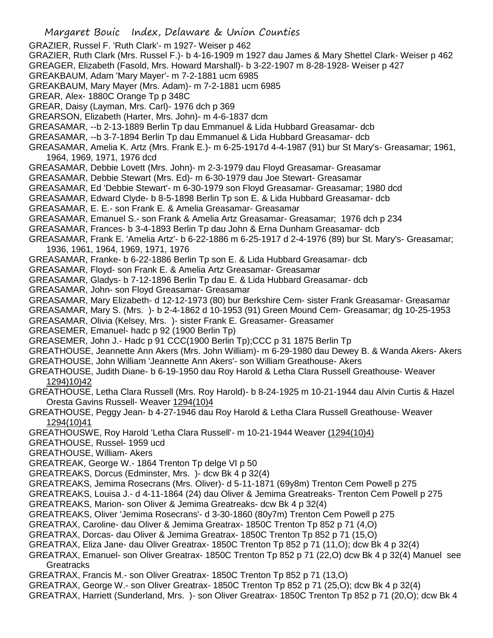Margaret Bouic Index, Delaware & Union Counties GRAZIER, Russel F. 'Ruth Clark'- m 1927- Weiser p 462 GRAZIER, Ruth Clark (Mrs. Russel F.)- b 4-16-1909 m 1927 dau James & Mary Shettel Clark- Weiser p 462 GREAGER, Elizabeth (Fasold, Mrs. Howard Marshall)- b 3-22-1907 m 8-28-1928- Weiser p 427 GREAKBAUM, Adam 'Mary Mayer'- m 7-2-1881 ucm 6985 GREAKBAUM, Mary Mayer (Mrs. Adam)- m 7-2-1881 ucm 6985 GREAR, Alex- 1880C Orange Tp p 348C GREAR, Daisy (Layman, Mrs. Carl)- 1976 dch p 369 GREARSON, Elizabeth (Harter, Mrs. John)- m 4-6-1837 dcm GREASAMAR, --b 2-13-1889 Berlin Tp dau Emmanuel & Lida Hubbard Greasamar- dcb GREASAMAR, --b 3-7-1894 Berlin Tp dau Emmanuel & Lida Hubbard Greasamar- dcb GREASAMAR, Amelia K. Artz (Mrs. Frank E.)- m 6-25-1917d 4-4-1987 (91) bur St Mary's- Greasamar; 1961, 1964, 1969, 1971, 1976 dcd GREASAMAR, Debbie Lovett (Mrs. John)- m 2-3-1979 dau Floyd Greasamar- Greasamar GREASAMAR, Debbie Stewart (Mrs. Ed)- m 6-30-1979 dau Joe Stewart- Greasamar GREASAMAR, Ed 'Debbie Stewart'- m 6-30-1979 son Floyd Greasamar- Greasamar; 1980 dcd GREASAMAR, Edward Clyde- b 8-5-1898 Berlin Tp son E. & Lida Hubbard Greasamar- dcb GREASAMAR, E. E.- son Frank E. & Amelia Greasamar- Greasamar GREASAMAR, Emanuel S.- son Frank & Amelia Artz Greasamar- Greasamar; 1976 dch p 234 GREASAMAR, Frances- b 3-4-1893 Berlin Tp dau John & Erna Dunham Greasamar- dcb GREASAMAR, Frank E. 'Amelia Artz'- b 6-22-1886 m 6-25-1917 d 2-4-1976 (89) bur St. Mary's- Greasamar; 1936, 1961, 1964, 1969, 1971, 1976 GREASAMAR, Franke- b 6-22-1886 Berlin Tp son E. & Lida Hubbard Greasamar- dcb GREASAMAR, Floyd- son Frank E. & Amelia Artz Greasamar- Greasamar GREASAMAR, Gladys- b 7-12-1896 Berlin Tp dau E. & Lida Hubbard Greasamar- dcb GREASAMAR, John- son Floyd Greasamar- Greasamar GREASAMAR, Mary Elizabeth- d 12-12-1973 (80) bur Berkshire Cem- sister Frank Greasamar- Greasamar GREASAMAR, Mary S. (Mrs. )- b 2-4-1862 d 10-1953 (91) Green Mound Cem- Greasamar; dg 10-25-1953 GREASAMAR, Olivia (Kelsey, Mrs. )- sister Frank E. Greasamer- Greasamer GREASEMER, Emanuel- hadc p 92 (1900 Berlin Tp) GREASEMER, John J.- Hadc p 91 CCC(1900 Berlin Tp);CCC p 31 1875 Berlin Tp GREATHOUSE, Jeannette Ann Akers (Mrs. John William)- m 6-29-1980 dau Dewey B. & Wanda Akers- Akers GREATHOUSE, John William 'Jeannette Ann Akers'- son William Greathouse- Akers GREATHOUSE, Judith Diane- b 6-19-1950 dau Roy Harold & Letha Clara Russell Greathouse- Weaver 1294)10)42 GREATHOUSE, Letha Clara Russell (Mrs. Roy Harold)- b 8-24-1925 m 10-21-1944 dau Alvin Curtis & Hazel Oresta Gavins Russell- Weaver 1294(10)4 GREATHOUSE, Peggy Jean- b 4-27-1946 dau Roy Harold & Letha Clara Russell Greathouse- Weaver 1294(10)41 GREATHOUSWE, Roy Harold 'Letha Clara Russell'- m 10-21-1944 Weaver (1294(10)4) GREATHOUSE, Russel- 1959 ucd GREATHOUSE, William- Akers GREATREAK, George W.- 1864 Trenton Tp delge VI p 50 GREATREAKS, Dorcus (Edminster, Mrs. )- dcw Bk 4 p 32(4) GREATREAKS, Jemima Rosecrans (Mrs. Oliver)- d 5-11-1871 (69y8m) Trenton Cem Powell p 275 GREATREAKS, Louisa J.- d 4-11-1864 (24) dau Oliver & Jemima Greatreaks- Trenton Cem Powell p 275 GREATREAKS, Marion- son Oliver & Jemima Greatreaks- dcw Bk 4 p 32(4) GREATREAKS, Oliver 'Jemima Rosecrans'- d 3-30-1860 (80y7m) Trenton Cem Powell p 275 GREATRAX, Caroline- dau Oliver & Jemima Greatrax- 1850C Trenton Tp 852 p 71 (4,O) GREATRAX, Dorcas- dau Oliver & Jemima Greatrax- 1850C Trenton Tp 852 p 71 (15,O) GREATRAX, Eliza Jane- dau Oliver Greatrax- 1850C Trenton Tp 852 p 71 (11,O); dcw Bk 4 p 32(4) GREATRAX, Emanuel- son Oliver Greatrax- 1850C Trenton Tp 852 p 71 (22,O) dcw Bk 4 p 32(4) Manuel see **Greatracks** GREATRAX, Francis M.- son Oliver Greatrax- 1850C Trenton Tp 852 p 71 (13,O) GREATRAX, George W.- son Oliver Greatrax- 1850C Trenton Tp 852 p 71 (25,O); dcw Bk 4 p 32(4) GREATRAX, Harriett (Sunderland, Mrs. )- son Oliver Greatrax- 1850C Trenton Tp 852 p 71 (20,O); dcw Bk 4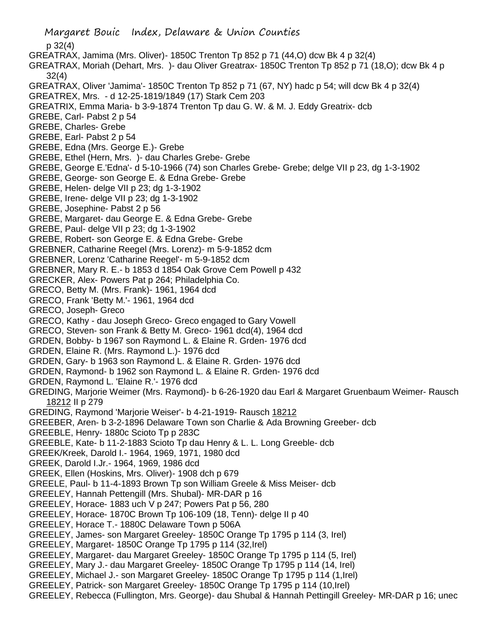Margaret Bouic Index, Delaware & Union Counties p 32(4) GREATRAX, Jamima (Mrs. Oliver)- 1850C Trenton Tp 852 p 71 (44,O) dcw Bk 4 p 32(4) GREATRAX, Moriah (Dehart, Mrs. )- dau Oliver Greatrax- 1850C Trenton Tp 852 p 71 (18,O); dcw Bk 4 p 32(4) GREATRAX, Oliver 'Jamima'- 1850C Trenton Tp 852 p 71 (67, NY) hadc p 54; will dcw Bk 4 p 32(4) GREATREX, Mrs. - d 12-25-1819/1849 (17) Stark Cem 203 GREATRIX, Emma Maria- b 3-9-1874 Trenton Tp dau G. W. & M. J. Eddy Greatrix- dcb GREBE, Carl- Pabst 2 p 54 GREBE, Charles- Grebe GREBE, Earl- Pabst 2 p 54 GREBE, Edna (Mrs. George E.)- Grebe GREBE, Ethel (Hern, Mrs. )- dau Charles Grebe- Grebe GREBE, George E.'Edna'- d 5-10-1966 (74) son Charles Grebe- Grebe; delge VII p 23, dg 1-3-1902 GREBE, George- son George E. & Edna Grebe- Grebe GREBE, Helen- delge VII p 23; dg 1-3-1902 GREBE, Irene- delge VII p 23; dg 1-3-1902 GREBE, Josephine- Pabst 2 p 56 GREBE, Margaret- dau George E. & Edna Grebe- Grebe GREBE, Paul- delge VII p 23; dg 1-3-1902 GREBE, Robert- son George E. & Edna Grebe- Grebe GREBNER, Catharine Reegel (Mrs. Lorenz)- m 5-9-1852 dcm GREBNER, Lorenz 'Catharine Reegel'- m 5-9-1852 dcm GREBNER, Mary R. E.- b 1853 d 1854 Oak Grove Cem Powell p 432 GRECKER, Alex- Powers Pat p 264; Philadelphia Co. GRECO, Betty M. (Mrs. Frank)- 1961, 1964 dcd GRECO, Frank 'Betty M.'- 1961, 1964 dcd GRECO, Joseph- Greco GRECO, Kathy - dau Joseph Greco- Greco engaged to Gary Vowell GRECO, Steven- son Frank & Betty M. Greco- 1961 dcd(4), 1964 dcd GRDEN, Bobby- b 1967 son Raymond L. & Elaine R. Grden- 1976 dcd GRDEN, Elaine R. (Mrs. Raymond L.)- 1976 dcd GRDEN, Gary- b 1963 son Raymond L. & Elaine R. Grden- 1976 dcd GRDEN, Raymond- b 1962 son Raymond L. & Elaine R. Grden- 1976 dcd GRDEN, Raymond L. 'Elaine R.'- 1976 dcd GREDING, Marjorie Weimer (Mrs. Raymond)- b 6-26-1920 dau Earl & Margaret Gruenbaum Weimer- Rausch 18212 II p 279 GREDING, Raymond 'Marjorie Weiser'- b 4-21-1919- Rausch 18212 GREEBER, Aren- b 3-2-1896 Delaware Town son Charlie & Ada Browning Greeber- dcb GREEBLE, Henry- 1880c Scioto Tp p 283C GREEBLE, Kate- b 11-2-1883 Scioto Tp dau Henry & L. L. Long Greeble- dcb GREEK/Kreek, Darold I.- 1964, 1969, 1971, 1980 dcd GREEK, Darold I.Jr.- 1964, 1969, 1986 dcd GREEK, Ellen (Hoskins, Mrs. Oliver)- 1908 dch p 679 GREELE, Paul- b 11-4-1893 Brown Tp son William Greele & Miss Meiser- dcb GREELEY, Hannah Pettengill (Mrs. Shubal)- MR-DAR p 16 GREELEY, Horace- 1883 uch V p 247; Powers Pat p 56, 280 GREELEY, Horace- 1870C Brown Tp 106-109 (18, Tenn)- delge II p 40 GREELEY, Horace T.- 1880C Delaware Town p 506A GREELEY, James- son Margaret Greeley- 1850C Orange Tp 1795 p 114 (3, Irel) GREELEY, Margaret- 1850C Orange Tp 1795 p 114 (32,Irel) GREELEY, Margaret- dau Margaret Greeley- 1850C Orange Tp 1795 p 114 (5, Irel) GREELEY, Mary J.- dau Margaret Greeley- 1850C Orange Tp 1795 p 114 (14, Irel) GREELEY, Michael J.- son Margaret Greeley- 1850C Orange Tp 1795 p 114 (1,Irel) GREELEY, Patrick- son Margaret Greeley- 1850C Orange Tp 1795 p 114 (10,Irel) GREELEY, Rebecca (Fullington, Mrs. George)- dau Shubal & Hannah Pettingill Greeley- MR-DAR p 16; unec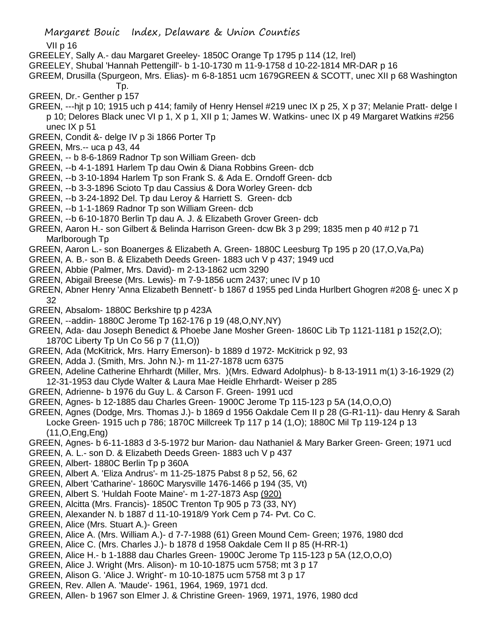VII p 16

- GREELEY, Sally A.- dau Margaret Greeley- 1850C Orange Tp 1795 p 114 (12, Irel)
- GREELEY, Shubal 'Hannah Pettengill'- b 1-10-1730 m 11-9-1758 d 10-22-1814 MR-DAR p 16
- GREEM, Drusilla (Spurgeon, Mrs. Elias)- m 6-8-1851 ucm 1679GREEN & SCOTT, unec XII p 68 Washington Tp.
- GREEN, Dr.- Genther p 157
- GREEN, ---hjt p 10; 1915 uch p 414; family of Henry Hensel #219 unec IX p 25, X p 37; Melanie Pratt- delge I p 10; Delores Black unec VI p 1, X p 1, XII p 1; James W. Watkins- unec IX p 49 Margaret Watkins #256 unec IX p 51
- GREEN, Condit &- delge IV p 3i 1866 Porter Tp
- GREEN, Mrs.-- uca p 43, 44
- GREEN, -- b 8-6-1869 Radnor Tp son William Green- dcb
- GREEN, --b 4-1-1891 Harlem Tp dau Owin & Diana Robbins Green- dcb
- GREEN, --b 3-10-1894 Harlem Tp son Frank S. & Ada E. Orndoff Green- dcb
- GREEN, --b 3-3-1896 Scioto Tp dau Cassius & Dora Worley Green- dcb
- GREEN, --b 3-24-1892 Del. Tp dau Leroy & Harriett S. Green- dcb
- GREEN, --b 1-1-1869 Radnor Tp son William Green- dcb
- GREEN, --b 6-10-1870 Berlin Tp dau A. J. & Elizabeth Grover Green- dcb
- GREEN, Aaron H.- son Gilbert & Belinda Harrison Green- dcw Bk 3 p 299; 1835 men p 40 #12 p 71 Marlborough Tp
- GREEN, Aaron L.- son Boanerges & Elizabeth A. Green- 1880C Leesburg Tp 195 p 20 (17,O,Va,Pa)
- GREEN, A. B.- son B. & Elizabeth Deeds Green- 1883 uch V p 437; 1949 ucd
- GREEN, Abbie (Palmer, Mrs. David)- m 2-13-1862 ucm 3290
- GREEN, Abigail Breese (Mrs. Lewis)- m 7-9-1856 ucm 2437; unec IV p 10
- GREEN, Abner Henry 'Anna Elizabeth Bennett'- b 1867 d 1955 ped Linda Hurlbert Ghogren #208 6- unec X p 32
- GREEN, Absalom- 1880C Berkshire tp p 423A
- GREEN, --addin- 1880C Jerome Tp 162-176 p 19 (48,O,NY,NY)
- GREEN, Ada- dau Joseph Benedict & Phoebe Jane Mosher Green- 1860C Lib Tp 1121-1181 p 152(2,O); 1870C Liberty Tp Un Co 56 p 7 (11,O))
- GREEN, Ada (McKitrick, Mrs. Harry Emerson)- b 1889 d 1972- McKitrick p 92, 93
- GREEN, Adda J. (Smith, Mrs. John N.)- m 11-27-1878 ucm 6375
- GREEN, Adeline Catherine Ehrhardt (Miller, Mrs. )(Mrs. Edward Adolphus)- b 8-13-1911 m(1) 3-16-1929 (2) 12-31-1953 dau Clyde Walter & Laura Mae Heidle Ehrhardt- Weiser p 285
- GREEN, Adrienne- b 1976 du Guy L. & Carson F. Green- 1991 ucd
- GREEN, Agnes- b 12-1885 dau Charles Green- 1900C Jerome Tp 115-123 p 5A (14,O,O,O)
- GREEN, Agnes (Dodge, Mrs. Thomas J.)- b 1869 d 1956 Oakdale Cem II p 28 (G-R1-11)- dau Henry & Sarah Locke Green- 1915 uch p 786; 1870C Millcreek Tp 117 p 14 (1,O); 1880C Mil Tp 119-124 p 13 (11,O,Eng,Eng)
- GREEN, Agnes- b 6-11-1883 d 3-5-1972 bur Marion- dau Nathaniel & Mary Barker Green- Green; 1971 ucd
- GREEN, A. L.- son D. & Elizabeth Deeds Green- 1883 uch V p 437
- GREEN, Albert- 1880C Berlin Tp p 360A
- GREEN, Albert A. 'Eliza Andrus'- m 11-25-1875 Pabst 8 p 52, 56, 62
- GREEN, Albert 'Catharine'- 1860C Marysville 1476-1466 p 194 (35, Vt)
- GREEN, Albert S. 'Huldah Foote Maine'- m 1-27-1873 Asp (920)
- GREEN, Alcitta (Mrs. Francis)- 1850C Trenton Tp 905 p 73 (33, NY)
- GREEN, Alexander N. b 1887 d 11-10-1918/9 York Cem p 74- Pvt. Co C.
- GREEN, Alice (Mrs. Stuart A.)- Green
- GREEN, Alice A. (Mrs. William A.)- d 7-7-1988 (61) Green Mound Cem- Green; 1976, 1980 dcd
- GREEN, Alice C. (Mrs. Charles J.)- b 1878 d 1958 Oakdale Cem II p 85 (H-RR-1)
- GREEN, Alice H.- b 1-1888 dau Charles Green- 1900C Jerome Tp 115-123 p 5A (12,O,O,O)
- GREEN, Alice J. Wright (Mrs. Alison)- m 10-10-1875 ucm 5758; mt 3 p 17
- GREEN, Alison G. 'Alice J. Wright'- m 10-10-1875 ucm 5758 mt 3 p 17
- GREEN, Rev. Allen A. 'Maude'- 1961, 1964, 1969, 1971 dcd.
- GREEN, Allen- b 1967 son Elmer J. & Christine Green- 1969, 1971, 1976, 1980 dcd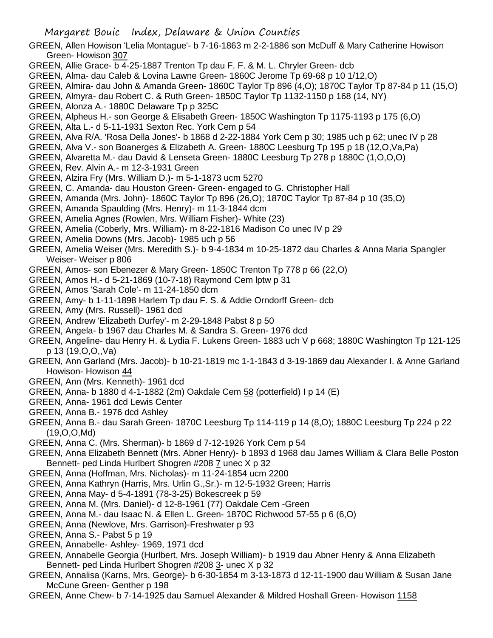- GREEN, Allen Howison 'Lelia Montague'- b 7-16-1863 m 2-2-1886 son McDuff & Mary Catherine Howison Green- Howison 307
- GREEN, Allie Grace- b 4-25-1887 Trenton Tp dau F. F. & M. L. Chryler Green- dcb
- GREEN, Alma- dau Caleb & Lovina Lawne Green- 1860C Jerome Tp 69-68 p 10 1/12,O)
- GREEN, Almira- dau John & Amanda Green- 1860C Taylor Tp 896 (4,O); 1870C Taylor Tp 87-84 p 11 (15,O)
- GREEN, Almyra- dau Robert C. & Ruth Green- 1850C Taylor Tp 1132-1150 p 168 (14, NY)
- GREEN, Alonza A.- 1880C Delaware Tp p 325C
- GREEN, Alpheus H.- son George & Elisabeth Green- 1850C Washington Tp 1175-1193 p 175 (6,O)
- GREEN, Alta L.- d 5-11-1931 Sexton Rec. York Cem p 54
- GREEN, Alva R/A. 'Rosa Della Jones'- b 1868 d 2-22-1884 York Cem p 30; 1985 uch p 62; unec IV p 28
- GREEN, Alva V.- son Boanerges & Elizabeth A. Green- 1880C Leesburg Tp 195 p 18 (12,O,Va,Pa)
- GREEN, Alvaretta M.- dau David & Lenseta Green- 1880C Leesburg Tp 278 p 1880C (1,O,O,O)
- GREEN, Rev. Alvin A.- m 12-3-1931 Green
- GREEN, Alzira Fry (Mrs. William D.)- m 5-1-1873 ucm 5270
- GREEN, C. Amanda- dau Houston Green- Green- engaged to G. Christopher Hall
- GREEN, Amanda (Mrs. John)- 1860C Taylor Tp 896 (26,O); 1870C Taylor Tp 87-84 p 10 (35,O)
- GREEN, Amanda Spaulding (Mrs. Henry)- m 11-3-1844 dcm
- GREEN, Amelia Agnes (Rowlen, Mrs. William Fisher)- White (23)
- GREEN, Amelia (Coberly, Mrs. William)- m 8-22-1816 Madison Co unec IV p 29
- GREEN, Amelia Downs (Mrs. Jacob)- 1985 uch p 56
- GREEN, Amelia Weiser (Mrs. Meredith S.)- b 9-4-1834 m 10-25-1872 dau Charles & Anna Maria Spangler Weiser- Weiser p 806
- GREEN, Amos- son Ebenezer & Mary Green- 1850C Trenton Tp 778 p 66 (22,O)
- GREEN, Amos H.- d 5-21-1869 (10-7-18) Raymond Cem lptw p 31
- GREEN, Amos 'Sarah Cole'- m 11-24-1850 dcm
- GREEN, Amy- b 1-11-1898 Harlem Tp dau F. S. & Addie Orndorff Green- dcb
- GREEN, Amy (Mrs. Russell)- 1961 dcd
- GREEN, Andrew 'Elizabeth Durfey'- m 2-29-1848 Pabst 8 p 50
- GREEN, Angela- b 1967 dau Charles M. & Sandra S. Green- 1976 dcd
- GREEN, Angeline- dau Henry H. & Lydia F. Lukens Green- 1883 uch V p 668; 1880C Washington Tp 121-125 p 13 (19,O,O,,Va)
- GREEN, Ann Garland (Mrs. Jacob)- b 10-21-1819 mc 1-1-1843 d 3-19-1869 dau Alexander I. & Anne Garland Howison- Howison 44
- GREEN, Ann (Mrs. Kenneth)- 1961 dcd
- GREEN, Anna- b 1880 d 4-1-1882 (2m) Oakdale Cem 58 (potterfield) I p 14 (E)
- GREEN, Anna- 1961 dcd Lewis Center
- GREEN, Anna B.- 1976 dcd Ashley
- GREEN, Anna B.- dau Sarah Green- 1870C Leesburg Tp 114-119 p 14 (8,O); 1880C Leesburg Tp 224 p 22 (19,O,O,Md)
- GREEN, Anna C. (Mrs. Sherman)- b 1869 d 7-12-1926 York Cem p 54
- GREEN, Anna Elizabeth Bennett (Mrs. Abner Henry)- b 1893 d 1968 dau James William & Clara Belle Poston Bennett- ped Linda Hurlbert Shogren #208 7 unec X p 32
- GREEN, Anna (Hoffman, Mrs. Nicholas)- m 11-24-1854 ucm 2200
- GREEN, Anna Kathryn (Harris, Mrs. Urlin G.,Sr.)- m 12-5-1932 Green; Harris
- GREEN, Anna May- d 5-4-1891 (78-3-25) Bokescreek p 59
- GREEN, Anna M. (Mrs. Daniel)- d 12-8-1961 (77) Oakdale Cem -Green
- GREEN, Anna M.- dau Isaac N. & Ellen L. Green- 1870C Richwood 57-55 p 6 (6,O)
- GREEN, Anna (Newlove, Mrs. Garrison)-Freshwater p 93
- GREEN, Anna S.- Pabst 5 p 19
- GREEN, Annabelle- Ashley- 1969, 1971 dcd
- GREEN, Annabelle Georgia (Hurlbert, Mrs. Joseph William)- b 1919 dau Abner Henry & Anna Elizabeth Bennett- ped Linda Hurlbert Shogren #208 3- unec X p 32
- GREEN, Annalisa (Karns, Mrs. George)- b 6-30-1854 m 3-13-1873 d 12-11-1900 dau William & Susan Jane McCune Green- Genther p 198
- GREEN, Anne Chew- b 7-14-1925 dau Samuel Alexander & Mildred Hoshall Green- Howison 1158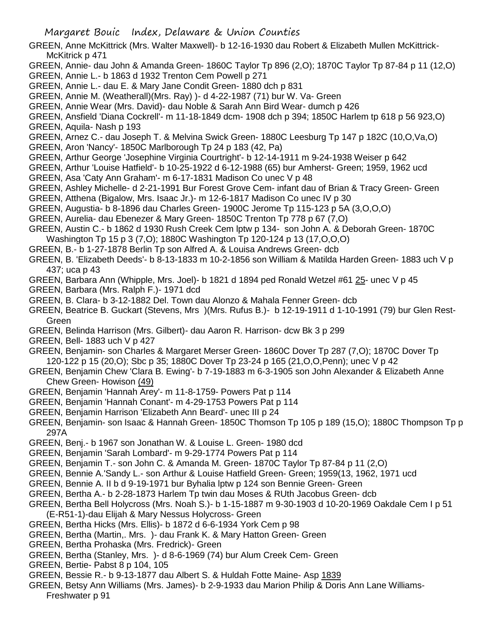- GREEN, Anne McKittrick (Mrs. Walter Maxwell)- b 12-16-1930 dau Robert & Elizabeth Mullen McKittrick-McKitrick p 471
- GREEN, Annie- dau John & Amanda Green- 1860C Taylor Tp 896 (2,O); 1870C Taylor Tp 87-84 p 11 (12,O)
- GREEN, Annie L.- b 1863 d 1932 Trenton Cem Powell p 271
- GREEN, Annie L.- dau E. & Mary Jane Condit Green- 1880 dch p 831
- GREEN, Annie M. (Weatherall)(Mrs. Ray) )- d 4-22-1987 (71) bur W. Va- Green
- GREEN, Annie Wear (Mrs. David)- dau Noble & Sarah Ann Bird Wear- dumch p 426
- GREEN, Ansfield 'Diana Cockrell'- m 11-18-1849 dcm- 1908 dch p 394; 1850C Harlem tp 618 p 56 923,O) GREEN, Aquila- Nash p 193
- GREEN, Arnez C.- dau Joseph T. & Melvina Swick Green- 1880C Leesburg Tp 147 p 182C (10,O,Va,O)
- GREEN, Aron 'Nancy'- 1850C Marlborough Tp 24 p 183 (42, Pa)
- GREEN, Arthur George 'Josephine Virginia Courtright'- b 12-14-1911 m 9-24-1938 Weiser p 642
- GREEN, Arthur 'Louise Hatfield'- b 10-25-1922 d 6-12-1988 (65) bur Amherst- Green; 1959, 1962 ucd GREEN, Asa 'Caty Ann Graham'- m 6-17-1831 Madison Co unec V p 48
- GREEN, Ashley Michelle- d 2-21-1991 Bur Forest Grove Cem- infant dau of Brian & Tracy Green- Green
- GREEN, Atthena (Bigalow, Mrs. Isaac Jr.)- m 12-6-1817 Madison Co unec IV p 30
- GREEN, Augustia- b 8-1896 dau Charles Green- 1900C Jerome Tp 115-123 p 5A (3,O,O,O)
- GREEN, Aurelia- dau Ebenezer & Mary Green- 1850C Trenton Tp 778 p 67 (7,O)
- GREEN, Austin C.- b 1862 d 1930 Rush Creek Cem lptw p 134- son John A. & Deborah Green- 1870C Washington Tp 15 p 3 (7,O); 1880C Washington Tp 120-124 p 13 (17,O,O,O)
- GREEN, B.- b 1-27-1878 Berlin Tp son Alfred A. & Louisa Andrews Green- dcb
- GREEN, B. 'Elizabeth Deeds'- b 8-13-1833 m 10-2-1856 son William & Matilda Harden Green- 1883 uch V p 437; uca p 43
- GREEN, Barbara Ann (Whipple, Mrs. Joel)- b 1821 d 1894 ped Ronald Wetzel #61 25- unec V p 45
- GREEN, Barbara (Mrs. Ralph F.)- 1971 dcd
- GREEN, B. Clara- b 3-12-1882 Del. Town dau Alonzo & Mahala Fenner Green- dcb
- GREEN, Beatrice B. Guckart (Stevens, Mrs )(Mrs. Rufus B.)- b 12-19-1911 d 1-10-1991 (79) bur Glen Rest-Green
- GREEN, Belinda Harrison (Mrs. Gilbert)- dau Aaron R. Harrison- dcw Bk 3 p 299
- GREEN, Bell- 1883 uch V p 427
- GREEN, Benjamin- son Charles & Margaret Merser Green- 1860C Dover Tp 287 (7,O); 1870C Dover Tp 120-122 p 15 (20,O); Sbc p 35; 1880C Dover Tp 23-24 p 165 (21,O,O,Penn); unec V p 42
- GREEN, Benjamin Chew 'Clara B. Ewing'- b 7-19-1883 m 6-3-1905 son John Alexander & Elizabeth Anne Chew Green- Howison (49)
- GREEN, Benjamin 'Hannah Arey'- m 11-8-1759- Powers Pat p 114
- GREEN, Benjamin 'Hannah Conant'- m 4-29-1753 Powers Pat p 114
- GREEN, Benjamin Harrison 'Elizabeth Ann Beard'- unec III p 24
- GREEN, Benjamin- son Isaac & Hannah Green- 1850C Thomson Tp 105 p 189 (15,O); 1880C Thompson Tp p 297A
- GREEN, Benj.- b 1967 son Jonathan W. & Louise L. Green- 1980 dcd
- GREEN, Benjamin 'Sarah Lombard'- m 9-29-1774 Powers Pat p 114
- GREEN, Benjamin T.- son John C. & Amanda M. Green- 1870C Taylor Tp 87-84 p 11 (2,O)
- GREEN, Bennie A.'Sandy L.- son Arthur & Louise Hatfield Green- Green; 1959(13, 1962, 1971 ucd
- GREEN, Bennie A. II b d 9-19-1971 bur Byhalia lptw p 124 son Bennie Green- Green
- GREEN, Bertha A.- b 2-28-1873 Harlem Tp twin dau Moses & RUth Jacobus Green- dcb
- GREEN, Bertha Bell Holycross (Mrs. Noah S.)- b 1-15-1887 m 9-30-1903 d 10-20-1969 Oakdale Cem I p 51 (E-R51-1)-dau Elijah & Mary Nessus Holycross- Green
- GREEN, Bertha Hicks (Mrs. Ellis)- b 1872 d 6-6-1934 York Cem p 98
- GREEN, Bertha (Martin,. Mrs. )- dau Frank K. & Mary Hatton Green- Green
- GREEN, Bertha Prohaska (Mrs. Fredrick)- Green
- GREEN, Bertha (Stanley, Mrs. )- d 8-6-1969 (74) bur Alum Creek Cem- Green
- GREEN, Bertie- Pabst 8 p 104, 105
- GREEN, Bessie R.- b 9-13-1877 dau Albert S. & Huldah Fotte Maine- Asp 1839
- GREEN, Betsy Ann Williams (Mrs. James)- b 2-9-1933 dau Marion Philip & Doris Ann Lane Williams-Freshwater p 91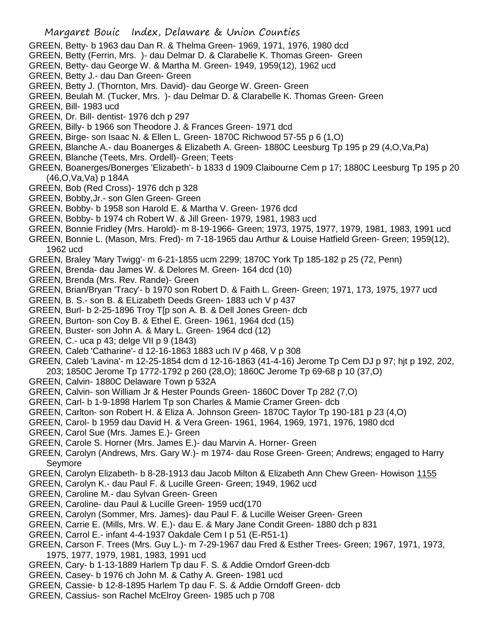- GREEN, Betty- b 1963 dau Dan R. & Thelma Green- 1969, 1971, 1976, 1980 dcd
- GREEN, Betty (Ferrin, Mrs. )- dau Delmar D. & Clarabelle K. Thomas Green- Green
- GREEN, Betty- dau George W. & Martha M. Green- 1949, 1959(12), 1962 ucd
- GREEN, Betty J.- dau Dan Green- Green
- GREEN, Betty J. (Thornton, Mrs. David)- dau George W. Green- Green
- GREEN, Beulah M. (Tucker, Mrs. )- dau Delmar D. & Clarabelle K. Thomas Green- Green
- GREEN, Bill- 1983 ucd
- GREEN, Dr. Bill- dentist- 1976 dch p 297
- GREEN, Billy- b 1966 son Theodore J. & Frances Green- 1971 dcd
- GREEN, Birge- son Isaac N. & Ellen L. Green- 1870C Richwood 57-55 p 6 (1,O)
- GREEN, Blanche A.- dau Boanerges & Elizabeth A. Green- 1880C Leesburg Tp 195 p 29 (4,O,Va,Pa)
- GREEN, Blanche (Teets, Mrs. Ordell)- Green; Teets
- GREEN, Boanerges/Bonerges 'Elizabeth'- b 1833 d 1909 Claibourne Cem p 17; 1880C Leesburg Tp 195 p 20 (46,O,Va,Va) p 184A
- GREEN, Bob (Red Cross)- 1976 dch p 328
- GREEN, Bobby,Jr.- son Glen Green- Green
- GREEN, Bobby- b 1958 son Harold E. & Martha V. Green- 1976 dcd
- GREEN, Bobby- b 1974 ch Robert W. & Jill Green- 1979, 1981, 1983 ucd
- GREEN, Bonnie Fridley (Mrs. Harold)- m 8-19-1966- Green; 1973, 1975, 1977, 1979, 1981, 1983, 1991 ucd
- GREEN, Bonnie L. (Mason, Mrs. Fred)- m 7-18-1965 dau Arthur & Louise Hatfield Green- Green; 1959(12), 1962 ucd
- GREEN, Braley 'Mary Twigg'- m 6-21-1855 ucm 2299; 1870C York Tp 185-182 p 25 (72, Penn)
- GREEN, Brenda- dau James W. & Delores M. Green- 164 dcd (10)
- GREEN, Brenda (Mrs. Rev. Rande)- Green
- GREEN, Brian/Bryan 'Tracy'- b 1970 son Robert D. & Faith L. Green- Green; 1971, 173, 1975, 1977 ucd
- GREEN, B. S.- son B. & ELizabeth Deeds Green- 1883 uch V p 437
- GREEN, Burl- b 2-25-1896 Troy T[p son A. B. & Dell Jones Green- dcb
- GREEN, Burton- son Coy B. & Ethel E. Green- 1961, 1964 dcd (15)
- GREEN, Buster- son John A. & Mary L. Green- 1964 dcd (12)
- GREEN, C.- uca p 43; delge VII p 9 (1843)
- GREEN, Caleb 'Catharine'- d 12-16-1863 1883 uch IV p 468, V p 308
- GREEN, Caleb 'Lavina'- m 12-25-1854 dcm d 12-16-1863 (41-4-16) Jerome Tp Cem DJ p 97; hjt p 192, 202, 203; 1850C Jerome Tp 1772-1792 p 260 (28,O); 1860C Jerome Tp 69-68 p 10 (37,O)
- GREEN, Calvin- 1880C Delaware Town p 532A
- GREEN, Calvin- son William Jr & Hester Pounds Green- 1860C Dover Tp 282 (7,O)
- GREEN, Carl- b 1-9-1898 Harlem Tp son Charles & Mamie Cramer Green- dcb
- GREEN, Carlton- son Robert H. & Eliza A. Johnson Green- 1870C Taylor Tp 190-181 p 23 (4,O)
- GREEN, Carol- b 1959 dau David H. & Vera Green- 1961, 1964, 1969, 1971, 1976, 1980 dcd
- GREEN, Carol Sue (Mrs. James E.)- Green
- GREEN, Carole S. Horner (Mrs. James E.)- dau Marvin A. Horner- Green
- GREEN, Carolyn (Andrews, Mrs. Gary W.)- m 1974- dau Rose Green- Green; Andrews; engaged to Harry Seymore
- GREEN, Carolyn Elizabeth- b 8-28-1913 dau Jacob Milton & Elizabeth Ann Chew Green- Howison 1155
- GREEN, Carolyn K.- dau Paul F. & Lucille Green- Green; 1949, 1962 ucd
- GREEN, Caroline M.- dau Sylvan Green- Green
- GREEN, Caroline- dau Paul & Lucille Green- 1959 ucd(170
- GREEN, Carolyn (Sommer, Mrs. James)- dau Paul F. & Lucille Weiser Green- Green
- GREEN, Carrie E. (Mills, Mrs. W. E.)- dau E. & Mary Jane Condit Green- 1880 dch p 831
- GREEN, Carrol E.- infant 4-4-1937 Oakdale Cem I p 51 (E-R51-1)
- GREEN, Carson F. Trees (Mrs. Guy L.)- m 7-29-1967 dau Fred & Esther Trees- Green; 1967, 1971, 1973, 1975, 1977, 1979, 1981, 1983, 1991 ucd
- GREEN, Cary- b 1-13-1889 Harlem Tp dau F. S. & Addie Orndorf Green-dcb
- GREEN, Casey- b 1976 ch John M. & Cathy A. Green- 1981 ucd
- GREEN, Cassie- b 12-8-1895 Harlem Tp dau F. S. & Addie Orndoff Green- dcb
- GREEN, Cassius- son Rachel McElroy Green- 1985 uch p 708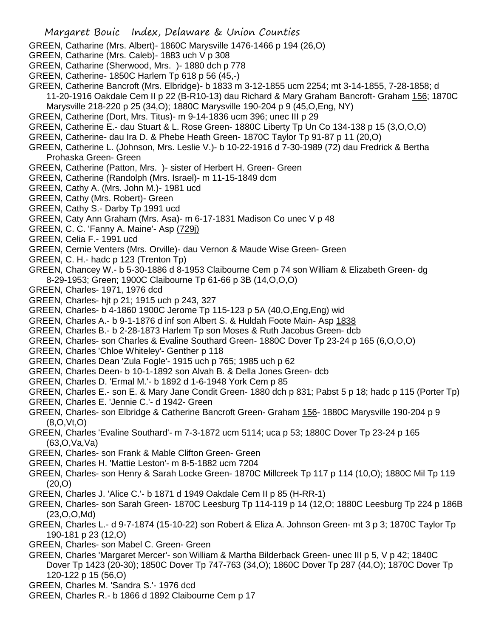- GREEN, Catharine (Mrs. Albert)- 1860C Marysville 1476-1466 p 194 (26,O)
- GREEN, Catharine (Mrs. Caleb)- 1883 uch V p 308
- GREEN, Catharine (Sherwood, Mrs. )- 1880 dch p 778
- GREEN, Catherine- 1850C Harlem Tp 618 p 56 (45,-)
- GREEN, Catherine Bancroft (Mrs. Elbridge)- b 1833 m 3-12-1855 ucm 2254; mt 3-14-1855, 7-28-1858; d 11-20-1916 Oakdale Cem II p 22 (B-R10-13) dau Richard & Mary Graham Bancroft- Graham 156; 1870C
- Marysville 218-220 p 25 (34,O); 1880C Marysville 190-204 p 9 (45,O,Eng, NY)
- GREEN, Catherine (Dort, Mrs. Titus)- m 9-14-1836 ucm 396; unec III p 29
- GREEN, Catherine E.- dau Stuart & L. Rose Green- 1880C Liberty Tp Un Co 134-138 p 15 (3,O,O,O)
- GREEN, Catherine- dau Ira D. & Phebe Heath Green- 1870C Taylor Tp 91-87 p 11 (20,O)
- GREEN, Catherine L. (Johnson, Mrs. Leslie V.)- b 10-22-1916 d 7-30-1989 (72) dau Fredrick & Bertha Prohaska Green- Green
- GREEN, Catherine (Patton, Mrs. )- sister of Herbert H. Green- Green
- GREEN, Catherine (Randolph (Mrs. Israel)- m 11-15-1849 dcm
- GREEN, Cathy A. (Mrs. John M.)- 1981 ucd
- GREEN, Cathy (Mrs. Robert)- Green
- GREEN, Cathy S.- Darby Tp 1991 ucd
- GREEN, Caty Ann Graham (Mrs. Asa)- m 6-17-1831 Madison Co unec V p 48
- GREEN, C. C. 'Fanny A. Maine'- Asp (729j)
- GREEN, Celia F.- 1991 ucd
- GREEN, Cernie Venters (Mrs. Orville)- dau Vernon & Maude Wise Green- Green
- GREEN, C. H.- hadc p 123 (Trenton Tp)
- GREEN, Chancey W.- b 5-30-1886 d 8-1953 Claibourne Cem p 74 son William & Elizabeth Green- dg 8-29-1953; Green; 1900C Claibourne Tp 61-66 p 3B (14,O,O,O)
- GREEN, Charles- 1971, 1976 dcd
- GREEN, Charles- hjt p 21; 1915 uch p 243, 327
- GREEN, Charles- b 4-1860 1900C Jerome Tp 115-123 p 5A (40,O,Eng,Eng) wid
- GREEN, Charles A.- b 9-1-1876 d inf son Albert S. & Huldah Foote Main- Asp 1838
- GREEN, Charles B.- b 2-28-1873 Harlem Tp son Moses & Ruth Jacobus Green- dcb
- GREEN, Charles- son Charles & Evaline Southard Green- 1880C Dover Tp 23-24 p 165 (6,O,O,O)
- GREEN, Charles 'Chloe Whiteley'- Genther p 118
- GREEN, Charles Dean 'Zula Fogle'- 1915 uch p 765; 1985 uch p 62
- GREEN, Charles Deen- b 10-1-1892 son Alvah B. & Della Jones Green- dcb
- GREEN, Charles D. 'Ermal M.'- b 1892 d 1-6-1948 York Cem p 85
- GREEN, Charles E.- son E. & Mary Jane Condit Green- 1880 dch p 831; Pabst 5 p 18; hadc p 115 (Porter Tp)
- GREEN, Charles E. 'Jennie C.'- d 1942- Green
- GREEN, Charles- son Elbridge & Catherine Bancroft Green- Graham 156- 1880C Marysville 190-204 p 9 (8,O,Vt,O)
- GREEN, Charles 'Evaline Southard'- m 7-3-1872 ucm 5114; uca p 53; 1880C Dover Tp 23-24 p 165 (63,O,Va,Va)
- GREEN, Charles- son Frank & Mable Clifton Green- Green
- GREEN, Charles H. 'Mattie Leston'- m 8-5-1882 ucm 7204
- GREEN, Charles- son Henry & Sarah Locke Green- 1870C Millcreek Tp 117 p 114 (10,O); 1880C Mil Tp 119 (20,O)
- GREEN, Charles J. 'Alice C.'- b 1871 d 1949 Oakdale Cem II p 85 (H-RR-1)
- GREEN, Charles- son Sarah Green- 1870C Leesburg Tp 114-119 p 14 (12,O; 1880C Leesburg Tp 224 p 186B (23,O,O,Md)
- GREEN, Charles L.- d 9-7-1874 (15-10-22) son Robert & Eliza A. Johnson Green- mt 3 p 3; 1870C Taylor Tp 190-181 p 23 (12,O)
- GREEN, Charles- son Mabel C. Green- Green
- GREEN, Charles 'Margaret Mercer'- son William & Martha Bilderback Green- unec III p 5, V p 42; 1840C Dover Tp 1423 (20-30); 1850C Dover Tp 747-763 (34,O); 1860C Dover Tp 287 (44,O); 1870C Dover Tp 120-122 p 15 (56,O)
- GREEN, Charles M. 'Sandra S.'- 1976 dcd
- GREEN, Charles R.- b 1866 d 1892 Claibourne Cem p 17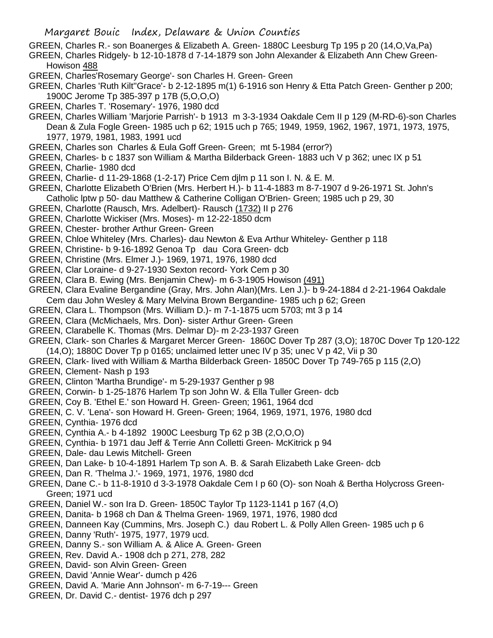GREEN, Charles R.- son Boanerges & Elizabeth A. Green- 1880C Leesburg Tp 195 p 20 (14,O,Va,Pa)

GREEN, Charles Ridgely- b 12-10-1878 d 7-14-1879 son John Alexander & Elizabeth Ann Chew Green-Howison 488

- GREEN, Charles'Rosemary George'- son Charles H. Green- Green
- GREEN, Charles 'Ruth Kilt''Grace'- b 2-12-1895 m(1) 6-1916 son Henry & Etta Patch Green- Genther p 200; 1900C Jerome Tp 385-397 p 17B (5,O,O,O)
- GREEN, Charles T. 'Rosemary'- 1976, 1980 dcd
- GREEN, Charles William 'Marjorie Parrish'- b 1913 m 3-3-1934 Oakdale Cem II p 129 (M-RD-6)-son Charles Dean & Zula Fogle Green- 1985 uch p 62; 1915 uch p 765; 1949, 1959, 1962, 1967, 1971, 1973, 1975, 1977, 1979, 1981, 1983, 1991 ucd
- GREEN, Charles son Charles & Eula Goff Green- Green; mt 5-1984 (error?)
- GREEN, Charles- b c 1837 son William & Martha Bilderback Green- 1883 uch V p 362; unec IX p 51
- GREEN, Charlie- 1980 dcd
- GREEN, Charlie- d 11-29-1868 (1-2-17) Price Cem djlm p 11 son I. N. & E. M.
- GREEN, Charlotte Elizabeth O'Brien (Mrs. Herbert H.)- b 11-4-1883 m 8-7-1907 d 9-26-1971 St. John's Catholic lptw p 50- dau Matthew & Catherine Colligan O'Brien- Green; 1985 uch p 29, 30
- GREEN, Charlotte (Rausch, Mrs. Adelbert)- Rausch (1732) II p 276
- GREEN, Charlotte Wickiser (Mrs. Moses)- m 12-22-1850 dcm
- GREEN, Chester- brother Arthur Green- Green
- GREEN, Chloe Whiteley (Mrs. Charles)- dau Newton & Eva Arthur Whiteley- Genther p 118
- GREEN, Christine- b 9-16-1892 Genoa Tp dau Cora Green- dcb
- GREEN, Christine (Mrs. Elmer J.)- 1969, 1971, 1976, 1980 dcd
- GREEN, Clar Loraine- d 9-27-1930 Sexton record- York Cem p 30
- GREEN, Clara B. Ewing (Mrs. Benjamin Chew)- m 6-3-1905 Howison (491)
- GREEN, Clara Evaline Bergandine (Gray, Mrs. John Alan)(Mrs. Len J.)- b 9-24-1884 d 2-21-1964 Oakdale
- Cem dau John Wesley & Mary Melvina Brown Bergandine- 1985 uch p 62; Green
- GREEN, Clara L. Thompson (Mrs. William D.)- m 7-1-1875 ucm 5703; mt 3 p 14
- GREEN, Clara (McMichaels, Mrs. Don)- sister Arthur Green- Green
- GREEN, Clarabelle K. Thomas (Mrs. Delmar D)- m 2-23-1937 Green
- GREEN, Clark- son Charles & Margaret Mercer Green- 1860C Dover Tp 287 (3,O); 1870C Dover Tp 120-122  $(14,0)$ ; 1880C Dover Tp p 0165; unclaimed letter unec IV p 35; unec V p 42, Vii p 30
- GREEN, Clark- lived with William & Martha Bilderback Green- 1850C Dover Tp 749-765 p 115 (2,O)
- GREEN, Clement- Nash p 193
- GREEN, Clinton 'Martha Brundige'- m 5-29-1937 Genther p 98
- GREEN, Corwin- b 1-25-1876 Harlem Tp son John W. & Ella Tuller Green- dcb
- GREEN, Coy B. 'Ethel E.' son Howard H. Green- Green; 1961, 1964 dcd
- GREEN, C. V. 'Lena'- son Howard H. Green- Green; 1964, 1969, 1971, 1976, 1980 dcd
- GREEN, Cynthia- 1976 dcd
- GREEN, Cynthia A.- b 4-1892 1900C Leesburg Tp 62 p 3B (2,O,O,O)
- GREEN, Cynthia- b 1971 dau Jeff & Terrie Ann Colletti Green- McKitrick p 94
- GREEN, Dale- dau Lewis Mitchell- Green
- GREEN, Dan Lake- b 10-4-1891 Harlem Tp son A. B. & Sarah Elizabeth Lake Green- dcb
- GREEN, Dan R. 'Thelma J.'- 1969, 1971, 1976, 1980 dcd
- GREEN, Dane C.- b 11-8-1910 d 3-3-1978 Oakdale Cem I p 60 (O)- son Noah & Bertha Holycross Green-Green; 1971 ucd
- GREEN, Daniel W.- son Ira D. Green- 1850C Taylor Tp 1123-1141 p 167 (4,O)
- GREEN, Danita- b 1968 ch Dan & Thelma Green- 1969, 1971, 1976, 1980 dcd
- GREEN, Danneen Kay (Cummins, Mrs. Joseph C.) dau Robert L. & Polly Allen Green- 1985 uch p 6
- GREEN, Danny 'Ruth'- 1975, 1977, 1979 ucd.
- GREEN, Danny S.- son William A. & Alice A. Green- Green
- GREEN, Rev. David A.- 1908 dch p 271, 278, 282
- GREEN, David- son Alvin Green- Green
- GREEN, David 'Annie Wear'- dumch p 426
- GREEN, David A. 'Marie Ann Johnson'- m 6-7-19--- Green
- GREEN, Dr. David C.- dentist- 1976 dch p 297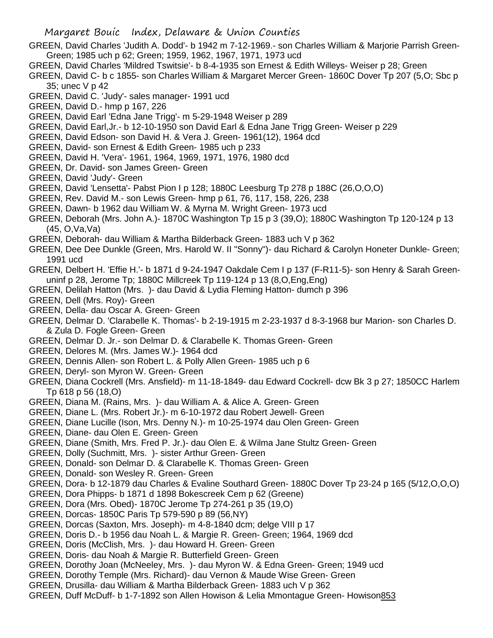- GREEN, David Charles 'Judith A. Dodd'- b 1942 m 7-12-1969.- son Charles William & Marjorie Parrish Green-Green; 1985 uch p 62; Green; 1959, 1962, 1967, 1971, 1973 ucd
- GREEN, David Charles 'Mildred Tswitsie'- b 8-4-1935 son Ernest & Edith Willeys- Weiser p 28; Green
- GREEN, David C- b c 1855- son Charles William & Margaret Mercer Green- 1860C Dover Tp 207 (5,O; Sbc p 35; unec V p 42
- GREEN, David C. 'Judy'- sales manager- 1991 ucd
- GREEN, David D.- hmp p 167, 226
- GREEN, David Earl 'Edna Jane Trigg'- m 5-29-1948 Weiser p 289
- GREEN, David Earl,Jr.- b 12-10-1950 son David Earl & Edna Jane Trigg Green- Weiser p 229
- GREEN, David Edson- son David H. & Vera J. Green- 1961(12), 1964 dcd
- GREEN, David- son Ernest & Edith Green- 1985 uch p 233
- GREEN, David H. 'Vera'- 1961, 1964, 1969, 1971, 1976, 1980 dcd
- GREEN, Dr. David- son James Green- Green
- GREEN, David 'Judy'- Green
- GREEN, David 'Lensetta'- Pabst Pion I p 128; 1880C Leesburg Tp 278 p 188C (26,O,O,O)
- GREEN, Rev. David M.- son Lewis Green- hmp p 61, 76, 117, 158, 226, 238
- GREEN, Dawn- b 1962 dau William W. & Myrna M. Wright Green- 1973 ucd
- GREEN, Deborah (Mrs. John A.)- 1870C Washington Tp 15 p 3 (39,O); 1880C Washington Tp 120-124 p 13 (45, O,Va,Va)
- GREEN, Deborah- dau William & Martha Bilderback Green- 1883 uch V p 362
- GREEN, Dee Dee Dunkle (Green, Mrs. Harold W. II "Sonny")- dau Richard & Carolyn Honeter Dunkle- Green; 1991 ucd
- GREEN, Delbert H. 'Effie H.'- b 1871 d 9-24-1947 Oakdale Cem I p 137 (F-R11-5)- son Henry & Sarah Greenuninf p 28, Jerome Tp; 1880C Millcreek Tp 119-124 p 13 (8,O,Eng,Eng)
- GREEN, Delilah Hatton (Mrs. )- dau David & Lydia Fleming Hatton- dumch p 396
- GREEN, Dell (Mrs. Roy)- Green
- GREEN, Della- dau Oscar A. Green- Green
- GREEN, Delmar D. 'Clarabelle K. Thomas'- b 2-19-1915 m 2-23-1937 d 8-3-1968 bur Marion- son Charles D. & Zula D. Fogle Green- Green
- GREEN, Delmar D. Jr.- son Delmar D. & Clarabelle K. Thomas Green- Green
- GREEN, Delores M. (Mrs. James W.)- 1964 dcd
- GREEN, Dennis Allen- son Robert L. & Polly Allen Green- 1985 uch p 6
- GREEN, Deryl- son Myron W. Green- Green
- GREEN, Diana Cockrell (Mrs. Ansfield)- m 11-18-1849- dau Edward Cockrell- dcw Bk 3 p 27; 1850CC Harlem Tp 618 p 56 (18,O)
- GREEN, Diana M. (Rains, Mrs. )- dau William A. & Alice A. Green- Green
- GREEN, Diane L. (Mrs. Robert Jr.)- m 6-10-1972 dau Robert Jewell- Green
- GREEN, Diane Lucille (Ison, Mrs. Denny N.)- m 10-25-1974 dau Olen Green- Green
- GREEN, Diane- dau Olen E. Green- Green
- GREEN, Diane (Smith, Mrs. Fred P. Jr.)- dau Olen E. & Wilma Jane Stultz Green- Green
- GREEN, Dolly (Suchmitt, Mrs. )- sister Arthur Green- Green
- GREEN, Donald- son Delmar D. & Clarabelle K. Thomas Green- Green
- GREEN, Donald- son Wesley R. Green- Green
- GREEN, Dora- b 12-1879 dau Charles & Evaline Southard Green- 1880C Dover Tp 23-24 p 165 (5/12,O,O,O)
- GREEN, Dora Phipps- b 1871 d 1898 Bokescreek Cem p 62 (Greene)
- GREEN, Dora (Mrs. Obed)- 1870C Jerome Tp 274-261 p 35 (19,O)
- GREEN, Dorcas- 1850C Paris Tp 579-590 p 89 (56,NY)
- GREEN, Dorcas (Saxton, Mrs. Joseph)- m 4-8-1840 dcm; delge VIII p 17
- GREEN, Doris D.- b 1956 dau Noah L. & Margie R. Green- Green; 1964, 1969 dcd
- GREEN, Doris (McClish, Mrs. )- dau Howard H. Green- Green
- GREEN, Doris- dau Noah & Margie R. Butterfield Green- Green
- GREEN, Dorothy Joan (McNeeley, Mrs. )- dau Myron W. & Edna Green- Green; 1949 ucd
- GREEN, Dorothy Temple (Mrs. Richard)- dau Vernon & Maude Wise Green- Green
- GREEN, Drusilla- dau William & Martha Bilderback Green- 1883 uch V p 362
- GREEN, Duff McDuff- b 1-7-1892 son Allen Howison & Lelia Mmontague Green- Howison853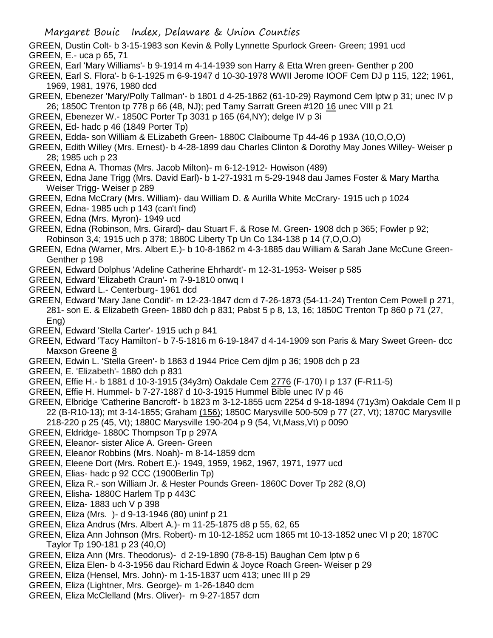GREEN, Dustin Colt- b 3-15-1983 son Kevin & Polly Lynnette Spurlock Green- Green; 1991 ucd GREEN, E.- uca p 65, 71

- GREEN, Earl 'Mary Williams'- b 9-1914 m 4-14-1939 son Harry & Etta Wren green- Genther p 200
- GREEN, Earl S. Flora'- b 6-1-1925 m 6-9-1947 d 10-30-1978 WWII Jerome IOOF Cem DJ p 115, 122; 1961, 1969, 1981, 1976, 1980 dcd

GREEN, Ebenezer 'Mary/Polly Tallman'- b 1801 d 4-25-1862 (61-10-29) Raymond Cem lptw p 31; unec IV p 26; 1850C Trenton tp 778 p 66 (48, NJ); ped Tamy Sarratt Green #120 16 unec VIII p 21

- GREEN, Ebenezer W.- 1850C Porter Tp 3031 p 165 (64,NY); delge IV p 3i
- GREEN, Ed- hadc p 46 (1849 Porter Tp)

GREEN, Edda- son William & ELizabeth Green- 1880C Claibourne Tp 44-46 p 193A (10,O,O,O)

GREEN, Edith Willey (Mrs. Ernest)- b 4-28-1899 dau Charles Clinton & Dorothy May Jones Willey- Weiser p 28; 1985 uch p 23

GREEN, Edna A. Thomas (Mrs. Jacob Milton)- m 6-12-1912- Howison (489)

- GREEN, Edna Jane Trigg (Mrs. David Earl)- b 1-27-1931 m 5-29-1948 dau James Foster & Mary Martha Weiser Trigg- Weiser p 289
- GREEN, Edna McCrary (Mrs. William)- dau William D. & Aurilla White McCrary- 1915 uch p 1024
- GREEN, Edna- 1985 uch p 143 (can't find)
- GREEN, Edna (Mrs. Myron)- 1949 ucd
- GREEN, Edna (Robinson, Mrs. Girard)- dau Stuart F. & Rose M. Green- 1908 dch p 365; Fowler p 92; Robinson 3,4; 1915 uch p 378; 1880C Liberty Tp Un Co 134-138 p 14 (7,O,O,O)
- GREEN, Edna (Warner, Mrs. Albert E.)- b 10-8-1862 m 4-3-1885 dau William & Sarah Jane McCune Green-Genther p 198
- GREEN, Edward Dolphus 'Adeline Catherine Ehrhardt'- m 12-31-1953- Weiser p 585
- GREEN, Edward 'Elizabeth Craun'- m 7-9-1810 onwq I
- GREEN, Edward L.- Centerburg- 1961 dcd
- GREEN, Edward 'Mary Jane Condit'- m 12-23-1847 dcm d 7-26-1873 (54-11-24) Trenton Cem Powell p 271, 281- son E. & Elizabeth Green- 1880 dch p 831; Pabst 5 p 8, 13, 16; 1850C Trenton Tp 860 p 71 (27, Eng)
- GREEN, Edward 'Stella Carter'- 1915 uch p 841

GREEN, Edward 'Tacy Hamilton'- b 7-5-1816 m 6-19-1847 d 4-14-1909 son Paris & Mary Sweet Green- dcc Maxson Greene 8

- GREEN, Edwin L. 'Stella Green'- b 1863 d 1944 Price Cem djlm p 36; 1908 dch p 23
- GREEN, E. 'Elizabeth'- 1880 dch p 831
- GREEN, Effie H.- b 1881 d 10-3-1915 (34y3m) Oakdale Cem 2776 (F-170) I p 137 (F-R11-5)
- GREEN, Effie H. Hummel- b 7-27-1887 d 10-3-1915 Hummel Bible unec IV p 46
- GREEN, Elbridge 'Catherine Bancroft'- b 1823 m 3-12-1855 ucm 2254 d 9-18-1894 (71y3m) Oakdale Cem II p 22 (B-R10-13); mt 3-14-1855; Graham (156); 1850C Marysville 500-509 p 77 (27, Vt); 1870C Marysville 218-220 p 25 (45, Vt); 1880C Marysville 190-204 p 9 (54, Vt,Mass,Vt) p 0090
- GREEN, Eldridge- 1880C Thompson Tp p 297A
- GREEN, Eleanor- sister Alice A. Green- Green
- GREEN, Eleanor Robbins (Mrs. Noah)- m 8-14-1859 dcm
- GREEN, Eleene Dort (Mrs. Robert E.)- 1949, 1959, 1962, 1967, 1971, 1977 ucd
- GREEN, Elias- hadc p 92 CCC (1900Berlin Tp)
- GREEN, Eliza R.- son William Jr. & Hester Pounds Green- 1860C Dover Tp 282 (8,O)
- GREEN, Elisha- 1880C Harlem Tp p 443C
- GREEN, Eliza- 1883 uch V p 398
- GREEN, Eliza (Mrs. )- d 9-13-1946 (80) uninf p 21
- GREEN, Eliza Andrus (Mrs. Albert A.)- m 11-25-1875 d8 p 55, 62, 65
- GREEN, Eliza Ann Johnson (Mrs. Robert)- m 10-12-1852 ucm 1865 mt 10-13-1852 unec VI p 20; 1870C Taylor Tp 190-181 p 23 (40,O)
- GREEN, Eliza Ann (Mrs. Theodorus)- d 2-19-1890 (78-8-15) Baughan Cem lptw p 6
- GREEN, Eliza Elen- b 4-3-1956 dau Richard Edwin & Joyce Roach Green- Weiser p 29
- GREEN, Eliza (Hensel, Mrs. John)- m 1-15-1837 ucm 413; unec III p 29
- GREEN, Eliza (Lightner, Mrs. George)- m 1-26-1840 dcm
- GREEN, Eliza McClelland (Mrs. Oliver)- m 9-27-1857 dcm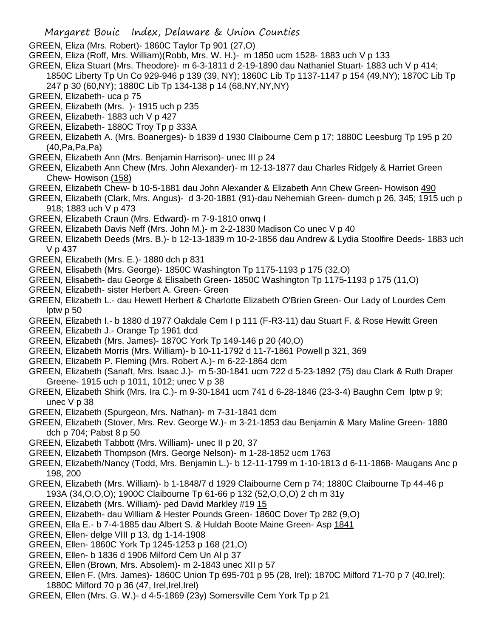- GREEN, Eliza (Mrs. Robert)- 1860C Taylor Tp 901 (27,O)
- GREEN, Eliza (Roff, Mrs. William)(Robb, Mrs. W. H.)- m 1850 ucm 1528- 1883 uch V p 133
- GREEN, Eliza Stuart (Mrs. Theodore)- m 6-3-1811 d 2-19-1890 dau Nathaniel Stuart- 1883 uch V p 414;
	- 1850C Liberty Tp Un Co 929-946 p 139 (39, NY); 1860C Lib Tp 1137-1147 p 154 (49,NY); 1870C Lib Tp 247 p 30 (60,NY); 1880C Lib Tp 134-138 p 14 (68,NY,NY,NY)
- GREEN, Elizabeth- uca p 75
- GREEN, Elizabeth (Mrs. )- 1915 uch p 235
- GREEN, Elizabeth- 1883 uch V p 427
- GREEN, Elizabeth- 1880C Troy Tp p 333A
- GREEN, Elizabeth A. (Mrs. Boanerges)- b 1839 d 1930 Claibourne Cem p 17; 1880C Leesburg Tp 195 p 20 (40,Pa,Pa,Pa)
- GREEN, Elizabeth Ann (Mrs. Benjamin Harrison)- unec III p 24
- GREEN, Elizabeth Ann Chew (Mrs. John Alexander)- m 12-13-1877 dau Charles Ridgely & Harriet Green Chew- Howison (158)
- GREEN, Elizabeth Chew- b 10-5-1881 dau John Alexander & Elizabeth Ann Chew Green- Howison 490
- GREEN, Elizabeth (Clark, Mrs. Angus)- d 3-20-1881 (91)-dau Nehemiah Green- dumch p 26, 345; 1915 uch p 918; 1883 uch V p 473
- GREEN, Elizabeth Craun (Mrs. Edward)- m 7-9-1810 onwq I
- GREEN, Elizabeth Davis Neff (Mrs. John M.)- m 2-2-1830 Madison Co unec V p 40
- GREEN, Elizabeth Deeds (Mrs. B.)- b 12-13-1839 m 10-2-1856 dau Andrew & Lydia Stoolfire Deeds- 1883 uch V p 437
- GREEN, Elizabeth (Mrs. E.)- 1880 dch p 831
- GREEN, Elisabeth (Mrs. George)- 1850C Washington Tp 1175-1193 p 175 (32,O)
- GREEN, Elisabeth- dau George & Elisabeth Green- 1850C Washington Tp 1175-1193 p 175 (11,O)
- GREEN, Elizabeth- sister Herbert A. Green- Green
- GREEN, Elizabeth L.- dau Hewett Herbert & Charlotte Elizabeth O'Brien Green- Our Lady of Lourdes Cem lptw p 50
- GREEN, Elizabeth I.- b 1880 d 1977 Oakdale Cem I p 111 (F-R3-11) dau Stuart F. & Rose Hewitt Green
- GREEN, Elizabeth J.- Orange Tp 1961 dcd
- GREEN, Elizabeth (Mrs. James)- 1870C York Tp 149-146 p 20 (40,O)
- GREEN, Elizabeth Morris (Mrs. William)- b 10-11-1792 d 11-7-1861 Powell p 321, 369
- GREEN, Elizabeth P. Fleming (Mrs. Robert A.)- m 6-22-1864 dcm
- GREEN, Elizabeth (Sanaft, Mrs. Isaac J.)- m 5-30-1841 ucm 722 d 5-23-1892 (75) dau Clark & Ruth Draper Greene- 1915 uch p 1011, 1012; unec V p 38
- GREEN, Elizabeth Shirk (Mrs. Ira C.)- m 9-30-1841 ucm 741 d 6-28-1846 (23-3-4) Baughn Cem lptw p 9; unec V p 38
- GREEN, Elizabeth (Spurgeon, Mrs. Nathan)- m 7-31-1841 dcm
- GREEN, Elizabeth (Stover, Mrs. Rev. George W.)- m 3-21-1853 dau Benjamin & Mary Maline Green- 1880 dch p 704; Pabst 8 p 50
- GREEN, Elizabeth Tabbott (Mrs. William)- unec II p 20, 37
- GREEN, Elizabeth Thompson (Mrs. George Nelson)- m 1-28-1852 ucm 1763
- GREEN, Elizabeth/Nancy (Todd, Mrs. Benjamin L.)- b 12-11-1799 m 1-10-1813 d 6-11-1868- Maugans Anc p 198, 200
- GREEN, Elizabeth (Mrs. William)- b 1-1848/7 d 1929 Claibourne Cem p 74; 1880C Claibourne Tp 44-46 p 193A (34,O,O,O); 1900C Claibourne Tp 61-66 p 132 (52,O,O,O) 2 ch m 31y
- GREEN, Elizabeth (Mrs. William)- ped David Markley #19 15
- GREEN, Elizabeth- dau William & Hester Pounds Green- 1860C Dover Tp 282 (9,O)
- GREEN, Ella E.- b 7-4-1885 dau Albert S. & Huldah Boote Maine Green- Asp 1841
- GREEN, Ellen- delge VIII p 13, dg 1-14-1908
- GREEN, Ellen- 1860C York Tp 1245-1253 p 168 (21,O)
- GREEN, Ellen- b 1836 d 1906 Milford Cem Un Al p 37
- GREEN, Ellen (Brown, Mrs. Absolem)- m 2-1843 unec XII p 57
- GREEN, Ellen F. (Mrs. James)- 1860C Union Tp 695-701 p 95 (28, Irel); 1870C Milford 71-70 p 7 (40,Irel); 1880C Milford 70 p 36 (47, Irel, Irel, Irel)
- GREEN, Ellen (Mrs. G. W.)- d 4-5-1869 (23y) Somersville Cem York Tp p 21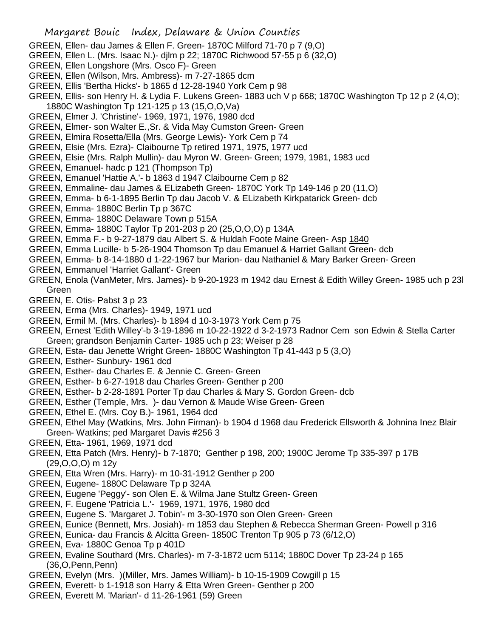- GREEN, Ellen- dau James & Ellen F. Green- 1870C Milford 71-70 p 7 (9,O)
- GREEN, Ellen L. (Mrs. Isaac N.)- djlm p 22; 1870C Richwood 57-55 p 6 (32,O)
- GREEN, Ellen Longshore (Mrs. Osco F)- Green
- GREEN, Ellen (Wilson, Mrs. Ambress)- m 7-27-1865 dcm
- GREEN, Ellis 'Bertha Hicks'- b 1865 d 12-28-1940 York Cem p 98
- GREEN, Ellis- son Henry H. & Lydia F. Lukens Green- 1883 uch V p 668; 1870C Washington Tp 12 p 2 (4,O); 1880C Washington Tp 121-125 p 13 (15,O,O,Va)
- GREEN, Elmer J. 'Christine'- 1969, 1971, 1976, 1980 dcd
- GREEN, Elmer- son Walter E.,Sr. & Vida May Cumston Green- Green
- GREEN, Elmira Rosetta/Ella (Mrs. George Lewis)- York Cem p 74
- GREEN, Elsie (Mrs. Ezra)- Claibourne Tp retired 1971, 1975, 1977 ucd
- GREEN, Elsie (Mrs. Ralph Mullin)- dau Myron W. Green- Green; 1979, 1981, 1983 ucd
- GREEN, Emanuel- hadc p 121 (Thompson Tp)
- GREEN, Emanuel 'Hattie A.'- b 1863 d 1947 Claibourne Cem p 82
- GREEN, Emmaline- dau James & ELizabeth Green- 1870C York Tp 149-146 p 20 (11,O)
- GREEN, Emma- b 6-1-1895 Berlin Tp dau Jacob V. & ELizabeth Kirkpatarick Green- dcb
- GREEN, Emma- 1880C Berlin Tp p 367C
- GREEN, Emma- 1880C Delaware Town p 515A
- GREEN, Emma- 1880C Taylor Tp 201-203 p 20 (25,O,O,O) p 134A
- GREEN, Emma F.- b 9-27-1879 dau Albert S. & Huldah Foote Maine Green- Asp 1840
- GREEN, Emma Lucille- b 5-26-1904 Thomson Tp dau Emanuel & Harriet Gallant Green- dcb
- GREEN, Emma- b 8-14-1880 d 1-22-1967 bur Marion- dau Nathaniel & Mary Barker Green- Green
- GREEN, Emmanuel 'Harriet Gallant'- Green
- GREEN, Enola (VanMeter, Mrs. James)- b 9-20-1923 m 1942 dau Ernest & Edith Willey Green- 1985 uch p 23l Green
- GREEN, E. Otis- Pabst 3 p 23
- GREEN, Erma (Mrs. Charles)- 1949, 1971 ucd
- GREEN, Ermil M. (Mrs. Charles)- b 1894 d 10-3-1973 York Cem p 75
- GREEN, Ernest 'Edith Willey'-b 3-19-1896 m 10-22-1922 d 3-2-1973 Radnor Cem son Edwin & Stella Carter Green; grandson Benjamin Carter- 1985 uch p 23; Weiser p 28
- GREEN, Esta- dau Jenette Wright Green- 1880C Washington Tp 41-443 p 5 (3,O)
- GREEN, Esther- Sunbury- 1961 dcd
- GREEN, Esther- dau Charles E. & Jennie C. Green- Green
- GREEN, Esther- b 6-27-1918 dau Charles Green- Genther p 200
- GREEN, Esther- b 2-28-1891 Porter Tp dau Charles & Mary S. Gordon Green- dcb
- GREEN, Esther (Temple, Mrs. )- dau Vernon & Maude Wise Green- Green
- GREEN, Ethel E. (Mrs. Coy B.)- 1961, 1964 dcd
- GREEN, Ethel May (Watkins, Mrs. John Firman)- b 1904 d 1968 dau Frederick Ellsworth & Johnina Inez Blair Green- Watkins; ped Margaret Davis #256 3
- GREEN, Etta- 1961, 1969, 1971 dcd
- GREEN, Etta Patch (Mrs. Henry)- b 7-1870; Genther p 198, 200; 1900C Jerome Tp 335-397 p 17B (29,O,O,O) m 12y
- GREEN, Etta Wren (Mrs. Harry)- m 10-31-1912 Genther p 200
- GREEN, Eugene- 1880C Delaware Tp p 324A
- GREEN, Eugene 'Peggy'- son Olen E. & Wilma Jane Stultz Green- Green
- GREEN, F. Eugene 'Patricia L.'- 1969, 1971, 1976, 1980 dcd
- GREEN, Eugene S. 'Margaret J. Tobin'- m 3-30-1970 son Olen Green- Green
- GREEN, Eunice (Bennett, Mrs. Josiah)- m 1853 dau Stephen & Rebecca Sherman Green- Powell p 316
- GREEN, Eunica- dau Francis & Alcitta Green- 1850C Trenton Tp 905 p 73 (6/12,O)
- GREEN, Eva- 1880C Genoa Tp p 401D
- GREEN, Evaline Southard (Mrs. Charles)- m 7-3-1872 ucm 5114; 1880C Dover Tp 23-24 p 165 (36,O,Penn,Penn)
- GREEN, Evelyn (Mrs. )(Miller, Mrs. James William)- b 10-15-1909 Cowgill p 15
- GREEN, Everett- b 1-1918 son Harry & Etta Wren Green- Genther p 200
- GREEN, Everett M. 'Marian'- d 11-26-1961 (59) Green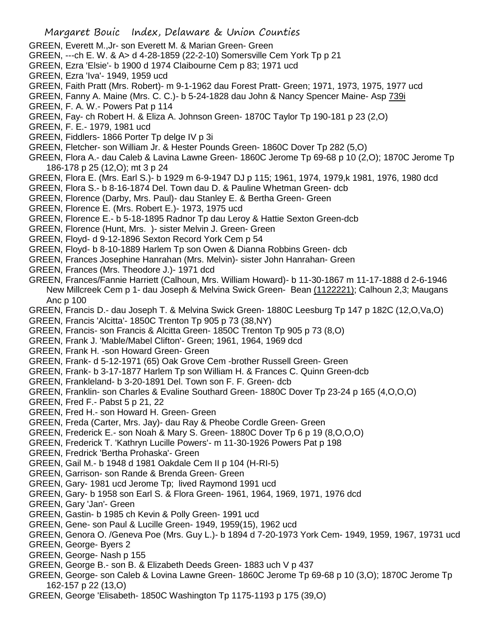- Margaret Bouic Index, Delaware & Union Counties GREEN, Everett M.,Jr- son Everett M. & Marian Green- Green GREEN, ---ch E. W. & A> d 4-28-1859 (22-2-10) Somersville Cem York Tp p 21 GREEN, Ezra 'Elsie'- b 1900 d 1974 Claibourne Cem p 83; 1971 ucd GREEN, Ezra 'Iva'- 1949, 1959 ucd GREEN, Faith Pratt (Mrs. Robert)- m 9-1-1962 dau Forest Pratt- Green; 1971, 1973, 1975, 1977 ucd GREEN, Fanny A. Maine (Mrs. C. C.)- b 5-24-1828 dau John & Nancy Spencer Maine- Asp 739i GREEN, F. A. W.- Powers Pat p 114 GREEN, Fay- ch Robert H. & Eliza A. Johnson Green- 1870C Taylor Tp 190-181 p 23 (2,O) GREEN, F. E.- 1979, 1981 ucd GREEN, Fiddlers- 1866 Porter Tp delge IV p 3i GREEN, Fletcher- son William Jr. & Hester Pounds Green- 1860C Dover Tp 282 (5,O) GREEN, Flora A.- dau Caleb & Lavina Lawne Green- 1860C Jerome Tp 69-68 p 10 (2,O); 1870C Jerome Tp 186-178 p 25 (12,O); mt 3 p 24 GREEN, Flora E. (Mrs. Earl S.)- b 1929 m 6-9-1947 DJ p 115; 1961, 1974, 1979,k 1981, 1976, 1980 dcd GREEN, Flora S.- b 8-16-1874 Del. Town dau D. & Pauline Whetman Green- dcb GREEN, Florence (Darby, Mrs. Paul)- dau Stanley E. & Bertha Green- Green GREEN, Florence E. (Mrs. Robert E.)- 1973, 1975 ucd GREEN, Florence E.- b 5-18-1895 Radnor Tp dau Leroy & Hattie Sexton Green-dcb GREEN, Florence (Hunt, Mrs. )- sister Melvin J. Green- Green GREEN, Floyd- d 9-12-1896 Sexton Record York Cem p 54 GREEN, Floyd- b 8-10-1889 Harlem Tp son Owen & Dianna Robbins Green- dcb GREEN, Frances Josephine Hanrahan (Mrs. Melvin)- sister John Hanrahan- Green GREEN, Frances (Mrs. Theodore J.)- 1971 dcd GREEN, Frances/Fannie Harriett (Calhoun, Mrs. William Howard)- b 11-30-1867 m 11-17-1888 d 2-6-1946 New Millcreek Cem p 1- dau Joseph & Melvina Swick Green- Bean (1122221); Calhoun 2,3; Maugans Anc p 100 GREEN, Francis D.- dau Joseph T. & Melvina Swick Green- 1880C Leesburg Tp 147 p 182C (12,O,Va,O) GREEN, Francis 'Alcitta'- 1850C Trenton Tp 905 p 73 (38,NY) GREEN, Francis- son Francis & Alcitta Green- 1850C Trenton Tp 905 p 73 (8,O) GREEN, Frank J. 'Mable/Mabel Clifton'- Green; 1961, 1964, 1969 dcd GREEN, Frank H. -son Howard Green- Green GREEN, Frank- d 5-12-1971 (65) Oak Grove Cem -brother Russell Green- Green GREEN, Frank- b 3-17-1877 Harlem Tp son William H. & Frances C. Quinn Green-dcb GREEN, Frankleland- b 3-20-1891 Del. Town son F. F. Green- dcb GREEN, Franklin- son Charles & Evaline Southard Green- 1880C Dover Tp 23-24 p 165 (4,O,O,O) GREEN, Fred F.- Pabst 5 p 21, 22 GREEN, Fred H.- son Howard H. Green- Green
- GREEN, Freda (Carter, Mrs. Jay)- dau Ray & Pheobe Cordle Green- Green
- GREEN, Frederick E.- son Noah & Mary S. Green- 1880C Dover Tp 6 p 19 (8,O,O,O)
- GREEN, Frederick T. 'Kathryn Lucille Powers'- m 11-30-1926 Powers Pat p 198
- GREEN, Fredrick 'Bertha Prohaska'- Green
- GREEN, Gail M.- b 1948 d 1981 Oakdale Cem II p 104 (H-RI-5)
- GREEN, Garrison- son Rande & Brenda Green- Green
- GREEN, Gary- 1981 ucd Jerome Tp; lived Raymond 1991 ucd
- GREEN, Gary- b 1958 son Earl S. & Flora Green- 1961, 1964, 1969, 1971, 1976 dcd
- GREEN, Gary 'Jan'- Green
- GREEN, Gastin- b 1985 ch Kevin & Polly Green- 1991 ucd
- GREEN, Gene- son Paul & Lucille Green- 1949, 1959(15), 1962 ucd
- GREEN, Genora O. /Geneva Poe (Mrs. Guy L.)- b 1894 d 7-20-1973 York Cem- 1949, 1959, 1967, 19731 ucd GREEN, George- Byers 2
- GREEN, George- Nash p 155
- GREEN, George B.- son B. & Elizabeth Deeds Green- 1883 uch V p 437
- GREEN, George- son Caleb & Lovina Lawne Green- 1860C Jerome Tp 69-68 p 10 (3,O); 1870C Jerome Tp 162-157 p 22 (13,O)
- GREEN, George 'Elisabeth- 1850C Washington Tp 1175-1193 p 175 (39,O)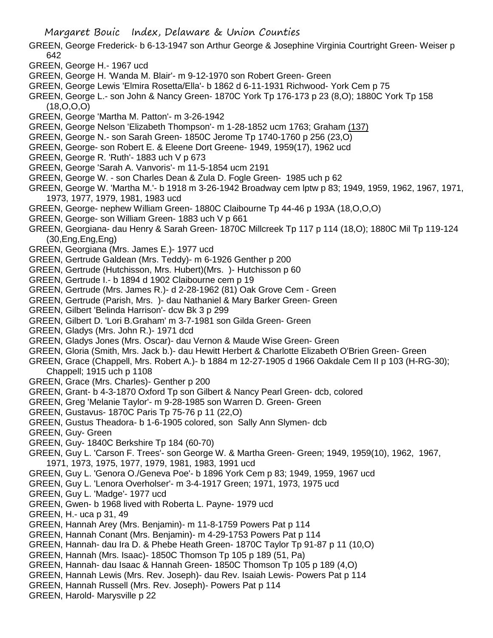- GREEN, George Frederick- b 6-13-1947 son Arthur George & Josephine Virginia Courtright Green- Weiser p 642
- GREEN, George H.- 1967 ucd
- GREEN, George H. 'Wanda M. Blair'- m 9-12-1970 son Robert Green- Green
- GREEN, George Lewis 'Elmira Rosetta/Ella'- b 1862 d 6-11-1931 Richwood- York Cem p 75
- GREEN, George L.- son John & Nancy Green- 1870C York Tp 176-173 p 23 (8,O); 1880C York Tp 158 (18,O,O,O)
- GREEN, George 'Martha M. Patton'- m 3-26-1942
- GREEN, George Nelson 'Elizabeth Thompson'- m 1-28-1852 ucm 1763; Graham (137)
- GREEN, George N.- son Sarah Green- 1850C Jerome Tp 1740-1760 p 256 (23,O)
- GREEN, George- son Robert E. & Eleene Dort Greene- 1949, 1959(17), 1962 ucd
- GREEN, George R. 'Ruth'- 1883 uch V p 673
- GREEN, George 'Sarah A. Vanvoris'- m 11-5-1854 ucm 2191
- GREEN, George W. son Charles Dean & Zula D. Fogle Green- 1985 uch p 62
- GREEN, George W. 'Martha M.'- b 1918 m 3-26-1942 Broadway cem lptw p 83; 1949, 1959, 1962, 1967, 1971, 1973, 1977, 1979, 1981, 1983 ucd
- GREEN, George- nephew William Green- 1880C Claibourne Tp 44-46 p 193A (18,O,O,O)
- GREEN, George- son William Green- 1883 uch V p 661
- GREEN, Georgiana- dau Henry & Sarah Green- 1870C Millcreek Tp 117 p 114 (18,O); 1880C Mil Tp 119-124 (30,Eng,Eng,Eng)
- GREEN, Georgiana (Mrs. James E.)- 1977 ucd
- GREEN, Gertrude Galdean (Mrs. Teddy)- m 6-1926 Genther p 200
- GREEN, Gertrude (Hutchisson, Mrs. Hubert)(Mrs. )- Hutchisson p 60
- GREEN, Gertrude I.- b 1894 d 1902 Claibourne cem p 19
- GREEN, Gertrude (Mrs. James R.)- d 2-28-1962 (81) Oak Grove Cem Green
- GREEN, Gertrude (Parish, Mrs. )- dau Nathaniel & Mary Barker Green- Green
- GREEN, Gilbert 'Belinda Harrison'- dcw Bk 3 p 299
- GREEN, Gilbert D. 'Lori B.Graham' m 3-7-1981 son Gilda Green- Green
- GREEN, Gladys (Mrs. John R.)- 1971 dcd
- GREEN, Gladys Jones (Mrs. Oscar)- dau Vernon & Maude Wise Green- Green
- GREEN, Gloria (Smith, Mrs. Jack b.)- dau Hewitt Herbert & Charlotte Elizabeth O'Brien Green- Green
- GREEN, Grace (Chappell, Mrs. Robert A.)- b 1884 m 12-27-1905 d 1966 Oakdale Cem II p 103 (H-RG-30); Chappell; 1915 uch p 1108
- GREEN, Grace (Mrs. Charles)- Genther p 200
- GREEN, Grant- b 4-3-1870 Oxford Tp son Gilbert & Nancy Pearl Green- dcb, colored
- GREEN, Greg 'Melanie Taylor'- m 9-28-1985 son Warren D. Green- Green
- GREEN, Gustavus- 1870C Paris Tp 75-76 p 11 (22,O)
- GREEN, Gustus Theadora- b 1-6-1905 colored, son Sally Ann Slymen- dcb
- GREEN, Guy- Green
- GREEN, Guy- 1840C Berkshire Tp 184 (60-70)
- GREEN, Guy L. 'Carson F. Trees'- son George W. & Martha Green- Green; 1949, 1959(10), 1962, 1967, 1971, 1973, 1975, 1977, 1979, 1981, 1983, 1991 ucd
- GREEN, Guy L. 'Genora O./Geneva Poe'- b 1896 York Cem p 83; 1949, 1959, 1967 ucd
- GREEN, Guy L. 'Lenora Overholser'- m 3-4-1917 Green; 1971, 1973, 1975 ucd
- GREEN, Guy L. 'Madge'- 1977 ucd
- GREEN, Gwen- b 1968 lived with Roberta L. Payne- 1979 ucd
- GREEN, H.- uca p 31, 49
- GREEN, Hannah Arey (Mrs. Benjamin)- m 11-8-1759 Powers Pat p 114
- GREEN, Hannah Conant (Mrs. Benjamin)- m 4-29-1753 Powers Pat p 114
- GREEN, Hannah- dau Ira D. & Phebe Heath Green- 1870C Taylor Tp 91-87 p 11 (10,O)
- GREEN, Hannah (Mrs. Isaac)- 1850C Thomson Tp 105 p 189 (51, Pa)
- GREEN, Hannah- dau Isaac & Hannah Green- 1850C Thomson Tp 105 p 189 (4,O)
- GREEN, Hannah Lewis (Mrs. Rev. Joseph)- dau Rev. Isaiah Lewis- Powers Pat p 114
- GREEN, Hannah Russell (Mrs. Rev. Joseph)- Powers Pat p 114
- GREEN, Harold- Marysville p 22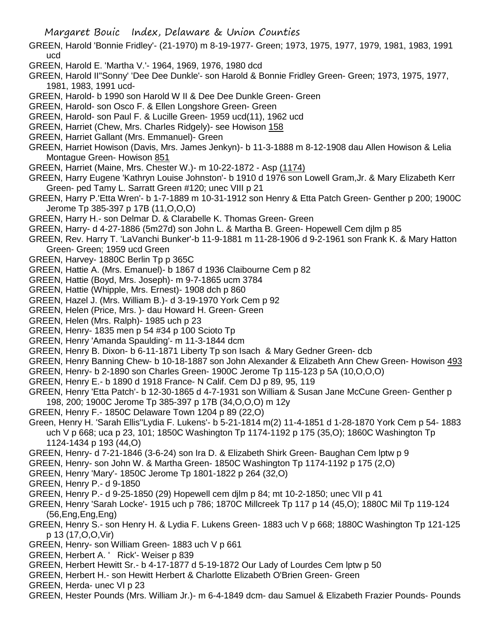Margaret Bouic Index, Delaware & Union Counties

- GREEN, Harold 'Bonnie Fridley'- (21-1970) m 8-19-1977- Green; 1973, 1975, 1977, 1979, 1981, 1983, 1991 ucd
- GREEN, Harold E. 'Martha V.'- 1964, 1969, 1976, 1980 dcd
- GREEN, Harold II"Sonny' 'Dee Dee Dunkle'- son Harold & Bonnie Fridley Green- Green; 1973, 1975, 1977, 1981, 1983, 1991 ucd-
- GREEN, Harold- b 1990 son Harold W II & Dee Dee Dunkle Green- Green
- GREEN, Harold- son Osco F. & Ellen Longshore Green- Green
- GREEN, Harold- son Paul F. & Lucille Green- 1959 ucd(11), 1962 ucd
- GREEN, Harriet (Chew, Mrs. Charles Ridgely)- see Howison 158
- GREEN, Harriet Gallant (Mrs. Emmanuel)- Green
- GREEN, Harriet Howison (Davis, Mrs. James Jenkyn)- b 11-3-1888 m 8-12-1908 dau Allen Howison & Lelia Montague Green- Howison 851
- GREEN, Harriet (Maine, Mrs. Chester W.)- m 10-22-1872 Asp (1174)
- GREEN, Harry Eugene 'Kathryn Louise Johnston'- b 1910 d 1976 son Lowell Gram,Jr. & Mary Elizabeth Kerr Green- ped Tamy L. Sarratt Green #120; unec VIII p 21
- GREEN, Harry P.'Etta Wren'- b 1-7-1889 m 10-31-1912 son Henry & Etta Patch Green- Genther p 200; 1900C Jerome Tp 385-397 p 17B (11,O,O,O)
- GREEN, Harry H.- son Delmar D. & Clarabelle K. Thomas Green- Green
- GREEN, Harry- d 4-27-1886 (5m27d) son John L. & Martha B. Green- Hopewell Cem djlm p 85
- GREEN, Rev. Harry T. 'LaVanchi Bunker'-b 11-9-1881 m 11-28-1906 d 9-2-1961 son Frank K. & Mary Hatton Green- Green; 1959 ucd Green
- GREEN, Harvey- 1880C Berlin Tp p 365C
- GREEN, Hattie A. (Mrs. Emanuel)- b 1867 d 1936 Claibourne Cem p 82
- GREEN, Hattie (Boyd, Mrs. Joseph)- m 9-7-1865 ucm 3784
- GREEN, Hattie (Whipple, Mrs. Ernest)- 1908 dch p 860
- GREEN, Hazel J. (Mrs. William B.)- d 3-19-1970 York Cem p 92
- GREEN, Helen (Price, Mrs. )- dau Howard H. Green- Green
- GREEN, Helen (Mrs. Ralph)- 1985 uch p 23
- GREEN, Henry- 1835 men p 54 #34 p 100 Scioto Tp
- GREEN, Henry 'Amanda Spaulding'- m 11-3-1844 dcm
- GREEN, Henry B. Dixon- b 6-11-1871 Liberty Tp son Isach & Mary Gedner Green- dcb
- GREEN, Henry Banning Chew- b 10-18-1887 son John Alexander & Elizabeth Ann Chew Green- Howison 493
- GREEN, Henry- b 2-1890 son Charles Green- 1900C Jerome Tp 115-123 p 5A (10,O,O,O)
- GREEN, Henry E.- b 1890 d 1918 France- N Calif. Cem DJ p 89, 95, 119
- GREEN, Henry 'Etta Patch'- b 12-30-1865 d 4-7-1931 son William & Susan Jane McCune Green- Genther p 198, 200; 1900C Jerome Tp 385-397 p 17B (34,O,O,O) m 12y
- GREEN, Henry F.- 1850C Delaware Town 1204 p 89 (22,O)
- Green, Henry H. 'Sarah Ellis''Lydia F. Lukens'- b 5-21-1814 m(2) 11-4-1851 d 1-28-1870 York Cem p 54- 1883 uch V p 668; uca p 23, 101; 1850C Washington Tp 1174-1192 p 175 (35,O); 1860C Washington Tp 1124-1434 p 193 (44,O)
- GREEN, Henry- d 7-21-1846 (3-6-24) son Ira D. & Elizabeth Shirk Green- Baughan Cem lptw p 9
- GREEN, Henry- son John W. & Martha Green- 1850C Washington Tp 1174-1192 p 175 (2,O)
- GREEN, Henry 'Mary'- 1850C Jerome Tp 1801-1822 p 264 (32,O)
- GREEN, Henry P.- d 9-1850
- GREEN, Henry P.- d 9-25-1850 (29) Hopewell cem djlm p 84; mt 10-2-1850; unec VII p 41
- GREEN, Henry 'Sarah Locke'- 1915 uch p 786; 1870C Millcreek Tp 117 p 14 (45,O); 1880C Mil Tp 119-124 (56,Eng,Eng,Eng)
- GREEN, Henry S.- son Henry H. & Lydia F. Lukens Green- 1883 uch V p 668; 1880C Washington Tp 121-125 p 13 (17,O,O,Vir)
- GREEN, Henry- son William Green- 1883 uch V p 661
- GREEN, Herbert A. ' Rick'- Weiser p 839
- GREEN, Herbert Hewitt Sr.- b 4-17-1877 d 5-19-1872 Our Lady of Lourdes Cem lptw p 50
- GREEN, Herbert H.- son Hewitt Herbert & Charlotte Elizabeth O'Brien Green- Green
- GREEN, Herda- unec VI p 23
- GREEN, Hester Pounds (Mrs. William Jr.)- m 6-4-1849 dcm- dau Samuel & Elizabeth Frazier Pounds- Pounds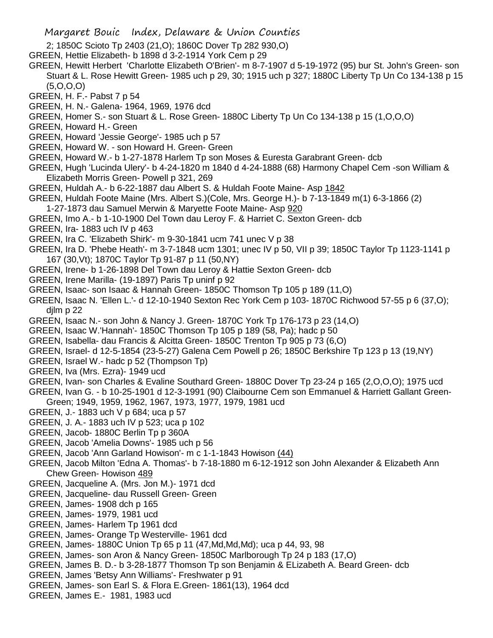- Margaret Bouic Index, Delaware & Union Counties
- 2; 1850C Scioto Tp 2403 (21,O); 1860C Dover Tp 282 930,O)
- GREEN, Hettie Elizabeth- b 1898 d 3-2-1914 York Cem p 29
- GREEN, Hewitt Herbert 'Charlotte Elizabeth O'Brien'- m 8-7-1907 d 5-19-1972 (95) bur St. John's Green- son Stuart & L. Rose Hewitt Green- 1985 uch p 29, 30; 1915 uch p 327; 1880C Liberty Tp Un Co 134-138 p 15 (5,O,O,O)
- GREEN, H. F.- Pabst 7 p 54
- GREEN, H. N.- Galena- 1964, 1969, 1976 dcd
- GREEN, Homer S.- son Stuart & L. Rose Green- 1880C Liberty Tp Un Co 134-138 p 15 (1,O,O,O)
- GREEN, Howard H.- Green
- GREEN, Howard 'Jessie George'- 1985 uch p 57
- GREEN, Howard W. son Howard H. Green- Green
- GREEN, Howard W.- b 1-27-1878 Harlem Tp son Moses & Euresta Garabrant Green- dcb
- GREEN, Hugh 'Lucinda Ulery'- b 4-24-1820 m 1840 d 4-24-1888 (68) Harmony Chapel Cem -son William & Elizabeth Morris Green- Powell p 321, 269
- GREEN, Huldah A.- b 6-22-1887 dau Albert S. & Huldah Foote Maine- Asp 1842
- GREEN, Huldah Foote Maine (Mrs. Albert S.)(Cole, Mrs. George H.)- b 7-13-1849 m(1) 6-3-1866 (2)
- 1-27-1873 dau Samuel Merwin & Maryette Foote Maine- Asp 920
- GREEN, Imo A.- b 1-10-1900 Del Town dau Leroy F. & Harriet C. Sexton Green- dcb
- GREEN, Ira- 1883 uch IV p 463
- GREEN, Ira C. 'Elizabeth Shirk'- m 9-30-1841 ucm 741 unec V p 38
- GREEN, Ira D. 'Phebe Heath'- m 3-7-1848 ucm 1301; unec IV p 50, VII p 39; 1850C Taylor Tp 1123-1141 p 167 (30,Vt); 1870C Taylor Tp 91-87 p 11 (50,NY)
- GREEN, Irene- b 1-26-1898 Del Town dau Leroy & Hattie Sexton Green- dcb
- GREEN, Irene Marilla- (19-1897) Paris Tp uninf p 92
- GREEN, Isaac- son Isaac & Hannah Green- 1850C Thomson Tp 105 p 189 (11,O)
- GREEN, Isaac N. 'Ellen L.'- d 12-10-1940 Sexton Rec York Cem p 103- 1870C Richwood 57-55 p 6 (37,O); djlm p 22
- GREEN, Isaac N.- son John & Nancy J. Green- 1870C York Tp 176-173 p 23 (14,O)
- GREEN, Isaac W.'Hannah'- 1850C Thomson Tp 105 p 189 (58, Pa); hadc p 50
- GREEN, Isabella- dau Francis & Alcitta Green- 1850C Trenton Tp 905 p 73 (6,O)
- GREEN, Israel- d 12-5-1854 (23-5-27) Galena Cem Powell p 26; 1850C Berkshire Tp 123 p 13 (19,NY)
- GREEN, Israel W.- hadc p 52 (Thompson Tp)
- GREEN, Iva (Mrs. Ezra)- 1949 ucd
- GREEN, Ivan- son Charles & Evaline Southard Green- 1880C Dover Tp 23-24 p 165 (2,O,O,O); 1975 ucd
- GREEN, Ivan G. b 10-25-1901 d 12-3-1991 (90) Claibourne Cem son Emmanuel & Harriett Gallant Green-Green; 1949, 1959, 1962, 1967, 1973, 1977, 1979, 1981 ucd
- GREEN, J.- 1883 uch V p 684; uca p 57
- GREEN, J. A.- 1883 uch IV p 523; uca p 102
- GREEN, Jacob- 1880C Berlin Tp p 360A
- GREEN, Jacob 'Amelia Downs'- 1985 uch p 56
- GREEN, Jacob 'Ann Garland Howison'- m c 1-1-1843 Howison (44)
- GREEN, Jacob Milton 'Edna A. Thomas'- b 7-18-1880 m 6-12-1912 son John Alexander & Elizabeth Ann Chew Green- Howison 489
- GREEN, Jacqueline A. (Mrs. Jon M.)- 1971 dcd
- GREEN, Jacqueline- dau Russell Green- Green
- GREEN, James- 1908 dch p 165
- GREEN, James- 1979, 1981 ucd
- GREEN, James- Harlem Tp 1961 dcd
- GREEN, James- Orange Tp Westerville- 1961 dcd
- GREEN, James- 1880C Union Tp 65 p 11 (47,Md,Md,Md); uca p 44, 93, 98
- GREEN, James- son Aron & Nancy Green- 1850C Marlborough Tp 24 p 183 (17,O)
- GREEN, James B. D.- b 3-28-1877 Thomson Tp son Benjamin & ELizabeth A. Beard Green- dcb
- GREEN, James 'Betsy Ann Williams'- Freshwater p 91
- GREEN, James- son Earl S. & Flora E.Green- 1861(13), 1964 dcd
- GREEN, James E.- 1981, 1983 ucd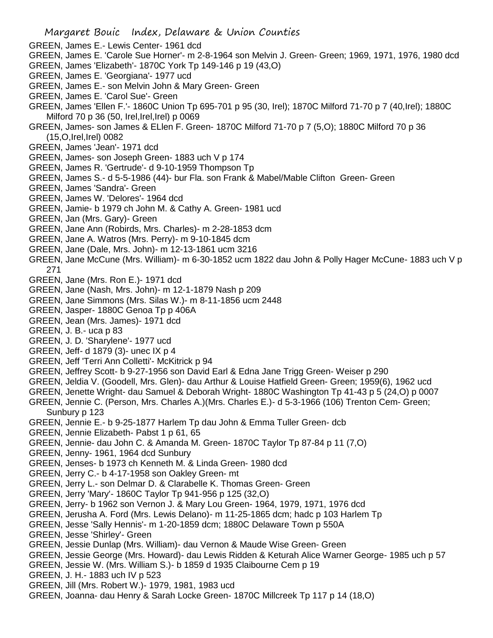- GREEN, James E.- Lewis Center- 1961 dcd
- GREEN, James E. 'Carole Sue Horner'- m 2-8-1964 son Melvin J. Green- Green; 1969, 1971, 1976, 1980 dcd
- GREEN, James 'Elizabeth'- 1870C York Tp 149-146 p 19 (43,O)
- GREEN, James E. 'Georgiana'- 1977 ucd
- GREEN, James E.- son Melvin John & Mary Green- Green
- GREEN, James E. 'Carol Sue'- Green
- GREEN, James 'Ellen F.'- 1860C Union Tp 695-701 p 95 (30, Irel); 1870C Milford 71-70 p 7 (40,Irel); 1880C Milford 70 p 36 (50, Irel, Irel, Irel) p 0069
- GREEN, James- son James & ELlen F. Green- 1870C Milford 71-70 p 7 (5,O); 1880C Milford 70 p 36 (15,O,Irel,Irel) 0082
- GREEN, James 'Jean'- 1971 dcd
- GREEN, James- son Joseph Green- 1883 uch V p 174
- GREEN, James R. 'Gertrude'- d 9-10-1959 Thompson Tp
- GREEN, James S.- d 5-5-1986 (44)- bur Fla. son Frank & Mabel/Mable Clifton Green- Green
- GREEN, James 'Sandra'- Green
- GREEN, James W. 'Delores'- 1964 dcd
- GREEN, Jamie- b 1979 ch John M. & Cathy A. Green- 1981 ucd
- GREEN, Jan (Mrs. Gary)- Green
- GREEN, Jane Ann (Robirds, Mrs. Charles)- m 2-28-1853 dcm
- GREEN, Jane A. Watros (Mrs. Perry)- m 9-10-1845 dcm
- GREEN, Jane (Dale, Mrs. John)- m 12-13-1861 ucm 3216
- GREEN, Jane McCune (Mrs. William)- m 6-30-1852 ucm 1822 dau John & Polly Hager McCune- 1883 uch V p 271
- GREEN, Jane (Mrs. Ron E.)- 1971 dcd
- GREEN, Jane (Nash, Mrs. John)- m 12-1-1879 Nash p 209
- GREEN, Jane Simmons (Mrs. Silas W.)- m 8-11-1856 ucm 2448
- GREEN, Jasper- 1880C Genoa Tp p 406A
- GREEN, Jean (Mrs. James)- 1971 dcd
- GREEN, J. B.- uca p 83
- GREEN, J. D. 'Sharylene'- 1977 ucd
- GREEN, Jeff- d 1879 (3)- unec IX p 4
- GREEN, Jeff 'Terri Ann Colletti'- McKitrick p 94
- GREEN, Jeffrey Scott- b 9-27-1956 son David Earl & Edna Jane Trigg Green- Weiser p 290
- GREEN, Jeldia V. (Goodell, Mrs. Glen)- dau Arthur & Louise Hatfield Green- Green; 1959(6), 1962 ucd
- GREEN, Jenette Wright- dau Samuel & Deborah Wright- 1880C Washington Tp 41-43 p 5 (24,O) p 0007
- GREEN, Jennie C. (Person, Mrs. Charles A.)(Mrs. Charles E.)- d 5-3-1966 (106) Trenton Cem- Green; Sunbury p 123
- GREEN, Jennie E.- b 9-25-1877 Harlem Tp dau John & Emma Tuller Green- dcb
- GREEN, Jennie Elizabeth- Pabst 1 p 61, 65
- GREEN, Jennie- dau John C. & Amanda M. Green- 1870C Taylor Tp 87-84 p 11 (7,O)
- GREEN, Jenny- 1961, 1964 dcd Sunbury
- GREEN, Jenses- b 1973 ch Kenneth M. & Linda Green- 1980 dcd
- GREEN, Jerry C.- b 4-17-1958 son Oakley Green- mt
- GREEN, Jerry L.- son Delmar D. & Clarabelle K. Thomas Green- Green
- GREEN, Jerry 'Mary'- 1860C Taylor Tp 941-956 p 125 (32,O)
- GREEN, Jerry- b 1962 son Vernon J. & Mary Lou Green- 1964, 1979, 1971, 1976 dcd
- GREEN, Jerusha A. Ford (Mrs. Lewis Delano)- m 11-25-1865 dcm; hadc p 103 Harlem Tp
- GREEN, Jesse 'Sally Hennis'- m 1-20-1859 dcm; 1880C Delaware Town p 550A
- GREEN, Jesse 'Shirley'- Green
- GREEN, Jessie Dunlap (Mrs. William)- dau Vernon & Maude Wise Green- Green
- GREEN, Jessie George (Mrs. Howard)- dau Lewis Ridden & Keturah Alice Warner George- 1985 uch p 57
- GREEN, Jessie W. (Mrs. William S.)- b 1859 d 1935 Claibourne Cem p 19
- GREEN, J. H.- 1883 uch IV p 523
- GREEN, Jill (Mrs. Robert W.)- 1979, 1981, 1983 ucd
- GREEN, Joanna- dau Henry & Sarah Locke Green- 1870C Millcreek Tp 117 p 14 (18,O)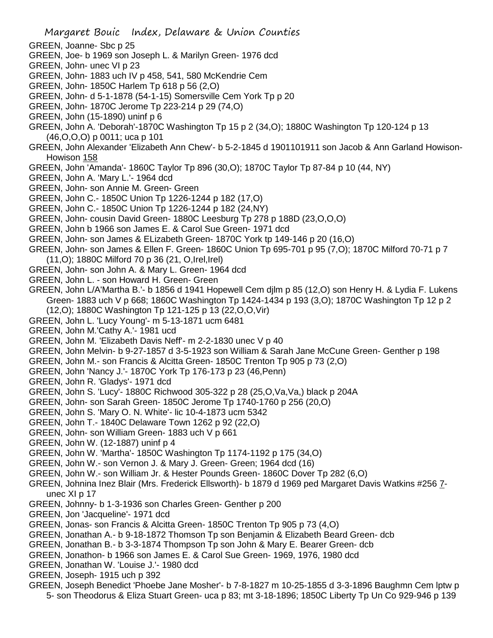Margaret Bouic Index, Delaware & Union Counties GREEN, Joanne- Sbc p 25 GREEN, Joe- b 1969 son Joseph L. & Marilyn Green- 1976 dcd GREEN, John- unec VI p 23 GREEN, John- 1883 uch IV p 458, 541, 580 McKendrie Cem GREEN, John- 1850C Harlem Tp 618 p 56 (2,O) GREEN, John- d 5-1-1878 (54-1-15) Somersville Cem York Tp p 20 GREEN, John- 1870C Jerome Tp 223-214 p 29 (74,O) GREEN, John (15-1890) uninf p 6 GREEN, John A. 'Deborah'-1870C Washington Tp 15 p 2 (34,O); 1880C Washington Tp 120-124 p 13 (46,O,O,O) p 0011; uca p 101 GREEN, John Alexander 'Elizabeth Ann Chew'- b 5-2-1845 d 1901101911 son Jacob & Ann Garland Howison-Howison 158 GREEN, John 'Amanda'- 1860C Taylor Tp 896 (30,O); 1870C Taylor Tp 87-84 p 10 (44, NY) GREEN, John A. 'Mary L.'- 1964 dcd GREEN, John- son Annie M. Green- Green GREEN, John C.- 1850C Union Tp 1226-1244 p 182 (17,O) GREEN, John C.- 1850C Union Tp 1226-1244 p 182 (24,NY) GREEN, John- cousin David Green- 1880C Leesburg Tp 278 p 188D (23,O,O,O) GREEN, John b 1966 son James E. & Carol Sue Green- 1971 dcd GREEN, John- son James & ELizabeth Green- 1870C York tp 149-146 p 20 (16,O) GREEN, John- son James & Ellen F. Green- 1860C Union Tp 695-701 p 95 (7,O); 1870C Milford 70-71 p 7 (11,O); 1880C Milford 70 p 36 (21, O,Irel,Irel) GREEN, John- son John A. & Mary L. Green- 1964 dcd GREEN, John L. - son Howard H. Green- Green GREEN, John L/A'Martha B.'- b 1856 d 1941 Hopewell Cem djlm p 85 (12,O) son Henry H. & Lydia F. Lukens Green- 1883 uch V p 668; 1860C Washington Tp 1424-1434 p 193 (3,O); 1870C Washington Tp 12 p 2 (12,O); 1880C Washington Tp 121-125 p 13 (22,O,O,Vir) GREEN, John L. 'Lucy Young'- m 5-13-1871 ucm 6481 GREEN, John M.'Cathy A.'- 1981 ucd GREEN, John M. 'Elizabeth Davis Neff'- m 2-2-1830 unec V p 40 GREEN, John Melvin- b 9-27-1857 d 3-5-1923 son William & Sarah Jane McCune Green- Genther p 198 GREEN, John M.- son Francis & Alcitta Green- 1850C Trenton Tp 905 p 73 (2,O) GREEN, John 'Nancy J.'- 1870C York Tp 176-173 p 23 (46,Penn) GREEN, John R. 'Gladys'- 1971 dcd GREEN, John S. 'Lucy'- 1880C Richwood 305-322 p 28 (25,O,Va,Va,) black p 204A GREEN, John- son Sarah Green- 1850C Jerome Tp 1740-1760 p 256 (20,O) GREEN, John S. 'Mary O. N. White'- lic 10-4-1873 ucm 5342 GREEN, John T.- 1840C Delaware Town 1262 p 92 (22,O) GREEN, John- son William Green- 1883 uch V p 661 GREEN, John W. (12-1887) uninf p 4 GREEN, John W. 'Martha'- 1850C Washington Tp 1174-1192 p 175 (34,O) GREEN, John W.- son Vernon J. & Mary J. Green- Green; 1964 dcd (16) GREEN, John W.- son William Jr. & Hester Pounds Green- 1860C Dover Tp 282 (6,O) GREEN, Johnina Inez Blair (Mrs. Frederick Ellsworth)- b 1879 d 1969 ped Margaret Davis Watkins #256 7 unec XI p 17 GREEN, Johnny- b 1-3-1936 son Charles Green- Genther p 200 GREEN, Jon 'Jacqueline'- 1971 dcd GREEN, Jonas- son Francis & Alcitta Green- 1850C Trenton Tp 905 p 73 (4,O) GREEN, Jonathan A.- b 9-18-1872 Thomson Tp son Benjamin & Elizabeth Beard Green- dcb GREEN, Jonathan B.- b 3-3-1874 Thompson Tp son John & Mary E. Bearer Green- dcb GREEN, Jonathon- b 1966 son James E. & Carol Sue Green- 1969, 1976, 1980 dcd GREEN, Jonathan W. 'Louise J.'- 1980 dcd GREEN, Joseph- 1915 uch p 392 GREEN, Joseph Benedict 'Phoebe Jane Mosher'- b 7-8-1827 m 10-25-1855 d 3-3-1896 Baughmn Cem lptw p

5- son Theodorus & Eliza Stuart Green- uca p 83; mt 3-18-1896; 1850C Liberty Tp Un Co 929-946 p 139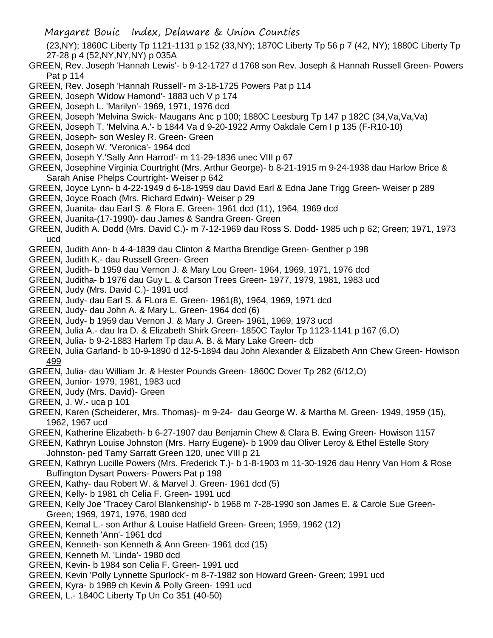- Margaret Bouic Index, Delaware & Union Counties
- (23,NY); 1860C Liberty Tp 1121-1131 p 152 (33,NY); 1870C Liberty Tp 56 p 7 (42, NY); 1880C Liberty Tp 27-28 p 4 (52,NY,NY,NY) p 035A
- GREEN, Rev. Joseph 'Hannah Lewis'- b 9-12-1727 d 1768 son Rev. Joseph & Hannah Russell Green- Powers Pat p 114
- GREEN, Rev. Joseph 'Hannah Russell'- m 3-18-1725 Powers Pat p 114
- GREEN, Joseph 'Widow Hamond'- 1883 uch V p 174
- GREEN, Joseph L. 'Marilyn'- 1969, 1971, 1976 dcd
- GREEN, Joseph 'Melvina Swick- Maugans Anc p 100; 1880C Leesburg Tp 147 p 182C (34,Va,Va,Va)
- GREEN, Joseph T. 'Melvina A.'- b 1844 Va d 9-20-1922 Army Oakdale Cem I p 135 (F-R10-10)
- GREEN, Joseph- son Wesley R. Green- Green
- GREEN, Joseph W. 'Veronica'- 1964 dcd
- GREEN, Joseph Y.'Sally Ann Harrod'- m 11-29-1836 unec VIII p 67
- GREEN, Josephine Virginia Courtright (Mrs. Arthur George)- b 8-21-1915 m 9-24-1938 dau Harlow Brice & Sarah Anise Phelps Courtright- Weiser p 642
- GREEN, Joyce Lynn- b 4-22-1949 d 6-18-1959 dau David Earl & Edna Jane Trigg Green- Weiser p 289 GREEN, Joyce Roach (Mrs. Richard Edwin)- Weiser p 29
- GREEN, Juanita- dau Earl S. & Flora E. Green- 1961 dcd (11), 1964, 1969 dcd
- GREEN, Juanita-(17-1990)- dau James & Sandra Green- Green
- GREEN, Judith A. Dodd (Mrs. David C.)- m 7-12-1969 dau Ross S. Dodd- 1985 uch p 62; Green; 1971, 1973 ucd
- GREEN, Judith Ann- b 4-4-1839 dau Clinton & Martha Brendige Green- Genther p 198
- GREEN, Judith K.- dau Russell Green- Green
- GREEN, Judith- b 1959 dau Vernon J. & Mary Lou Green- 1964, 1969, 1971, 1976 dcd
- GREEN, Juditha- b 1976 dau Guy L. & Carson Trees Green- 1977, 1979, 1981, 1983 ucd
- GREEN, Judy (Mrs. David C.)- 1991 ucd
- GREEN, Judy- dau Earl S. & FLora E. Green- 1961(8), 1964, 1969, 1971 dcd
- GREEN, Judy- dau John A. & Mary L. Green- 1964 dcd (6)
- GREEN, Judy- b 1959 dau Vernon J. & Mary J. Green- 1961, 1969, 1973 ucd
- GREEN, Julia A.- dau Ira D. & Elizabeth Shirk Green- 1850C Taylor Tp 1123-1141 p 167 (6,O)
- GREEN, Julia- b 9-2-1883 Harlem Tp dau A. B. & Mary Lake Green- dcb
- GREEN, Julia Garland- b 10-9-1890 d 12-5-1894 dau John Alexander & Elizabeth Ann Chew Green- Howison 499
- GREEN, Julia- dau William Jr. & Hester Pounds Green- 1860C Dover Tp 282 (6/12,O)
- GREEN, Junior- 1979, 1981, 1983 ucd
- GREEN, Judy (Mrs. David)- Green
- GREEN, J. W.- uca p 101
- GREEN, Karen (Scheiderer, Mrs. Thomas)- m 9-24- dau George W. & Martha M. Green- 1949, 1959 (15), 1962, 1967 ucd
- GREEN, Katherine Elizabeth- b 6-27-1907 dau Benjamin Chew & Clara B. Ewing Green- Howison 1157
- GREEN, Kathryn Louise Johnston (Mrs. Harry Eugene)- b 1909 dau Oliver Leroy & Ethel Estelle Story Johnston- ped Tamy Sarratt Green 120, unec VIII p 21
- GREEN, Kathryn Lucille Powers (Mrs. Frederick T.)- b 1-8-1903 m 11-30-1926 dau Henry Van Horn & Rose Buffington Dysart Powers- Powers Pat p 198
- GREEN, Kathy- dau Robert W. & Marvel J. Green- 1961 dcd (5)
- GREEN, Kelly- b 1981 ch Celia F. Green- 1991 ucd
- GREEN, Kelly Joe 'Tracey Carol Blankenship'- b 1968 m 7-28-1990 son James E. & Carole Sue Green-Green; 1969, 1971, 1976, 1980 dcd
- GREEN, Kemal L.- son Arthur & Louise Hatfield Green- Green; 1959, 1962 (12)
- GREEN, Kenneth 'Ann'- 1961 dcd
- GREEN, Kenneth- son Kenneth & Ann Green- 1961 dcd (15)
- GREEN, Kenneth M. 'Linda'- 1980 dcd
- GREEN, Kevin- b 1984 son Celia F. Green- 1991 ucd
- GREEN, Kevin 'Polly Lynnette Spurlock'- m 8-7-1982 son Howard Green- Green; 1991 ucd
- GREEN, Kyra- b 1989 ch Kevin & Polly Green- 1991 ucd
- GREEN, L.- 1840C Liberty Tp Un Co 351 (40-50)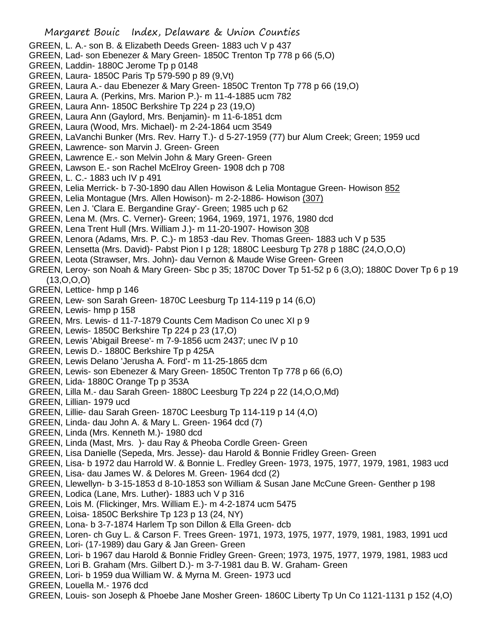Margaret Bouic Index, Delaware & Union Counties GREEN, L. A.- son B. & Elizabeth Deeds Green- 1883 uch V p 437 GREEN, Lad- son Ebenezer & Mary Green- 1850C Trenton Tp 778 p 66 (5,O) GREEN, Laddin- 1880C Jerome Tp p 0148 GREEN, Laura- 1850C Paris Tp 579-590 p 89 (9,Vt) GREEN, Laura A.- dau Ebenezer & Mary Green- 1850C Trenton Tp 778 p 66 (19,O) GREEN, Laura A. (Perkins, Mrs. Marion P.)- m 11-4-1885 ucm 782 GREEN, Laura Ann- 1850C Berkshire Tp 224 p 23 (19,O) GREEN, Laura Ann (Gaylord, Mrs. Benjamin)- m 11-6-1851 dcm GREEN, Laura (Wood, Mrs. Michael)- m 2-24-1864 ucm 3549 GREEN, LaVanchi Bunker (Mrs. Rev. Harry T.)- d 5-27-1959 (77) bur Alum Creek; Green; 1959 ucd GREEN, Lawrence- son Marvin J. Green- Green GREEN, Lawrence E.- son Melvin John & Mary Green- Green GREEN, Lawson E.- son Rachel McElroy Green- 1908 dch p 708 GREEN, L. C.- 1883 uch IV p 491 GREEN, Lelia Merrick- b 7-30-1890 dau Allen Howison & Lelia Montague Green- Howison 852 GREEN, Lelia Montague (Mrs. Allen Howison)- m 2-2-1886- Howison (307) GREEN, Len J. 'Clara E. Bergandine Gray'- Green; 1985 uch p 62 GREEN, Lena M. (Mrs. C. Verner)- Green; 1964, 1969, 1971, 1976, 1980 dcd GREEN, Lena Trent Hull (Mrs. William J.)- m 11-20-1907- Howison 308 GREEN, Lenora (Adams, Mrs. P. C.)- m 1853 -dau Rev. Thomas Green- 1883 uch V p 535 GREEN, Lensetta (Mrs. David)- Pabst Pion I p 128; 1880C Leesburg Tp 278 p 188C (24,O,O,O) GREEN, Leota (Strawser, Mrs. John)- dau Vernon & Maude Wise Green- Green GREEN, Leroy- son Noah & Mary Green- Sbc p 35; 1870C Dover Tp 51-52 p 6 (3,O); 1880C Dover Tp 6 p 19 (13,O,O,O) GREEN, Lettice- hmp p 146 GREEN, Lew- son Sarah Green- 1870C Leesburg Tp 114-119 p 14 (6,O) GREEN, Lewis- hmp p 158 GREEN, Mrs. Lewis- d 11-7-1879 Counts Cem Madison Co unec XI p 9 GREEN, Lewis- 1850C Berkshire Tp 224 p 23 (17,O) GREEN, Lewis 'Abigail Breese'- m 7-9-1856 ucm 2437; unec IV p 10 GREEN, Lewis D.- 1880C Berkshire Tp p 425A GREEN, Lewis Delano 'Jerusha A. Ford'- m 11-25-1865 dcm GREEN, Lewis- son Ebenezer & Mary Green- 1850C Trenton Tp 778 p 66 (6,O) GREEN, Lida- 1880C Orange Tp p 353A GREEN, Lilla M.- dau Sarah Green- 1880C Leesburg Tp 224 p 22 (14,O,O,Md) GREEN, Lillian- 1979 ucd GREEN, Lillie- dau Sarah Green- 1870C Leesburg Tp 114-119 p 14 (4,O) GREEN, Linda- dau John A. & Mary L. Green- 1964 dcd (7) GREEN, Linda (Mrs. Kenneth M.)- 1980 dcd GREEN, Linda (Mast, Mrs. )- dau Ray & Pheoba Cordle Green- Green GREEN, Lisa Danielle (Sepeda, Mrs. Jesse)- dau Harold & Bonnie Fridley Green- Green GREEN, Lisa- b 1972 dau Harrold W. & Bonnie L. Fredley Green- 1973, 1975, 1977, 1979, 1981, 1983 ucd GREEN, Lisa- dau James W. & Delores M. Green- 1964 dcd (2) GREEN, Llewellyn- b 3-15-1853 d 8-10-1853 son William & Susan Jane McCune Green- Genther p 198 GREEN, Lodica (Lane, Mrs. Luther)- 1883 uch V p 316 GREEN, Lois M. (Flickinger, Mrs. William E.)- m 4-2-1874 ucm 5475 GREEN, Loisa- 1850C Berkshire Tp 123 p 13 (24, NY) GREEN, Lona- b 3-7-1874 Harlem Tp son Dillon & Ella Green- dcb GREEN, Loren- ch Guy L. & Carson F. Trees Green- 1971, 1973, 1975, 1977, 1979, 1981, 1983, 1991 ucd GREEN, Lori- (17-1989) dau Gary & Jan Green- Green GREEN, Lori- b 1967 dau Harold & Bonnie Fridley Green- Green; 1973, 1975, 1977, 1979, 1981, 1983 ucd GREEN, Lori B. Graham (Mrs. Gilbert D.)- m 3-7-1981 dau B. W. Graham- Green GREEN, Lori- b 1959 dua William W. & Myrna M. Green- 1973 ucd GREEN, Louella M.- 1976 dcd GREEN, Louis- son Joseph & Phoebe Jane Mosher Green- 1860C Liberty Tp Un Co 1121-1131 p 152 (4,O)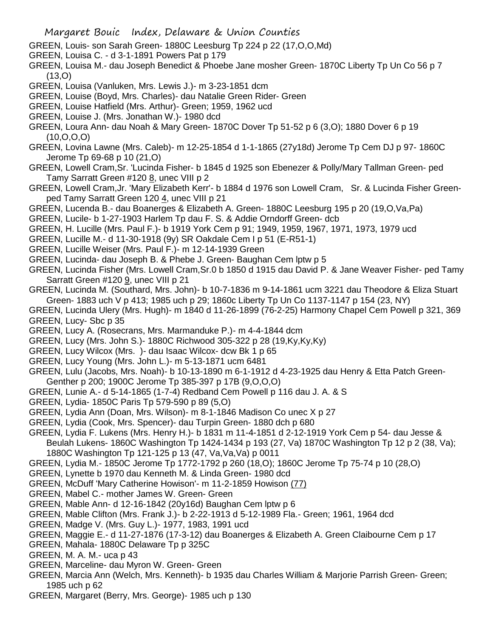- GREEN, Louis- son Sarah Green- 1880C Leesburg Tp 224 p 22 (17,O,O,Md)
- GREEN, Louisa C. d 3-1-1891 Powers Pat p 179
- GREEN, Louisa M.- dau Joseph Benedict & Phoebe Jane mosher Green- 1870C Liberty Tp Un Co 56 p 7 (13,O)
- GREEN, Louisa (Vanluken, Mrs. Lewis J.)- m 3-23-1851 dcm
- GREEN, Louise (Boyd, Mrs. Charles)- dau Natalie Green Rider- Green
- GREEN, Louise Hatfield (Mrs. Arthur)- Green; 1959, 1962 ucd
- GREEN, Louise J. (Mrs. Jonathan W.)- 1980 dcd
- GREEN, Loura Ann- dau Noah & Mary Green- 1870C Dover Tp 51-52 p 6 (3,O); 1880 Dover 6 p 19 (10,O,O,O)
- GREEN, Lovina Lawne (Mrs. Caleb)- m 12-25-1854 d 1-1-1865 (27y18d) Jerome Tp Cem DJ p 97- 1860C Jerome Tp 69-68 p 10 (21,O)
- GREEN, Lowell Cram,Sr. 'Lucinda Fisher- b 1845 d 1925 son Ebenezer & Polly/Mary Tallman Green- ped Tamy Sarratt Green #120 8, unec VIII p 2
- GREEN, Lowell Cram,Jr. 'Mary Elizabeth Kerr'- b 1884 d 1976 son Lowell Cram, Sr. & Lucinda Fisher Greenped Tamy Sarratt Green 120 4, unec VIII p 21
- GREEN, Lucenda B.- dau Boanerges & Elizabeth A. Green- 1880C Leesburg 195 p 20 (19,O,Va,Pa)
- GREEN, Lucile- b 1-27-1903 Harlem Tp dau F. S. & Addie Orndorff Green- dcb
- GREEN, H. Lucille (Mrs. Paul F.)- b 1919 York Cem p 91; 1949, 1959, 1967, 1971, 1973, 1979 ucd
- GREEN, Lucille M.- d 11-30-1918 (9y) SR Oakdale Cem I p 51 (E-R51-1)
- GREEN, Lucille Weiser (Mrs. Paul F.)- m 12-14-1939 Green
- GREEN, Lucinda- dau Joseph B. & Phebe J. Green- Baughan Cem lptw p 5
- GREEN, Lucinda Fisher (Mrs. Lowell Cram,Sr.0 b 1850 d 1915 dau David P. & Jane Weaver Fisher- ped Tamy Sarratt Green #120 9, unec VIII p 21
- GREEN, Lucinda M. (Southard, Mrs. John)- b 10-7-1836 m 9-14-1861 ucm 3221 dau Theodore & Eliza Stuart Green- 1883 uch V p 413; 1985 uch p 29; 1860c Liberty Tp Un Co 1137-1147 p 154 (23, NY)
- GREEN, Lucinda Ulery (Mrs. Hugh)- m 1840 d 11-26-1899 (76-2-25) Harmony Chapel Cem Powell p 321, 369 GREEN, Lucy- Sbc p 35
- GREEN, Lucy A. (Rosecrans, Mrs. Marmanduke P.)- m 4-4-1844 dcm
- GREEN, Lucy (Mrs. John S.)- 1880C Richwood 305-322 p 28 (19,Ky,Ky,Ky)
- GREEN, Lucy Wilcox (Mrs. )- dau Isaac Wilcox- dcw Bk 1 p 65
- GREEN, Lucy Young (Mrs. John L.)- m 5-13-1871 ucm 6481
- GREEN, Lulu (Jacobs, Mrs. Noah)- b 10-13-1890 m 6-1-1912 d 4-23-1925 dau Henry & Etta Patch Green-Genther p 200; 1900C Jerome Tp 385-397 p 17B (9,O,O,O)
- GREEN, Lunie A.- d 5-14-1865 (1-7-4) Redband Cem Powell p 116 dau J. A. & S
- GREEN, Lydia- 1850C Paris Tp 579-590 p 89 (5,O)
- GREEN, Lydia Ann (Doan, Mrs. Wilson)- m 8-1-1846 Madison Co unec X p 27
- GREEN, Lydia (Cook, Mrs. Spencer)- dau Turpin Green- 1880 dch p 680
- GREEN, Lydia F. Lukens (Mrs. Henry H.)- b 1831 m 11-4-1851 d 2-12-1919 York Cem p 54- dau Jesse & Beulah Lukens- 1860C Washington Tp 1424-1434 p 193 (27, Va) 1870C Washington Tp 12 p 2 (38, Va); 1880C Washington Tp 121-125 p 13 (47, Va,Va,Va) p 0011
- GREEN, Lydia M.- 1850C Jerome Tp 1772-1792 p 260 (18,O); 1860C Jerome Tp 75-74 p 10 (28,O)
- GREEN, Lynette b 1970 dau Kenneth M. & Linda Green- 1980 dcd
- GREEN, McDuff 'Mary Catherine Howison'- m 11-2-1859 Howison (77)
- GREEN, Mabel C.- mother James W. Green- Green
- GREEN, Mable Ann- d 12-16-1842 (20y16d) Baughan Cem lptw p 6
- GREEN, Mable Clifton (Mrs. Frank J.)- b 2-22-1913 d 5-12-1989 Fla.- Green; 1961, 1964 dcd
- GREEN, Madge V. (Mrs. Guy L.)- 1977, 1983, 1991 ucd
- GREEN, Maggie E.- d 11-27-1876 (17-3-12) dau Boanerges & Elizabeth A. Green Claibourne Cem p 17
- GREEN, Mahala- 1880C Delaware Tp p 325C
- GREEN, M. A. M.- uca p 43
- GREEN, Marceline- dau Myron W. Green- Green
- GREEN, Marcia Ann (Welch, Mrs. Kenneth)- b 1935 dau Charles William & Marjorie Parrish Green- Green; 1985 uch p 62
- GREEN, Margaret (Berry, Mrs. George)- 1985 uch p 130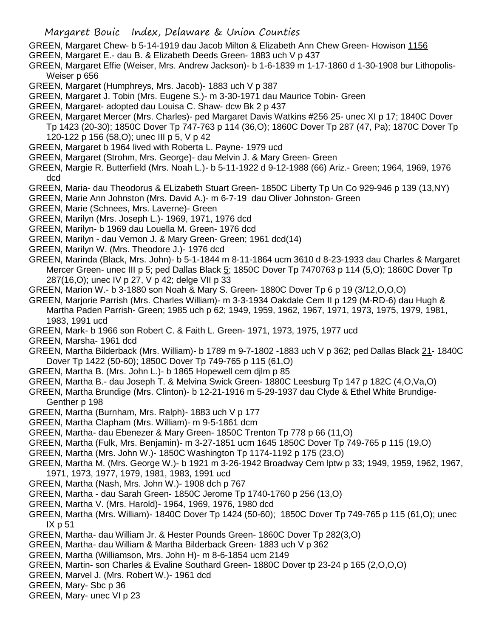- GREEN, Margaret Chew- b 5-14-1919 dau Jacob Milton & Elizabeth Ann Chew Green- Howison 1156
- GREEN, Margaret E.- dau B. & Elizabeth Deeds Green- 1883 uch V p 437
- GREEN, Margaret Effie (Weiser, Mrs. Andrew Jackson)- b 1-6-1839 m 1-17-1860 d 1-30-1908 bur Lithopolis-Weiser p 656
- GREEN, Margaret (Humphreys, Mrs. Jacob)- 1883 uch V p 387
- GREEN, Margaret J. Tobin (Mrs. Eugene S.)- m 3-30-1971 dau Maurice Tobin- Green
- GREEN, Margaret- adopted dau Louisa C. Shaw- dcw Bk 2 p 437
- GREEN, Margaret Mercer (Mrs. Charles)- ped Margaret Davis Watkins #256 25- unec XI p 17; 1840C Dover
	- Tp 1423 (20-30); 1850C Dover Tp 747-763 p 114 (36,O); 1860C Dover Tp 287 (47, Pa); 1870C Dover Tp 120-122 p 156 (58,O); unec III p 5, V p 42
- GREEN, Margaret b 1964 lived with Roberta L. Payne- 1979 ucd
- GREEN, Margaret (Strohm, Mrs. George)- dau Melvin J. & Mary Green- Green
- GREEN, Margie R. Butterfield (Mrs. Noah L.)- b 5-11-1922 d 9-12-1988 (66) Ariz.- Green; 1964, 1969, 1976 dcd
- GREEN, Maria- dau Theodorus & ELizabeth Stuart Green- 1850C Liberty Tp Un Co 929-946 p 139 (13,NY)
- GREEN, Marie Ann Johnston (Mrs. David A.)- m 6-7-19 dau Oliver Johnston- Green
- GREEN, Marie (Schnees, Mrs. Laverne)- Green
- GREEN, Marilyn (Mrs. Joseph L.)- 1969, 1971, 1976 dcd
- GREEN, Marilyn- b 1969 dau Louella M. Green- 1976 dcd
- GREEN, Marilyn dau Vernon J. & Mary Green- Green; 1961 dcd(14)
- GREEN, Marilyn W. (Mrs. Theodore J.)- 1976 dcd
- GREEN, Marinda (Black, Mrs. John)- b 5-1-1844 m 8-11-1864 ucm 3610 d 8-23-1933 dau Charles & Margaret Mercer Green- unec III p 5; ped Dallas Black 5; 1850C Dover Tp 7470763 p 114 (5,O); 1860C Dover Tp 287(16,O); unec IV p 27, V p 42; delge VII p 33
- GREEN, Marion W.- b 3-1880 son Noah & Mary S. Green- 1880C Dover Tp 6 p 19 (3/12,O,O,O)
- GREEN, Marjorie Parrish (Mrs. Charles William)- m 3-3-1934 Oakdale Cem II p 129 (M-RD-6) dau Hugh & Martha Paden Parrish- Green; 1985 uch p 62; 1949, 1959, 1962, 1967, 1971, 1973, 1975, 1979, 1981, 1983, 1991 ucd
- GREEN, Mark- b 1966 son Robert C. & Faith L. Green- 1971, 1973, 1975, 1977 ucd
- GREEN, Marsha- 1961 dcd
- GREEN, Martha Bilderback (Mrs. William)- b 1789 m 9-7-1802 -1883 uch V p 362; ped Dallas Black 21- 1840C Dover Tp 1422 (50-60); 1850C Dover Tp 749-765 p 115 (61,O)
- GREEN, Martha B. (Mrs. John L.)- b 1865 Hopewell cem djlm p 85
- GREEN, Martha B.- dau Joseph T. & Melvina Swick Green- 1880C Leesburg Tp 147 p 182C (4,O,Va,O)
- GREEN, Martha Brundige (Mrs. Clinton)- b 12-21-1916 m 5-29-1937 dau Clyde & Ethel White Brundige-Genther p 198
- GREEN, Martha (Burnham, Mrs. Ralph)- 1883 uch V p 177
- GREEN, Martha Clapham (Mrs. William)- m 9-5-1861 dcm
- GREEN, Martha- dau Ebenezer & Mary Green- 1850C Trenton Tp 778 p 66 (11,O)
- GREEN, Martha (Fulk, Mrs. Benjamin)- m 3-27-1851 ucm 1645 1850C Dover Tp 749-765 p 115 (19,O)
- GREEN, Martha (Mrs. John W.)- 1850C Washington Tp 1174-1192 p 175 (23,O)
- GREEN, Martha M. (Mrs. George W.)- b 1921 m 3-26-1942 Broadway Cem lptw p 33; 1949, 1959, 1962, 1967, 1971, 1973, 1977, 1979, 1981, 1983, 1991 ucd
- GREEN, Martha (Nash, Mrs. John W.)- 1908 dch p 767
- GREEN, Martha dau Sarah Green- 1850C Jerome Tp 1740-1760 p 256 (13,O)
- GREEN, Martha V. (Mrs. Harold)- 1964, 1969, 1976, 1980 dcd
- GREEN, Martha (Mrs. William)- 1840C Dover Tp 1424 (50-60); 1850C Dover Tp 749-765 p 115 (61,O); unec IX p 51
- GREEN, Martha- dau William Jr. & Hester Pounds Green- 1860C Dover Tp 282(3,O)
- GREEN, Martha- dau William & Martha Bilderback Green- 1883 uch V p 362
- GREEN, Martha (Williamson, Mrs. John H)- m 8-6-1854 ucm 2149
- GREEN, Martin- son Charles & Evaline Southard Green- 1880C Dover tp 23-24 p 165 (2,O,O,O)
- GREEN, Marvel J. (Mrs. Robert W.)- 1961 dcd
- GREEN, Mary- Sbc p 36
- GREEN, Mary- unec VI p 23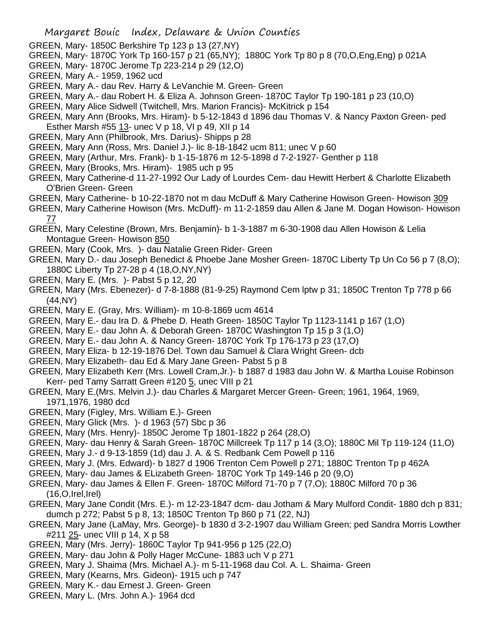- GREEN, Mary- 1850C Berkshire Tp 123 p 13 (27,NY)
- GREEN, Mary- 1870C York Tp 160-157 p 21 (65,NY); 1880C York Tp 80 p 8 (70,O,Eng,Eng) p 021A
- GREEN, Mary- 1870C Jerome Tp 223-214 p 29 (12,O)
- GREEN, Mary A.- 1959, 1962 ucd
- GREEN, Mary A.- dau Rev. Harry & LeVanchie M. Green- Green
- GREEN, Mary A.- dau Robert H. & Eliza A. Johnson Green- 1870C Taylor Tp 190-181 p 23 (10,O)
- GREEN, Mary Alice Sidwell (Twitchell, Mrs. Marion Francis)- McKitrick p 154
- GREEN, Mary Ann (Brooks, Mrs. Hiram)- b 5-12-1843 d 1896 dau Thomas V. & Nancy Paxton Green- ped Esther Marsh #55 13- unec V p 18, VI p 49, XII p 14
- GREEN, Mary Ann (Philbrook, Mrs. Darius)- Shipps p 28
- GREEN, Mary Ann (Ross, Mrs. Daniel J.)- lic 8-18-1842 ucm 811; unec V p 60
- GREEN, Mary (Arthur, Mrs. Frank)- b 1-15-1876 m 12-5-1898 d 7-2-1927- Genther p 118
- GREEN, Mary (Brooks, Mrs. Hiram)- 1985 uch p 95
- GREEN, Mary Catherine-d 11-27-1992 Our Lady of Lourdes Cem- dau Hewitt Herbert & Charlotte Elizabeth O'Brien Green- Green
- GREEN, Mary Catherine- b 10-22-1870 not m dau McDuff & Mary Catherine Howison Green- Howison 309
- GREEN, Mary Catherine Howison (Mrs. McDuff)- m 11-2-1859 dau Allen & Jane M. Dogan Howison- Howison 77
- GREEN, Mary Celestine (Brown, Mrs. Benjamin)- b 1-3-1887 m 6-30-1908 dau Allen Howison & Lelia Montague Green- Howison 850
- GREEN, Mary (Cook, Mrs. )- dau Natalie Green Rider- Green
- GREEN, Mary D.- dau Joseph Benedict & Phoebe Jane Mosher Green- 1870C Liberty Tp Un Co 56 p 7 (8,O); 1880C Liberty Tp 27-28 p 4 (18,O,NY,NY)
- GREEN, Mary E. (Mrs. )- Pabst 5 p 12, 20
- GREEN, Mary (Mrs. Ebenezer)- d 7-8-1888 (81-9-25) Raymond Cem lptw p 31; 1850C Trenton Tp 778 p 66 (44,NY)
- GREEN, Mary E. (Gray, Mrs. William)- m 10-8-1869 ucm 4614
- GREEN, Mary E.- dau Ira D. & Phebe D. Heath Green- 1850C Taylor Tp 1123-1141 p 167 (1,O)
- GREEN, Mary E.- dau John A. & Deborah Green- 1870C Washington Tp 15 p 3 (1,O)
- GREEN, Mary E.- dau John A. & Nancy Green- 1870C York Tp 176-173 p 23 (17,O)
- GREEN, Mary Eliza- b 12-19-1876 Del. Town dau Samuel & Clara Wright Green- dcb
- GREEN, Mary Elizabeth- dau Ed & Mary Jane Green- Pabst 5 p 8
- GREEN, Mary Elizabeth Kerr (Mrs. Lowell Cram,Jr.)- b 1887 d 1983 dau John W. & Martha Louise Robinson Kerr- ped Tamy Sarratt Green #120 5, unec VIII p 21
- GREEN, Mary E.(Mrs. Melvin J.)- dau Charles & Margaret Mercer Green- Green; 1961, 1964, 1969, 1971,1976, 1980 dcd
- GREEN, Mary (Figley, Mrs. William E.)- Green
- GREEN, Mary Glick (Mrs. )- d 1963 (57) Sbc p 36
- GREEN, Mary (Mrs. Henry)- 1850C Jerome Tp 1801-1822 p 264 (28,O)
- GREEN, Mary- dau Henry & Sarah Green- 1870C Millcreek Tp 117 p 14 (3,O); 1880C Mil Tp 119-124 (11,O)
- GREEN, Mary J.- d 9-13-1859 (1d) dau J. A. & S. Redbank Cem Powell p 116
- GREEN, Mary J. (Mrs. Edward)- b 1827 d 1906 Trenton Cem Powell p 271; 1880C Trenton Tp p 462A
- GREEN, Mary- dau James & ELizabeth Green- 1870C York Tp 149-146 p 20 (9,O)
- GREEN, Mary- dau James & Ellen F. Green- 1870C Milford 71-70 p 7 (7,O); 1880C Milford 70 p 36  $(16, 0, 1$ rel, $|rel\rangle$
- GREEN, Mary Jane Condit (Mrs. E.)- m 12-23-1847 dcm- dau Jotham & Mary Mulford Condit- 1880 dch p 831; dumch p 272; Pabst 5 p 8, 13; 1850C Trenton Tp 860 p 71 (22, NJ)
- GREEN, Mary Jane (LaMay, Mrs. George)- b 1830 d 3-2-1907 dau William Green; ped Sandra Morris Lowther #211 25- unec VIII p 14, X p 58
- GREEN, Mary (Mrs. Jerry)- 1860C Taylor Tp 941-956 p 125 (22,O)
- GREEN, Mary- dau John & Polly Hager McCune- 1883 uch V p 271
- GREEN, Mary J. Shaima (Mrs. Michael A.)- m 5-11-1968 dau Col. A. L. Shaima- Green
- GREEN, Mary (Kearns, Mrs. Gideon)- 1915 uch p 747
- GREEN, Mary K.- dau Ernest J. Green- Green
- GREEN, Mary L. (Mrs. John A.)- 1964 dcd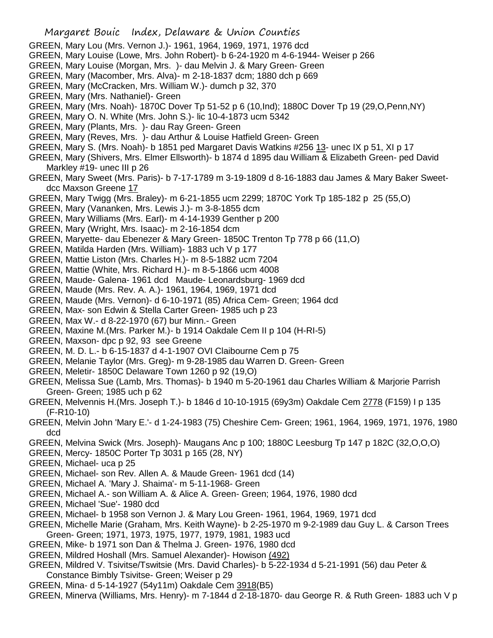- Margaret Bouic Index, Delaware & Union Counties GREEN, Mary Lou (Mrs. Vernon J.)- 1961, 1964, 1969, 1971, 1976 dcd GREEN, Mary Louise (Lowe, Mrs. John Robert)- b 6-24-1920 m 4-6-1944- Weiser p 266 GREEN, Mary Louise (Morgan, Mrs. )- dau Melvin J. & Mary Green- Green GREEN, Mary (Macomber, Mrs. Alva)- m 2-18-1837 dcm; 1880 dch p 669 GREEN, Mary (McCracken, Mrs. William W.)- dumch p 32, 370 GREEN, Mary (Mrs. Nathaniel)- Green GREEN, Mary (Mrs. Noah)- 1870C Dover Tp 51-52 p 6 (10,Ind); 1880C Dover Tp 19 (29,O,Penn,NY) GREEN, Mary O. N. White (Mrs. John S.)- lic 10-4-1873 ucm 5342 GREEN, Mary (Plants, Mrs. )- dau Ray Green- Green GREEN, Mary (Reves, Mrs. )- dau Arthur & Louise Hatfield Green- Green GREEN, Mary S. (Mrs. Noah)- b 1851 ped Margaret Davis Watkins #256 13- unec IX p 51, XI p 17 GREEN, Mary (Shivers, Mrs. Elmer Ellsworth)- b 1874 d 1895 dau William & Elizabeth Green- ped David Markley #19- unec III p 26 GREEN, Mary Sweet (Mrs. Paris)- b 7-17-1789 m 3-19-1809 d 8-16-1883 dau James & Mary Baker Sweetdcc Maxson Greene 17 GREEN, Mary Twigg (Mrs. Braley)- m 6-21-1855 ucm 2299; 1870C York Tp 185-182 p 25 (55,O) GREEN, Mary (Vananken, Mrs. Lewis J.)- m 3-8-1855 dcm GREEN, Mary Williams (Mrs. Earl)- m 4-14-1939 Genther p 200 GREEN, Mary (Wright, Mrs. Isaac)- m 2-16-1854 dcm GREEN, Maryette- dau Ebenezer & Mary Green- 1850C Trenton Tp 778 p 66 (11,O) GREEN, Matilda Harden (Mrs. William)- 1883 uch V p 177 GREEN, Mattie Liston (Mrs. Charles H.)- m 8-5-1882 ucm 7204 GREEN, Mattie (White, Mrs. Richard H.)- m 8-5-1866 ucm 4008 GREEN, Maude- Galena- 1961 dcd Maude- Leonardsburg- 1969 dcd GREEN, Maude (Mrs. Rev. A. A.)- 1961, 1964, 1969, 1971 dcd GREEN, Maude (Mrs. Vernon)- d 6-10-1971 (85) Africa Cem- Green; 1964 dcd GREEN, Max- son Edwin & Stella Carter Green- 1985 uch p 23 GREEN, Max W.- d 8-22-1970 (67) bur Minn.- Green GREEN, Maxine M.(Mrs. Parker M.)- b 1914 Oakdale Cem II p 104 (H-RI-5) GREEN, Maxson- dpc p 92, 93 see Greene GREEN, M. D. L.- b 6-15-1837 d 4-1-1907 OVI Claibourne Cem p 75 GREEN, Melanie Taylor (Mrs. Greg)- m 9-28-1985 dau Warren D. Green- Green GREEN, Meletir- 1850C Delaware Town 1260 p 92 (19,O) GREEN, Melissa Sue (Lamb, Mrs. Thomas)- b 1940 m 5-20-1961 dau Charles William & Marjorie Parrish Green- Green; 1985 uch p 62 GREEN, Melvennis H.(Mrs. Joseph T.)- b 1846 d 10-10-1915 (69y3m) Oakdale Cem 2778 (F159) I p 135 (F-R10-10) GREEN, Melvin John 'Mary E.'- d 1-24-1983 (75) Cheshire Cem- Green; 1961, 1964, 1969, 1971, 1976, 1980 dcd GREEN, Melvina Swick (Mrs. Joseph)- Maugans Anc p 100; 1880C Leesburg Tp 147 p 182C (32,O,O,O)
- GREEN, Mercy- 1850C Porter Tp 3031 p 165 (28, NY)
- GREEN, Michael- uca p 25
- GREEN, Michael- son Rev. Allen A. & Maude Green- 1961 dcd (14)
- GREEN, Michael A. 'Mary J. Shaima'- m 5-11-1968- Green
- GREEN, Michael A.- son William A. & Alice A. Green- Green; 1964, 1976, 1980 dcd
- GREEN, Michael 'Sue'- 1980 dcd
- GREEN, Michael- b 1958 son Vernon J. & Mary Lou Green- 1961, 1964, 1969, 1971 dcd
- GREEN, Michelle Marie (Graham, Mrs. Keith Wayne)- b 2-25-1970 m 9-2-1989 dau Guy L. & Carson Trees Green- Green; 1971, 1973, 1975, 1977, 1979, 1981, 1983 ucd
- GREEN, Mike- b 1971 son Dan & Thelma J. Green- 1976, 1980 dcd
- GREEN, Mildred Hoshall (Mrs. Samuel Alexander)- Howison (492)
- GREEN, Mildred V. Tsivitse/Tswitsie (Mrs. David Charles)- b 5-22-1934 d 5-21-1991 (56) dau Peter & Constance Bimbly Tsivitse- Green; Weiser p 29
- GREEN, Mina- d 5-14-1927 (54y11m) Oakdale Cem 3918(B5)
- GREEN, Minerva (Williams, Mrs. Henry)- m 7-1844 d 2-18-1870- dau George R. & Ruth Green- 1883 uch V p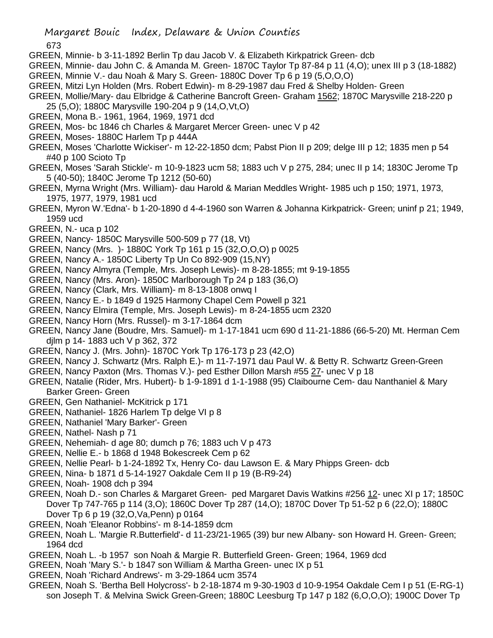673

- GREEN, Minnie- b 3-11-1892 Berlin Tp dau Jacob V. & Elizabeth Kirkpatrick Green- dcb
- GREEN, Minnie- dau John C. & Amanda M. Green- 1870C Taylor Tp 87-84 p 11 (4,O); unex III p 3 (18-1882) GREEN, Minnie V.- dau Noah & Mary S. Green- 1880C Dover Tp 6 p 19 (5,O,O,O)
- GREEN, Mitzi Lyn Holden (Mrs. Robert Edwin)- m 8-29-1987 dau Fred & Shelby Holden- Green
- GREEN, Mollie/Mary- dau Elbridge & Catherine Bancroft Green- Graham 1562; 1870C Marysville 218-220 p 25 (5,O); 1880C Marysville 190-204 p 9 (14,O,Vt,O)
- GREEN, Mona B.- 1961, 1964, 1969, 1971 dcd
- GREEN, Mos- bc 1846 ch Charles & Margaret Mercer Green- unec V p 42
- GREEN, Moses- 1880C Harlem Tp p 444A
- GREEN, Moses 'Charlotte Wickiser'- m 12-22-1850 dcm; Pabst Pion II p 209; delge III p 12; 1835 men p 54 #40 p 100 Scioto Tp
- GREEN, Moses 'Sarah Stickle'- m 10-9-1823 ucm 58; 1883 uch V p 275, 284; unec II p 14; 1830C Jerome Tp 5 (40-50); 1840C Jerome Tp 1212 (50-60)
- GREEN, Myrna Wright (Mrs. William)- dau Harold & Marian Meddles Wright- 1985 uch p 150; 1971, 1973, 1975, 1977, 1979, 1981 ucd
- GREEN, Myron W.'Edna'- b 1-20-1890 d 4-4-1960 son Warren & Johanna Kirkpatrick- Green; uninf p 21; 1949, 1959 ucd
- GREEN, N.- uca p 102
- GREEN, Nancy- 1850C Marysville 500-509 p 77 (18, Vt)
- GREEN, Nancy (Mrs. )- 1880C York Tp 161 p 15 (32,O,O,O) p 0025
- GREEN, Nancy A.- 1850C Liberty Tp Un Co 892-909 (15,NY)
- GREEN, Nancy Almyra (Temple, Mrs. Joseph Lewis)- m 8-28-1855; mt 9-19-1855
- GREEN, Nancy (Mrs. Aron)- 1850C Marlborough Tp 24 p 183 (36,O)
- GREEN, Nancy (Clark, Mrs. William)- m 8-13-1808 onwq I
- GREEN, Nancy E.- b 1849 d 1925 Harmony Chapel Cem Powell p 321
- GREEN, Nancy Elmira (Temple, Mrs. Joseph Lewis)- m 8-24-1855 ucm 2320
- GREEN, Nancy Horn (Mrs. Russel)- m 3-17-1864 dcm
- GREEN, Nancy Jane (Boudre, Mrs. Samuel)- m 1-17-1841 ucm 690 d 11-21-1886 (66-5-20) Mt. Herman Cem djlm p 14- 1883 uch V p 362, 372
- GREEN, Nancy J. (Mrs. John)- 1870C York Tp 176-173 p 23 (42,O)
- GREEN, Nancy J. Schwartz (Mrs. Ralph E.)- m 11-7-1971 dau Paul W. & Betty R. Schwartz Green-Green
- GREEN, Nancy Paxton (Mrs. Thomas V.)- ped Esther Dillon Marsh #55 27- unec V p 18
- GREEN, Natalie (Rider, Mrs. Hubert)- b 1-9-1891 d 1-1-1988 (95) Claibourne Cem- dau Nanthaniel & Mary Barker Green- Green
- GREEN, Gen Nathaniel- McKitrick p 171
- GREEN, Nathaniel- 1826 Harlem Tp delge VI p 8
- GREEN, Nathaniel 'Mary Barker'- Green
- GREEN, Nathel- Nash p 71
- GREEN, Nehemiah- d age 80; dumch p 76; 1883 uch V p 473
- GREEN, Nellie E.- b 1868 d 1948 Bokescreek Cem p 62
- GREEN, Nellie Pearl- b 1-24-1892 Tx, Henry Co- dau Lawson E. & Mary Phipps Green- dcb
- GREEN, Nina- b 1871 d 5-14-1927 Oakdale Cem II p 19 (B-R9-24)
- GREEN, Noah- 1908 dch p 394
- GREEN, Noah D.- son Charles & Margaret Green- ped Margaret Davis Watkins #256 12- unec XI p 17; 1850C Dover Tp 747-765 p 114 (3,O); 1860C Dover Tp 287 (14,O); 1870C Dover Tp 51-52 p 6 (22,O); 1880C Dover Tp 6 p 19 (32,O,Va,Penn) p 0164
- GREEN, Noah 'Eleanor Robbins'- m 8-14-1859 dcm
- GREEN, Noah L. 'Margie R.Butterfield'- d 11-23/21-1965 (39) bur new Albany- son Howard H. Green- Green; 1964 dcd
- GREEN, Noah L. -b 1957 son Noah & Margie R. Butterfield Green- Green; 1964, 1969 dcd
- GREEN, Noah 'Mary S.'- b 1847 son William & Martha Green- unec IX p 51
- GREEN, Noah 'Richard Andrews'- m 3-29-1864 ucm 3574
- GREEN, Noah S. 'Bertha Bell Holycross'- b 2-18-1874 m 9-30-1903 d 10-9-1954 Oakdale Cem I p 51 (E-RG-1) son Joseph T. & Melvina Swick Green-Green; 1880C Leesburg Tp 147 p 182 (6,O,O,O); 1900C Dover Tp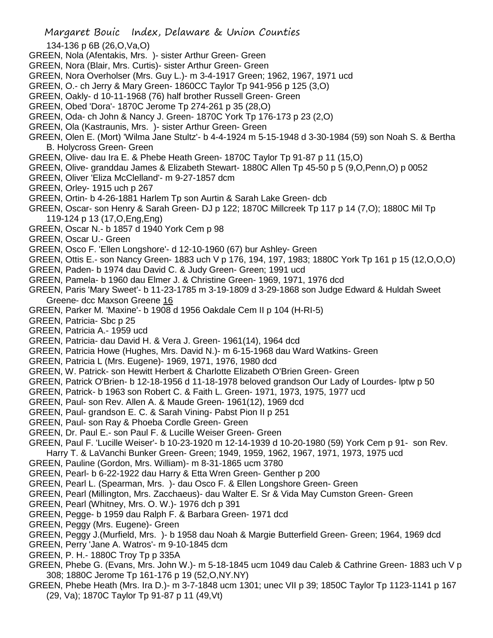Margaret Bouic Index, Delaware & Union Counties

- GREEN, Nola (Afentakis, Mrs. )- sister Arthur Green- Green
- GREEN, Nora (Blair, Mrs. Curtis)- sister Arthur Green- Green
- GREEN, Nora Overholser (Mrs. Guy L.)- m 3-4-1917 Green; 1962, 1967, 1971 ucd
- GREEN, O.- ch Jerry & Mary Green- 1860CC Taylor Tp 941-956 p 125 (3,O)
- GREEN, Oakly- d 10-11-1968 (76) half brother Russell Green- Green
- GREEN, Obed 'Dora'- 1870C Jerome Tp 274-261 p 35 (28,O)
- GREEN, Oda- ch John & Nancy J. Green- 1870C York Tp 176-173 p 23 (2,O)
- GREEN, Ola (Kastraunis, Mrs. )- sister Arthur Green- Green
- GREEN, Olen E. (Mort) 'Wilma Jane Stultz'- b 4-4-1924 m 5-15-1948 d 3-30-1984 (59) son Noah S. & Bertha B. Holycross Green- Green
- GREEN, Olive- dau Ira E. & Phebe Heath Green- 1870C Taylor Tp 91-87 p 11 (15,O)
- GREEN, Olive- granddau James & Elizabeth Stewart- 1880C Allen Tp 45-50 p 5 (9,O,Penn,O) p 0052
- GREEN, Oliver 'Eliza McClelland'- m 9-27-1857 dcm
- GREEN, Orley- 1915 uch p 267
- GREEN, Ortin- b 4-26-1881 Harlem Tp son Aurtin & Sarah Lake Green- dcb
- GREEN, Oscar- son Henry & Sarah Green- DJ p 122; 1870C Millcreek Tp 117 p 14 (7,O); 1880C Mil Tp 119-124 p 13 (17,O,Eng,Eng)
- GREEN, Oscar N.- b 1857 d 1940 York Cem p 98
- GREEN, Oscar U.- Green
- GREEN, Osco F. 'Ellen Longshore'- d 12-10-1960 (67) bur Ashley- Green
- GREEN, Ottis E.- son Nancy Green- 1883 uch V p 176, 194, 197, 1983; 1880C York Tp 161 p 15 (12,O,O,O)
- GREEN, Paden- b 1974 dau David C. & Judy Green- Green; 1991 ucd
- GREEN, Pamela- b 1960 dau Elmer J. & Christine Green- 1969, 1971, 1976 dcd
- GREEN, Paris 'Mary Sweet'- b 11-23-1785 m 3-19-1809 d 3-29-1868 son Judge Edward & Huldah Sweet Greene- dcc Maxson Greene 16
- GREEN, Parker M. 'Maxine'- b 1908 d 1956 Oakdale Cem II p 104 (H-RI-5)
- GREEN, Patricia- Sbc p 25
- GREEN, Patricia A.- 1959 ucd
- GREEN, Patricia- dau David H. & Vera J. Green- 1961(14), 1964 dcd
- GREEN, Patricia Howe (Hughes, Mrs. David N.)- m 6-15-1968 dau Ward Watkins- Green
- GREEN, Patricia L (Mrs. Eugene)- 1969, 1971, 1976, 1980 dcd
- GREEN, W. Patrick- son Hewitt Herbert & Charlotte Elizabeth O'Brien Green- Green
- GREEN, Patrick O'Brien- b 12-18-1956 d 11-18-1978 beloved grandson Our Lady of Lourdes- lptw p 50
- GREEN, Patrick- b 1963 son Robert C. & Faith L. Green- 1971, 1973, 1975, 1977 ucd
- GREEN, Paul- son Rev. Allen A. & Maude Green- 1961(12), 1969 dcd
- GREEN, Paul- grandson E. C. & Sarah Vining- Pabst Pion II p 251
- GREEN, Paul- son Ray & Phoeba Cordle Green- Green
- GREEN, Dr. Paul E.- son Paul F. & Lucille Weiser Green- Green
- GREEN, Paul F. 'Lucille Weiser'- b 10-23-1920 m 12-14-1939 d 10-20-1980 (59) York Cem p 91- son Rev. Harry T. & LaVanchi Bunker Green- Green; 1949, 1959, 1962, 1967, 1971, 1973, 1975 ucd
- GREEN, Pauline (Gordon, Mrs. William)- m 8-31-1865 ucm 3780
- GREEN, Pearl- b 6-22-1922 dau Harry & Etta Wren Green- Genther p 200
- GREEN, Pearl L. (Spearman, Mrs. )- dau Osco F. & Ellen Longshore Green- Green
- GREEN, Pearl (Millington, Mrs. Zacchaeus)- dau Walter E. Sr & Vida May Cumston Green- Green
- GREEN, Pearl (Whitney, Mrs. O. W.)- 1976 dch p 391
- GREEN, Pegge- b 1959 dau Ralph F. & Barbara Green- 1971 dcd
- GREEN, Peggy (Mrs. Eugene)- Green
- GREEN, Peggy J.(Murfield, Mrs. )- b 1958 dau Noah & Margie Butterfield Green- Green; 1964, 1969 dcd
- GREEN, Perry 'Jane A. Watros'- m 9-10-1845 dcm
- GREEN, P. H.- 1880C Troy Tp p 335A
- GREEN, Phebe G. (Evans, Mrs. John W.)- m 5-18-1845 ucm 1049 dau Caleb & Cathrine Green- 1883 uch V p 308; 1880C Jerome Tp 161-176 p 19 (52,O,NY.NY)
- GREEN, Phebe Heath (Mrs. Ira D.)- m 3-7-1848 ucm 1301; unec VII p 39; 1850C Taylor Tp 1123-1141 p 167 (29, Va); 1870C Taylor Tp 91-87 p 11 (49,Vt)

<sup>134-136</sup> p 6B (26,O,Va,O)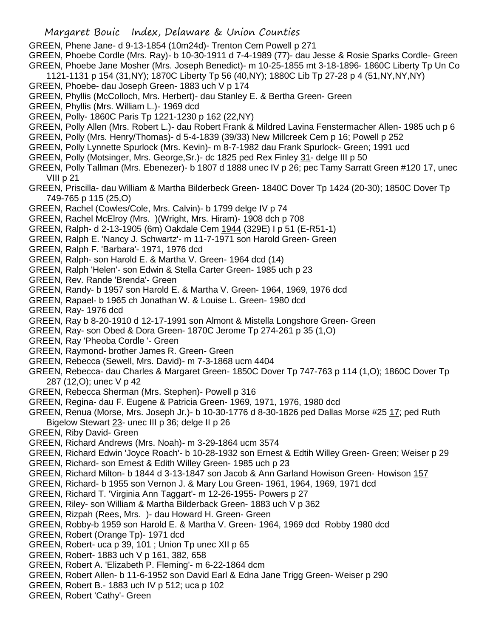GREEN, Phene Jane- d 9-13-1854 (10m24d)- Trenton Cem Powell p 271

GREEN, Phoebe Cordle (Mrs. Ray)- b 10-30-1911 d 7-4-1989 (77)- dau Jesse & Rosie Sparks Cordle- Green GREEN, Phoebe Jane Mosher (Mrs. Joseph Benedict)- m 10-25-1855 mt 3-18-1896- 1860C Liberty Tp Un Co

- 1121-1131 p 154 (31,NY); 1870C Liberty Tp 56 (40,NY); 1880C Lib Tp 27-28 p 4 (51,NY,NY,NY)
- GREEN, Phoebe- dau Joseph Green- 1883 uch V p 174
- GREEN, Phyllis (McColloch, Mrs. Herbert)- dau Stanley E. & Bertha Green- Green
- GREEN, Phyllis (Mrs. William L.)- 1969 dcd
- GREEN, Polly- 1860C Paris Tp 1221-1230 p 162 (22,NY)
- GREEN, Polly Allen (Mrs. Robert L.)- dau Robert Frank & Mildred Lavina Fenstermacher Allen- 1985 uch p 6
- GREEN, Polly (Mrs. Henry/Thomas)- d 5-4-1839 (39/33) New Millcreek Cem p 16; Powell p 252
- GREEN, Polly Lynnette Spurlock (Mrs. Kevin)- m 8-7-1982 dau Frank Spurlock- Green; 1991 ucd
- GREEN, Polly (Motsinger, Mrs. George,Sr.)- dc 1825 ped Rex Finley 31- delge III p 50
- GREEN, Polly Tallman (Mrs. Ebenezer)- b 1807 d 1888 unec IV p 26; pec Tamy Sarratt Green #120 17, unec VIII p 21
- GREEN, Priscilla- dau William & Martha Bilderbeck Green- 1840C Dover Tp 1424 (20-30); 1850C Dover Tp 749-765 p 115 (25,O)
- GREEN, Rachel (Cowles/Cole, Mrs. Calvin)- b 1799 delge IV p 74
- GREEN, Rachel McElroy (Mrs. )(Wright, Mrs. Hiram)- 1908 dch p 708
- GREEN, Ralph- d 2-13-1905 (6m) Oakdale Cem 1944 (329E) I p 51 (E-R51-1)
- GREEN, Ralph E. 'Nancy J. Schwartz'- m 11-7-1971 son Harold Green- Green
- GREEN, Ralph F. 'Barbara'- 1971, 1976 dcd
- GREEN, Ralph- son Harold E. & Martha V. Green- 1964 dcd (14)
- GREEN, Ralph 'Helen'- son Edwin & Stella Carter Green- 1985 uch p 23
- GREEN, Rev. Rande 'Brenda'- Green
- GREEN, Randy- b 1957 son Harold E. & Martha V. Green- 1964, 1969, 1976 dcd
- GREEN, Rapael- b 1965 ch Jonathan W. & Louise L. Green- 1980 dcd
- GREEN, Ray- 1976 dcd
- GREEN, Ray b 8-20-1910 d 12-17-1991 son Almont & Mistella Longshore Green- Green
- GREEN, Ray- son Obed & Dora Green- 1870C Jerome Tp 274-261 p 35 (1,O)
- GREEN, Ray 'Pheoba Cordle '- Green
- GREEN, Raymond- brother James R. Green- Green
- GREEN, Rebecca (Sewell, Mrs. David)- m 7-3-1868 ucm 4404
- GREEN, Rebecca- dau Charles & Margaret Green- 1850C Dover Tp 747-763 p 114 (1,O); 1860C Dover Tp 287 (12,O); unec V p 42
- GREEN, Rebecca Sherman (Mrs. Stephen)- Powell p 316
- GREEN, Regina- dau F. Eugene & Patricia Green- 1969, 1971, 1976, 1980 dcd
- GREEN, Renua (Morse, Mrs. Joseph Jr.)- b 10-30-1776 d 8-30-1826 ped Dallas Morse #25 17; ped Ruth Bigelow Stewart 23- unec III p 36; delge II p 26
- GREEN, Riby David- Green
- GREEN, Richard Andrews (Mrs. Noah)- m 3-29-1864 ucm 3574
- GREEN, Richard Edwin 'Joyce Roach'- b 10-28-1932 son Ernest & Edtih Willey Green- Green; Weiser p 29
- GREEN, Richard- son Ernest & Edith Willey Green- 1985 uch p 23
- GREEN, Richard Milton- b 1844 d 3-13-1847 son Jacob & Ann Garland Howison Green- Howison 157
- GREEN, Richard- b 1955 son Vernon J. & Mary Lou Green- 1961, 1964, 1969, 1971 dcd
- GREEN, Richard T. 'Virginia Ann Taggart'- m 12-26-1955- Powers p 27
- GREEN, Riley- son William & Martha Bilderback Green- 1883 uch V p 362
- GREEN, Rizpah (Rees, Mrs. )- dau Howard H. Green- Green
- GREEN, Robby-b 1959 son Harold E. & Martha V. Green- 1964, 1969 dcd Robby 1980 dcd
- GREEN, Robert (Orange Tp)- 1971 dcd
- GREEN, Robert- uca p 39, 101 ; Union Tp unec XII p 65
- GREEN, Robert- 1883 uch V p 161, 382, 658
- GREEN, Robert A. 'Elizabeth P. Fleming'- m 6-22-1864 dcm
- GREEN, Robert Allen- b 11-6-1952 son David Earl & Edna Jane Trigg Green- Weiser p 290
- GREEN, Robert B.- 1883 uch IV p 512; uca p 102
- GREEN, Robert 'Cathy'- Green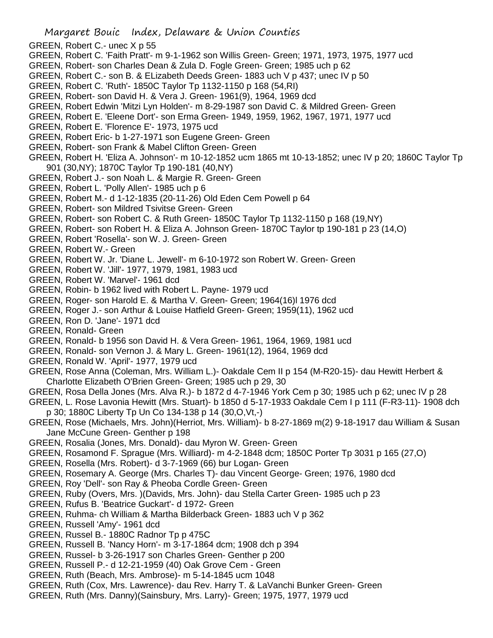- GREEN, Robert C.- unec X p 55
- GREEN, Robert C. 'Faith Pratt'- m 9-1-1962 son Willis Green- Green; 1971, 1973, 1975, 1977 ucd
- GREEN, Robert- son Charles Dean & Zula D. Fogle Green- Green; 1985 uch p 62
- GREEN, Robert C.- son B. & ELizabeth Deeds Green- 1883 uch V p 437; unec IV p 50
- GREEN, Robert C. 'Ruth'- 1850C Taylor Tp 1132-1150 p 168 (54,RI)
- GREEN, Robert- son David H. & Vera J. Green- 1961(9), 1964, 1969 dcd
- GREEN, Robert Edwin 'Mitzi Lyn Holden'- m 8-29-1987 son David C. & Mildred Green- Green
- GREEN, Robert E. 'Eleene Dort'- son Erma Green- 1949, 1959, 1962, 1967, 1971, 1977 ucd
- GREEN, Robert E. 'Florence E'- 1973, 1975 ucd
- GREEN, Robert Eric- b 1-27-1971 son Eugene Green- Green
- GREEN, Robert- son Frank & Mabel Clifton Green- Green
- GREEN, Robert H. 'Eliza A. Johnson'- m 10-12-1852 ucm 1865 mt 10-13-1852; unec IV p 20; 1860C Taylor Tp 901 (30,NY); 1870C Taylor Tp 190-181 (40,NY)
- GREEN, Robert J.- son Noah L. & Margie R. Green- Green
- GREEN, Robert L. 'Polly Allen'- 1985 uch p 6
- GREEN, Robert M.- d 1-12-1835 (20-11-26) Old Eden Cem Powell p 64
- GREEN, Robert- son Mildred Tsivitse Green- Green
- GREEN, Robert- son Robert C. & Ruth Green- 1850C Taylor Tp 1132-1150 p 168 (19,NY)
- GREEN, Robert- son Robert H. & Eliza A. Johnson Green- 1870C Taylor tp 190-181 p 23 (14,O)
- GREEN, Robert 'Rosella'- son W. J. Green- Green
- GREEN, Robert W.- Green
- GREEN, Robert W. Jr. 'Diane L. Jewell'- m 6-10-1972 son Robert W. Green- Green
- GREEN, Robert W. 'Jill'- 1977, 1979, 1981, 1983 ucd
- GREEN, Robert W. 'Marvel'- 1961 dcd
- GREEN, Robin- b 1962 lived with Robert L. Payne- 1979 ucd
- GREEN, Roger- son Harold E. & Martha V. Green- Green; 1964(16)l 1976 dcd
- GREEN, Roger J.- son Arthur & Louise Hatfield Green- Green; 1959(11), 1962 ucd
- GREEN, Ron D. 'Jane'- 1971 dcd
- GREEN, Ronald- Green
- GREEN, Ronald- b 1956 son David H. & Vera Green- 1961, 1964, 1969, 1981 ucd
- GREEN, Ronald- son Vernon J. & Mary L. Green- 1961(12), 1964, 1969 dcd
- GREEN, Ronald W. 'April'- 1977, 1979 ucd
- GREEN, Rose Anna (Coleman, Mrs. William L.)- Oakdale Cem II p 154 (M-R20-15)- dau Hewitt Herbert & Charlotte Elizabeth O'Brien Green- Green; 1985 uch p 29, 30
- GREEN, Rosa Della Jones (Mrs. Alva R.)- b 1872 d 4-7-1946 York Cem p 30; 1985 uch p 62; unec IV p 28
- GREEN, L. Rose Lavonia Hewitt (Mrs. Stuart)- b 1850 d 5-17-1933 Oakdale Cem I p 111 (F-R3-11)- 1908 dch p 30; 1880C Liberty Tp Un Co 134-138 p 14 (30,O,Vt,-)
- GREEN, Rose (Michaels, Mrs. John)(Herriot, Mrs. William)- b 8-27-1869 m(2) 9-18-1917 dau William & Susan Jane McCune Green- Genther p 198
- GREEN, Rosalia (Jones, Mrs. Donald)- dau Myron W. Green- Green
- GREEN, Rosamond F. Sprague (Mrs. Williard)- m 4-2-1848 dcm; 1850C Porter Tp 3031 p 165 (27,O)
- GREEN, Rosella (Mrs. Robert)- d 3-7-1969 (66) bur Logan- Green
- GREEN, Rosemary A. George (Mrs. Charles T)- dau Vincent George- Green; 1976, 1980 dcd
- GREEN, Roy 'Dell'- son Ray & Pheoba Cordle Green- Green
- GREEN, Ruby (Overs, Mrs. )(Davids, Mrs. John)- dau Stella Carter Green- 1985 uch p 23
- GREEN, Rufus B. 'Beatrice Guckart'- d 1972- Green
- GREEN, Ruhma- ch William & Martha Bilderback Green- 1883 uch V p 362
- GREEN, Russell 'Amy'- 1961 dcd
- GREEN, Russel B.- 1880C Radnor Tp p 475C
- GREEN, Russell B. 'Nancy Horn'- m 3-17-1864 dcm; 1908 dch p 394
- GREEN, Russel- b 3-26-1917 son Charles Green- Genther p 200
- GREEN, Russell P.- d 12-21-1959 (40) Oak Grove Cem Green
- GREEN, Ruth (Beach, Mrs. Ambrose)- m 5-14-1845 ucm 1048
- GREEN, Ruth (Cox, Mrs. Lawrence)- dau Rev. Harry T. & LaVanchi Bunker Green- Green
- GREEN, Ruth (Mrs. Danny)(Sainsbury, Mrs. Larry)- Green; 1975, 1977, 1979 ucd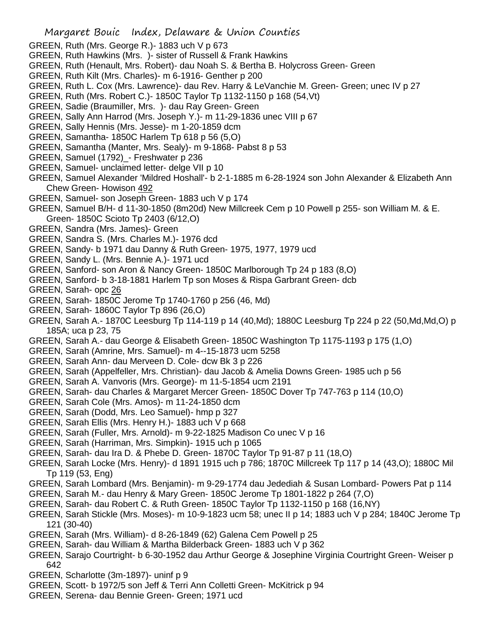Margaret Bouic Index, Delaware & Union Counties GREEN, Ruth (Mrs. George R.)- 1883 uch V p 673 GREEN, Ruth Hawkins (Mrs. )- sister of Russell & Frank Hawkins GREEN, Ruth (Henault, Mrs. Robert)- dau Noah S. & Bertha B. Holycross Green- Green GREEN, Ruth Kilt (Mrs. Charles)- m 6-1916- Genther p 200 GREEN, Ruth L. Cox (Mrs. Lawrence)- dau Rev. Harry & LeVanchie M. Green- Green; unec IV p 27 GREEN, Ruth (Mrs. Robert C.)- 1850C Taylor Tp 1132-1150 p 168 (54,Vt) GREEN, Sadie (Braumiller, Mrs. )- dau Ray Green- Green GREEN, Sally Ann Harrod (Mrs. Joseph Y.)- m 11-29-1836 unec VIII p 67 GREEN, Sally Hennis (Mrs. Jesse)- m 1-20-1859 dcm GREEN, Samantha- 1850C Harlem Tp 618 p 56 (5,O) GREEN, Samantha (Manter, Mrs. Sealy)- m 9-1868- Pabst 8 p 53 GREEN, Samuel (1792)\_- Freshwater p 236 GREEN, Samuel- unclaimed letter- delge VII p 10 GREEN, Samuel Alexander 'Mildred Hoshall'- b 2-1-1885 m 6-28-1924 son John Alexander & Elizabeth Ann Chew Green- Howison 492 GREEN, Samuel- son Joseph Green- 1883 uch V p 174 GREEN, Samuel B/H- d 11-30-1850 (8m20d) New Millcreek Cem p 10 Powell p 255- son William M. & E. Green- 1850C Scioto Tp 2403 (6/12,O) GREEN, Sandra (Mrs. James)- Green GREEN, Sandra S. (Mrs. Charles M.)- 1976 dcd GREEN, Sandy- b 1971 dau Danny & Ruth Green- 1975, 1977, 1979 ucd GREEN, Sandy L. (Mrs. Bennie A.)- 1971 ucd GREEN, Sanford- son Aron & Nancy Green- 1850C Marlborough Tp 24 p 183 (8,O) GREEN, Sanford- b 3-18-1881 Harlem Tp son Moses & Rispa Garbrant Green- dcb GREEN, Sarah- opc 26 GREEN, Sarah- 1850C Jerome Tp 1740-1760 p 256 (46, Md) GREEN, Sarah- 1860C Taylor Tp 896 (26,O) GREEN, Sarah A.- 1870C Leesburg Tp 114-119 p 14 (40,Md); 1880C Leesburg Tp 224 p 22 (50,Md,Md,O) p 185A; uca p 23, 75 GREEN, Sarah A.- dau George & Elisabeth Green- 1850C Washington Tp 1175-1193 p 175 (1,O) GREEN, Sarah (Amrine, Mrs. Samuel)- m 4--15-1873 ucm 5258 GREEN, Sarah Ann- dau Merveen D. Cole- dcw Bk 3 p 226 GREEN, Sarah (Appelfeller, Mrs. Christian)- dau Jacob & Amelia Downs Green- 1985 uch p 56

- GREEN, Sarah A. Vanvoris (Mrs. George)- m 11-5-1854 ucm 2191
- GREEN, Sarah- dau Charles & Margaret Mercer Green- 1850C Dover Tp 747-763 p 114 (10,O)
- GREEN, Sarah Cole (Mrs. Amos)- m 11-24-1850 dcm
- GREEN, Sarah (Dodd, Mrs. Leo Samuel)- hmp p 327
- GREEN, Sarah Ellis (Mrs. Henry H.)- 1883 uch V p 668
- GREEN, Sarah (Fuller, Mrs. Arnold)- m 9-22-1825 Madison Co unec V p 16
- GREEN, Sarah (Harriman, Mrs. Simpkin)- 1915 uch p 1065
- GREEN, Sarah- dau Ira D. & Phebe D. Green- 1870C Taylor Tp 91-87 p 11 (18,O)
- GREEN, Sarah Locke (Mrs. Henry)- d 1891 1915 uch p 786; 1870C Millcreek Tp 117 p 14 (43,O); 1880C Mil Tp 119 (53, Eng)
- GREEN, Sarah Lombard (Mrs. Benjamin)- m 9-29-1774 dau Jedediah & Susan Lombard- Powers Pat p 114
- GREEN, Sarah M.- dau Henry & Mary Green- 1850C Jerome Tp 1801-1822 p 264 (7,O)
- GREEN, Sarah- dau Robert C. & Ruth Green- 1850C Taylor Tp 1132-1150 p 168 (16,NY)
- GREEN, Sarah Stickle (Mrs. Moses)- m 10-9-1823 ucm 58; unec II p 14; 1883 uch V p 284; 1840C Jerome Tp 121 (30-40)
- GREEN, Sarah (Mrs. William)- d 8-26-1849 (62) Galena Cem Powell p 25
- GREEN, Sarah- dau William & Martha Bilderback Green- 1883 uch V p 362
- GREEN, Sarajo Courtright- b 6-30-1952 dau Arthur George & Josephine Virginia Courtright Green- Weiser p 642
- GREEN, Scharlotte (3m-1897)- uninf p 9
- GREEN, Scott- b 1972/5 son Jeff & Terri Ann Colletti Green- McKitrick p 94
- GREEN, Serena- dau Bennie Green- Green; 1971 ucd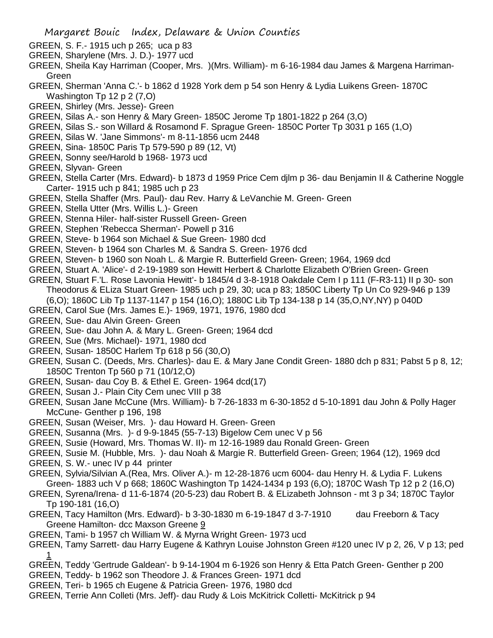- GREEN, S. F.- 1915 uch p 265; uca p 83
- GREEN, Sharylene (Mrs. J. D.)- 1977 ucd
- GREEN, Sheila Kay Harriman (Cooper, Mrs. )(Mrs. William)- m 6-16-1984 dau James & Margena Harriman-Green
- GREEN, Sherman 'Anna C.'- b 1862 d 1928 York dem p 54 son Henry & Lydia Luikens Green- 1870C Washington Tp 12 p 2 (7,0)
- GREEN, Shirley (Mrs. Jesse)- Green
- GREEN, Silas A.- son Henry & Mary Green- 1850C Jerome Tp 1801-1822 p 264 (3,O)
- GREEN, Silas S.- son Willard & Rosamond F. Sprague Green- 1850C Porter Tp 3031 p 165 (1,O)
- GREEN, Silas W. 'Jane Simmons'- m 8-11-1856 ucm 2448
- GREEN, Sina- 1850C Paris Tp 579-590 p 89 (12, Vt)
- GREEN, Sonny see/Harold b 1968- 1973 ucd
- GREEN, Slyvan- Green
- GREEN, Stella Carter (Mrs. Edward)- b 1873 d 1959 Price Cem djlm p 36- dau Benjamin II & Catherine Noggle Carter- 1915 uch p 841; 1985 uch p 23
- GREEN, Stella Shaffer (Mrs. Paul)- dau Rev. Harry & LeVanchie M. Green- Green
- GREEN, Stella Utter (Mrs. Willis L.)- Green
- GREEN, Stenna Hiler- half-sister Russell Green- Green
- GREEN, Stephen 'Rebecca Sherman'- Powell p 316
- GREEN, Steve- b 1964 son Michael & Sue Green- 1980 dcd
- GREEN, Steven- b 1964 son Charles M. & Sandra S. Green- 1976 dcd
- GREEN, Steven- b 1960 son Noah L. & Margie R. Butterfield Green- Green; 1964, 1969 dcd
- GREEN, Stuart A. 'Alice'- d 2-19-1989 son Hewitt Herbert & Charlotte Elizabeth O'Brien Green- Green
- GREEN, Stuart F.'L. Rose Lavonia Hewitt'- b 1845/4 d 3-8-1918 Oakdale Cem I p 111 (F-R3-11) II p 30- son
	- Theodorus & ELiza Stuart Green- 1985 uch p 29, 30; uca p 83; 1850C Liberty Tp Un Co 929-946 p 139
	- (6,O); 1860C Lib Tp 1137-1147 p 154 (16,O); 1880C Lib Tp 134-138 p 14 (35,O,NY,NY) p 040D
- GREEN, Carol Sue (Mrs. James E.)- 1969, 1971, 1976, 1980 dcd
- GREEN, Sue- dau Alvin Green- Green
- GREEN, Sue- dau John A. & Mary L. Green- Green; 1964 dcd
- GREEN, Sue (Mrs. Michael)- 1971, 1980 dcd
- GREEN, Susan- 1850C Harlem Tp 618 p 56 (30,O)
- GREEN, Susan C. (Deeds, Mrs. Charles)- dau E. & Mary Jane Condit Green- 1880 dch p 831; Pabst 5 p 8, 12; 1850C Trenton Tp 560 p 71 (10/12,O)
- GREEN, Susan- dau Coy B. & Ethel E. Green- 1964 dcd(17)
- GREEN, Susan J.- Plain City Cem unec VIII p 38
- GREEN, Susan Jane McCune (Mrs. William)- b 7-26-1833 m 6-30-1852 d 5-10-1891 dau John & Polly Hager McCune- Genther p 196, 198
- GREEN, Susan (Weiser, Mrs. )- dau Howard H. Green- Green
- GREEN, Susanna (Mrs. )- d 9-9-1845 (55-7-13) Bigelow Cem unec V p 56
- GREEN, Susie (Howard, Mrs. Thomas W. II)- m 12-16-1989 dau Ronald Green- Green
- GREEN, Susie M. (Hubble, Mrs. )- dau Noah & Margie R. Butterfield Green- Green; 1964 (12), 1969 dcd
- GREEN, S. W.- unec IV p 44 printer
- GREEN, Sylvia/Silvian A.(Rea, Mrs. Oliver A.)- m 12-28-1876 ucm 6004- dau Henry H. & Lydia F. Lukens Green- 1883 uch V p 668; 1860C Washington Tp 1424-1434 p 193 (6,O); 1870C Wash Tp 12 p 2 (16,O)
- GREEN, Syrena/Irena- d 11-6-1874 (20-5-23) dau Robert B. & ELizabeth Johnson mt 3 p 34; 1870C Taylor Tp 190-181 (16,O)
- GREEN, Tacy Hamilton (Mrs. Edward)- b 3-30-1830 m 6-19-1847 d 3-7-1910 dau Freeborn & Tacy Greene Hamilton- dcc Maxson Greene 9
- GREEN, Tami- b 1957 ch William W. & Myrna Wright Green- 1973 ucd
- GREEN, Tamy Sarrett- dau Harry Eugene & Kathryn Louise Johnston Green #120 unec IV p 2, 26, V p 13; ped 1
- GREEN, Teddy 'Gertrude Galdean'- b 9-14-1904 m 6-1926 son Henry & Etta Patch Green- Genther p 200
- GREEN, Teddy- b 1962 son Theodore J. & Frances Green- 1971 dcd
- GREEN, Teri- b 1965 ch Eugene & Patricia Green- 1976, 1980 dcd
- GREEN, Terrie Ann Colleti (Mrs. Jeff)- dau Rudy & Lois McKitrick Colletti- McKitrick p 94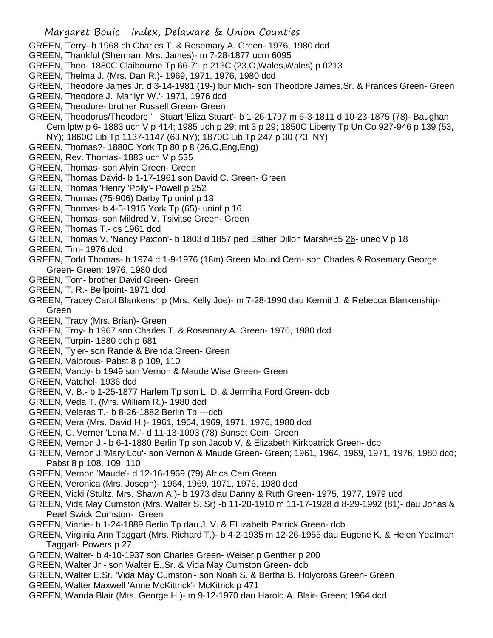- GREEN, Terry- b 1968 ch Charles T. & Rosemary A. Green- 1976, 1980 dcd
- GREEN, Thankful (Sherman, Mrs. James)- m 7-28-1877 ucm 6095
- GREEN, Theo- 1880C Claibourne Tp 66-71 p 213C (23,O,Wales,Wales) p 0213
- GREEN, Thelma J. (Mrs. Dan R.)- 1969, 1971, 1976, 1980 dcd
- GREEN, Theodore James,Jr. d 3-14-1981 (19-) bur Mich- son Theodore James,Sr. & Frances Green- Green
- GREEN, Theodore J. 'Marilyn W.'- 1971, 1976 dcd
- GREEN, Theodore- brother Russell Green- Green
- GREEN, Theodorus/Theodore ' Stuart''Eliza Stuart'- b 1-26-1797 m 6-3-1811 d 10-23-1875 (78)- Baughan Cem lptw p 6- 1883 uch V p 414; 1985 uch p 29; mt 3 p 29; 1850C Liberty Tp Un Co 927-946 p 139 (53, NY); 1860C Lib Tp 1137-1147 (63,NY); 1870C Lib Tp 247 p 30 (73, NY)
- GREEN, Thomas?- 1880C York Tp 80 p 8 (26,O,Eng,Eng)
- GREEN, Rev. Thomas- 1883 uch V p 535
- GREEN, Thomas- son Alvin Green- Green
- GREEN, Thomas David- b 1-17-1961 son David C. Green- Green
- GREEN, Thomas 'Henry 'Polly'- Powell p 252
- GREEN, Thomas (75-906) Darby Tp uninf p 13
- GREEN, Thomas- b 4-5-1915 York Tp (65)- uninf p 16
- GREEN, Thomas- son Mildred V. Tsivitse Green- Green
- GREEN, Thomas T.- cs 1961 dcd
- GREEN, Thomas V. 'Nancy Paxton'- b 1803 d 1857 ped Esther Dillon Marsh#55 26- unec V p 18
- GREEN, Tim- 1976 dcd
- GREEN, Todd Thomas- b 1974 d 1-9-1976 (18m) Green Mound Cem- son Charles & Rosemary George Green- Green; 1976, 1980 dcd
- GREEN, Tom- brother David Green- Green
- GREEN, T. R.- Bellpoint- 1971 dcd
- GREEN, Tracey Carol Blankenship (Mrs. Kelly Joe)- m 7-28-1990 dau Kermit J. & Rebecca Blankenship-Green
- GREEN, Tracy (Mrs. Brian)- Green
- GREEN, Troy- b 1967 son Charles T. & Rosemary A. Green- 1976, 1980 dcd
- GREEN, Turpin- 1880 dch p 681
- GREEN, Tyler- son Rande & Brenda Green- Green
- GREEN, Valorous- Pabst 8 p 109, 110
- GREEN, Vandy- b 1949 son Vernon & Maude Wise Green- Green
- GREEN, Vatchel- 1936 dcd
- GREEN, V. B.- b 1-25-1877 Harlem Tp son L. D. & Jermiha Ford Green- dcb
- GREEN, Veda T. (Mrs. William R.)- 1980 dcd
- GREEN, Veleras T.- b 8-26-1882 Berlin Tp ---dcb
- GREEN, Vera (Mrs. David H.)- 1961, 1964, 1969, 1971, 1976, 1980 dcd
- GREEN, C. Verner 'Lena M.'- d 11-13-1093 (78) Sunset Cem- Green
- GREEN, Vernon J.- b 6-1-1880 Berlin Tp son Jacob V. & Elizabeth Kirkpatrick Green- dcb
- GREEN, Vernon J.'Mary Lou'- son Vernon & Maude Green- Green; 1961, 1964, 1969, 1971, 1976, 1980 dcd; Pabst 8 p 108, 109, 110
- GREEN, Vernon 'Maude'- d 12-16-1969 (79) Africa Cem Green
- GREEN, Veronica (Mrs. Joseph)- 1964, 1969, 1971, 1976, 1980 dcd
- GREEN, Vicki (Stultz, Mrs. Shawn A.)- b 1973 dau Danny & Ruth Green- 1975, 1977, 1979 ucd
- GREEN, Vida May Cumston (Mrs. Walter S. Sr) -b 11-20-1910 m 11-17-1928 d 8-29-1992 (81)- dau Jonas & Pearl Swick Cumston- Green
- GREEN, Vinnie- b 1-24-1889 Berlin Tp dau J. V. & ELizabeth Patrick Green- dcb
- GREEN, Virginia Ann Taggart (Mrs. Richard T.)- b 4-2-1935 m 12-26-1955 dau Eugene K. & Helen Yeatman Taggart- Powers p 27
- GREEN, Walter- b 4-10-1937 son Charles Green- Weiser p Genther p 200
- GREEN, Walter Jr.- son Walter E.,Sr. & Vida May Cumston Green- dcb
- GREEN, Walter E.Sr. 'Vida May Cumston'- son Noah S. & Bertha B. Holycross Green- Green
- GREEN, Walter Maxwell 'Anne McKittrick'- McKitrick p 471
- GREEN, Wanda Blair (Mrs. George H.)- m 9-12-1970 dau Harold A. Blair- Green; 1964 dcd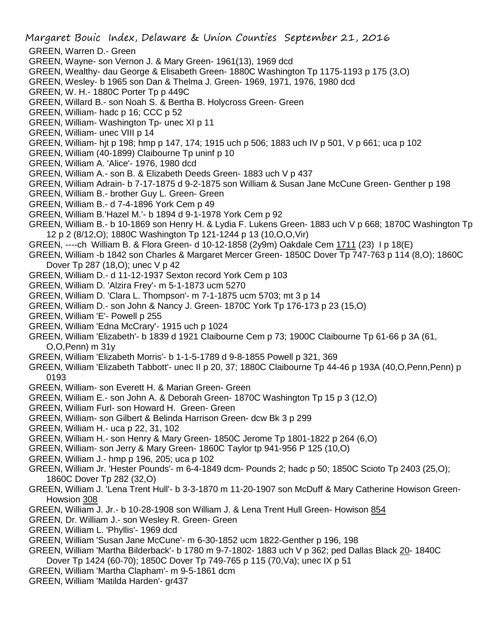Margaret Bouic Index, Delaware & Union Counties September 21, 2016

- GREEN, Warren D.- Green
- GREEN, Wayne- son Vernon J. & Mary Green- 1961(13), 1969 dcd
- GREEN, Wealthy- dau George & Elisabeth Green- 1880C Washington Tp 1175-1193 p 175 (3,O)
- GREEN, Wesley- b 1965 son Dan & Thelma J. Green- 1969, 1971, 1976, 1980 dcd
- GREEN, W. H.- 1880C Porter Tp p 449C
- GREEN, Willard B.- son Noah S. & Bertha B. Holycross Green- Green
- GREEN, William- hadc p 16; CCC p 52
- GREEN, William- Washington Tp- unec XI p 11
- GREEN, William- unec VIII p 14
- GREEN, William- hjt p 198; hmp p 147, 174; 1915 uch p 506; 1883 uch IV p 501, V p 661; uca p 102
- GREEN, William (40-1899) Claibourne Tp uninf p 10
- GREEN, William A. 'Alice'- 1976, 1980 dcd
- GREEN, William A.- son B. & Elizabeth Deeds Green- 1883 uch V p 437
- GREEN, William Adrain- b 7-17-1875 d 9-2-1875 son William & Susan Jane McCune Green- Genther p 198
- GREEN, William B.- brother Guy L. Green- Green
- GREEN, William B.- d 7-4-1896 York Cem p 49
- GREEN, William B.'Hazel M.'- b 1894 d 9-1-1978 York Cem p 92
- GREEN, William B.- b 10-1869 son Henry H. & Lydia F. Lukens Green- 1883 uch V p 668; 1870C Washington Tp 12 p 2 (8/12,O); 1880C Washington Tp 121-1244 p 13 (10,O,O,Vir)
- GREEN, ----ch William B. & Flora Green- d 10-12-1858 (2y9m) Oakdale Cem 1711 (23) I p 18(E)
- GREEN, William -b 1842 son Charles & Margaret Mercer Green- 1850C Dover Tp 747-763 p 114 (8,O); 1860C Dover Tp 287 (18,O); unec V p 42
- GREEN, William D.- d 11-12-1937 Sexton record York Cem p 103
- GREEN, William D. 'Alzira Frey'- m 5-1-1873 ucm 5270
- GREEN, William D. 'Clara L. Thompson'- m 7-1-1875 ucm 5703; mt 3 p 14
- GREEN, William D.- son John & Nancy J. Green- 1870C York Tp 176-173 p 23 (15,O)
- GREEN, William 'E'- Powell p 255
- GREEN, William 'Edna McCrary'- 1915 uch p 1024
- GREEN, William 'Elizabeth'- b 1839 d 1921 Claibourne Cem p 73; 1900C Claibourne Tp 61-66 p 3A (61, O,O,Penn) m 31y
- GREEN, William 'Elizabeth Morris'- b 1-1-5-1789 d 9-8-1855 Powell p 321, 369
- GREEN, William 'Elizabeth Tabbott'- unec II p 20, 37; 1880C Claibourne Tp 44-46 p 193A (40,O,Penn,Penn) p 0193
- GREEN, William- son Everett H. & Marian Green- Green
- GREEN, William E.- son John A. & Deborah Green- 1870C Washington Tp 15 p 3 (12,O)
- GREEN, William Furl- son Howard H. Green- Green
- GREEN, William- son Gilbert & Belinda Harrison Green- dcw Bk 3 p 299
- GREEN, William H.- uca p 22, 31, 102
- GREEN, William H.- son Henry & Mary Green- 1850C Jerome Tp 1801-1822 p 264 (6,O)
- GREEN, William- son Jerry & Mary Green- 1860C Taylor tp 941-956 P 125 (10,O)
- GREEN, William J.- hmp p 196, 205; uca p 102
- GREEN, William Jr. 'Hester Pounds'- m 6-4-1849 dcm- Pounds 2; hadc p 50; 1850C Scioto Tp 2403 (25,O); 1860C Dover Tp 282 (32,O)
- GREEN, William J. 'Lena Trent Hull'- b 3-3-1870 m 11-20-1907 son McDuff & Mary Catherine Howison Green-Howsion 308
- GREEN, William J. Jr.- b 10-28-1908 son William J. & Lena Trent Hull Green- Howison 854
- GREEN, Dr. William J.- son Wesley R. Green- Green
- GREEN, William L. 'Phyllis'- 1969 dcd
- GREEN, William 'Susan Jane McCune'- m 6-30-1852 ucm 1822-Genther p 196, 198
- GREEN, William 'Martha Bilderback'- b 1780 m 9-7-1802- 1883 uch V p 362; ped Dallas Black 20- 1840C Dover Tp 1424 (60-70); 1850C Dover Tp 749-765 p 115 (70,Va); unec IX p 51
- GREEN, William 'Martha Clapham'- m 9-5-1861 dcm
- GREEN, William 'Matilda Harden'- gr437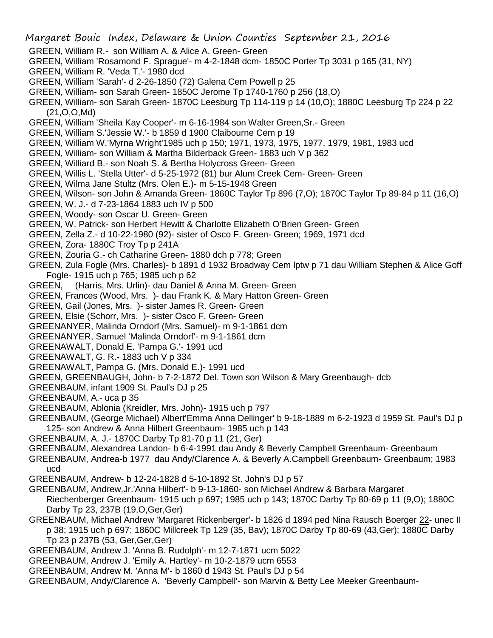- Margaret Bouic Index, Delaware & Union Counties September 21, 2016 GREEN, William R.- son William A. & Alice A. Green- Green GREEN, William 'Rosamond F. Sprague'- m 4-2-1848 dcm- 1850C Porter Tp 3031 p 165 (31, NY) GREEN, William R. 'Veda T.'- 1980 dcd GREEN, William 'Sarah'- d 2-26-1850 (72) Galena Cem Powell p 25 GREEN, William- son Sarah Green- 1850C Jerome Tp 1740-1760 p 256 (18,O) GREEN, William- son Sarah Green- 1870C Leesburg Tp 114-119 p 14 (10,O); 1880C Leesburg Tp 224 p 22 (21,O,O,Md) GREEN, William 'Sheila Kay Cooper'- m 6-16-1984 son Walter Green,Sr.- Green GREEN, William S.'Jessie W.'- b 1859 d 1900 Claibourne Cem p 19 GREEN, William W.'Myrna Wright'1985 uch p 150; 1971, 1973, 1975, 1977, 1979, 1981, 1983 ucd GREEN, William- son William & Martha Bilderback Green- 1883 uch V p 362 GREEN, Williard B.- son Noah S. & Bertha Holycross Green- Green GREEN, Willis L. 'Stella Utter'- d 5-25-1972 (81) bur Alum Creek Cem- Green- Green GREEN, Wilma Jane Stultz (Mrs. Olen E.)- m 5-15-1948 Green GREEN, Wilson- son John & Amanda Green- 1860C Taylor Tp 896 (7,O); 1870C Taylor Tp 89-84 p 11 (16,O) GREEN, W. J.- d 7-23-1864 1883 uch IV p 500 GREEN, Woody- son Oscar U. Green- Green GREEN, W. Patrick- son Herbert Hewitt & Charlotte Elizabeth O'Brien Green- Green GREEN, Zella Z.- d 10-22-1980 (92)- sister of Osco F. Green- Green; 1969, 1971 dcd GREEN, Zora- 1880C Troy Tp p 241A GREEN, Zouria G.- ch Catharine Green- 1880 dch p 778; Green GREEN, Zula Fogle (Mrs. Charles)- b 1891 d 1932 Broadway Cem lptw p 71 dau William Stephen & Alice Goff Fogle- 1915 uch p 765; 1985 uch p 62 GREEN, (Harris, Mrs. Urlin)- dau Daniel & Anna M. Green- Green GREEN, Frances (Wood, Mrs. )- dau Frank K. & Mary Hatton Green- Green GREEN, Gail (Jones, Mrs. )- sister James R. Green- Green GREEN, Elsie (Schorr, Mrs. )- sister Osco F. Green- Green GREENANYER, Malinda Orndorf (Mrs. Samuel)- m 9-1-1861 dcm GREENANYER, Samuel 'Malinda Orndorf'- m 9-1-1861 dcm GREENAWALT, Donald E. 'Pampa G.'- 1991 ucd GREENAWALT, G. R.- 1883 uch V p 334 GREENAWALT, Pampa G. (Mrs. Donald E.)- 1991 ucd GREEN, GREENBAUGH, John- b 7-2-1872 Del. Town son Wilson & Mary Greenbaugh- dcb GREENBAUM, infant 1909 St. Paul's DJ p 25 GREENBAUM, A.- uca p 35 GREENBAUM, Ablonia (Kreidler, Mrs. John)- 1915 uch p 797 GREENBAUM, (George Michael) Albert'Emma Anna Dellinger' b 9-18-1889 m 6-2-1923 d 1959 St. Paul's DJ p 125- son Andrew & Anna Hilbert Greenbaum- 1985 uch p 143 GREENBAUM, A. J.- 1870C Darby Tp 81-70 p 11 (21, Ger) GREENBAUM, Alexandrea Landon- b 6-4-1991 dau Andy & Beverly Campbell Greenbaum- Greenbaum GREENBAUM, Andrea-b 1977 dau Andy/Clarence A. & Beverly A.Campbell Greenbaum- Greenbaum; 1983 ucd GREENBAUM, Andrew- b 12-24-1828 d 5-10-1892 St. John's DJ p 57 GREENBAUM, Andrew,Jr.'Anna Hilbert'- b 9-13-1860- son Michael Andrew & Barbara Margaret Riechenberger Greenbaum- 1915 uch p 697; 1985 uch p 143; 1870C Darby Tp 80-69 p 11 (9,O); 1880C Darby Tp 23, 237B (19,O,Ger,Ger) GREENBAUM, Michael Andrew 'Margaret Rickenberger'- b 1826 d 1894 ped Nina Rausch Boerger 22- unec II p 38; 1915 uch p 697; 1860C Millcreek Tp 129 (35, Bav); 1870C Darby Tp 80-69 (43,Ger); 1880C Darby Tp 23 p 237B (53, Ger,Ger,Ger) GREENBAUM, Andrew J. 'Anna B. Rudolph'- m 12-7-1871 ucm 5022
	- GREENBAUM, Andrew J. 'Emily A. Hartley'- m 10-2-1879 ucm 6553
	- GREENBAUM, Andrew M. 'Anna M'- b 1860 d 1943 St. Paul's DJ p 54
	- GREENBAUM, Andy/Clarence A. 'Beverly Campbell'- son Marvin & Betty Lee Meeker Greenbaum-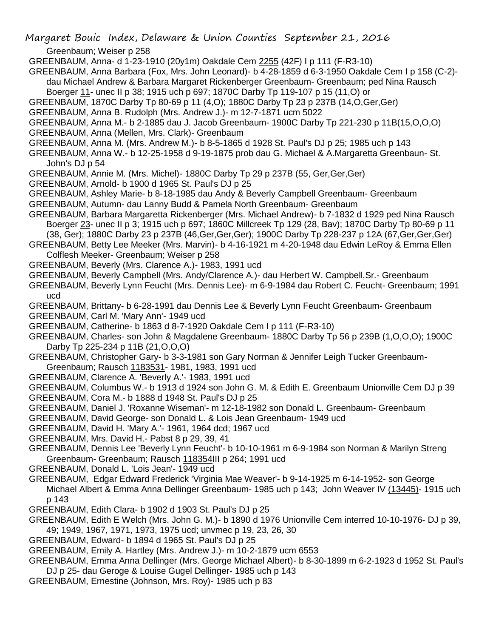Margaret Bouic Index, Delaware & Union Counties September 21, 2016 Greenbaum; Weiser p 258

GREENBAUM, Anna- d 1-23-1910 (20y1m) Oakdale Cem 2255 (42F) I p 111 (F-R3-10)

- GREENBAUM, Anna Barbara (Fox, Mrs. John Leonard)- b 4-28-1859 d 6-3-1950 Oakdale Cem I p 158 (C-2) dau Michael Andrew & Barbara Margaret Rickenberger Greenbaum- Greenbaum; ped Nina Rausch Boerger 11- unec II p 38; 1915 uch p 697; 1870C Darby Tp 119-107 p 15 (11,O) or
- GREENBAUM, 1870C Darby Tp 80-69 p 11 (4,O); 1880C Darby Tp 23 p 237B (14,O,Ger,Ger)
- GREENBAUM, Anna B. Rudolph (Mrs. Andrew J.)- m 12-7-1871 ucm 5022
- GREENBAUM, Anna M.- b 2-1885 dau J. Jacob Greenbaum- 1900C Darby Tp 221-230 p 11B(15,O,O,O)
- GREENBAUM, Anna (Mellen, Mrs. Clark)- Greenbaum
- GREENBAUM, Anna M. (Mrs. Andrew M.)- b 8-5-1865 d 1928 St. Paul's DJ p 25; 1985 uch p 143
- GREENBAUM, Anna W.- b 12-25-1958 d 9-19-1875 prob dau G. Michael & A.Margaretta Greenbaun- St. John's DJ p 54
- GREENBAUM, Annie M. (Mrs. Michel)- 1880C Darby Tp 29 p 237B (55, Ger,Ger,Ger)
- GREENBAUM, Arnold- b 1900 d 1965 St. Paul's DJ p 25
- GREENBAUM, Ashley Marie- b 8-18-1985 dau Andy & Beverly Campbell Greenbaum- Greenbaum
- GREENBAUM, Autumn- dau Lanny Budd & Pamela North Greenbaum- Greenbaum
- GREENBAUM, Barbara Margaretta Rickenberger (Mrs. Michael Andrew)- b 7-1832 d 1929 ped Nina Rausch Boerger 23- unec II p 3; 1915 uch p 697; 1860C Millcreek Tp 129 (28, Bav); 1870C Darby Tp 80-69 p 11 (38, Ger); 1880C Darby 23 p 237B (46,Ger,Ger,Ger); 1900C Darby Tp 228-237 p 12A (67,Ger,Ger,Ger)
- GREENBAUM, Betty Lee Meeker (Mrs. Marvin)- b 4-16-1921 m 4-20-1948 dau Edwin LeRoy & Emma Ellen Colflesh Meeker- Greenbaum; Weiser p 258
- GREENBAUM, Beverly (Mrs. Clarence A.)- 1983, 1991 ucd
- GREENBAUM, Beverly Campbell (Mrs. Andy/Clarence A.)- dau Herbert W. Campbell,Sr.- Greenbaum
- GREENBAUM, Beverly Lynn Feucht (Mrs. Dennis Lee)- m 6-9-1984 dau Robert C. Feucht- Greenbaum; 1991 ucd
- GREENBAUM, Brittany- b 6-28-1991 dau Dennis Lee & Beverly Lynn Feucht Greenbaum- Greenbaum
- GREENBAUM, Carl M. 'Mary Ann'- 1949 ucd
- GREENBAUM, Catherine- b 1863 d 8-7-1920 Oakdale Cem I p 111 (F-R3-10)
- GREENBAUM, Charles- son John & Magdalene Greenbaum- 1880C Darby Tp 56 p 239B (1,O,O,O); 1900C Darby Tp 225-234 p 11B (21,O,O,O)
- GREENBAUM, Christopher Gary- b 3-3-1981 son Gary Norman & Jennifer Leigh Tucker Greenbaum-Greenbaum; Rausch 1183531- 1981, 1983, 1991 ucd
- GREENBAUM, Clarence A. 'Beverly A.'- 1983, 1991 ucd
- GREENBAUM, Columbus W.- b 1913 d 1924 son John G. M. & Edith E. Greenbaum Unionville Cem DJ p 39
- GREENBAUM, Cora M.- b 1888 d 1948 St. Paul's DJ p 25
- GREENBAUM, Daniel J. 'Roxanne Wiseman'- m 12-18-1982 son Donald L. Greenbaum- Greenbaum
- GREENBAUM, David George- son Donald L. & Lois Jean Greenbaum- 1949 ucd
- GREENBAUM, David H. 'Mary A.'- 1961, 1964 dcd; 1967 ucd
- GREENBAUM, Mrs. David H.- Pabst 8 p 29, 39, 41
- GREENBAUM, Dennis Lee 'Beverly Lynn Feucht'- b 10-10-1961 m 6-9-1984 son Norman & Marilyn Streng Greenbaum- Greenbaum; Rausch 118354III p 264; 1991 ucd
- GREENBAUM, Donald L. 'Lois Jean'- 1949 ucd
- GREENBAUM, Edgar Edward Frederick 'Virginia Mae Weaver'- b 9-14-1925 m 6-14-1952- son George Michael Albert & Emma Anna Dellinger Greenbaum- 1985 uch p 143; John Weaver IV (13445)- 1915 uch p 143
- GREENBAUM, Edith Clara- b 1902 d 1903 St. Paul's DJ p 25
- GREENBAUM, Edith E Welch (Mrs. John G. M.)- b 1890 d 1976 Unionville Cem interred 10-10-1976- DJ p 39, 49; 1949, 1967, 1971, 1973, 1975 ucd; unvmec p 19, 23, 26, 30
- GREENBAUM, Edward- b 1894 d 1965 St. Paul's DJ p 25
- GREENBAUM, Emily A. Hartley (Mrs. Andrew J.)- m 10-2-1879 ucm 6553
- GREENBAUM, Emma Anna Dellinger (Mrs. George Michael Albert)- b 8-30-1899 m 6-2-1923 d 1952 St. Paul's DJ p 25- dau Geroge & Louise Gugel Dellinger- 1985 uch p 143
- GREENBAUM, Ernestine (Johnson, Mrs. Roy)- 1985 uch p 83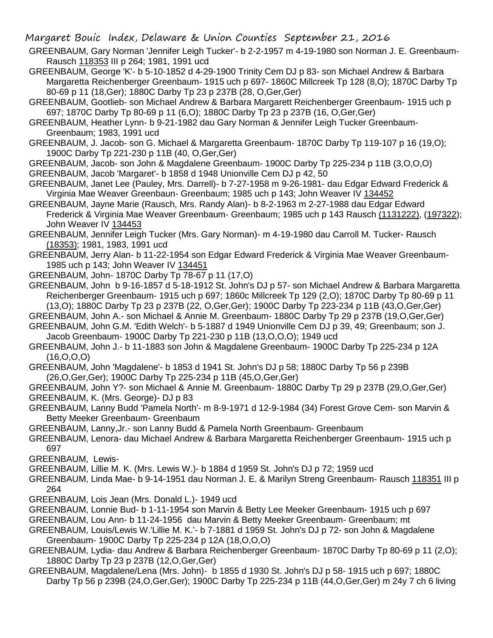Margaret Bouic Index, Delaware & Union Counties September 21, 2016

GREENBAUM, Gary Norman 'Jennifer Leigh Tucker'- b 2-2-1957 m 4-19-1980 son Norman J. E. Greenbaum-Rausch 118353 III p 264; 1981, 1991 ucd

GREENBAUM, George 'K'- b 5-10-1852 d 4-29-1900 Trinity Cem DJ p 83- son Michael Andrew & Barbara Margaretta Reichenberger Greenbaum- 1915 uch p 697- 1860C Millcreek Tp 128 (8,O); 1870C Darby Tp 80-69 p 11 (18,Ger); 1880C Darby Tp 23 p 237B (28, O,Ger,Ger)

GREENBAUM, Gootlieb- son Michael Andrew & Barbara Margarett Reichenberger Greenbaum- 1915 uch p 697; 1870C Darby Tp 80-69 p 11 (6,O); 1880C Darby Tp 23 p 237B (16, O,Ger,Ger)

GREENBAUM, Heather Lynn- b 9-21-1982 dau Gary Norman & Jennifer Leigh Tucker Greenbaum-Greenbaum; 1983, 1991 ucd

GREENBAUM, J. Jacob- son G. Michael & Margaretta Greenbaum- 1870C Darby Tp 119-107 p 16 (19,O); 1900C Darby Tp 221-230 p 11B (40, O,Ger,Ger)

GREENBAUM, Jacob- son John & Magdalene Greenbaum- 1900C Darby Tp 225-234 p 11B (3,O,O,O) GREENBAUM, Jacob 'Margaret'- b 1858 d 1948 Unionville Cem DJ p 42, 50

GREENBAUM, Janet Lee (Pauley, Mrs. Darrell)- b 7-27-1958 m 9-26-1981- dau Edgar Edward Frederick & Virginia Mae Weaver Greenbaun- Greenbaum; 1985 uch p 143; John Weaver IV 134452

GREENBAUM, Jayne Marie (Rausch, Mrs. Randy Alan)- b 8-2-1963 m 2-27-1988 dau Edgar Edward Frederick & Virginia Mae Weaver Greenbaum- Greenbaum; 1985 uch p 143 Rausch (1131222), (197322); John Weaver IV 134453

GREENBAUM, Jennifer Leigh Tucker (Mrs. Gary Norman)- m 4-19-1980 dau Carroll M. Tucker- Rausch (18353); 1981, 1983, 1991 ucd

GREENBAUM, Jerry Alan- b 11-22-1954 son Edgar Edward Frederick & Virginia Mae Weaver Greenbaum-1985 uch p 143; John Weaver IV 134451

GREENBAUM, John- 1870C Darby Tp 78-67 p 11 (17,O)

GREENBAUM, John b 9-16-1857 d 5-18-1912 St. John's DJ p 57- son Michael Andrew & Barbara Margaretta Reichenberger Greenbaum- 1915 uch p 697; 1860c Millcreek Tp 129 (2,O); 1870C Darby Tp 80-69 p 11 (13,O); 1880C Darby Tp 23 p 237B (22, O,Ger,Ger); 1900C Darby Tp 223-234 p 11B (43,O,Ger,Ger)

GREENBAUM, John A.- son Michael & Annie M. Greenbaum- 1880C Darby Tp 29 p 237B (19,O,Ger,Ger)

GREENBAUM, John G.M. 'Edith Welch'- b 5-1887 d 1949 Unionville Cem DJ p 39, 49; Greenbaum; son J. Jacob Greenbaum- 1900C Darby Tp 221-230 p 11B (13,O,O,O); 1949 ucd

GREENBAUM, John J.- b 11-1883 son John & Magdalene Greenbaum- 1900C Darby Tp 225-234 p 12A  $(16, 0.0, 0)$ 

GREENBAUM, John 'Magdalene'- b 1853 d 1941 St. John's DJ p 58; 1880C Darby Tp 56 p 239B (26,O,Ger,Ger); 1900C Darby Tp 225-234 p 11B (45,O,Ger,Ger)

GREENBAUM, John Y?- son Michael & Annie M. Greenbaum- 1880C Darby Tp 29 p 237B (29,O,Ger,Ger)

GREENBAUM, K. (Mrs. George)- DJ p 83

GREENBAUM, Lanny Budd 'Pamela North'- m 8-9-1971 d 12-9-1984 (34) Forest Grove Cem- son Marvin & Betty Meeker Greenbaum- Greenbaum

GREENBAUM, Lanny,Jr.- son Lanny Budd & Pamela North Greenbaum- Greenbaum

GREENBAUM, Lenora- dau Michael Andrew & Barbara Margaretta Reichenberger Greenbaum- 1915 uch p 697

GREENBAUM, Lewis-

GREENBAUM, Lillie M. K. (Mrs. Lewis W.)- b 1884 d 1959 St. John's DJ p 72; 1959 ucd

GREENBAUM, Linda Mae- b 9-14-1951 dau Norman J. E. & Marilyn Streng Greenbaum- Rausch 118351 III p 264

- GREENBAUM, Lois Jean (Mrs. Donald L.)- 1949 ucd
- GREENBAUM, Lonnie Bud- b 1-11-1954 son Marvin & Betty Lee Meeker Greenbaum- 1915 uch p 697
- GREENBAUM, Lou Ann- b 11-24-1956 dau Marvin & Betty Meeker Greenbaum- Greenbaum; mt
- GREENBAUM, Louis/Lewis W.'Lillie M. K.'- b 7-1881 d 1959 St. John's DJ p 72- son John & Magdalene Greenbaum- 1900C Darby Tp 225-234 p 12A (18,O,O,O)
- GREENBAUM, Lydia- dau Andrew & Barbara Reichenberger Greenbaum- 1870C Darby Tp 80-69 p 11 (2,O); 1880C Darby Tp 23 p 237B (12,O,Ger,Ger)
- GREENBAUM, Magdalene/Lena (Mrs. John)- b 1855 d 1930 St. John's DJ p 58- 1915 uch p 697; 1880C Darby Tp 56 p 239B (24,O,Ger,Ger); 1900C Darby Tp 225-234 p 11B (44,O,Ger,Ger) m 24y 7 ch 6 living